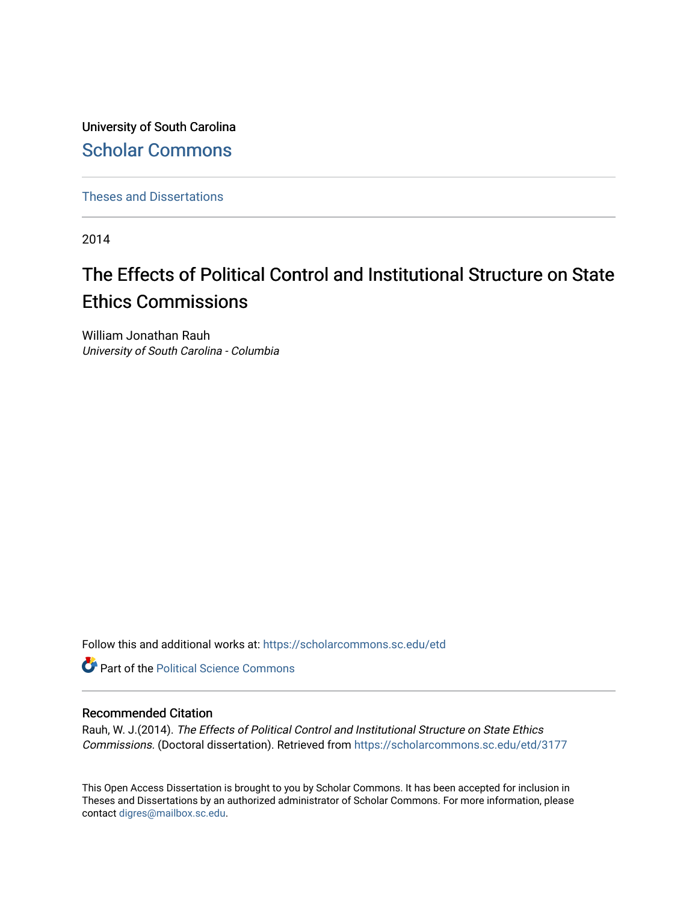University of South Carolina [Scholar Commons](https://scholarcommons.sc.edu/) 

[Theses and Dissertations](https://scholarcommons.sc.edu/etd)

2014

# The Effects of Political Control and Institutional Structure on State Ethics Commissions

William Jonathan Rauh University of South Carolina - Columbia

Follow this and additional works at: [https://scholarcommons.sc.edu/etd](https://scholarcommons.sc.edu/etd?utm_source=scholarcommons.sc.edu%2Fetd%2F3177&utm_medium=PDF&utm_campaign=PDFCoverPages)

**Part of the Political Science Commons** 

### Recommended Citation

Rauh, W. J.(2014). The Effects of Political Control and Institutional Structure on State Ethics Commissions. (Doctoral dissertation). Retrieved from [https://scholarcommons.sc.edu/etd/3177](https://scholarcommons.sc.edu/etd/3177?utm_source=scholarcommons.sc.edu%2Fetd%2F3177&utm_medium=PDF&utm_campaign=PDFCoverPages) 

This Open Access Dissertation is brought to you by Scholar Commons. It has been accepted for inclusion in Theses and Dissertations by an authorized administrator of Scholar Commons. For more information, please contact [digres@mailbox.sc.edu.](mailto:digres@mailbox.sc.edu)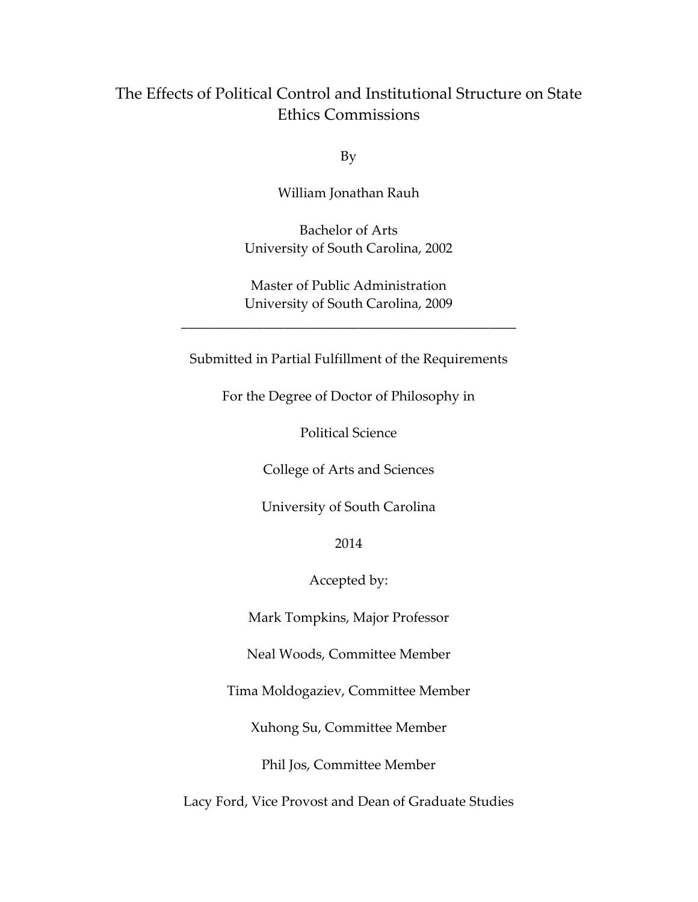## The Effects of Political Control and Institutional Structure on State Ethics Commissions

By

William Jonathan Rauh

Bachelor of Arts University of South Carolina, 2002

Master of Public Administration University of South Carolina, 2009

\_\_\_\_\_\_\_\_\_\_\_\_\_\_\_\_\_\_\_\_\_\_\_\_\_\_\_\_\_\_\_\_\_\_\_\_\_\_\_\_\_\_\_\_\_\_\_\_\_

Submitted in Partial Fulfillment of the Requirements

For the Degree of Doctor of Philosophy in

Political Science

College of Arts and Sciences

University of South Carolina

2014

Accepted by:

Mark Tompkins, Major Professor

Neal Woods, Committee Member

Tima Moldogaziev, Committee Member

Xuhong Su, Committee Member

Phil Jos, Committee Member

Lacy Ford, Vice Provost and Dean of Graduate Studies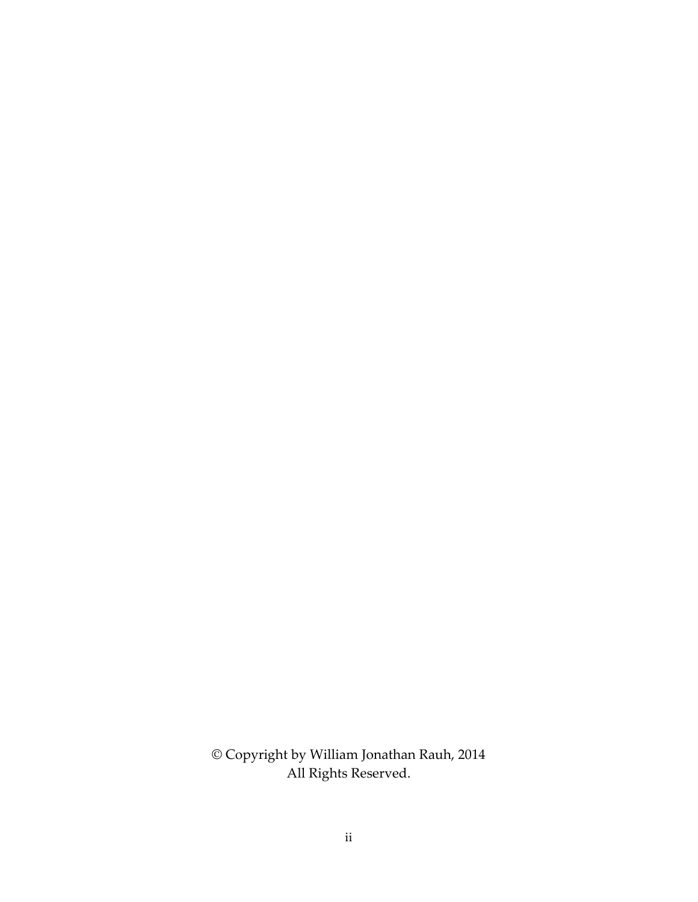© Copyright by William Jonathan Rauh, 2014 All Rights Reserved.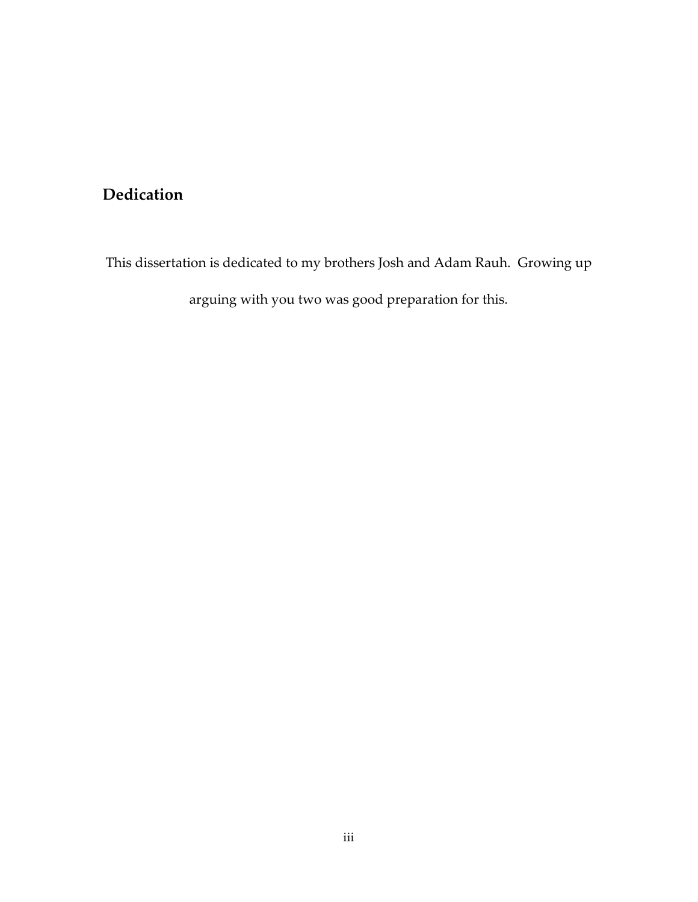## **Dedication**

This dissertation is dedicated to my brothers Josh and Adam Rauh. Growing up

arguing with you two was good preparation for this.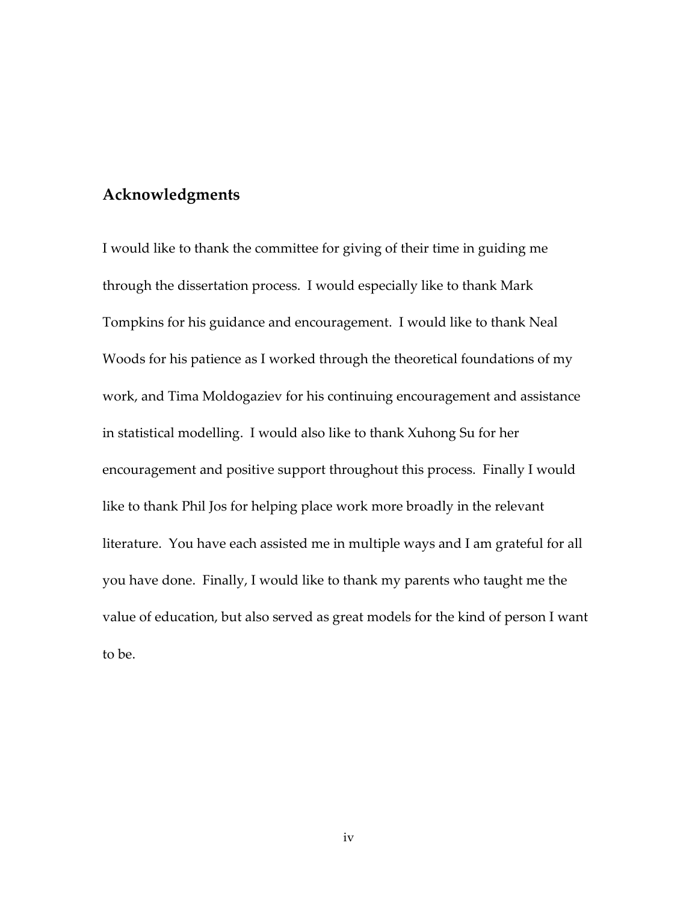### **Acknowledgments**

I would like to thank the committee for giving of their time in guiding me through the dissertation process. I would especially like to thank Mark Tompkins for his guidance and encouragement. I would like to thank Neal Woods for his patience as I worked through the theoretical foundations of my work, and Tima Moldogaziev for his continuing encouragement and assistance in statistical modelling. I would also like to thank Xuhong Su for her encouragement and positive support throughout this process. Finally I would like to thank Phil Jos for helping place work more broadly in the relevant literature. You have each assisted me in multiple ways and I am grateful for all you have done. Finally, I would like to thank my parents who taught me the value of education, but also served as great models for the kind of person I want to be.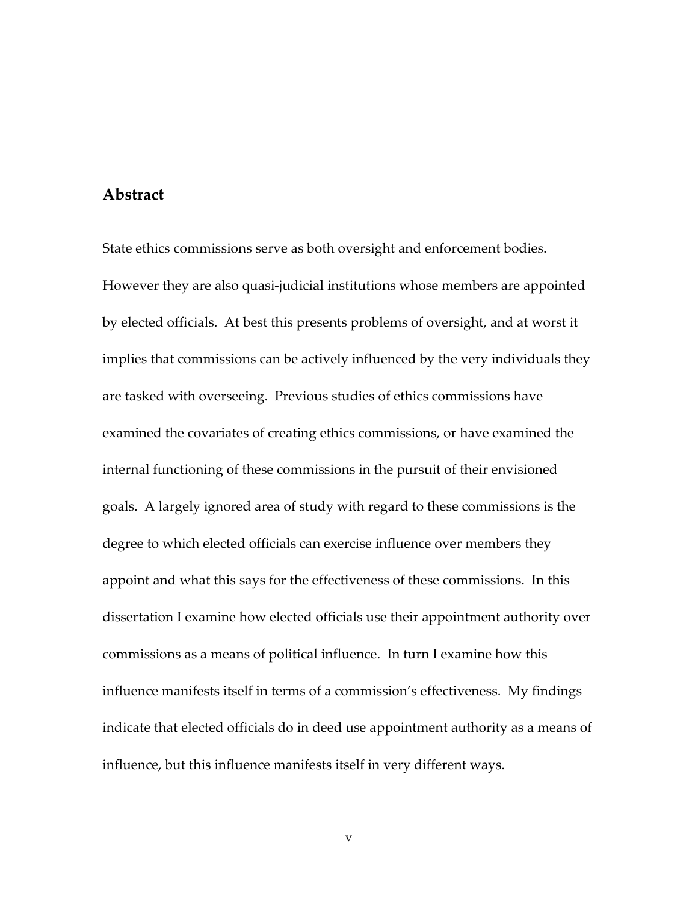### **Abstract**

State ethics commissions serve as both oversight and enforcement bodies. However they are also quasi-judicial institutions whose members are appointed by elected officials. At best this presents problems of oversight, and at worst it implies that commissions can be actively influenced by the very individuals they are tasked with overseeing. Previous studies of ethics commissions have examined the covariates of creating ethics commissions, or have examined the internal functioning of these commissions in the pursuit of their envisioned goals. A largely ignored area of study with regard to these commissions is the degree to which elected officials can exercise influence over members they appoint and what this says for the effectiveness of these commissions. In this dissertation I examine how elected officials use their appointment authority over commissions as a means of political influence. In turn I examine how this influence manifests itself in terms of a commission's effectiveness. My findings indicate that elected officials do in deed use appointment authority as a means of influence, but this influence manifests itself in very different ways.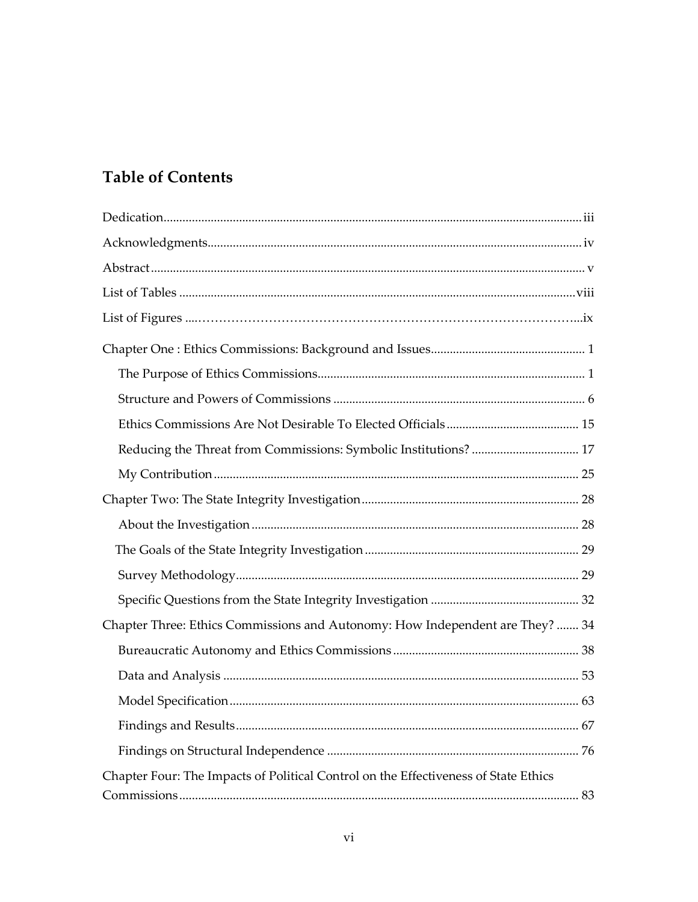# **Table of Contents**

| Reducing the Threat from Commissions: Symbolic Institutions?  17                    |
|-------------------------------------------------------------------------------------|
|                                                                                     |
|                                                                                     |
|                                                                                     |
|                                                                                     |
|                                                                                     |
|                                                                                     |
| Chapter Three: Ethics Commissions and Autonomy: How Independent are They?  34       |
|                                                                                     |
|                                                                                     |
|                                                                                     |
|                                                                                     |
|                                                                                     |
| Chapter Four: The Impacts of Political Control on the Effectiveness of State Ethics |
|                                                                                     |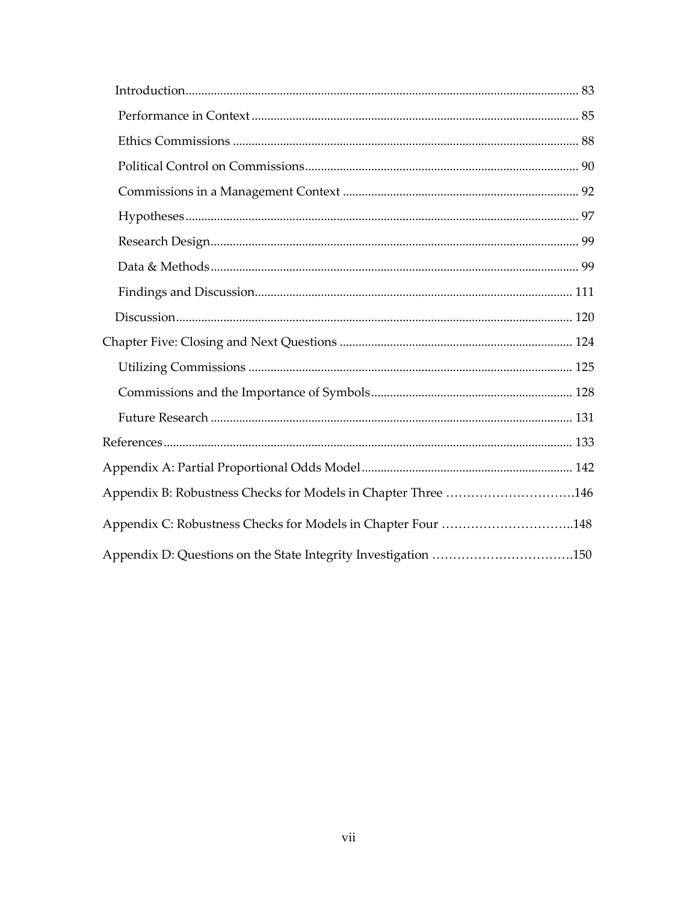| Appendix B: Robustness Checks for Models in Chapter Three 146  |  |
|----------------------------------------------------------------|--|
| Appendix C: Robustness Checks for Models in Chapter Four 148   |  |
| Appendix D: Questions on the State Integrity Investigation 150 |  |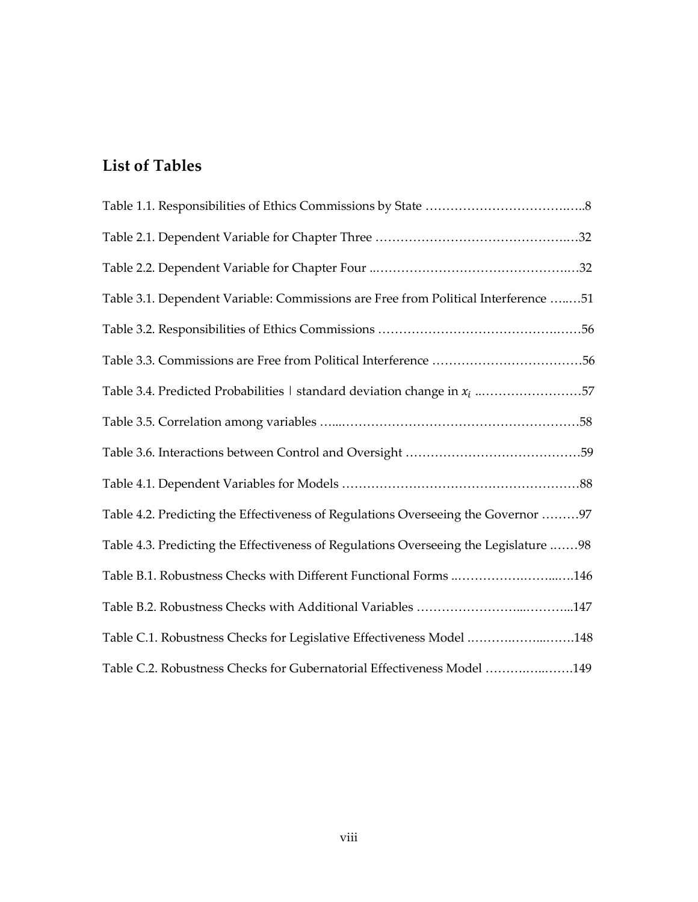# **List of Tables**

| Table 3.1. Dependent Variable: Commissions are Free from Political Interference 51   |
|--------------------------------------------------------------------------------------|
|                                                                                      |
|                                                                                      |
| Table 3.4. Predicted Probabilities $\vert$ standard deviation change in $x_i$ 57     |
|                                                                                      |
|                                                                                      |
|                                                                                      |
| Table 4.2. Predicting the Effectiveness of Regulations Overseeing the Governor 97    |
| Table 4.3. Predicting the Effectiveness of Regulations Overseeing the Legislature 98 |
| Table B.1. Robustness Checks with Different Functional Forms 146                     |
|                                                                                      |
| Table C.1. Robustness Checks for Legislative Effectiveness Model 148                 |
| Table C.2. Robustness Checks for Gubernatorial Effectiveness Model 149               |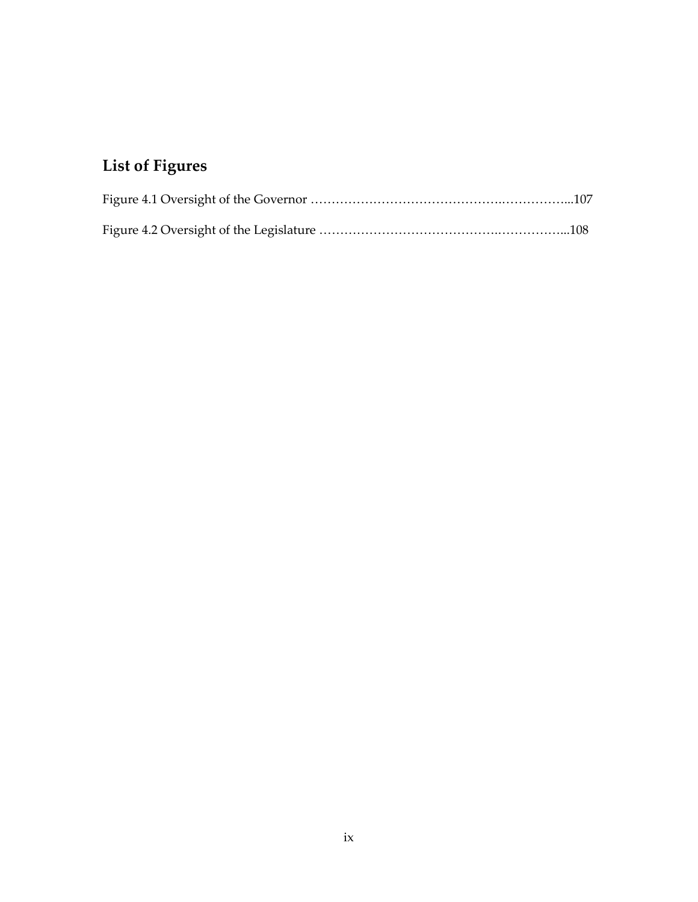# **List of Figures**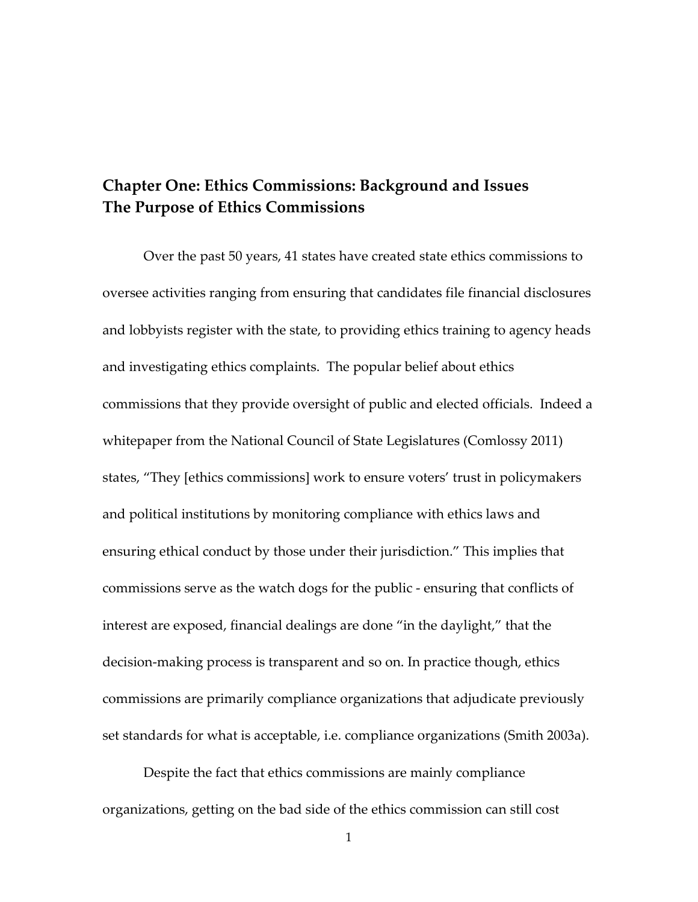### **Chapter One: Ethics Commissions: Background and Issues The Purpose of Ethics Commissions**

Over the past 50 years, 41 states have created state ethics commissions to oversee activities ranging from ensuring that candidates file financial disclosures and lobbyists register with the state, to providing ethics training to agency heads and investigating ethics complaints. The popular belief about ethics commissions that they provide oversight of public and elected officials. Indeed a whitepaper from the National Council of State Legislatures (Comlossy 2011) states, "They [ethics commissions] work to ensure voters' trust in policymakers and political institutions by monitoring compliance with ethics laws and ensuring ethical conduct by those under their jurisdiction." This implies that commissions serve as the watch dogs for the public - ensuring that conflicts of interest are exposed, financial dealings are done "in the daylight," that the decision-making process is transparent and so on. In practice though, ethics commissions are primarily compliance organizations that adjudicate previously set standards for what is acceptable, i.e. compliance organizations (Smith 2003a).

Despite the fact that ethics commissions are mainly compliance organizations, getting on the bad side of the ethics commission can still cost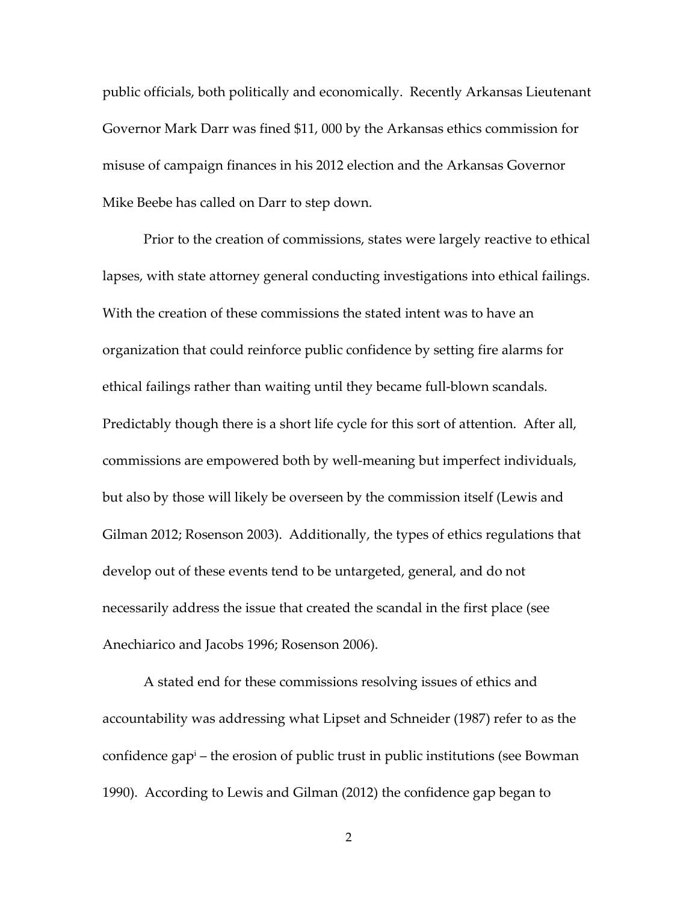public officials, both politically and economically. Recently Arkansas Lieutenant Governor Mark Darr was fined \$11, 000 by the Arkansas ethics commission for misuse of campaign finances in his 2012 election and the Arkansas Governor Mike Beebe has called on Darr to step down.

Prior to the creation of commissions, states were largely reactive to ethical lapses, with state attorney general conducting investigations into ethical failings. With the creation of these commissions the stated intent was to have an organization that could reinforce public confidence by setting fire alarms for ethical failings rather than waiting until they became full-blown scandals. Predictably though there is a short life cycle for this sort of attention. After all, commissions are empowered both by well-meaning but imperfect individuals, but also by those will likely be overseen by the commission itself (Lewis and Gilman 2012; Rosenson 2003). Additionally, the types of ethics regulations that develop out of these events tend to be untargeted, general, and do not necessarily address the issue that created the scandal in the first place (see Anechiarico and Jacobs 1996; Rosenson 2006).

A stated end for these commissions resolving issues of ethics and accountability was addressing what Lipset and Schneider (1987) refer to as the confidence gap<sup>i</sup> – the erosion of public trust in public institutions (see Bowman 1990). According to Lewis and Gilman (2012) the confidence gap began to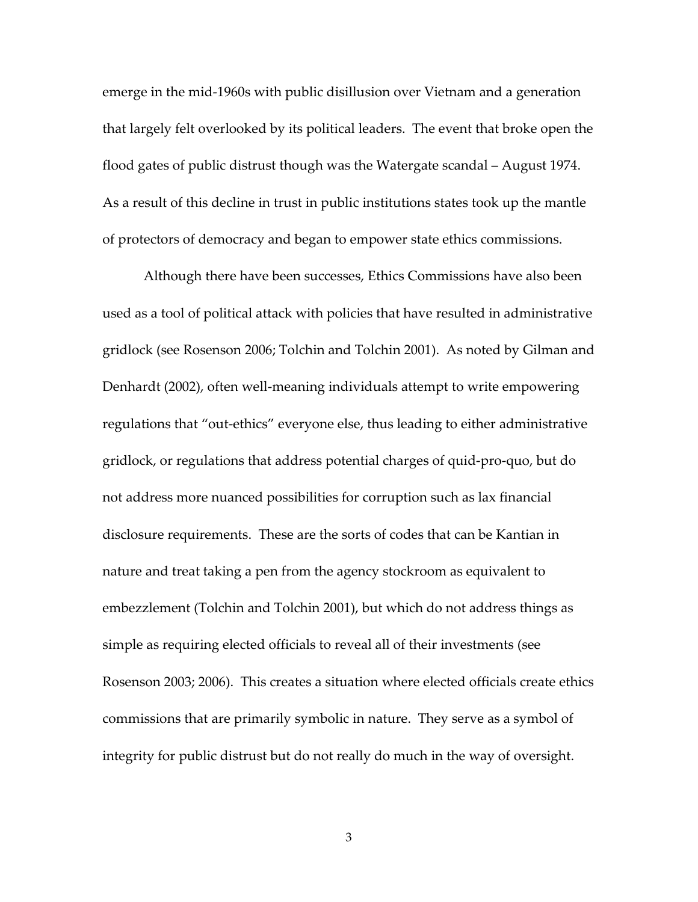emerge in the mid-1960s with public disillusion over Vietnam and a generation that largely felt overlooked by its political leaders. The event that broke open the flood gates of public distrust though was the Watergate scandal – August 1974. As a result of this decline in trust in public institutions states took up the mantle of protectors of democracy and began to empower state ethics commissions.

Although there have been successes, Ethics Commissions have also been used as a tool of political attack with policies that have resulted in administrative gridlock (see Rosenson 2006; Tolchin and Tolchin 2001). As noted by Gilman and Denhardt (2002), often well-meaning individuals attempt to write empowering regulations that "out-ethics" everyone else, thus leading to either administrative gridlock, or regulations that address potential charges of quid-pro-quo, but do not address more nuanced possibilities for corruption such as lax financial disclosure requirements. These are the sorts of codes that can be Kantian in nature and treat taking a pen from the agency stockroom as equivalent to embezzlement (Tolchin and Tolchin 2001), but which do not address things as simple as requiring elected officials to reveal all of their investments (see Rosenson 2003; 2006). This creates a situation where elected officials create ethics commissions that are primarily symbolic in nature. They serve as a symbol of integrity for public distrust but do not really do much in the way of oversight.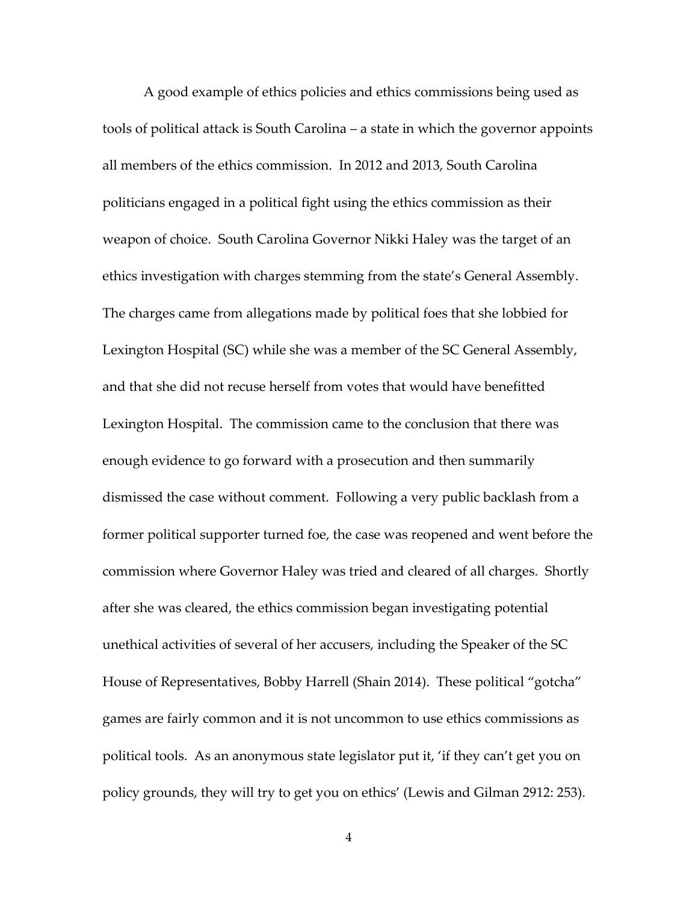A good example of ethics policies and ethics commissions being used as tools of political attack is South Carolina – a state in which the governor appoints all members of the ethics commission. In 2012 and 2013, South Carolina politicians engaged in a political fight using the ethics commission as their weapon of choice. South Carolina Governor Nikki Haley was the target of an ethics investigation with charges stemming from the state's General Assembly. The charges came from allegations made by political foes that she lobbied for Lexington Hospital (SC) while she was a member of the SC General Assembly, and that she did not recuse herself from votes that would have benefitted Lexington Hospital. The commission came to the conclusion that there was enough evidence to go forward with a prosecution and then summarily dismissed the case without comment. Following a very public backlash from a former political supporter turned foe, the case was reopened and went before the commission where Governor Haley was tried and cleared of all charges. Shortly after she was cleared, the ethics commission began investigating potential unethical activities of several of her accusers, including the Speaker of the SC House of Representatives, Bobby Harrell (Shain 2014). These political "gotcha" games are fairly common and it is not uncommon to use ethics commissions as political tools. As an anonymous state legislator put it, 'if they can't get you on policy grounds, they will try to get you on ethics' (Lewis and Gilman 2912: 253).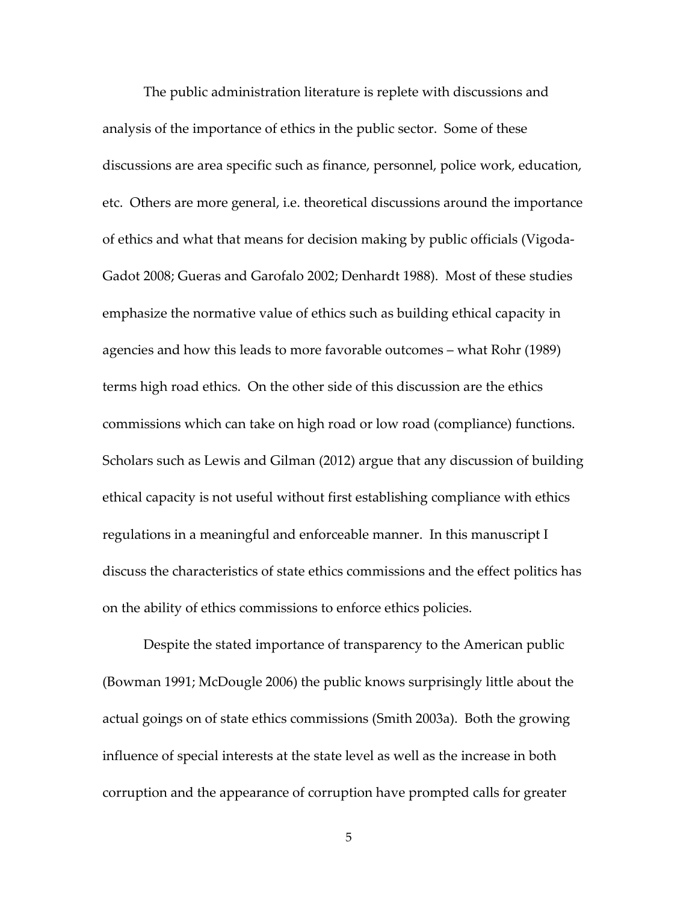The public administration literature is replete with discussions and analysis of the importance of ethics in the public sector. Some of these discussions are area specific such as finance, personnel, police work, education, etc. Others are more general, i.e. theoretical discussions around the importance of ethics and what that means for decision making by public officials (Vigoda-Gadot 2008; Gueras and Garofalo 2002; Denhardt 1988). Most of these studies emphasize the normative value of ethics such as building ethical capacity in agencies and how this leads to more favorable outcomes – what Rohr (1989) terms high road ethics. On the other side of this discussion are the ethics commissions which can take on high road or low road (compliance) functions. Scholars such as Lewis and Gilman (2012) argue that any discussion of building ethical capacity is not useful without first establishing compliance with ethics regulations in a meaningful and enforceable manner. In this manuscript I discuss the characteristics of state ethics commissions and the effect politics has on the ability of ethics commissions to enforce ethics policies.

 Despite the stated importance of transparency to the American public (Bowman 1991; McDougle 2006) the public knows surprisingly little about the actual goings on of state ethics commissions (Smith 2003a). Both the growing influence of special interests at the state level as well as the increase in both corruption and the appearance of corruption have prompted calls for greater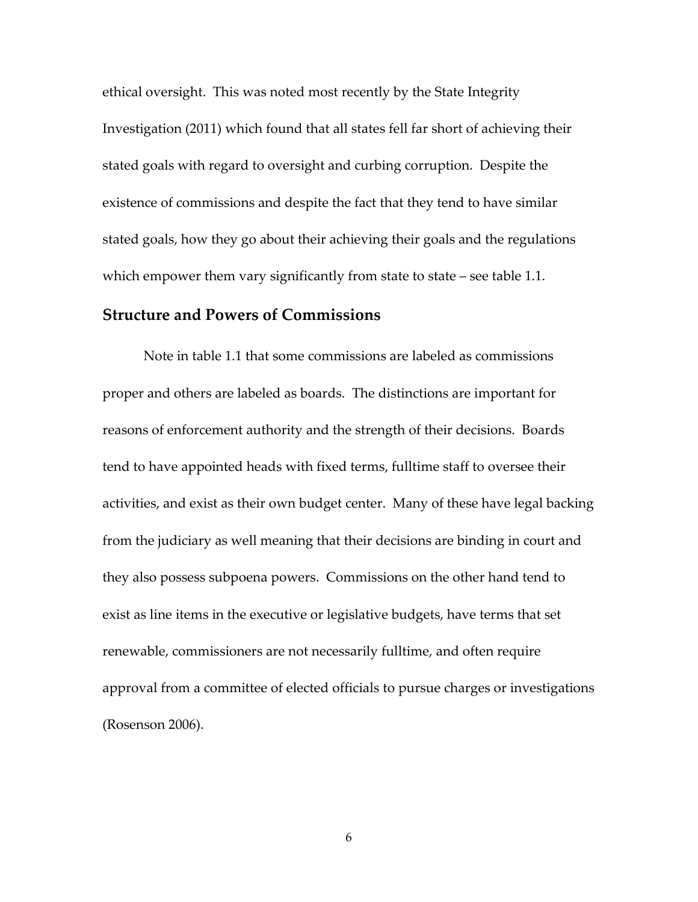ethical oversight. This was noted most recently by the State Integrity Investigation (2011) which found that all states fell far short of achieving their stated goals with regard to oversight and curbing corruption. Despite the existence of commissions and despite the fact that they tend to have similar stated goals, how they go about their achieving their goals and the regulations which empower them vary significantly from state to state  $-$  see table 1.1.

### **Structure and Powers of Commissions**

 Note in table 1.1 that some commissions are labeled as commissions proper and others are labeled as boards. The distinctions are important for reasons of enforcement authority and the strength of their decisions. Boards tend to have appointed heads with fixed terms, fulltime staff to oversee their activities, and exist as their own budget center. Many of these have legal backing from the judiciary as well meaning that their decisions are binding in court and they also possess subpoena powers. Commissions on the other hand tend to exist as line items in the executive or legislative budgets, have terms that set renewable, commissioners are not necessarily fulltime, and often require approval from a committee of elected officials to pursue charges or investigations (Rosenson 2006).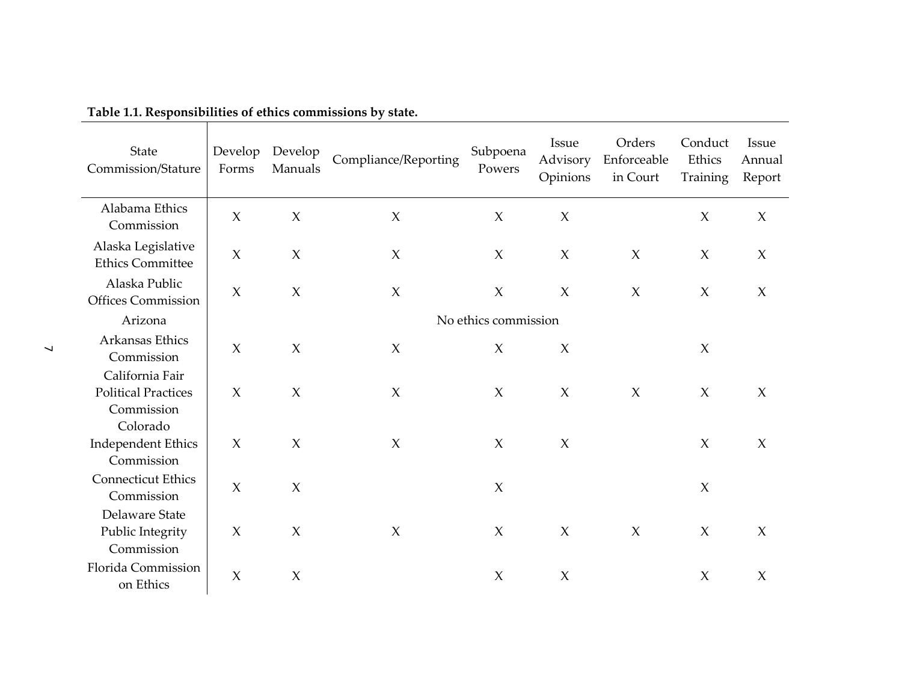| State<br>Commission/Stature                                             | Develop<br>Forms          | Develop<br>Manuals  | Compliance/Reporting | Subpoena<br>Powers   | Issue<br>Advisory<br>Opinions | Orders<br>Enforceable<br>in Court | Conduct<br>Ethics<br>Training | Issue<br>Annual<br>Report |
|-------------------------------------------------------------------------|---------------------------|---------------------|----------------------|----------------------|-------------------------------|-----------------------------------|-------------------------------|---------------------------|
| Alabama Ethics<br>Commission                                            | $\chi$                    | $\boldsymbol{\chi}$ | $\boldsymbol{\chi}$  | $\chi$               | $\chi$                        |                                   | $\chi$                        | $\chi$                    |
| Alaska Legislative<br><b>Ethics Committee</b>                           | $\chi$                    | $\chi$              | $\chi$               | $\chi$               | $\chi$                        | $\chi$                            | $\chi$                        | $\chi$                    |
| Alaska Public<br><b>Offices Commission</b>                              | $\chi$                    | $\boldsymbol{\chi}$ | $\boldsymbol{\chi}$  | $\mathsf X$          | $\chi$                        | $\chi$                            | $\chi$                        | $\chi$                    |
| Arizona                                                                 |                           |                     |                      | No ethics commission |                               |                                   |                               |                           |
| Arkansas Ethics<br>Commission                                           | $\chi$                    | $\boldsymbol{\chi}$ | $\chi$               | $\chi$               | $\chi$                        |                                   | $\chi$                        |                           |
| California Fair<br><b>Political Practices</b><br>Commission<br>Colorado | $\chi$                    | $\chi$              | $\chi$               | $\chi$               | $\chi$                        | $\chi$                            | $\chi$                        | $\chi$                    |
| <b>Independent Ethics</b><br>Commission                                 | $\chi$                    | $\boldsymbol{\chi}$ | $\chi$               | $\chi$               | $\chi$                        |                                   | $\chi$                        | $\chi$                    |
| <b>Connecticut Ethics</b><br>Commission                                 | $\boldsymbol{\chi}$       | $\mathsf X$         |                      | $\boldsymbol{\chi}$  |                               |                                   | $\chi$                        |                           |
| Delaware State<br>Public Integrity<br>Commission                        | $\boldsymbol{\mathsf{X}}$ | $\chi$              | $\chi$               | X                    | $\chi$                        | $\chi$                            | $\chi$                        | $\chi$                    |
| Florida Commission<br>on Ethics                                         | $\chi$                    | $\chi$              |                      | $\chi$               | $\chi$                        |                                   | $\chi$                        | $\chi$                    |

**Table 1.1. Responsibilities of ethics commissions by state.** 

Т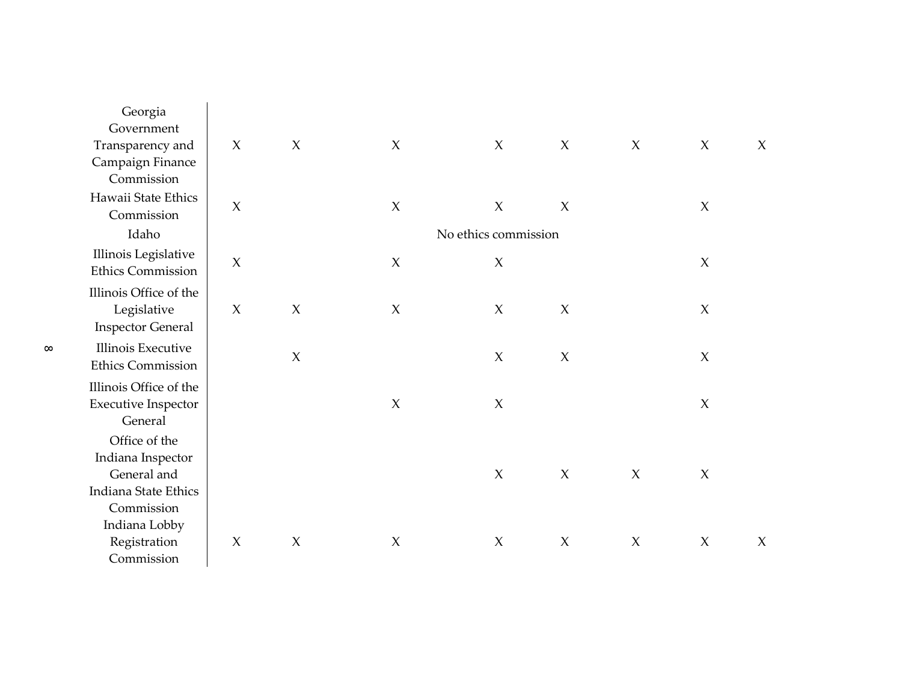| Georgia<br>Government                                                     |                     |                     |                           |                      |                     |                     |                           |        |
|---------------------------------------------------------------------------|---------------------|---------------------|---------------------------|----------------------|---------------------|---------------------|---------------------------|--------|
| Transparency and                                                          | $\chi$              | $\chi$              | $\chi$                    | $\chi$               | $\chi$              | $\chi$              | $\chi$                    | $\chi$ |
| Campaign Finance<br>Commission                                            |                     |                     |                           |                      |                     |                     |                           |        |
| Hawaii State Ethics<br>Commission                                         | $\chi$              |                     | $\chi$                    | $\boldsymbol{\chi}$  | $\chi$              |                     | $\chi$                    |        |
| Idaho                                                                     |                     |                     |                           | No ethics commission |                     |                     |                           |        |
| Illinois Legislative<br><b>Ethics Commission</b>                          | $\chi$              |                     | $\boldsymbol{\chi}$       | $\chi$               |                     |                     | $\boldsymbol{\mathsf{X}}$ |        |
| Illinois Office of the<br>Legislative<br><b>Inspector General</b>         | $\chi$              | $\boldsymbol{\chi}$ | $\chi$                    | $\boldsymbol{\chi}$  | X                   |                     | $\chi$                    |        |
| Illinois Executive<br><b>Ethics Commission</b>                            |                     | $\mathsf X$         |                           | $\boldsymbol{\chi}$  | $\boldsymbol{\chi}$ |                     | $\chi$                    |        |
| Illinois Office of the<br><b>Executive Inspector</b><br>General           |                     |                     | $\boldsymbol{\chi}$       | $\boldsymbol{\chi}$  |                     |                     | $\boldsymbol{\chi}$       |        |
| Office of the<br>Indiana Inspector<br>General and<br>Indiana State Ethics |                     |                     |                           | $\boldsymbol{\chi}$  | $\boldsymbol{\chi}$ | $\boldsymbol{\chi}$ | $\chi$                    |        |
| Commission<br>Indiana Lobby                                               |                     |                     |                           |                      |                     |                     |                           |        |
| Registration<br>Commission                                                | $\boldsymbol{\chi}$ | $\boldsymbol{\chi}$ | $\boldsymbol{\mathsf{X}}$ | $\boldsymbol{\chi}$  | $\boldsymbol{\chi}$ | $\boldsymbol{\chi}$ | $\chi$                    | $\chi$ |

 $\infty$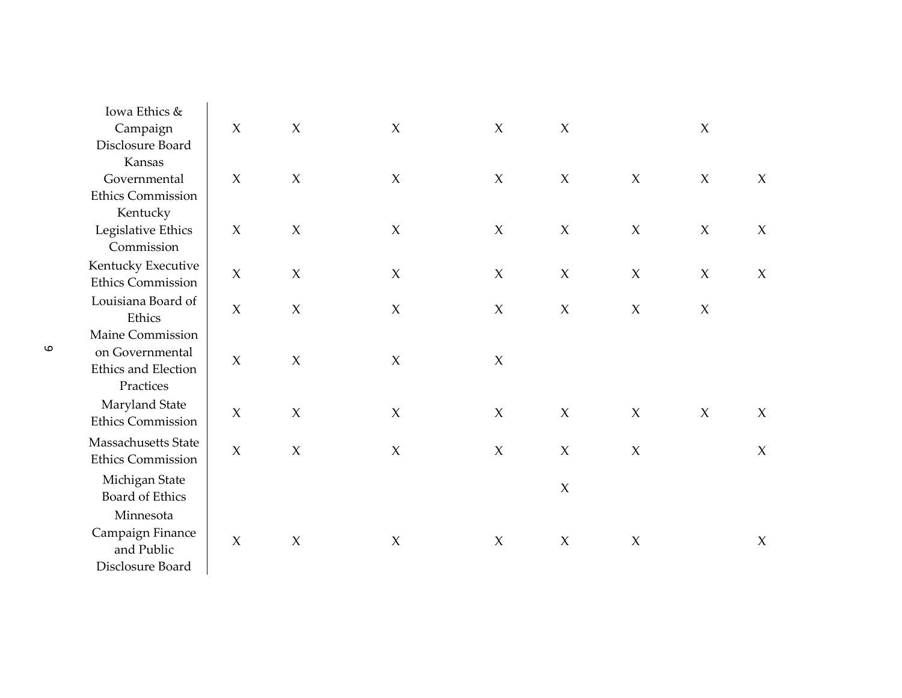| Iowa Ethics &                        |                     |                     |                           |                           |                     |                           |                     |        |
|--------------------------------------|---------------------|---------------------|---------------------------|---------------------------|---------------------|---------------------------|---------------------|--------|
| Campaign                             | X                   | $\mathsf X$         | $\boldsymbol{\chi}$       | $\boldsymbol{X}$          | $\boldsymbol{\chi}$ |                           | $\boldsymbol{\chi}$ |        |
| Disclosure Board                     |                     |                     |                           |                           |                     |                           |                     |        |
| Kansas                               |                     |                     |                           |                           |                     |                           |                     |        |
| Governmental                         | $\boldsymbol{\chi}$ | $\boldsymbol{\chi}$ | $\boldsymbol{\chi}$       | $\chi$                    | $\boldsymbol{X}$    | $\boldsymbol{\mathsf{X}}$ | $\mathsf X$         | $\chi$ |
| <b>Ethics Commission</b><br>Kentucky |                     |                     |                           |                           |                     |                           |                     |        |
| Legislative Ethics                   | $\boldsymbol{\chi}$ | $\boldsymbol{X}$    | $\boldsymbol{\chi}$       | $\boldsymbol{\mathsf{X}}$ | $\boldsymbol{\chi}$ | $\boldsymbol{X}$          | $\chi$              | $\chi$ |
| Commission                           |                     |                     |                           |                           |                     |                           |                     |        |
| Kentucky Executive                   |                     |                     |                           |                           |                     |                           |                     |        |
| <b>Ethics Commission</b>             | X                   | $\boldsymbol{\chi}$ | $\chi$                    | $\boldsymbol{\chi}$       | X                   | $\boldsymbol{\chi}$       | $\chi$              | $\chi$ |
| Louisiana Board of                   |                     |                     |                           |                           |                     |                           |                     |        |
| Ethics                               | $\boldsymbol{\chi}$ | $\boldsymbol{\chi}$ | $\boldsymbol{\chi}$       | $\chi$                    | $\boldsymbol{\chi}$ | $\chi$                    | $\boldsymbol{\chi}$ |        |
| Maine Commission                     |                     |                     |                           |                           |                     |                           |                     |        |
| on Governmental                      | $\boldsymbol{\chi}$ | $\mathsf X$         | $\mathsf X$               | $\boldsymbol{\mathsf{X}}$ |                     |                           |                     |        |
| Ethics and Election                  |                     |                     |                           |                           |                     |                           |                     |        |
| Practices                            |                     |                     |                           |                           |                     |                           |                     |        |
| Maryland State                       | $\boldsymbol{\chi}$ | $\boldsymbol{\chi}$ | $\chi$                    | $\chi$                    | $\boldsymbol{\chi}$ | $\chi$                    | $\chi$              | $\chi$ |
| <b>Ethics Commission</b>             |                     |                     |                           |                           |                     |                           |                     |        |
| Massachusetts State                  | $\chi$              | $\boldsymbol{\chi}$ | $\boldsymbol{\mathsf{X}}$ | $\boldsymbol{\chi}$       | $\boldsymbol{X}$    | $\mathsf X$               |                     | $\chi$ |
| <b>Ethics Commission</b>             |                     |                     |                           |                           |                     |                           |                     |        |
| Michigan State                       |                     |                     |                           |                           |                     |                           |                     |        |
| Board of Ethics                      |                     |                     |                           |                           | X                   |                           |                     |        |
| Minnesota                            |                     |                     |                           |                           |                     |                           |                     |        |
| Campaign Finance                     |                     |                     |                           |                           |                     |                           |                     |        |
| and Public                           | $\boldsymbol{\chi}$ | $\mathsf X$         | $\boldsymbol{\chi}$       | $\boldsymbol{\chi}$       | $\boldsymbol{\chi}$ | $\boldsymbol{\chi}$       |                     | $\chi$ |
| Disclosure Board                     |                     |                     |                           |                           |                     |                           |                     |        |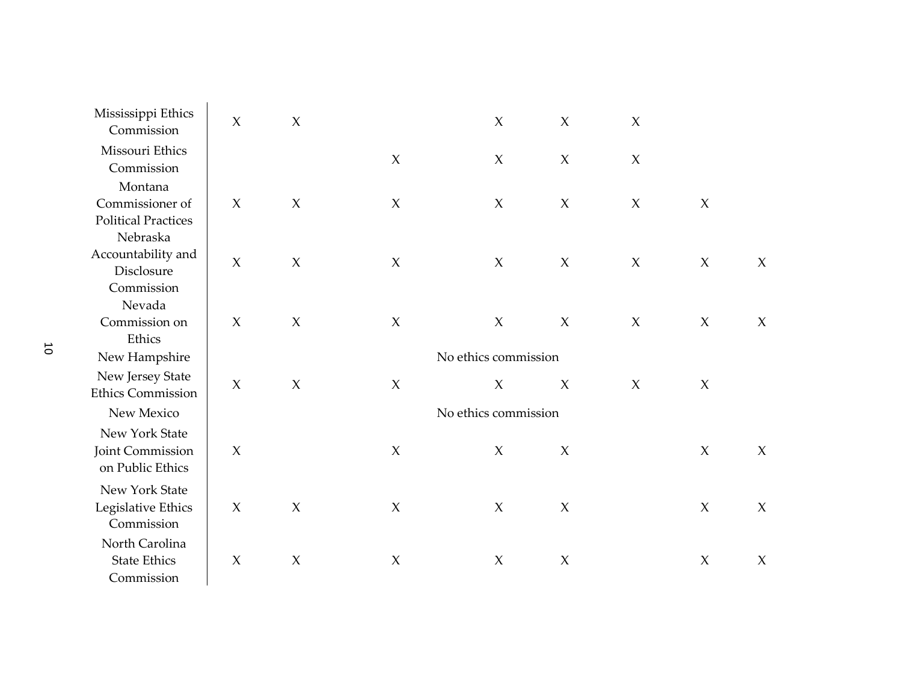| Mississippi Ethics<br>Commission                         | $\chi$              | $\chi$              |                           | $\boldsymbol{\chi}$  | $\mathsf X$         | $\boldsymbol{\chi}$ |                           |                     |
|----------------------------------------------------------|---------------------|---------------------|---------------------------|----------------------|---------------------|---------------------|---------------------------|---------------------|
| Missouri Ethics<br>Commission                            |                     |                     | $\boldsymbol{\mathsf{X}}$ | $\boldsymbol{\chi}$  | $\boldsymbol{\chi}$ | $\boldsymbol{\chi}$ |                           |                     |
| Montana<br>Commissioner of<br><b>Political Practices</b> | $\chi$              | $\mathsf X$         | $\mathsf X$               | $\boldsymbol{\chi}$  | $\boldsymbol{\chi}$ | $\boldsymbol{\chi}$ | $\chi$                    |                     |
| Nebraska<br>Accountability and<br>Disclosure             | $\chi$              | $\mathsf X$         | $\mathsf X$               | $\chi$               | $\chi$              | $\chi$              | $\chi$                    | $\chi$              |
| Commission<br>Nevada<br>Commission on<br>Ethics          | $\boldsymbol{\chi}$ | $\mathsf X$         | $\mathsf X$               | $\boldsymbol{\chi}$  | $\boldsymbol{\chi}$ | $\boldsymbol{\chi}$ | $\mathsf X$               | $\chi$              |
| New Hampshire                                            |                     |                     |                           | No ethics commission |                     |                     |                           |                     |
| New Jersey State<br><b>Ethics Commission</b>             | $\boldsymbol{\chi}$ | $\boldsymbol{\chi}$ | $\boldsymbol{\mathsf{X}}$ | $\boldsymbol{\chi}$  | $\chi$              | $\boldsymbol{\chi}$ | $\boldsymbol{\mathsf{X}}$ |                     |
| New Mexico                                               |                     |                     |                           | No ethics commission |                     |                     |                           |                     |
| New York State<br>Joint Commission<br>on Public Ethics   | $\chi$              |                     | $\chi$                    | $\boldsymbol{\chi}$  | $\chi$              |                     | $\chi$                    | $\chi$              |
| New York State<br>Legislative Ethics<br>Commission       | $\boldsymbol{\chi}$ | $\boldsymbol{\chi}$ | $\chi$                    | $\boldsymbol{\chi}$  | $\boldsymbol{\chi}$ |                     | $\boldsymbol{\mathsf{X}}$ | $\boldsymbol{\chi}$ |
| North Carolina<br><b>State Ethics</b><br>Commission      | $\chi$              | $\boldsymbol{\chi}$ | $\boldsymbol{\mathsf{X}}$ | $\boldsymbol{\chi}$  | $\boldsymbol{\chi}$ |                     | $\chi$                    | $\chi$              |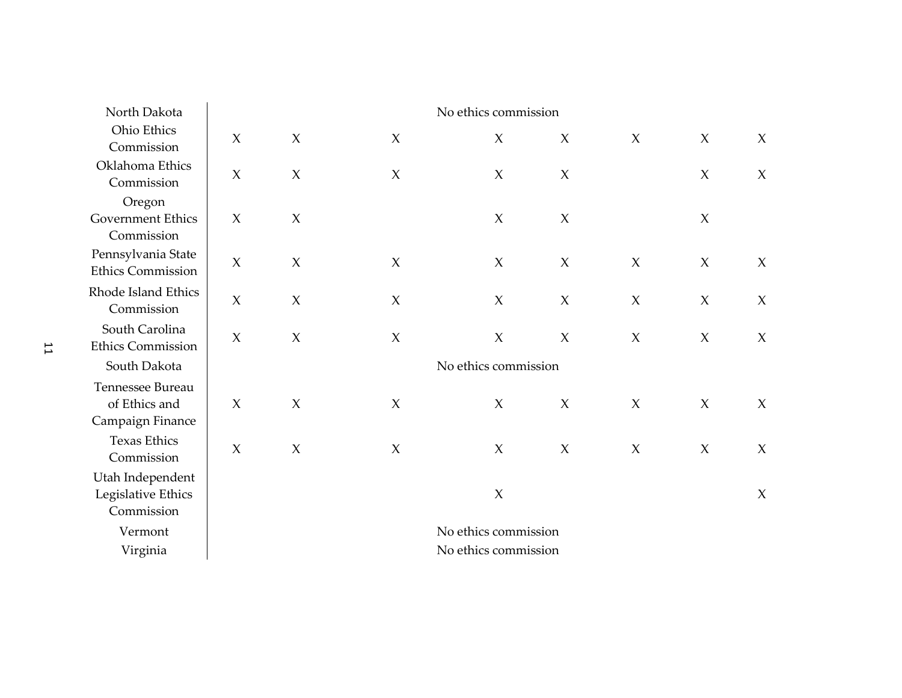| Ohio Ethics<br>$\boldsymbol{\chi}$<br>$\boldsymbol{\chi}$<br>$\boldsymbol{\chi}$<br>$\boldsymbol{\chi}$<br>$\boldsymbol{\chi}$<br>$\boldsymbol{\chi}$<br>$\boldsymbol{\chi}$<br>$\chi$<br>Commission<br>Oklahoma Ethics<br>$\chi$<br>$\chi$<br>$\boldsymbol{\chi}$<br>$\chi$<br>$\chi$<br>X<br>$\chi$<br>Commission<br>Oregon<br>Government Ethics<br>$\boldsymbol{\chi}$<br>$\boldsymbol{\chi}$<br>$\boldsymbol{\chi}$<br>$\boldsymbol{\chi}$<br>X<br>Commission<br>Pennsylvania State<br>$\boldsymbol{\chi}$<br>$\chi$<br>$\boldsymbol{\chi}$<br>$\chi$<br>$\chi$<br>$\boldsymbol{\chi}$<br>$\boldsymbol{\chi}$<br>$\boldsymbol{\chi}$<br><b>Ethics Commission</b><br>Rhode Island Ethics<br>$\mathsf X$<br>$\boldsymbol{\chi}$<br>$\mathsf X$<br>$\boldsymbol{\chi}$<br>$\chi$<br>$\boldsymbol{\chi}$<br>$\boldsymbol{\chi}$<br>$\chi$<br>Commission<br>South Carolina<br>$\mathsf X$<br>$\boldsymbol{\chi}$<br>$\mathsf X$<br>$\boldsymbol{\chi}$<br>$\mathsf X$<br>$\chi$<br>$\boldsymbol{\chi}$<br>$\chi$<br><b>Ethics Commission</b><br>South Dakota<br>No ethics commission<br>Tennessee Bureau<br>of Ethics and<br>$\boldsymbol{\chi}$<br>$\boldsymbol{\chi}$<br>$\boldsymbol{\chi}$<br>$\boldsymbol{\chi}$<br>$\boldsymbol{\chi}$<br>$\chi$<br>$\chi$<br>X<br>Campaign Finance<br><b>Texas Ethics</b><br>$\mathsf X$<br>$\boldsymbol{\chi}$<br>$\boldsymbol{\chi}$<br>$\chi$<br>$\boldsymbol{\chi}$<br>$\boldsymbol{\chi}$<br>$\boldsymbol{\chi}$<br>$\chi$<br>Commission<br>Utah Independent<br>Legislative Ethics<br>$\mathsf X$<br>$\chi$<br>Commission<br>No ethics commission<br>Vermont<br>No ethics commission<br>Virginia | North Dakota | No ethics commission |  |  |  |  |  |  |  |
|---------------------------------------------------------------------------------------------------------------------------------------------------------------------------------------------------------------------------------------------------------------------------------------------------------------------------------------------------------------------------------------------------------------------------------------------------------------------------------------------------------------------------------------------------------------------------------------------------------------------------------------------------------------------------------------------------------------------------------------------------------------------------------------------------------------------------------------------------------------------------------------------------------------------------------------------------------------------------------------------------------------------------------------------------------------------------------------------------------------------------------------------------------------------------------------------------------------------------------------------------------------------------------------------------------------------------------------------------------------------------------------------------------------------------------------------------------------------------------------------------------------------------------------------------------------------------------------------------------------------------------------------|--------------|----------------------|--|--|--|--|--|--|--|
|                                                                                                                                                                                                                                                                                                                                                                                                                                                                                                                                                                                                                                                                                                                                                                                                                                                                                                                                                                                                                                                                                                                                                                                                                                                                                                                                                                                                                                                                                                                                                                                                                                             |              |                      |  |  |  |  |  |  |  |
|                                                                                                                                                                                                                                                                                                                                                                                                                                                                                                                                                                                                                                                                                                                                                                                                                                                                                                                                                                                                                                                                                                                                                                                                                                                                                                                                                                                                                                                                                                                                                                                                                                             |              |                      |  |  |  |  |  |  |  |
|                                                                                                                                                                                                                                                                                                                                                                                                                                                                                                                                                                                                                                                                                                                                                                                                                                                                                                                                                                                                                                                                                                                                                                                                                                                                                                                                                                                                                                                                                                                                                                                                                                             |              |                      |  |  |  |  |  |  |  |
|                                                                                                                                                                                                                                                                                                                                                                                                                                                                                                                                                                                                                                                                                                                                                                                                                                                                                                                                                                                                                                                                                                                                                                                                                                                                                                                                                                                                                                                                                                                                                                                                                                             |              |                      |  |  |  |  |  |  |  |
|                                                                                                                                                                                                                                                                                                                                                                                                                                                                                                                                                                                                                                                                                                                                                                                                                                                                                                                                                                                                                                                                                                                                                                                                                                                                                                                                                                                                                                                                                                                                                                                                                                             |              |                      |  |  |  |  |  |  |  |
|                                                                                                                                                                                                                                                                                                                                                                                                                                                                                                                                                                                                                                                                                                                                                                                                                                                                                                                                                                                                                                                                                                                                                                                                                                                                                                                                                                                                                                                                                                                                                                                                                                             |              |                      |  |  |  |  |  |  |  |
|                                                                                                                                                                                                                                                                                                                                                                                                                                                                                                                                                                                                                                                                                                                                                                                                                                                                                                                                                                                                                                                                                                                                                                                                                                                                                                                                                                                                                                                                                                                                                                                                                                             |              |                      |  |  |  |  |  |  |  |
|                                                                                                                                                                                                                                                                                                                                                                                                                                                                                                                                                                                                                                                                                                                                                                                                                                                                                                                                                                                                                                                                                                                                                                                                                                                                                                                                                                                                                                                                                                                                                                                                                                             |              |                      |  |  |  |  |  |  |  |
|                                                                                                                                                                                                                                                                                                                                                                                                                                                                                                                                                                                                                                                                                                                                                                                                                                                                                                                                                                                                                                                                                                                                                                                                                                                                                                                                                                                                                                                                                                                                                                                                                                             |              |                      |  |  |  |  |  |  |  |
|                                                                                                                                                                                                                                                                                                                                                                                                                                                                                                                                                                                                                                                                                                                                                                                                                                                                                                                                                                                                                                                                                                                                                                                                                                                                                                                                                                                                                                                                                                                                                                                                                                             |              |                      |  |  |  |  |  |  |  |
|                                                                                                                                                                                                                                                                                                                                                                                                                                                                                                                                                                                                                                                                                                                                                                                                                                                                                                                                                                                                                                                                                                                                                                                                                                                                                                                                                                                                                                                                                                                                                                                                                                             |              |                      |  |  |  |  |  |  |  |
|                                                                                                                                                                                                                                                                                                                                                                                                                                                                                                                                                                                                                                                                                                                                                                                                                                                                                                                                                                                                                                                                                                                                                                                                                                                                                                                                                                                                                                                                                                                                                                                                                                             |              |                      |  |  |  |  |  |  |  |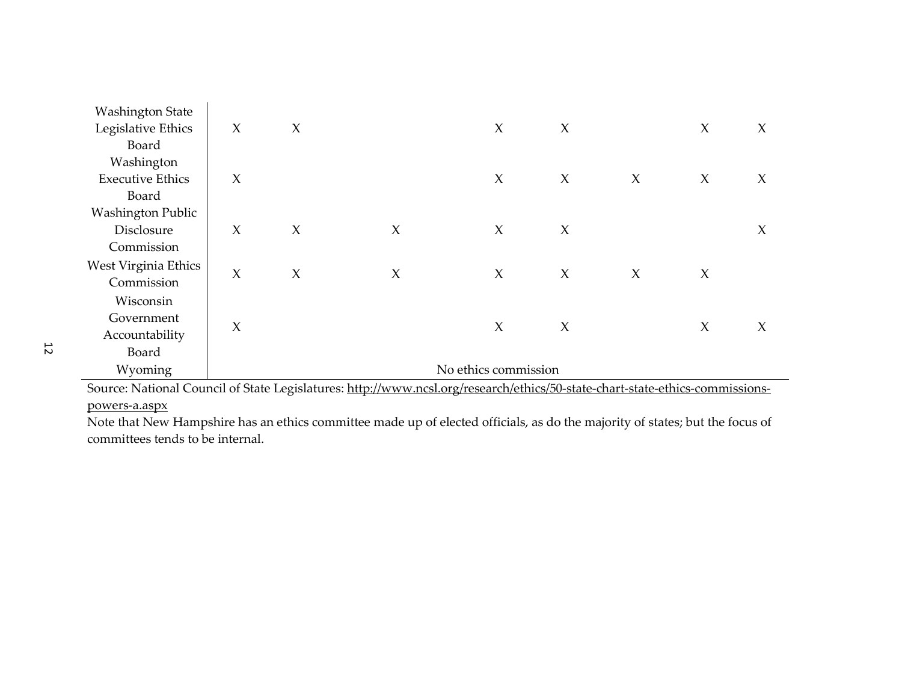| <b>Washington State</b>                                                                                                      |        |        |        |                      |        |        |        |        |
|------------------------------------------------------------------------------------------------------------------------------|--------|--------|--------|----------------------|--------|--------|--------|--------|
| Legislative Ethics                                                                                                           | $\chi$ | $\chi$ |        | $\chi$               | $\chi$ |        | $\chi$ | $\chi$ |
| Board                                                                                                                        |        |        |        |                      |        |        |        |        |
| Washington                                                                                                                   |        |        |        |                      |        |        |        |        |
| <b>Executive Ethics</b>                                                                                                      | X      |        |        | $\chi$               | $\chi$ | $\chi$ | $\chi$ | $\chi$ |
| Board                                                                                                                        |        |        |        |                      |        |        |        |        |
| <b>Washington Public</b>                                                                                                     |        |        |        |                      |        |        |        |        |
| Disclosure                                                                                                                   | $\chi$ | $\chi$ | $\chi$ | $\chi$               | $\chi$ |        |        | $\chi$ |
| Commission                                                                                                                   |        |        |        |                      |        |        |        |        |
| West Virginia Ethics                                                                                                         | $\chi$ |        |        |                      |        |        |        |        |
| Commission                                                                                                                   |        | $\chi$ | $\chi$ | $\chi$               | $\chi$ | $\chi$ | $\chi$ |        |
| Wisconsin                                                                                                                    |        |        |        |                      |        |        |        |        |
| Government                                                                                                                   |        |        |        |                      |        |        |        |        |
| Accountability                                                                                                               | $\chi$ |        |        | $\chi$               | $\chi$ |        | $\chi$ | $\chi$ |
| Board                                                                                                                        |        |        |        |                      |        |        |        |        |
| Wyoming                                                                                                                      |        |        |        | No ethics commission |        |        |        |        |
| Source: National Council of State Logislatures: http://www.ncsl.org/research/othics/50 state chart state othics commissions. |        |        |        |                      |        |        |        |        |

Source: National Council of State Legislatures: http://www.ncsl.org/research/ethics/50-state-chart-state-ethics-commissionspowers-a.aspx

 Note that New Hampshire has an ethics committee made up of elected officials, as do the majority of states; but the focus of committees tends to be internal.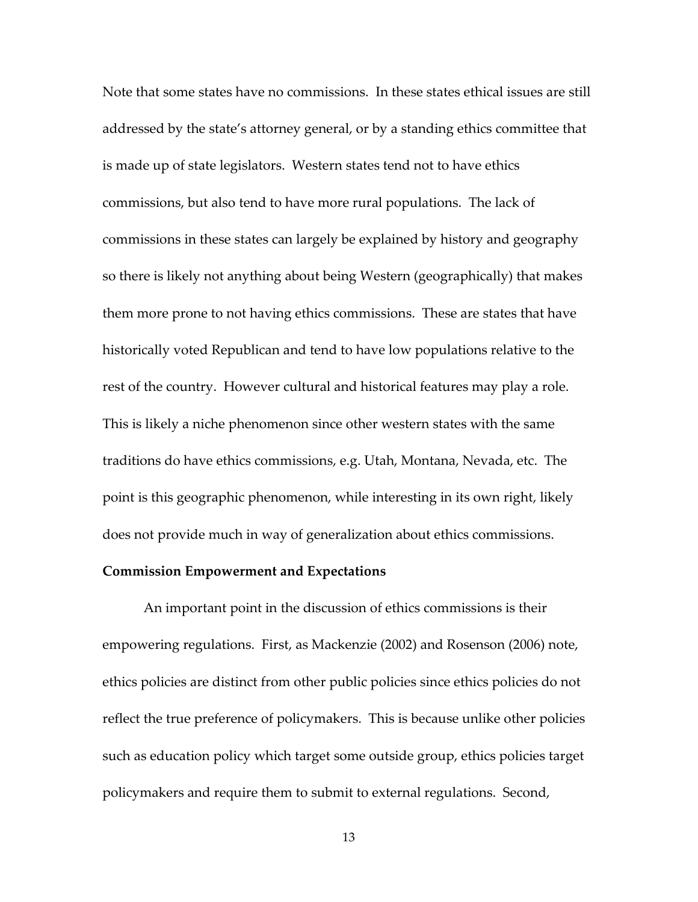Note that some states have no commissions. In these states ethical issues are still addressed by the state's attorney general, or by a standing ethics committee that is made up of state legislators. Western states tend not to have ethics commissions, but also tend to have more rural populations. The lack of commissions in these states can largely be explained by history and geography so there is likely not anything about being Western (geographically) that makes them more prone to not having ethics commissions. These are states that have historically voted Republican and tend to have low populations relative to the rest of the country. However cultural and historical features may play a role. This is likely a niche phenomenon since other western states with the same traditions do have ethics commissions, e.g. Utah, Montana, Nevada, etc. The point is this geographic phenomenon, while interesting in its own right, likely does not provide much in way of generalization about ethics commissions.

### **Commission Empowerment and Expectations**

An important point in the discussion of ethics commissions is their empowering regulations. First, as Mackenzie (2002) and Rosenson (2006) note, ethics policies are distinct from other public policies since ethics policies do not reflect the true preference of policymakers. This is because unlike other policies such as education policy which target some outside group, ethics policies target policymakers and require them to submit to external regulations. Second,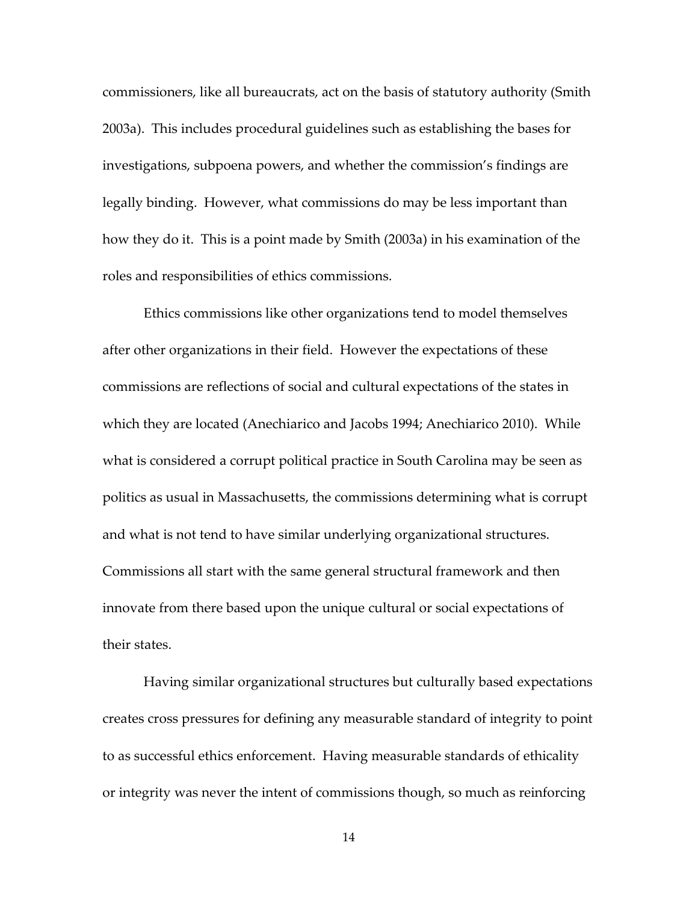commissioners, like all bureaucrats, act on the basis of statutory authority (Smith 2003a). This includes procedural guidelines such as establishing the bases for investigations, subpoena powers, and whether the commission's findings are legally binding. However, what commissions do may be less important than how they do it. This is a point made by Smith (2003a) in his examination of the roles and responsibilities of ethics commissions.

 Ethics commissions like other organizations tend to model themselves after other organizations in their field. However the expectations of these commissions are reflections of social and cultural expectations of the states in which they are located (Anechiarico and Jacobs 1994; Anechiarico 2010). While what is considered a corrupt political practice in South Carolina may be seen as politics as usual in Massachusetts, the commissions determining what is corrupt and what is not tend to have similar underlying organizational structures. Commissions all start with the same general structural framework and then innovate from there based upon the unique cultural or social expectations of their states.

 Having similar organizational structures but culturally based expectations creates cross pressures for defining any measurable standard of integrity to point to as successful ethics enforcement. Having measurable standards of ethicality or integrity was never the intent of commissions though, so much as reinforcing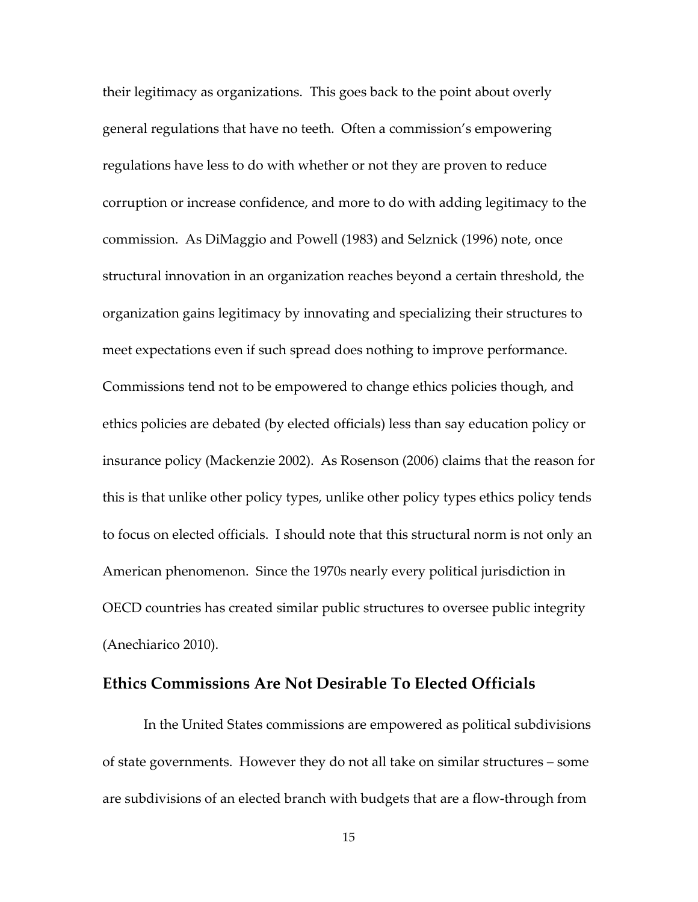their legitimacy as organizations. This goes back to the point about overly general regulations that have no teeth. Often a commission's empowering regulations have less to do with whether or not they are proven to reduce corruption or increase confidence, and more to do with adding legitimacy to the commission. As DiMaggio and Powell (1983) and Selznick (1996) note, once structural innovation in an organization reaches beyond a certain threshold, the organization gains legitimacy by innovating and specializing their structures to meet expectations even if such spread does nothing to improve performance. Commissions tend not to be empowered to change ethics policies though, and ethics policies are debated (by elected officials) less than say education policy or insurance policy (Mackenzie 2002). As Rosenson (2006) claims that the reason for this is that unlike other policy types, unlike other policy types ethics policy tends to focus on elected officials. I should note that this structural norm is not only an American phenomenon. Since the 1970s nearly every political jurisdiction in OECD countries has created similar public structures to oversee public integrity (Anechiarico 2010).

### **Ethics Commissions Are Not Desirable To Elected Officials**

 In the United States commissions are empowered as political subdivisions of state governments. However they do not all take on similar structures – some are subdivisions of an elected branch with budgets that are a flow-through from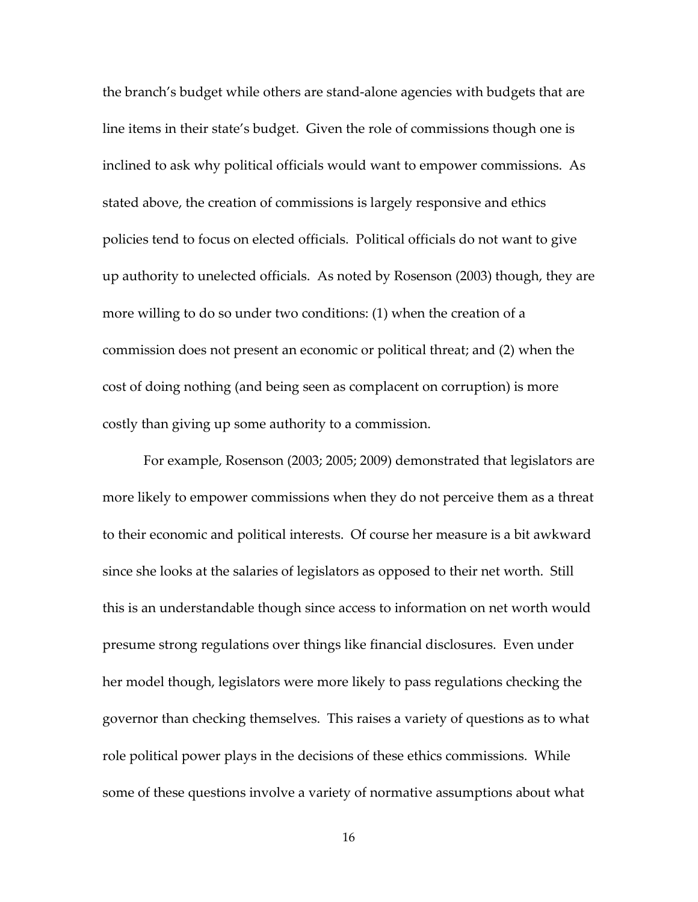the branch's budget while others are stand-alone agencies with budgets that are line items in their state's budget. Given the role of commissions though one is inclined to ask why political officials would want to empower commissions. As stated above, the creation of commissions is largely responsive and ethics policies tend to focus on elected officials. Political officials do not want to give up authority to unelected officials. As noted by Rosenson (2003) though, they are more willing to do so under two conditions: (1) when the creation of a commission does not present an economic or political threat; and (2) when the cost of doing nothing (and being seen as complacent on corruption) is more costly than giving up some authority to a commission.

 For example, Rosenson (2003; 2005; 2009) demonstrated that legislators are more likely to empower commissions when they do not perceive them as a threat to their economic and political interests. Of course her measure is a bit awkward since she looks at the salaries of legislators as opposed to their net worth. Still this is an understandable though since access to information on net worth would presume strong regulations over things like financial disclosures. Even under her model though, legislators were more likely to pass regulations checking the governor than checking themselves. This raises a variety of questions as to what role political power plays in the decisions of these ethics commissions. While some of these questions involve a variety of normative assumptions about what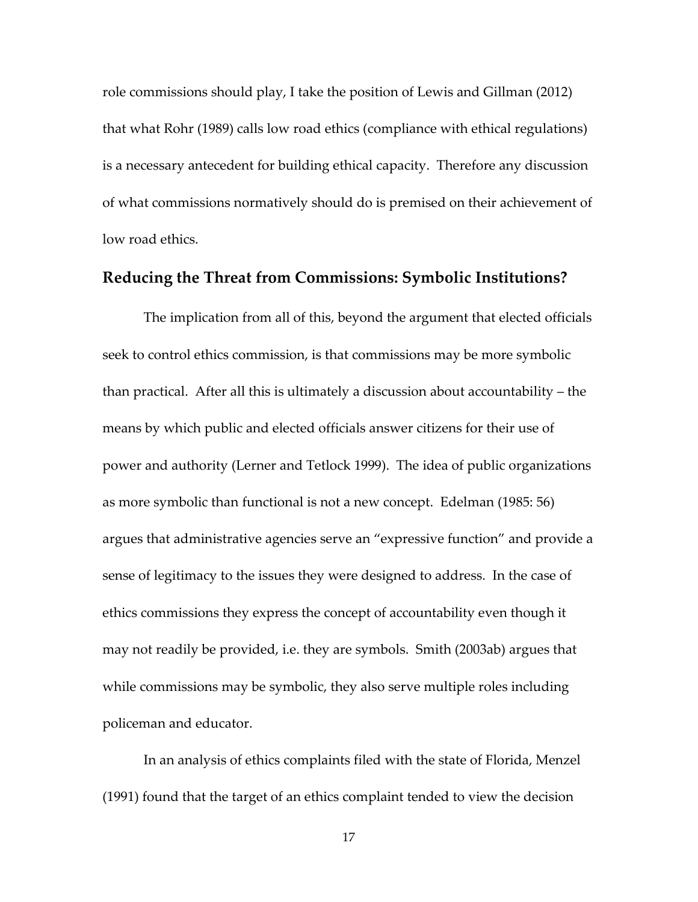role commissions should play, I take the position of Lewis and Gillman (2012) that what Rohr (1989) calls low road ethics (compliance with ethical regulations) is a necessary antecedent for building ethical capacity. Therefore any discussion of what commissions normatively should do is premised on their achievement of low road ethics.

### **Reducing the Threat from Commissions: Symbolic Institutions?**

The implication from all of this, beyond the argument that elected officials seek to control ethics commission, is that commissions may be more symbolic than practical. After all this is ultimately a discussion about accountability – the means by which public and elected officials answer citizens for their use of power and authority (Lerner and Tetlock 1999). The idea of public organizations as more symbolic than functional is not a new concept. Edelman (1985: 56) argues that administrative agencies serve an "expressive function" and provide a sense of legitimacy to the issues they were designed to address. In the case of ethics commissions they express the concept of accountability even though it may not readily be provided, i.e. they are symbols. Smith (2003ab) argues that while commissions may be symbolic, they also serve multiple roles including policeman and educator.

In an analysis of ethics complaints filed with the state of Florida, Menzel (1991) found that the target of an ethics complaint tended to view the decision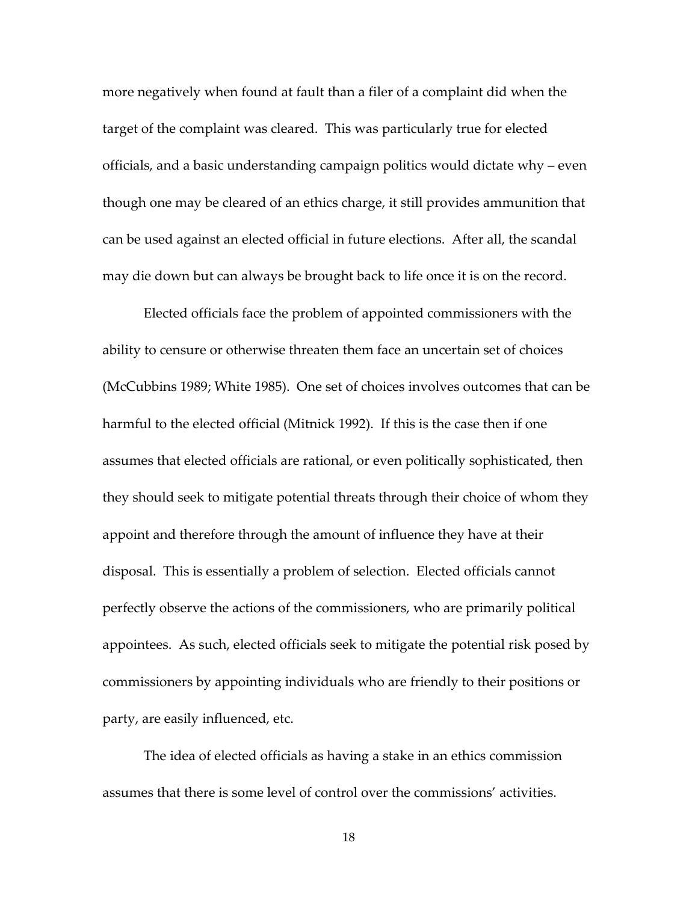more negatively when found at fault than a filer of a complaint did when the target of the complaint was cleared. This was particularly true for elected officials, and a basic understanding campaign politics would dictate why – even though one may be cleared of an ethics charge, it still provides ammunition that can be used against an elected official in future elections. After all, the scandal may die down but can always be brought back to life once it is on the record.

Elected officials face the problem of appointed commissioners with the ability to censure or otherwise threaten them face an uncertain set of choices (McCubbins 1989; White 1985). One set of choices involves outcomes that can be harmful to the elected official (Mitnick 1992). If this is the case then if one assumes that elected officials are rational, or even politically sophisticated, then they should seek to mitigate potential threats through their choice of whom they appoint and therefore through the amount of influence they have at their disposal. This is essentially a problem of selection. Elected officials cannot perfectly observe the actions of the commissioners, who are primarily political appointees. As such, elected officials seek to mitigate the potential risk posed by commissioners by appointing individuals who are friendly to their positions or party, are easily influenced, etc.

The idea of elected officials as having a stake in an ethics commission assumes that there is some level of control over the commissions' activities.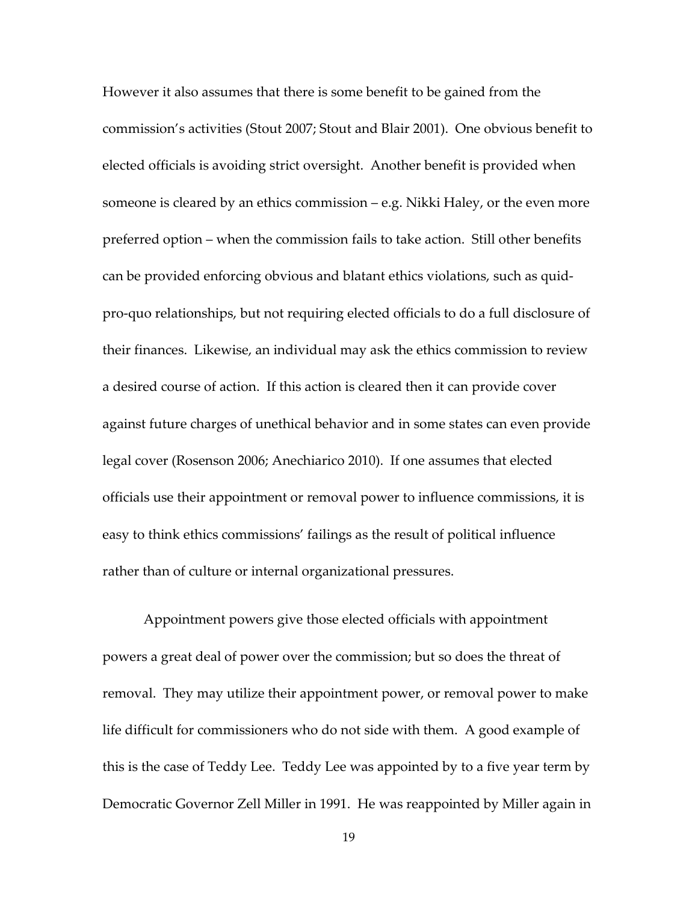However it also assumes that there is some benefit to be gained from the commission's activities (Stout 2007; Stout and Blair 2001). One obvious benefit to elected officials is avoiding strict oversight. Another benefit is provided when someone is cleared by an ethics commission – e.g. Nikki Haley, or the even more preferred option – when the commission fails to take action. Still other benefits can be provided enforcing obvious and blatant ethics violations, such as quidpro-quo relationships, but not requiring elected officials to do a full disclosure of their finances. Likewise, an individual may ask the ethics commission to review a desired course of action. If this action is cleared then it can provide cover against future charges of unethical behavior and in some states can even provide legal cover (Rosenson 2006; Anechiarico 2010). If one assumes that elected officials use their appointment or removal power to influence commissions, it is easy to think ethics commissions' failings as the result of political influence rather than of culture or internal organizational pressures.

Appointment powers give those elected officials with appointment powers a great deal of power over the commission; but so does the threat of removal. They may utilize their appointment power, or removal power to make life difficult for commissioners who do not side with them. A good example of this is the case of Teddy Lee. Teddy Lee was appointed by to a five year term by Democratic Governor Zell Miller in 1991. He was reappointed by Miller again in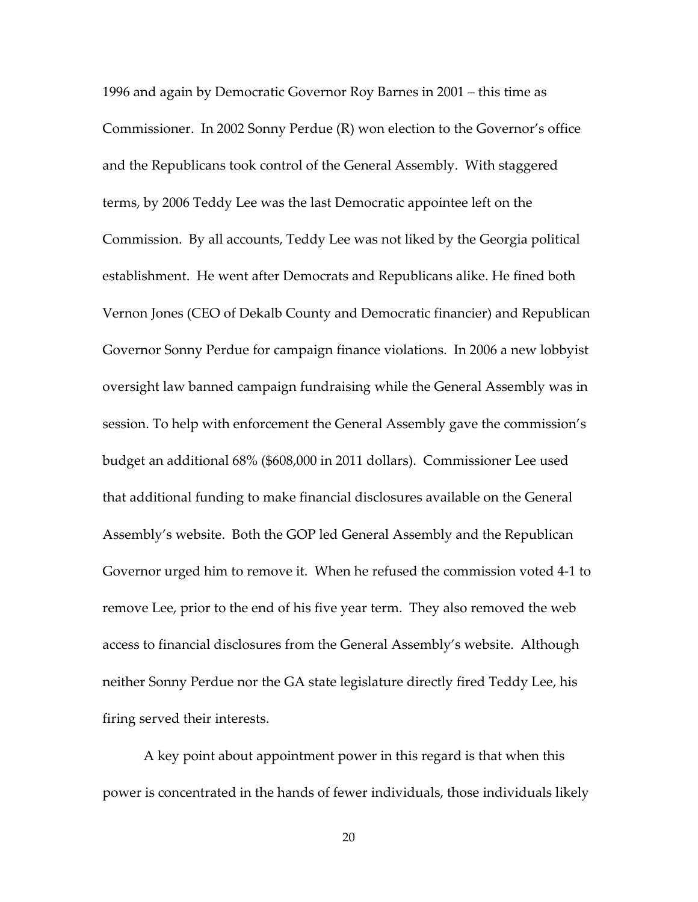1996 and again by Democratic Governor Roy Barnes in 2001 – this time as Commissioner. In 2002 Sonny Perdue (R) won election to the Governor's office and the Republicans took control of the General Assembly. With staggered terms, by 2006 Teddy Lee was the last Democratic appointee left on the Commission. By all accounts, Teddy Lee was not liked by the Georgia political establishment. He went after Democrats and Republicans alike. He fined both Vernon Jones (CEO of Dekalb County and Democratic financier) and Republican Governor Sonny Perdue for campaign finance violations. In 2006 a new lobbyist oversight law banned campaign fundraising while the General Assembly was in session. To help with enforcement the General Assembly gave the commission's budget an additional 68% (\$608,000 in 2011 dollars). Commissioner Lee used that additional funding to make financial disclosures available on the General Assembly's website. Both the GOP led General Assembly and the Republican Governor urged him to remove it. When he refused the commission voted 4-1 to remove Lee, prior to the end of his five year term. They also removed the web access to financial disclosures from the General Assembly's website. Although neither Sonny Perdue nor the GA state legislature directly fired Teddy Lee, his firing served their interests.

A key point about appointment power in this regard is that when this power is concentrated in the hands of fewer individuals, those individuals likely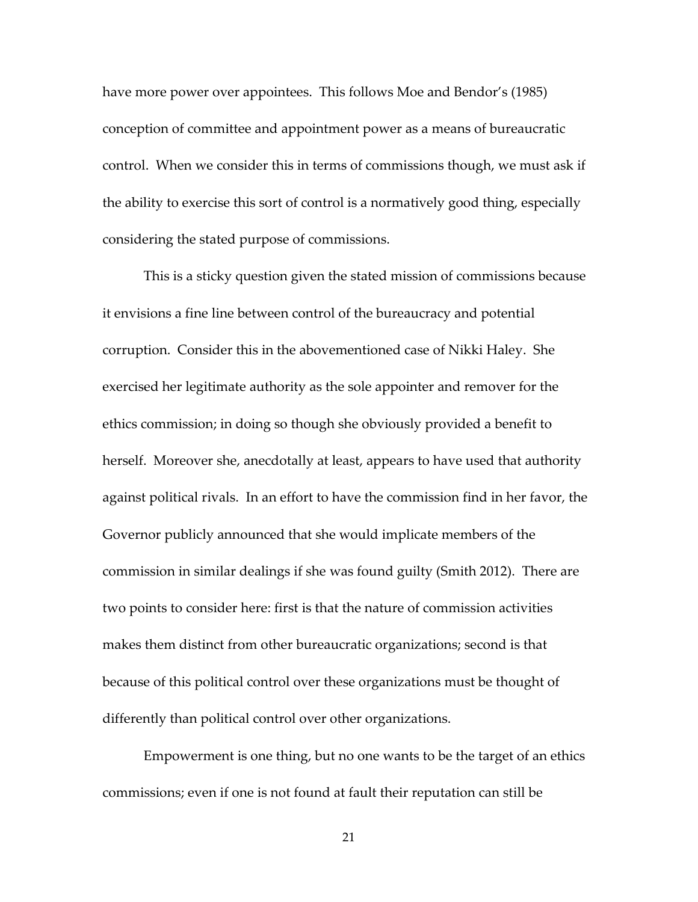have more power over appointees. This follows Moe and Bendor's (1985) conception of committee and appointment power as a means of bureaucratic control. When we consider this in terms of commissions though, we must ask if the ability to exercise this sort of control is a normatively good thing, especially considering the stated purpose of commissions.

This is a sticky question given the stated mission of commissions because it envisions a fine line between control of the bureaucracy and potential corruption. Consider this in the abovementioned case of Nikki Haley. She exercised her legitimate authority as the sole appointer and remover for the ethics commission; in doing so though she obviously provided a benefit to herself. Moreover she, anecdotally at least, appears to have used that authority against political rivals. In an effort to have the commission find in her favor, the Governor publicly announced that she would implicate members of the commission in similar dealings if she was found guilty (Smith 2012). There are two points to consider here: first is that the nature of commission activities makes them distinct from other bureaucratic organizations; second is that because of this political control over these organizations must be thought of differently than political control over other organizations.

 Empowerment is one thing, but no one wants to be the target of an ethics commissions; even if one is not found at fault their reputation can still be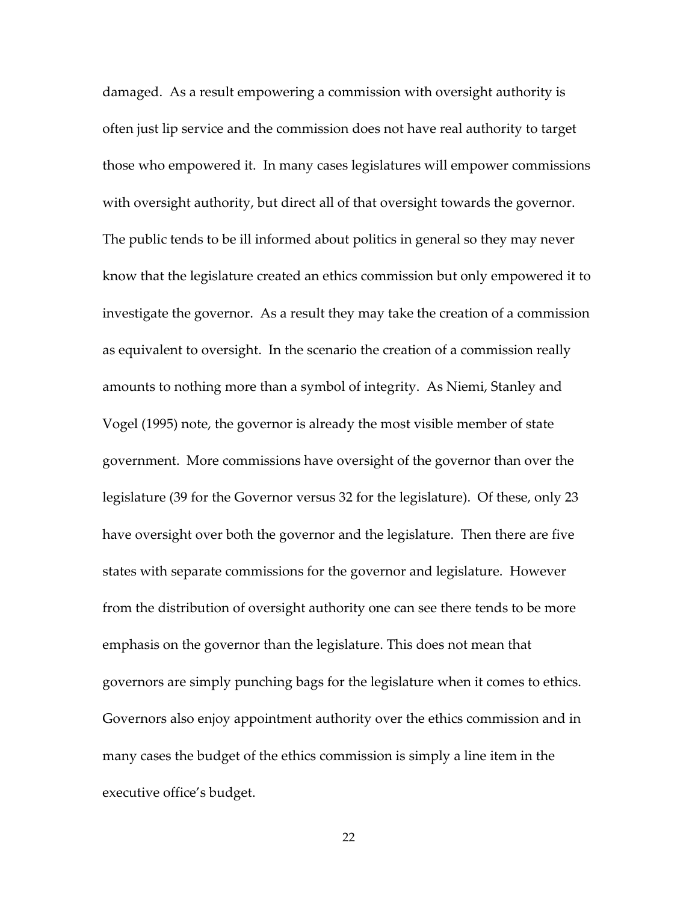damaged. As a result empowering a commission with oversight authority is often just lip service and the commission does not have real authority to target those who empowered it. In many cases legislatures will empower commissions with oversight authority, but direct all of that oversight towards the governor. The public tends to be ill informed about politics in general so they may never know that the legislature created an ethics commission but only empowered it to investigate the governor. As a result they may take the creation of a commission as equivalent to oversight. In the scenario the creation of a commission really amounts to nothing more than a symbol of integrity. As Niemi, Stanley and Vogel (1995) note, the governor is already the most visible member of state government. More commissions have oversight of the governor than over the legislature (39 for the Governor versus 32 for the legislature). Of these, only 23 have oversight over both the governor and the legislature. Then there are five states with separate commissions for the governor and legislature. However from the distribution of oversight authority one can see there tends to be more emphasis on the governor than the legislature. This does not mean that governors are simply punching bags for the legislature when it comes to ethics. Governors also enjoy appointment authority over the ethics commission and in many cases the budget of the ethics commission is simply a line item in the executive office's budget.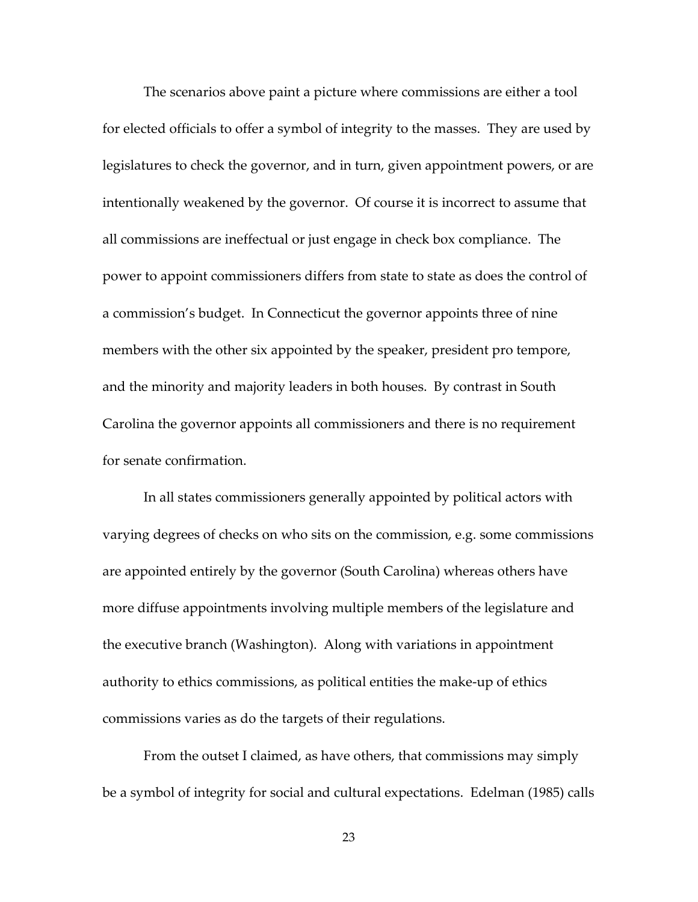The scenarios above paint a picture where commissions are either a tool for elected officials to offer a symbol of integrity to the masses. They are used by legislatures to check the governor, and in turn, given appointment powers, or are intentionally weakened by the governor. Of course it is incorrect to assume that all commissions are ineffectual or just engage in check box compliance. The power to appoint commissioners differs from state to state as does the control of a commission's budget. In Connecticut the governor appoints three of nine members with the other six appointed by the speaker, president pro tempore, and the minority and majority leaders in both houses. By contrast in South Carolina the governor appoints all commissioners and there is no requirement for senate confirmation.

 In all states commissioners generally appointed by political actors with varying degrees of checks on who sits on the commission, e.g. some commissions are appointed entirely by the governor (South Carolina) whereas others have more diffuse appointments involving multiple members of the legislature and the executive branch (Washington). Along with variations in appointment authority to ethics commissions, as political entities the make-up of ethics commissions varies as do the targets of their regulations.

 From the outset I claimed, as have others, that commissions may simply be a symbol of integrity for social and cultural expectations. Edelman (1985) calls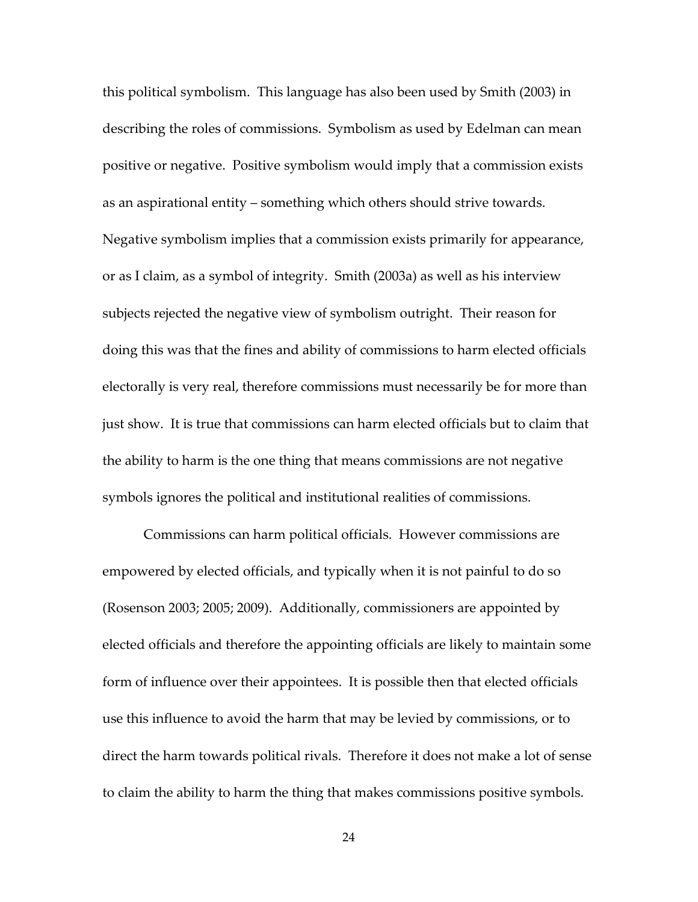this political symbolism. This language has also been used by Smith (2003) in describing the roles of commissions. Symbolism as used by Edelman can mean positive or negative. Positive symbolism would imply that a commission exists as an aspirational entity – something which others should strive towards. Negative symbolism implies that a commission exists primarily for appearance, or as I claim, as a symbol of integrity. Smith (2003a) as well as his interview subjects rejected the negative view of symbolism outright. Their reason for doing this was that the fines and ability of commissions to harm elected officials electorally is very real, therefore commissions must necessarily be for more than just show. It is true that commissions can harm elected officials but to claim that the ability to harm is the one thing that means commissions are not negative symbols ignores the political and institutional realities of commissions.

 Commissions can harm political officials. However commissions are empowered by elected officials, and typically when it is not painful to do so (Rosenson 2003; 2005; 2009). Additionally, commissioners are appointed by elected officials and therefore the appointing officials are likely to maintain some form of influence over their appointees. It is possible then that elected officials use this influence to avoid the harm that may be levied by commissions, or to direct the harm towards political rivals. Therefore it does not make a lot of sense to claim the ability to harm the thing that makes commissions positive symbols.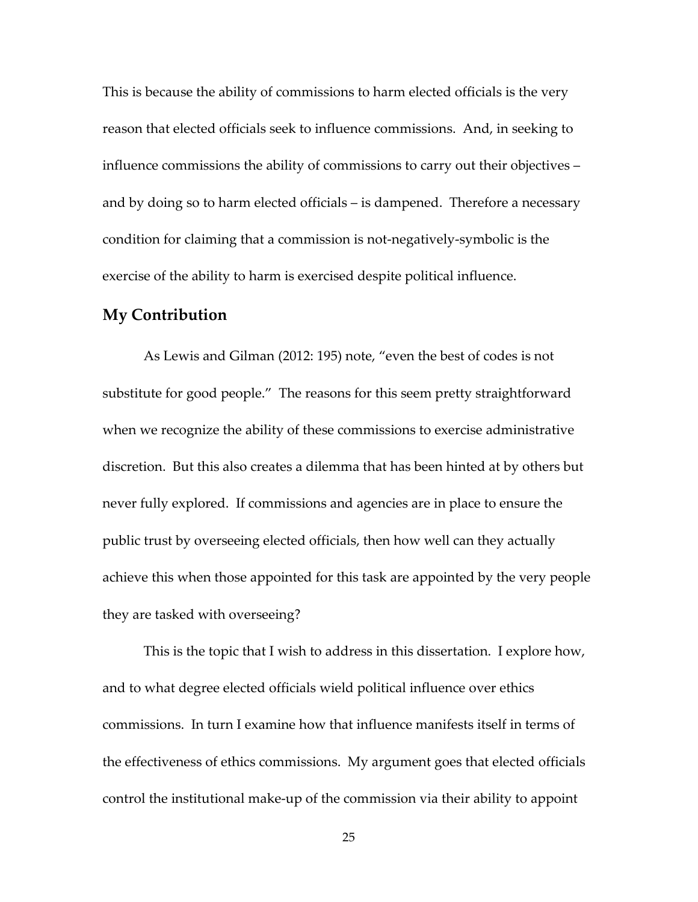This is because the ability of commissions to harm elected officials is the very reason that elected officials seek to influence commissions. And, in seeking to influence commissions the ability of commissions to carry out their objectives – and by doing so to harm elected officials – is dampened. Therefore a necessary condition for claiming that a commission is not-negatively-symbolic is the exercise of the ability to harm is exercised despite political influence.

### **My Contribution**

As Lewis and Gilman (2012: 195) note, "even the best of codes is not substitute for good people." The reasons for this seem pretty straightforward when we recognize the ability of these commissions to exercise administrative discretion. But this also creates a dilemma that has been hinted at by others but never fully explored. If commissions and agencies are in place to ensure the public trust by overseeing elected officials, then how well can they actually achieve this when those appointed for this task are appointed by the very people they are tasked with overseeing?

This is the topic that I wish to address in this dissertation. I explore how, and to what degree elected officials wield political influence over ethics commissions. In turn I examine how that influence manifests itself in terms of the effectiveness of ethics commissions. My argument goes that elected officials control the institutional make-up of the commission via their ability to appoint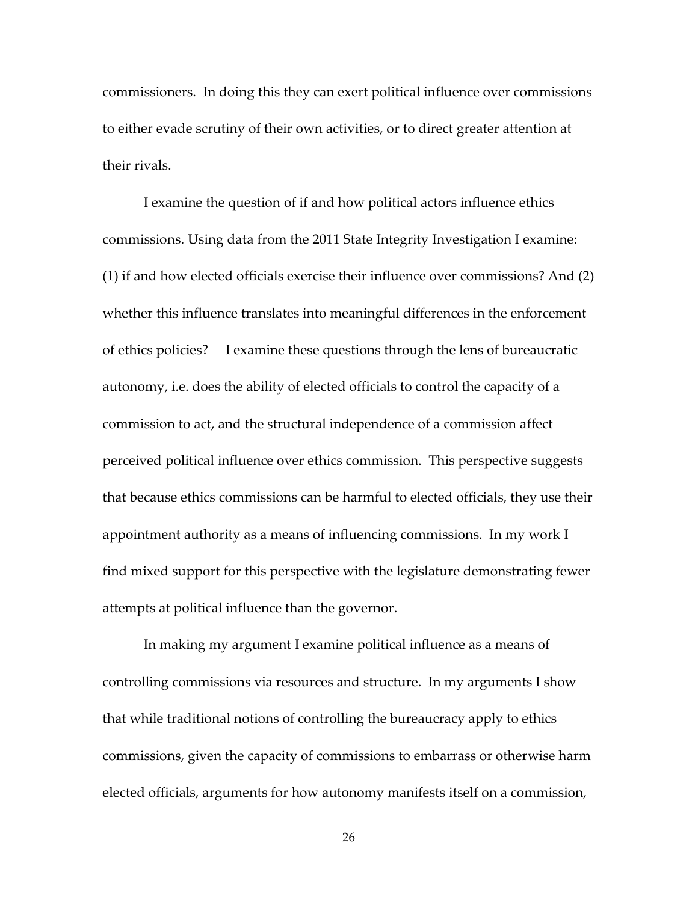commissioners. In doing this they can exert political influence over commissions to either evade scrutiny of their own activities, or to direct greater attention at their rivals.

I examine the question of if and how political actors influence ethics commissions. Using data from the 2011 State Integrity Investigation I examine: (1) if and how elected officials exercise their influence over commissions? And (2) whether this influence translates into meaningful differences in the enforcement of ethics policies? I examine these questions through the lens of bureaucratic autonomy, i.e. does the ability of elected officials to control the capacity of a commission to act, and the structural independence of a commission affect perceived political influence over ethics commission. This perspective suggests that because ethics commissions can be harmful to elected officials, they use their appointment authority as a means of influencing commissions. In my work I find mixed support for this perspective with the legislature demonstrating fewer attempts at political influence than the governor.

 In making my argument I examine political influence as a means of controlling commissions via resources and structure. In my arguments I show that while traditional notions of controlling the bureaucracy apply to ethics commissions, given the capacity of commissions to embarrass or otherwise harm elected officials, arguments for how autonomy manifests itself on a commission,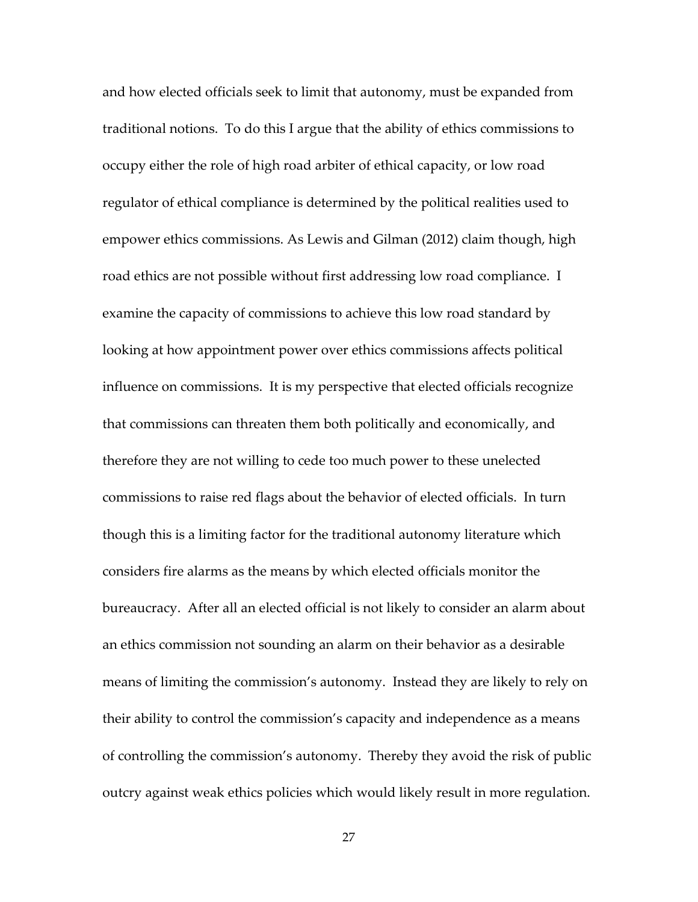and how elected officials seek to limit that autonomy, must be expanded from traditional notions. To do this I argue that the ability of ethics commissions to occupy either the role of high road arbiter of ethical capacity, or low road regulator of ethical compliance is determined by the political realities used to empower ethics commissions. As Lewis and Gilman (2012) claim though, high road ethics are not possible without first addressing low road compliance. I examine the capacity of commissions to achieve this low road standard by looking at how appointment power over ethics commissions affects political influence on commissions. It is my perspective that elected officials recognize that commissions can threaten them both politically and economically, and therefore they are not willing to cede too much power to these unelected commissions to raise red flags about the behavior of elected officials. In turn though this is a limiting factor for the traditional autonomy literature which considers fire alarms as the means by which elected officials monitor the bureaucracy. After all an elected official is not likely to consider an alarm about an ethics commission not sounding an alarm on their behavior as a desirable means of limiting the commission's autonomy. Instead they are likely to rely on their ability to control the commission's capacity and independence as a means of controlling the commission's autonomy. Thereby they avoid the risk of public outcry against weak ethics policies which would likely result in more regulation.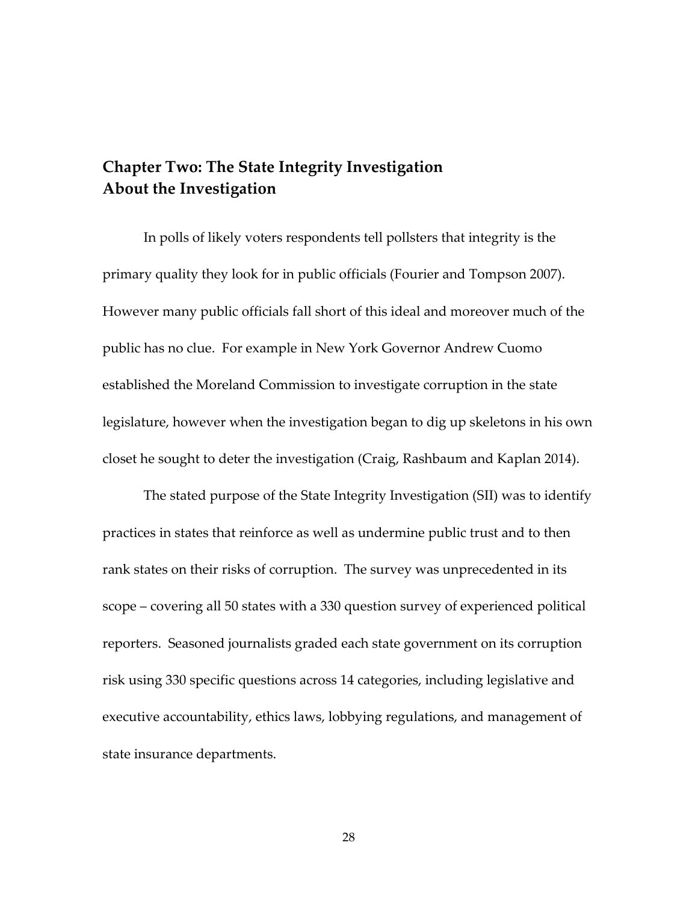# **Chapter Two: The State Integrity Investigation About the Investigation**

In polls of likely voters respondents tell pollsters that integrity is the primary quality they look for in public officials (Fourier and Tompson 2007). However many public officials fall short of this ideal and moreover much of the public has no clue. For example in New York Governor Andrew Cuomo established the Moreland Commission to investigate corruption in the state legislature, however when the investigation began to dig up skeletons in his own closet he sought to deter the investigation (Craig, Rashbaum and Kaplan 2014).

The stated purpose of the State Integrity Investigation (SII) was to identify practices in states that reinforce as well as undermine public trust and to then rank states on their risks of corruption. The survey was unprecedented in its scope – covering all 50 states with a 330 question survey of experienced political reporters. Seasoned journalists graded each state government on its corruption risk using 330 specific questions across 14 categories, including legislative and executive accountability, ethics laws, lobbying regulations, and management of state insurance departments.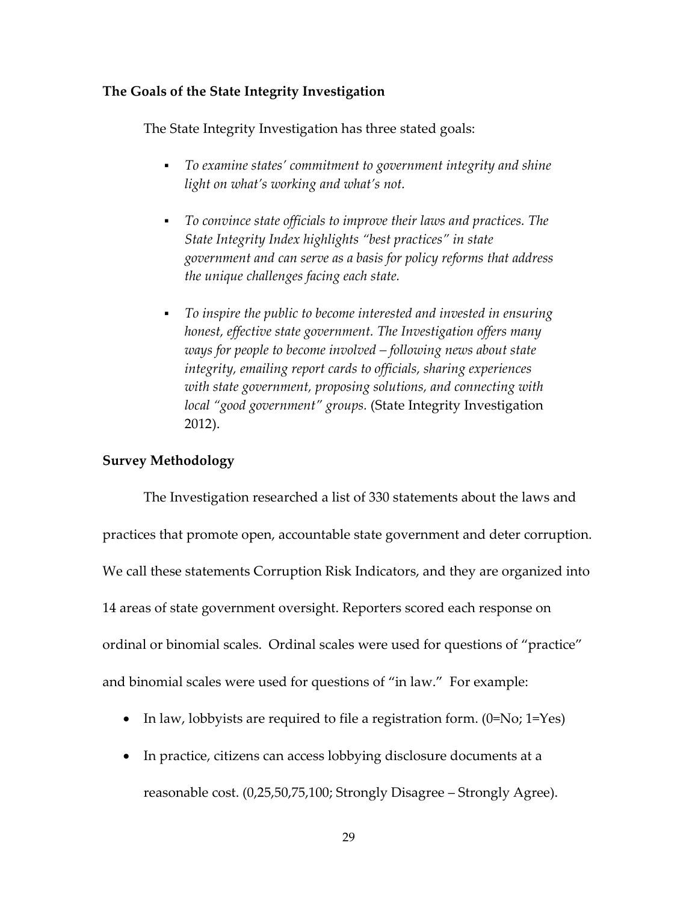### **The Goals of the State Integrity Investigation**

The State Integrity Investigation has three stated goals:

- *To examine states' commitment to government integrity and shine light on what's working and what's not.*
- *To convince state officials to improve their laws and practices. The State Integrity Index highlights "best practices" in state government and can serve as a basis for policy reforms that address the unique challenges facing each state.*
- *To inspire the public to become interested and invested in ensuring honest, effective state government. The Investigation offers many ways for people to become involved – following news about state integrity, emailing report cards to officials, sharing experiences with state government, proposing solutions, and connecting with local "good government" groups.* (State Integrity Investigation 2012).

#### **Survey Methodology**

 The Investigation researched a list of 330 statements about the laws and practices that promote open, accountable state government and deter corruption. We call these statements Corruption Risk Indicators, and they are organized into 14 areas of state government oversight. Reporters scored each response on ordinal or binomial scales. Ordinal scales were used for questions of "practice" and binomial scales were used for questions of "in law." For example:

- In law, lobbyists are required to file a registration form.  $(0=No; 1=Yes)$
- In practice, citizens can access lobbying disclosure documents at a

reasonable cost. (0,25,50,75,100; Strongly Disagree – Strongly Agree).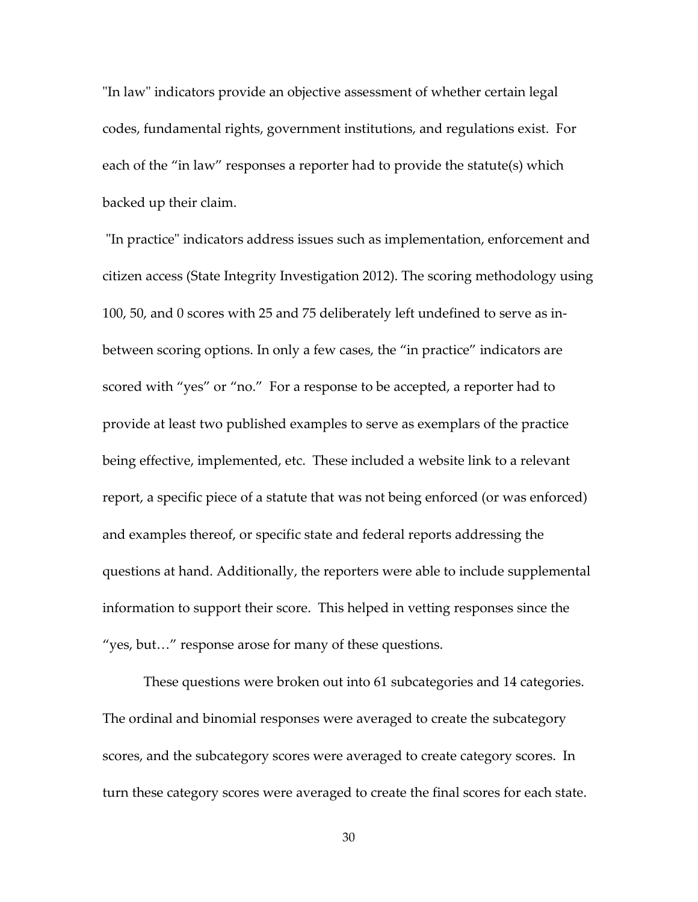"In law" indicators provide an objective assessment of whether certain legal codes, fundamental rights, government institutions, and regulations exist. For each of the "in law" responses a reporter had to provide the statute(s) which backed up their claim.

 "In practice" indicators address issues such as implementation, enforcement and citizen access (State Integrity Investigation 2012). The scoring methodology using 100, 50, and 0 scores with 25 and 75 deliberately left undefined to serve as inbetween scoring options. In only a few cases, the "in practice" indicators are scored with "yes" or "no." For a response to be accepted, a reporter had to provide at least two published examples to serve as exemplars of the practice being effective, implemented, etc. These included a website link to a relevant report, a specific piece of a statute that was not being enforced (or was enforced) and examples thereof, or specific state and federal reports addressing the questions at hand. Additionally, the reporters were able to include supplemental information to support their score. This helped in vetting responses since the "yes, but…" response arose for many of these questions.

 These questions were broken out into 61 subcategories and 14 categories. The ordinal and binomial responses were averaged to create the subcategory scores, and the subcategory scores were averaged to create category scores. In turn these category scores were averaged to create the final scores for each state.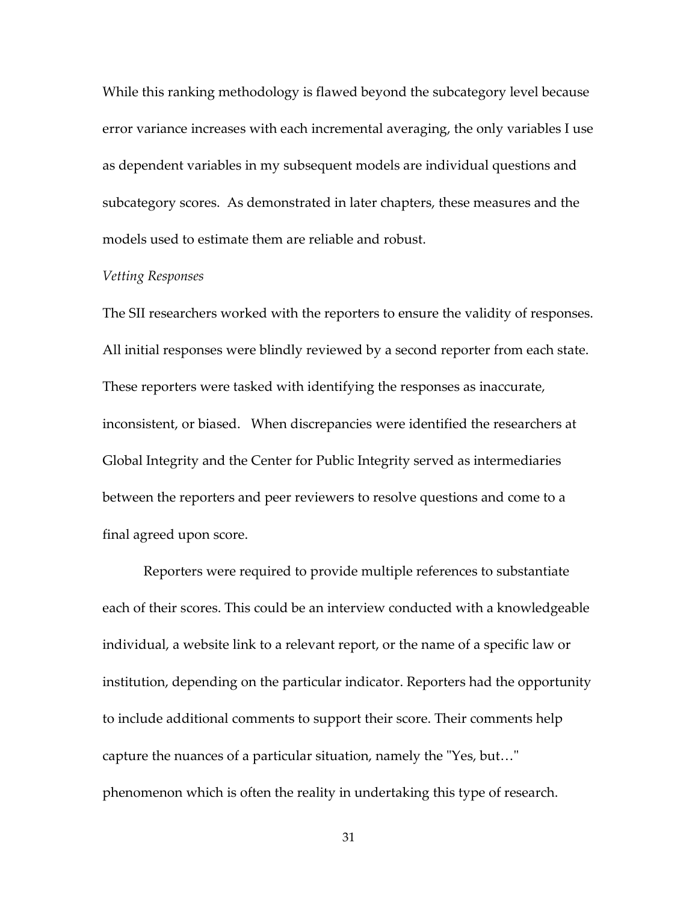While this ranking methodology is flawed beyond the subcategory level because error variance increases with each incremental averaging, the only variables I use as dependent variables in my subsequent models are individual questions and subcategory scores. As demonstrated in later chapters, these measures and the models used to estimate them are reliable and robust.

#### *Vetting Responses*

The SII researchers worked with the reporters to ensure the validity of responses. All initial responses were blindly reviewed by a second reporter from each state. These reporters were tasked with identifying the responses as inaccurate, inconsistent, or biased. When discrepancies were identified the researchers at Global Integrity and the Center for Public Integrity served as intermediaries between the reporters and peer reviewers to resolve questions and come to a final agreed upon score.

Reporters were required to provide multiple references to substantiate each of their scores. This could be an interview conducted with a knowledgeable individual, a website link to a relevant report, or the name of a specific law or institution, depending on the particular indicator. Reporters had the opportunity to include additional comments to support their score. Their comments help capture the nuances of a particular situation, namely the "Yes, but…" phenomenon which is often the reality in undertaking this type of research.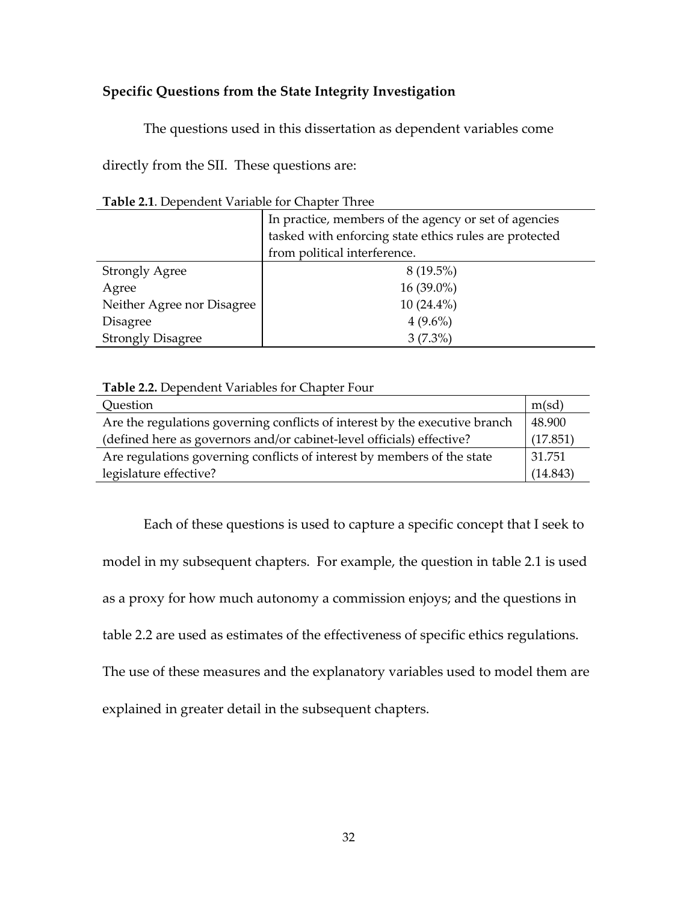## **Specific Questions from the State Integrity Investigation**

The questions used in this dissertation as dependent variables come

directly from the SII. These questions are:

| Table 2.1. Dependent Variable for Chapter Three |
|-------------------------------------------------|
|-------------------------------------------------|

|                            | In practice, members of the agency or set of agencies  |  |  |  |  |
|----------------------------|--------------------------------------------------------|--|--|--|--|
|                            | tasked with enforcing state ethics rules are protected |  |  |  |  |
|                            | from political interference.                           |  |  |  |  |
| <b>Strongly Agree</b>      | $8(19.5\%)$                                            |  |  |  |  |
| Agree                      | 16 (39.0%)                                             |  |  |  |  |
| Neither Agree nor Disagree | $10(24.4\%)$                                           |  |  |  |  |
| <b>Disagree</b>            | $4(9.6\%)$                                             |  |  |  |  |
| <b>Strongly Disagree</b>   | $3(7.3\%)$                                             |  |  |  |  |

**Table 2.2.** Dependent Variables for Chapter Four

| Question                                                                    | m(sd)    |
|-----------------------------------------------------------------------------|----------|
| Are the regulations governing conflicts of interest by the executive branch | 48.900   |
| (defined here as governors and/or cabinet-level officials) effective?       | (17.851) |
| Are regulations governing conflicts of interest by members of the state     | 31.751   |
| legislature effective?                                                      | (14.843) |

 Each of these questions is used to capture a specific concept that I seek to model in my subsequent chapters. For example, the question in table 2.1 is used as a proxy for how much autonomy a commission enjoys; and the questions in table 2.2 are used as estimates of the effectiveness of specific ethics regulations. The use of these measures and the explanatory variables used to model them are explained in greater detail in the subsequent chapters.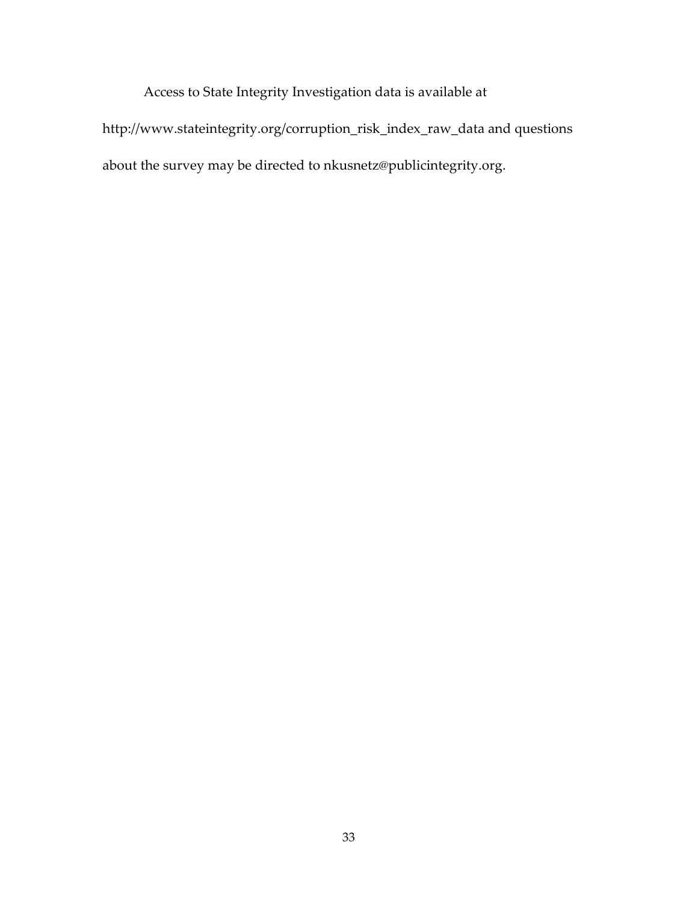Access to State Integrity Investigation data is available at http://www.stateintegrity.org/corruption\_risk\_index\_raw\_data and questions about the survey may be directed to nkusnetz@publicintegrity.org.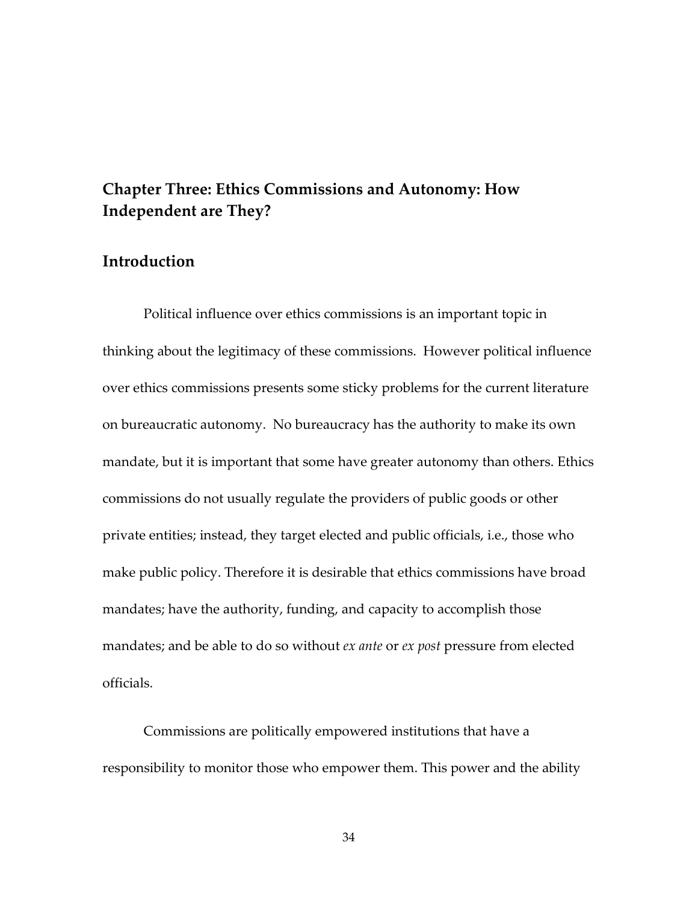# **Chapter Three: Ethics Commissions and Autonomy: How Independent are They?**

# **Introduction**

Political influence over ethics commissions is an important topic in thinking about the legitimacy of these commissions. However political influence over ethics commissions presents some sticky problems for the current literature on bureaucratic autonomy. No bureaucracy has the authority to make its own mandate, but it is important that some have greater autonomy than others. Ethics commissions do not usually regulate the providers of public goods or other private entities; instead, they target elected and public officials, i.e., those who make public policy. Therefore it is desirable that ethics commissions have broad mandates; have the authority, funding, and capacity to accomplish those mandates; and be able to do so without *ex ante* or *ex post* pressure from elected officials.

Commissions are politically empowered institutions that have a responsibility to monitor those who empower them. This power and the ability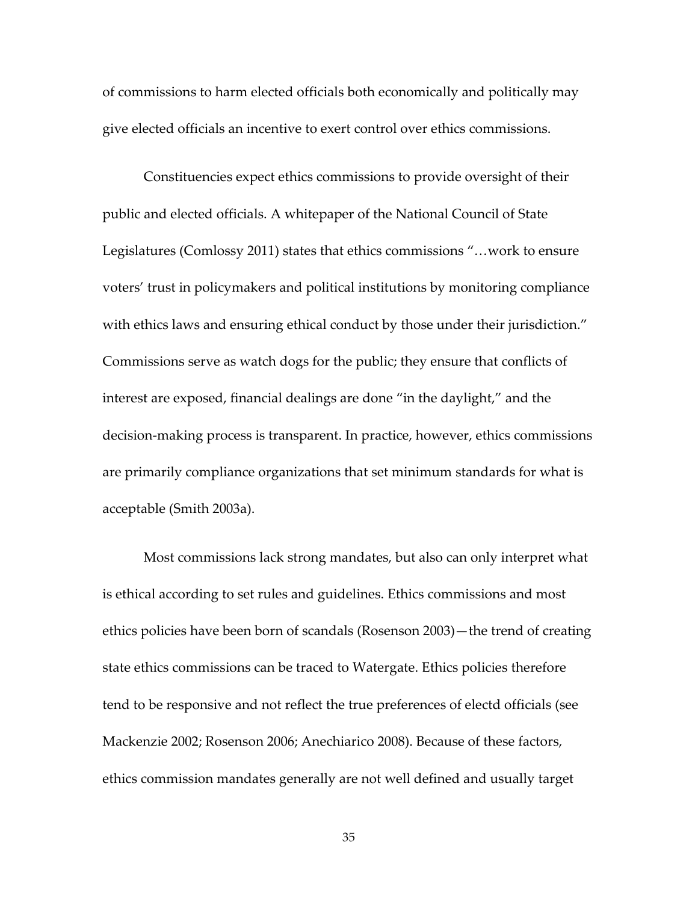of commissions to harm elected officials both economically and politically may give elected officials an incentive to exert control over ethics commissions.

Constituencies expect ethics commissions to provide oversight of their public and elected officials. A whitepaper of the National Council of State Legislatures (Comlossy 2011) states that ethics commissions "…work to ensure voters' trust in policymakers and political institutions by monitoring compliance with ethics laws and ensuring ethical conduct by those under their jurisdiction." Commissions serve as watch dogs for the public; they ensure that conflicts of interest are exposed, financial dealings are done "in the daylight," and the decision-making process is transparent. In practice, however, ethics commissions are primarily compliance organizations that set minimum standards for what is acceptable (Smith 2003a).

Most commissions lack strong mandates, but also can only interpret what is ethical according to set rules and guidelines. Ethics commissions and most ethics policies have been born of scandals (Rosenson 2003)—the trend of creating state ethics commissions can be traced to Watergate. Ethics policies therefore tend to be responsive and not reflect the true preferences of electd officials (see Mackenzie 2002; Rosenson 2006; Anechiarico 2008). Because of these factors, ethics commission mandates generally are not well defined and usually target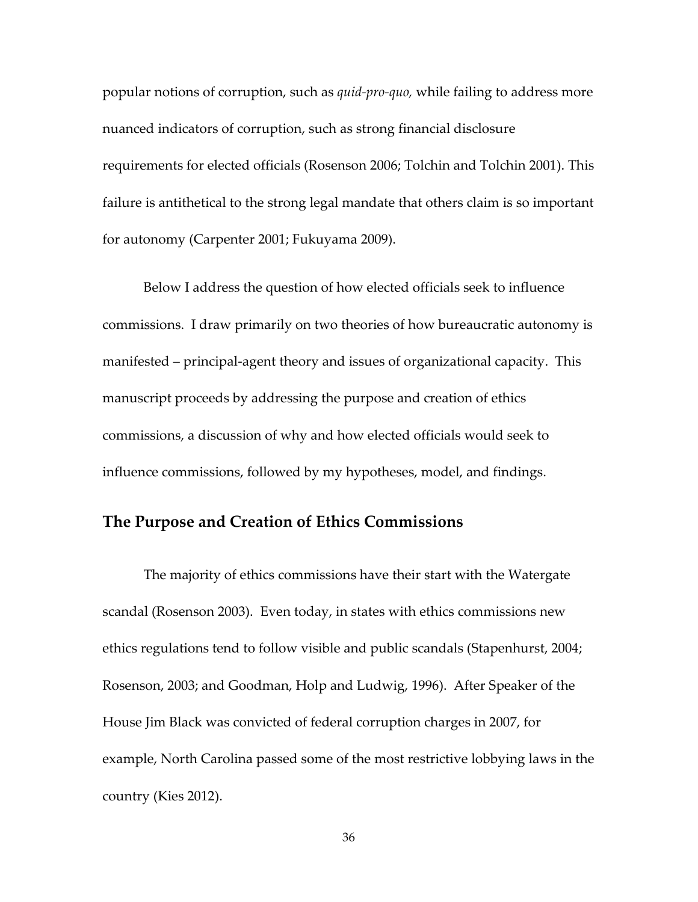popular notions of corruption, such as *quid-pro-quo,* while failing to address more nuanced indicators of corruption, such as strong financial disclosure requirements for elected officials (Rosenson 2006; Tolchin and Tolchin 2001). This failure is antithetical to the strong legal mandate that others claim is so important for autonomy (Carpenter 2001; Fukuyama 2009).

Below I address the question of how elected officials seek to influence commissions. I draw primarily on two theories of how bureaucratic autonomy is manifested – principal-agent theory and issues of organizational capacity. This manuscript proceeds by addressing the purpose and creation of ethics commissions, a discussion of why and how elected officials would seek to influence commissions, followed by my hypotheses, model, and findings.

### **The Purpose and Creation of Ethics Commissions**

 The majority of ethics commissions have their start with the Watergate scandal (Rosenson 2003). Even today, in states with ethics commissions new ethics regulations tend to follow visible and public scandals (Stapenhurst, 2004; Rosenson, 2003; and Goodman, Holp and Ludwig, 1996). After Speaker of the House Jim Black was convicted of federal corruption charges in 2007, for example, North Carolina passed some of the most restrictive lobbying laws in the country (Kies 2012).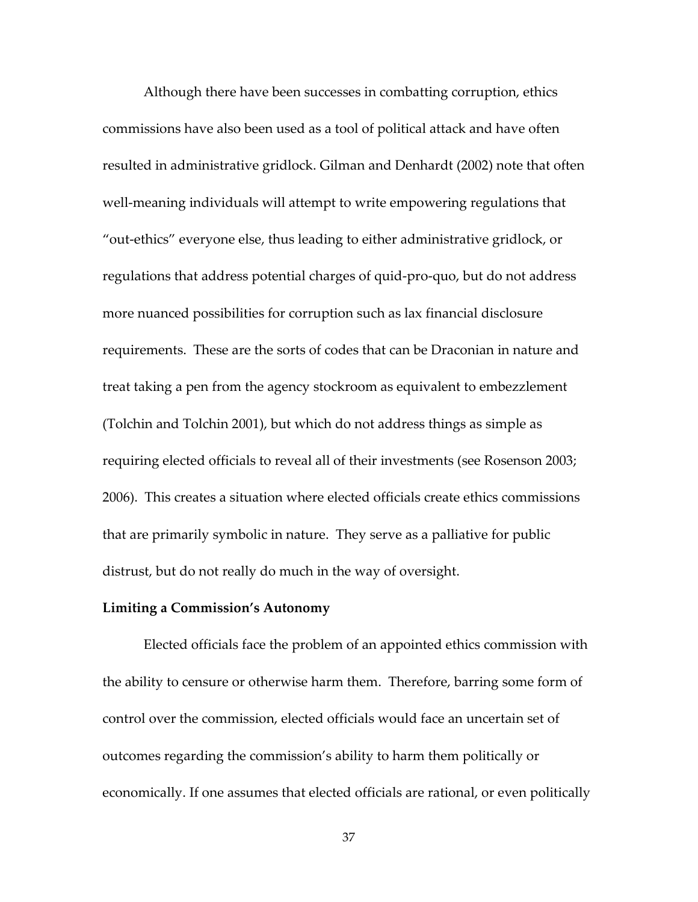Although there have been successes in combatting corruption, ethics commissions have also been used as a tool of political attack and have often resulted in administrative gridlock. Gilman and Denhardt (2002) note that often well-meaning individuals will attempt to write empowering regulations that "out-ethics" everyone else, thus leading to either administrative gridlock, or regulations that address potential charges of quid-pro-quo, but do not address more nuanced possibilities for corruption such as lax financial disclosure requirements. These are the sorts of codes that can be Draconian in nature and treat taking a pen from the agency stockroom as equivalent to embezzlement (Tolchin and Tolchin 2001), but which do not address things as simple as requiring elected officials to reveal all of their investments (see Rosenson 2003; 2006). This creates a situation where elected officials create ethics commissions that are primarily symbolic in nature. They serve as a palliative for public distrust, but do not really do much in the way of oversight.

#### **Limiting a Commission's Autonomy**

 Elected officials face the problem of an appointed ethics commission with the ability to censure or otherwise harm them. Therefore, barring some form of control over the commission, elected officials would face an uncertain set of outcomes regarding the commission's ability to harm them politically or economically. If one assumes that elected officials are rational, or even politically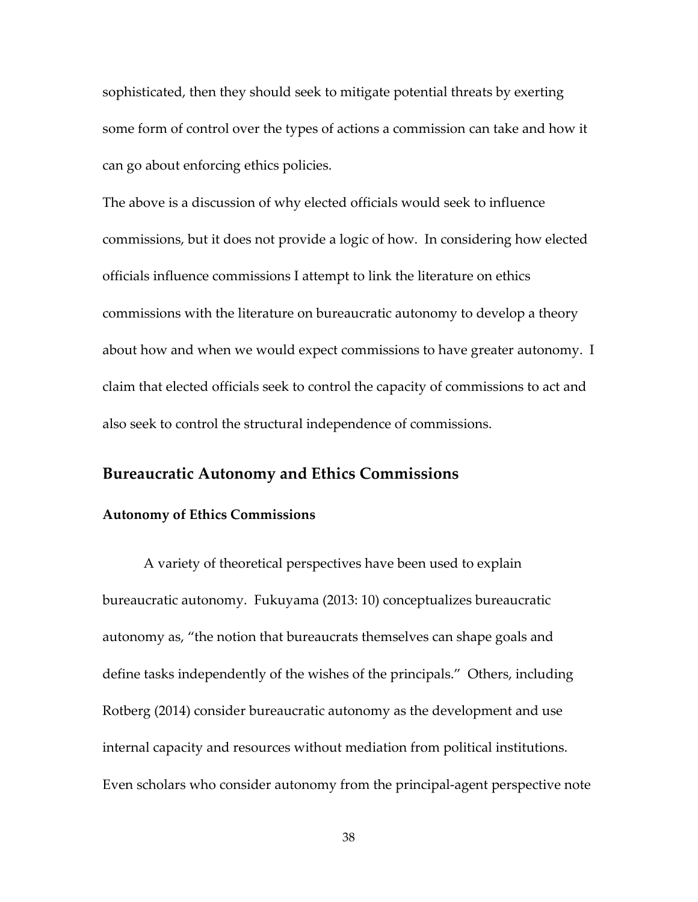sophisticated, then they should seek to mitigate potential threats by exerting some form of control over the types of actions a commission can take and how it can go about enforcing ethics policies.

The above is a discussion of why elected officials would seek to influence commissions, but it does not provide a logic of how. In considering how elected officials influence commissions I attempt to link the literature on ethics commissions with the literature on bureaucratic autonomy to develop a theory about how and when we would expect commissions to have greater autonomy. I claim that elected officials seek to control the capacity of commissions to act and also seek to control the structural independence of commissions.

### **Bureaucratic Autonomy and Ethics Commissions**

#### **Autonomy of Ethics Commissions**

A variety of theoretical perspectives have been used to explain bureaucratic autonomy. Fukuyama (2013: 10) conceptualizes bureaucratic autonomy as, "the notion that bureaucrats themselves can shape goals and define tasks independently of the wishes of the principals." Others, including Rotberg (2014) consider bureaucratic autonomy as the development and use internal capacity and resources without mediation from political institutions. Even scholars who consider autonomy from the principal-agent perspective note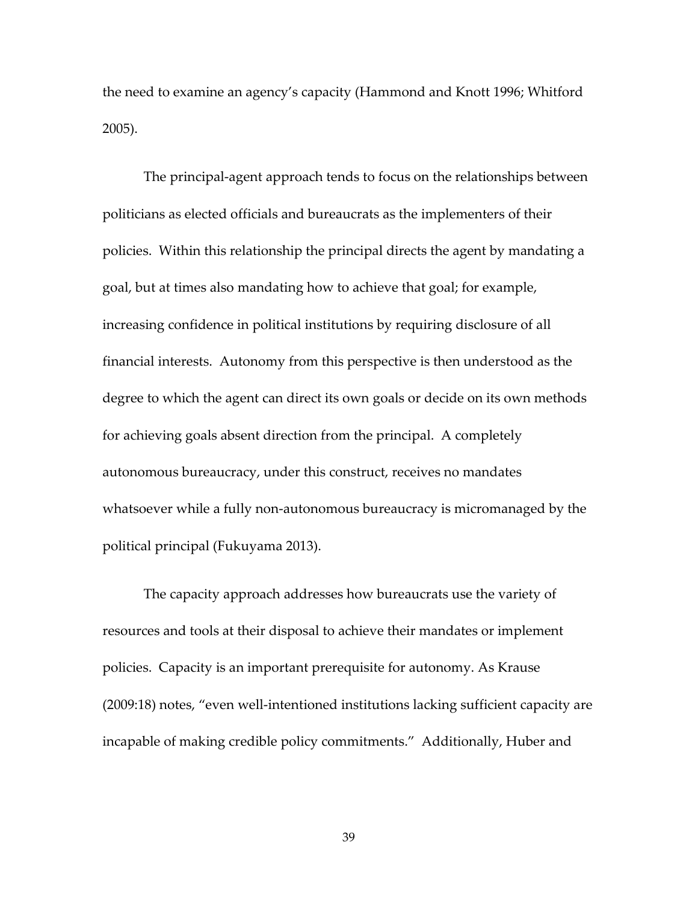the need to examine an agency's capacity (Hammond and Knott 1996; Whitford 2005).

The principal-agent approach tends to focus on the relationships between politicians as elected officials and bureaucrats as the implementers of their policies. Within this relationship the principal directs the agent by mandating a goal, but at times also mandating how to achieve that goal; for example, increasing confidence in political institutions by requiring disclosure of all financial interests. Autonomy from this perspective is then understood as the degree to which the agent can direct its own goals or decide on its own methods for achieving goals absent direction from the principal. A completely autonomous bureaucracy, under this construct, receives no mandates whatsoever while a fully non-autonomous bureaucracy is micromanaged by the political principal (Fukuyama 2013).

The capacity approach addresses how bureaucrats use the variety of resources and tools at their disposal to achieve their mandates or implement policies. Capacity is an important prerequisite for autonomy. As Krause (2009:18) notes, "even well-intentioned institutions lacking sufficient capacity are incapable of making credible policy commitments." Additionally, Huber and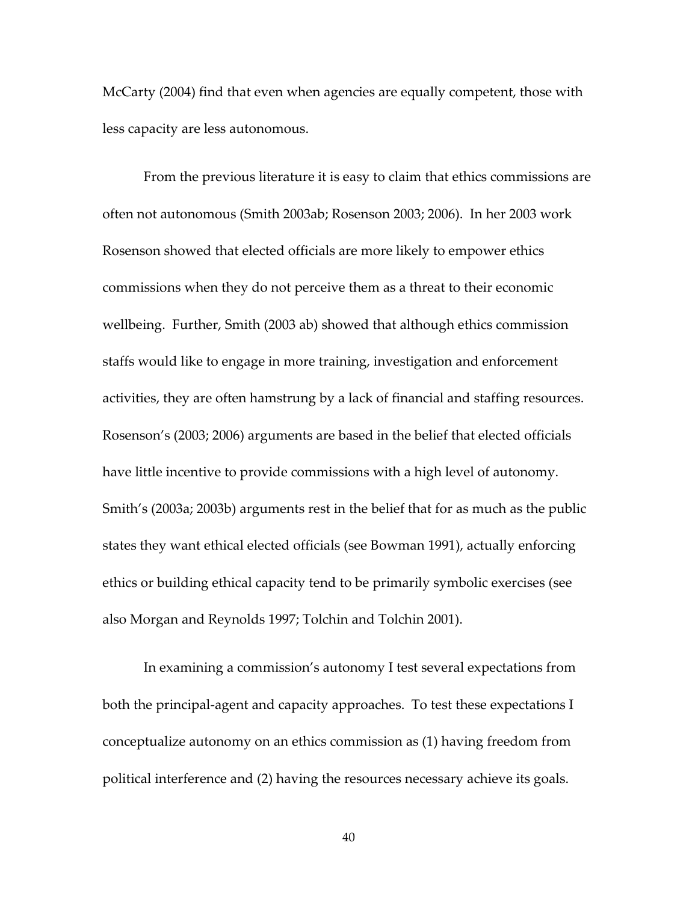McCarty (2004) find that even when agencies are equally competent, those with less capacity are less autonomous.

From the previous literature it is easy to claim that ethics commissions are often not autonomous (Smith 2003ab; Rosenson 2003; 2006). In her 2003 work Rosenson showed that elected officials are more likely to empower ethics commissions when they do not perceive them as a threat to their economic wellbeing. Further, Smith (2003 ab) showed that although ethics commission staffs would like to engage in more training, investigation and enforcement activities, they are often hamstrung by a lack of financial and staffing resources. Rosenson's (2003; 2006) arguments are based in the belief that elected officials have little incentive to provide commissions with a high level of autonomy. Smith's (2003a; 2003b) arguments rest in the belief that for as much as the public states they want ethical elected officials (see Bowman 1991), actually enforcing ethics or building ethical capacity tend to be primarily symbolic exercises (see also Morgan and Reynolds 1997; Tolchin and Tolchin 2001).

In examining a commission's autonomy I test several expectations from both the principal-agent and capacity approaches. To test these expectations I conceptualize autonomy on an ethics commission as (1) having freedom from political interference and (2) having the resources necessary achieve its goals.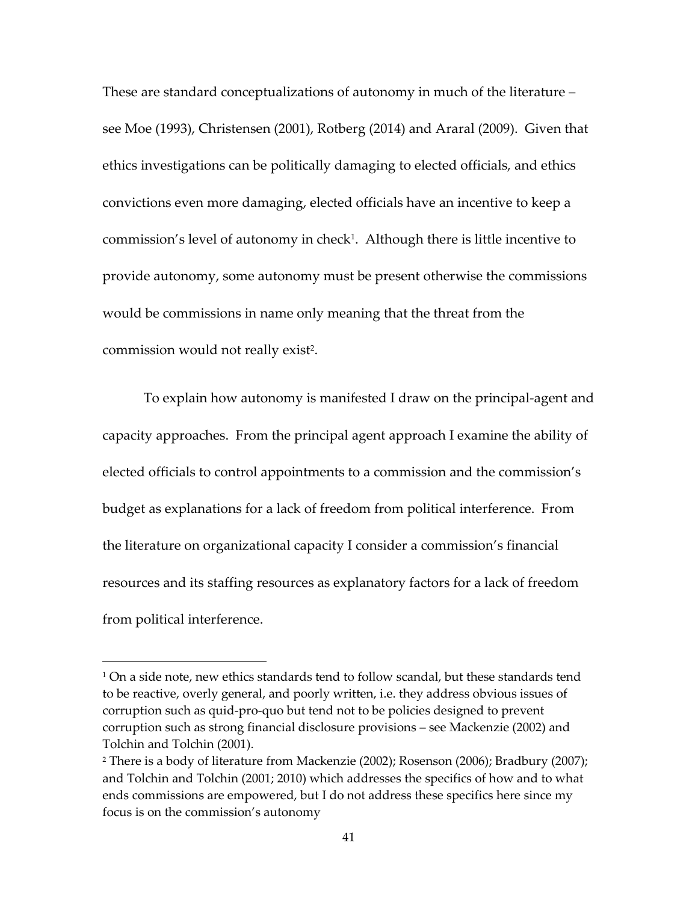These are standard conceptualizations of autonomy in much of the literature – see Moe (1993), Christensen (2001), Rotberg (2014) and Araral (2009). Given that ethics investigations can be politically damaging to elected officials, and ethics convictions even more damaging, elected officials have an incentive to keep a commission's level of autonomy in check<sup>1</sup> . Although there is little incentive to provide autonomy, some autonomy must be present otherwise the commissions would be commissions in name only meaning that the threat from the commission would not really exist<sup>2</sup>.

To explain how autonomy is manifested I draw on the principal-agent and capacity approaches. From the principal agent approach I examine the ability of elected officials to control appointments to a commission and the commission's budget as explanations for a lack of freedom from political interference. From the literature on organizational capacity I consider a commission's financial resources and its staffing resources as explanatory factors for a lack of freedom from political interference.

l

<sup>1</sup> On a side note, new ethics standards tend to follow scandal, but these standards tend to be reactive, overly general, and poorly written, i.e. they address obvious issues of corruption such as quid-pro-quo but tend not to be policies designed to prevent corruption such as strong financial disclosure provisions – see Mackenzie (2002) and Tolchin and Tolchin (2001).

<sup>2</sup> There is a body of literature from Mackenzie (2002); Rosenson (2006); Bradbury (2007); and Tolchin and Tolchin (2001; 2010) which addresses the specifics of how and to what ends commissions are empowered, but I do not address these specifics here since my focus is on the commission's autonomy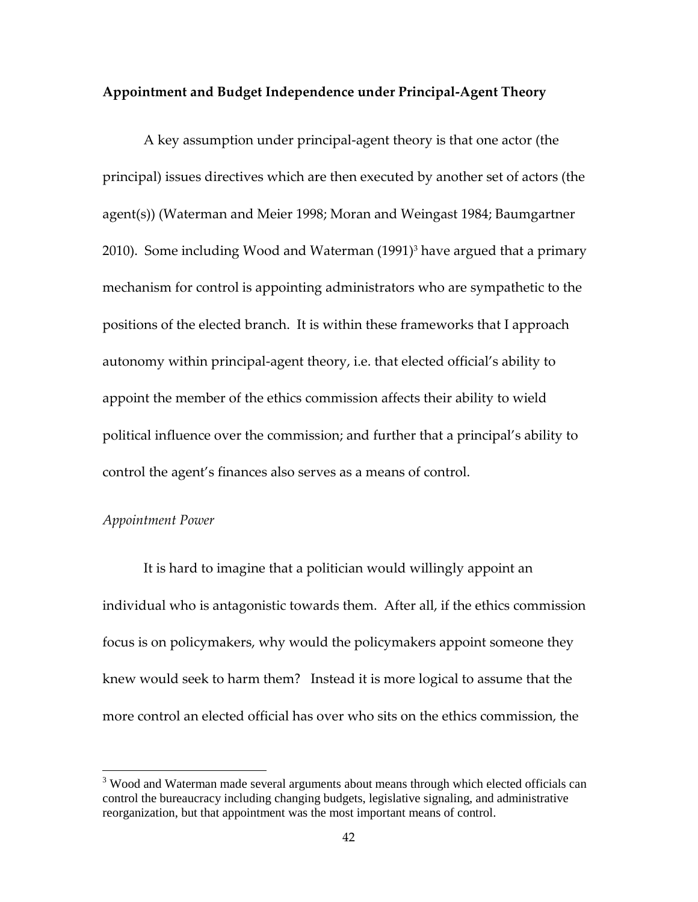#### **Appointment and Budget Independence under Principal-Agent Theory**

A key assumption under principal-agent theory is that one actor (the principal) issues directives which are then executed by another set of actors (the agent(s)) (Waterman and Meier 1998; Moran and Weingast 1984; Baumgartner 2010). Some including Wood and Waterman (1991)<sup>3</sup> have argued that a primary mechanism for control is appointing administrators who are sympathetic to the positions of the elected branch. It is within these frameworks that I approach autonomy within principal-agent theory, i.e. that elected official's ability to appoint the member of the ethics commission affects their ability to wield political influence over the commission; and further that a principal's ability to control the agent's finances also serves as a means of control.

### *Appointment Power*

l

It is hard to imagine that a politician would willingly appoint an individual who is antagonistic towards them. After all, if the ethics commission focus is on policymakers, why would the policymakers appoint someone they knew would seek to harm them? Instead it is more logical to assume that the more control an elected official has over who sits on the ethics commission, the

<sup>&</sup>lt;sup>3</sup> Wood and Waterman made several arguments about means through which elected officials can control the bureaucracy including changing budgets, legislative signaling, and administrative reorganization, but that appointment was the most important means of control.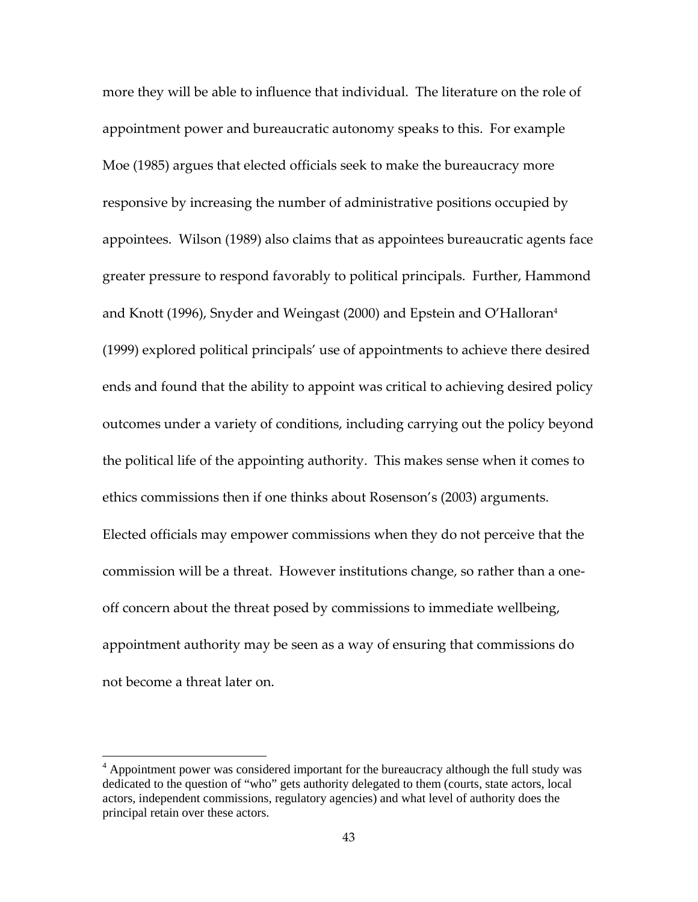more they will be able to influence that individual. The literature on the role of appointment power and bureaucratic autonomy speaks to this. For example Moe (1985) argues that elected officials seek to make the bureaucracy more responsive by increasing the number of administrative positions occupied by appointees. Wilson (1989) also claims that as appointees bureaucratic agents face greater pressure to respond favorably to political principals. Further, Hammond and Knott (1996), Snyder and Weingast (2000) and Epstein and O'Halloran<sup>4</sup> (1999) explored political principals' use of appointments to achieve there desired ends and found that the ability to appoint was critical to achieving desired policy outcomes under a variety of conditions, including carrying out the policy beyond the political life of the appointing authority. This makes sense when it comes to ethics commissions then if one thinks about Rosenson's (2003) arguments. Elected officials may empower commissions when they do not perceive that the commission will be a threat. However institutions change, so rather than a oneoff concern about the threat posed by commissions to immediate wellbeing, appointment authority may be seen as a way of ensuring that commissions do not become a threat later on.

 $\overline{a}$ 

<sup>&</sup>lt;sup>4</sup> Appointment power was considered important for the bureaucracy although the full study was dedicated to the question of "who" gets authority delegated to them (courts, state actors, local actors, independent commissions, regulatory agencies) and what level of authority does the principal retain over these actors.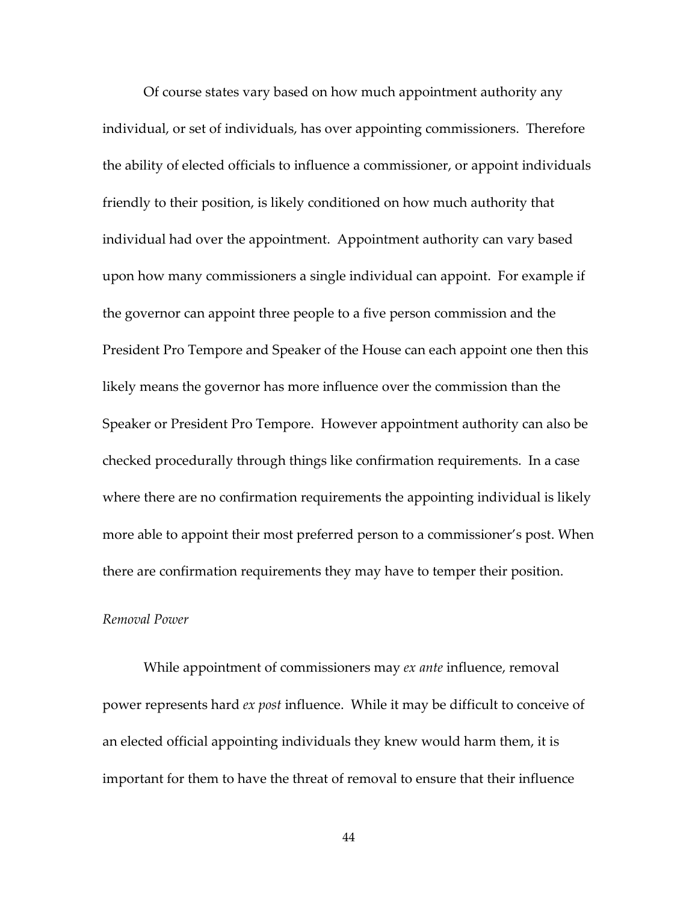Of course states vary based on how much appointment authority any individual, or set of individuals, has over appointing commissioners. Therefore the ability of elected officials to influence a commissioner, or appoint individuals friendly to their position, is likely conditioned on how much authority that individual had over the appointment. Appointment authority can vary based upon how many commissioners a single individual can appoint. For example if the governor can appoint three people to a five person commission and the President Pro Tempore and Speaker of the House can each appoint one then this likely means the governor has more influence over the commission than the Speaker or President Pro Tempore. However appointment authority can also be checked procedurally through things like confirmation requirements. In a case where there are no confirmation requirements the appointing individual is likely more able to appoint their most preferred person to a commissioner's post. When there are confirmation requirements they may have to temper their position.

### *Removal Power*

While appointment of commissioners may *ex ante* influence, removal power represents hard *ex post* influence. While it may be difficult to conceive of an elected official appointing individuals they knew would harm them, it is important for them to have the threat of removal to ensure that their influence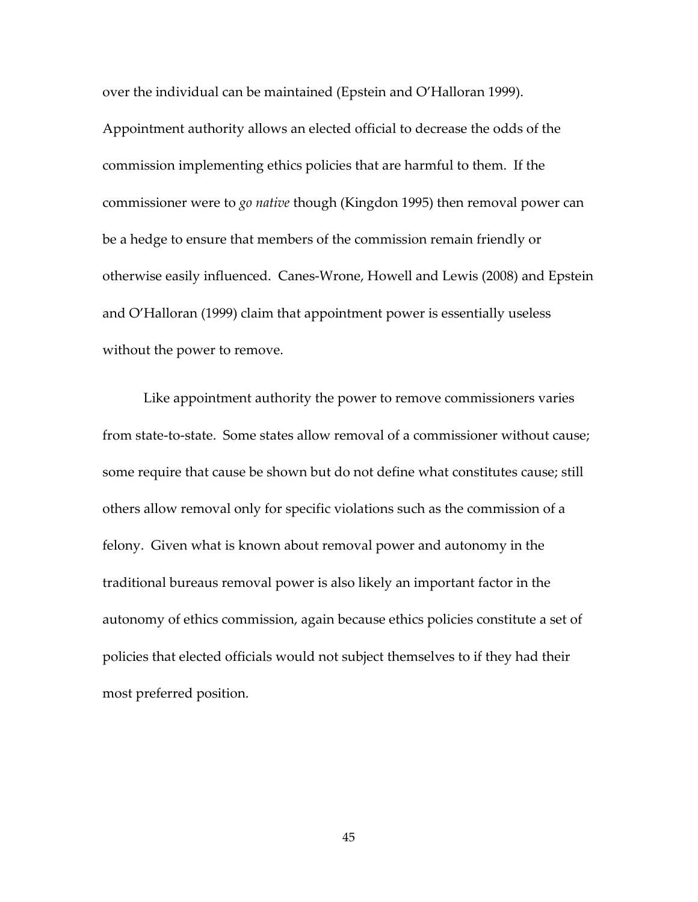over the individual can be maintained (Epstein and O'Halloran 1999).

Appointment authority allows an elected official to decrease the odds of the commission implementing ethics policies that are harmful to them. If the commissioner were to *go native* though (Kingdon 1995) then removal power can be a hedge to ensure that members of the commission remain friendly or otherwise easily influenced. Canes-Wrone, Howell and Lewis (2008) and Epstein and O'Halloran (1999) claim that appointment power is essentially useless without the power to remove.

Like appointment authority the power to remove commissioners varies from state-to-state. Some states allow removal of a commissioner without cause; some require that cause be shown but do not define what constitutes cause; still others allow removal only for specific violations such as the commission of a felony. Given what is known about removal power and autonomy in the traditional bureaus removal power is also likely an important factor in the autonomy of ethics commission, again because ethics policies constitute a set of policies that elected officials would not subject themselves to if they had their most preferred position.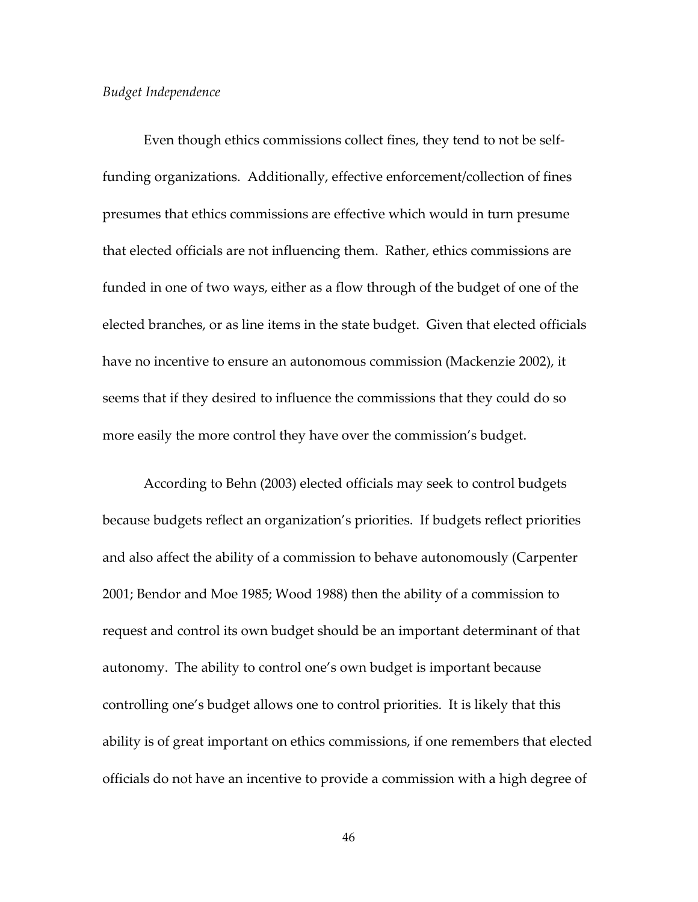#### *Budget Independence*

Even though ethics commissions collect fines, they tend to not be selffunding organizations. Additionally, effective enforcement/collection of fines presumes that ethics commissions are effective which would in turn presume that elected officials are not influencing them. Rather, ethics commissions are funded in one of two ways, either as a flow through of the budget of one of the elected branches, or as line items in the state budget. Given that elected officials have no incentive to ensure an autonomous commission (Mackenzie 2002), it seems that if they desired to influence the commissions that they could do so more easily the more control they have over the commission's budget.

According to Behn (2003) elected officials may seek to control budgets because budgets reflect an organization's priorities. If budgets reflect priorities and also affect the ability of a commission to behave autonomously (Carpenter 2001; Bendor and Moe 1985; Wood 1988) then the ability of a commission to request and control its own budget should be an important determinant of that autonomy. The ability to control one's own budget is important because controlling one's budget allows one to control priorities. It is likely that this ability is of great important on ethics commissions, if one remembers that elected officials do not have an incentive to provide a commission with a high degree of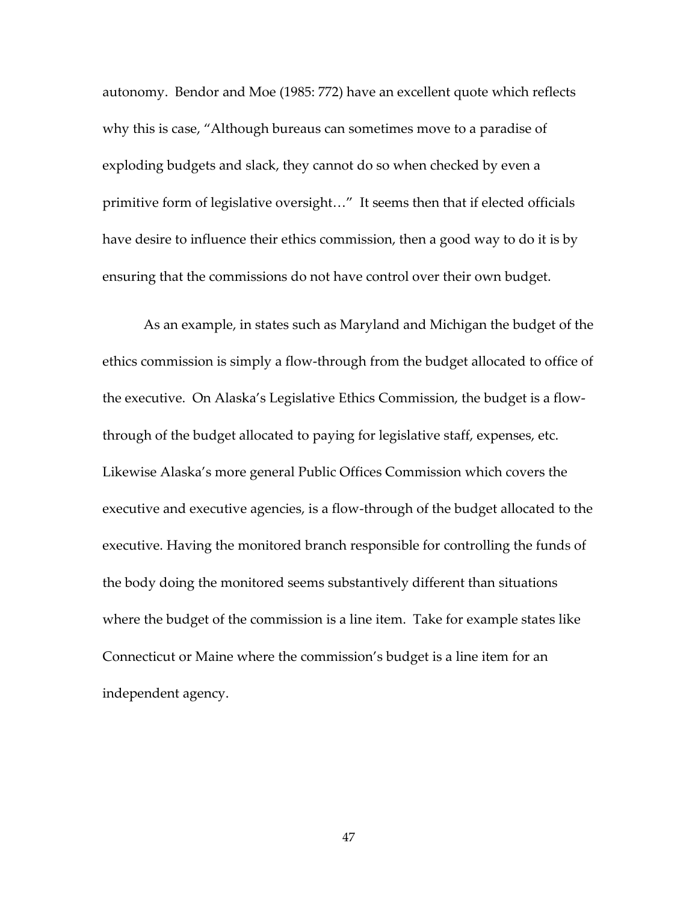autonomy. Bendor and Moe (1985: 772) have an excellent quote which reflects why this is case, "Although bureaus can sometimes move to a paradise of exploding budgets and slack, they cannot do so when checked by even a primitive form of legislative oversight…" It seems then that if elected officials have desire to influence their ethics commission, then a good way to do it is by ensuring that the commissions do not have control over their own budget.

As an example, in states such as Maryland and Michigan the budget of the ethics commission is simply a flow-through from the budget allocated to office of the executive. On Alaska's Legislative Ethics Commission, the budget is a flowthrough of the budget allocated to paying for legislative staff, expenses, etc. Likewise Alaska's more general Public Offices Commission which covers the executive and executive agencies, is a flow-through of the budget allocated to the executive. Having the monitored branch responsible for controlling the funds of the body doing the monitored seems substantively different than situations where the budget of the commission is a line item. Take for example states like Connecticut or Maine where the commission's budget is a line item for an independent agency.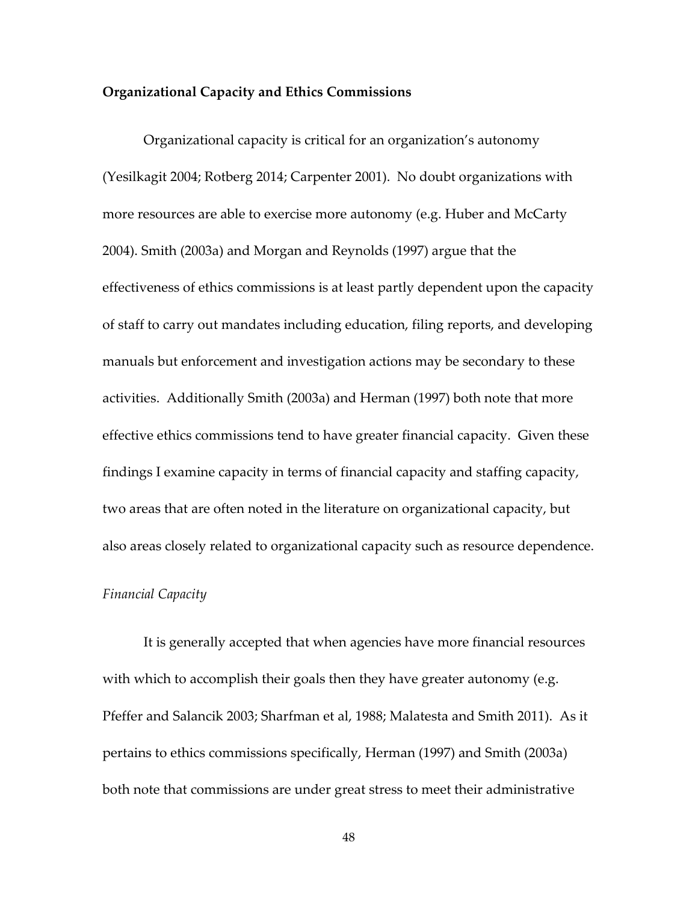#### **Organizational Capacity and Ethics Commissions**

 Organizational capacity is critical for an organization's autonomy (Yesilkagit 2004; Rotberg 2014; Carpenter 2001). No doubt organizations with more resources are able to exercise more autonomy (e.g. Huber and McCarty 2004). Smith (2003a) and Morgan and Reynolds (1997) argue that the effectiveness of ethics commissions is at least partly dependent upon the capacity of staff to carry out mandates including education, filing reports, and developing manuals but enforcement and investigation actions may be secondary to these activities. Additionally Smith (2003a) and Herman (1997) both note that more effective ethics commissions tend to have greater financial capacity. Given these findings I examine capacity in terms of financial capacity and staffing capacity, two areas that are often noted in the literature on organizational capacity, but also areas closely related to organizational capacity such as resource dependence.

### *Financial Capacity*

It is generally accepted that when agencies have more financial resources with which to accomplish their goals then they have greater autonomy (e.g. Pfeffer and Salancik 2003; Sharfman et al, 1988; Malatesta and Smith 2011). As it pertains to ethics commissions specifically, Herman (1997) and Smith (2003a) both note that commissions are under great stress to meet their administrative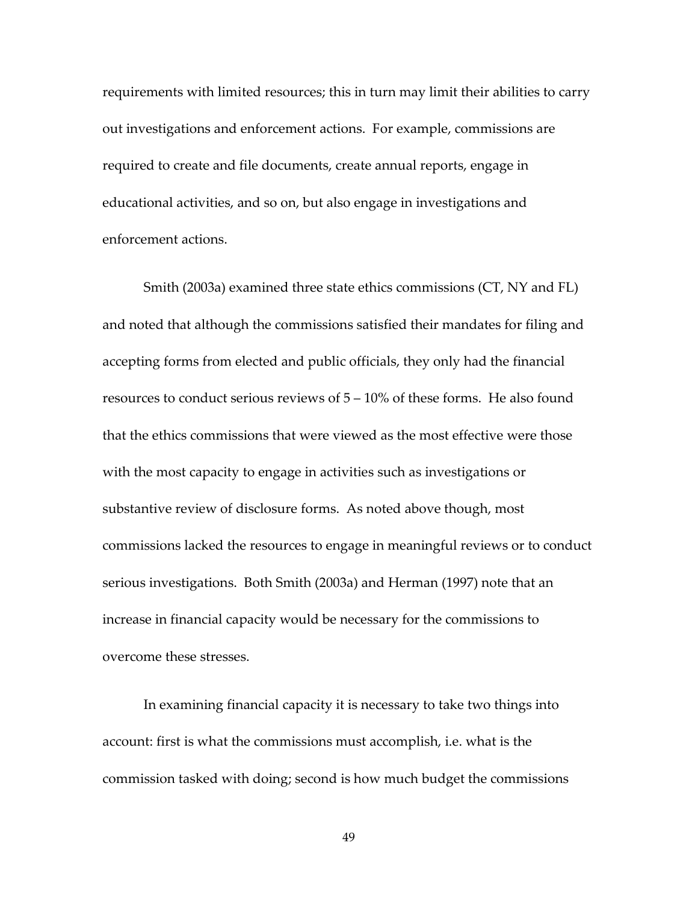requirements with limited resources; this in turn may limit their abilities to carry out investigations and enforcement actions. For example, commissions are required to create and file documents, create annual reports, engage in educational activities, and so on, but also engage in investigations and enforcement actions.

Smith (2003a) examined three state ethics commissions (CT, NY and FL) and noted that although the commissions satisfied their mandates for filing and accepting forms from elected and public officials, they only had the financial resources to conduct serious reviews of  $5 - 10\%$  of these forms. He also found that the ethics commissions that were viewed as the most effective were those with the most capacity to engage in activities such as investigations or substantive review of disclosure forms. As noted above though, most commissions lacked the resources to engage in meaningful reviews or to conduct serious investigations. Both Smith (2003a) and Herman (1997) note that an increase in financial capacity would be necessary for the commissions to overcome these stresses.

In examining financial capacity it is necessary to take two things into account: first is what the commissions must accomplish, i.e. what is the commission tasked with doing; second is how much budget the commissions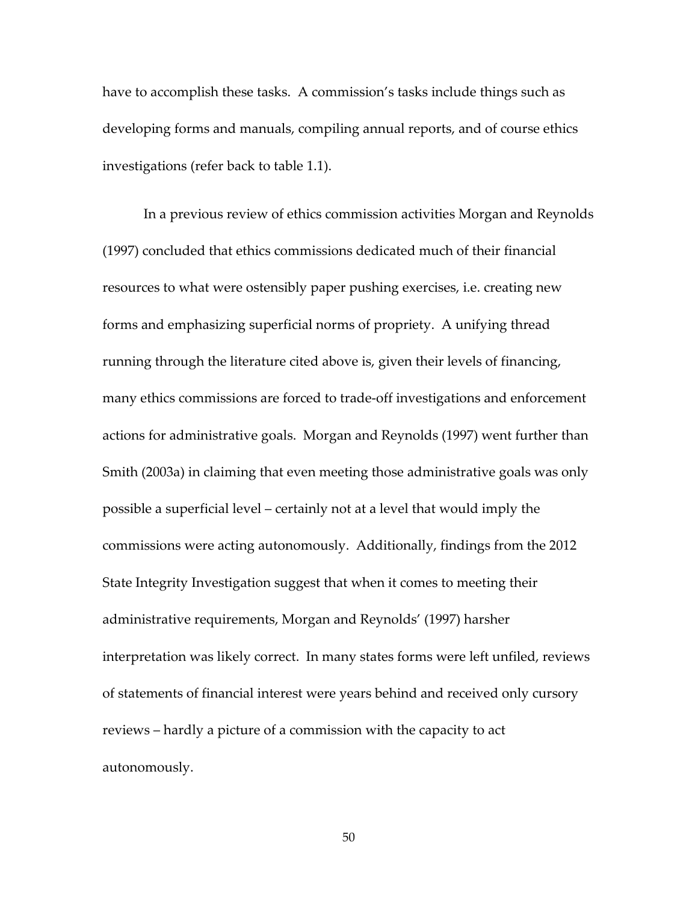have to accomplish these tasks. A commission's tasks include things such as developing forms and manuals, compiling annual reports, and of course ethics investigations (refer back to table 1.1).

In a previous review of ethics commission activities Morgan and Reynolds (1997) concluded that ethics commissions dedicated much of their financial resources to what were ostensibly paper pushing exercises, i.e. creating new forms and emphasizing superficial norms of propriety. A unifying thread running through the literature cited above is, given their levels of financing, many ethics commissions are forced to trade-off investigations and enforcement actions for administrative goals. Morgan and Reynolds (1997) went further than Smith (2003a) in claiming that even meeting those administrative goals was only possible a superficial level – certainly not at a level that would imply the commissions were acting autonomously. Additionally, findings from the 2012 State Integrity Investigation suggest that when it comes to meeting their administrative requirements, Morgan and Reynolds' (1997) harsher interpretation was likely correct. In many states forms were left unfiled, reviews of statements of financial interest were years behind and received only cursory reviews – hardly a picture of a commission with the capacity to act autonomously.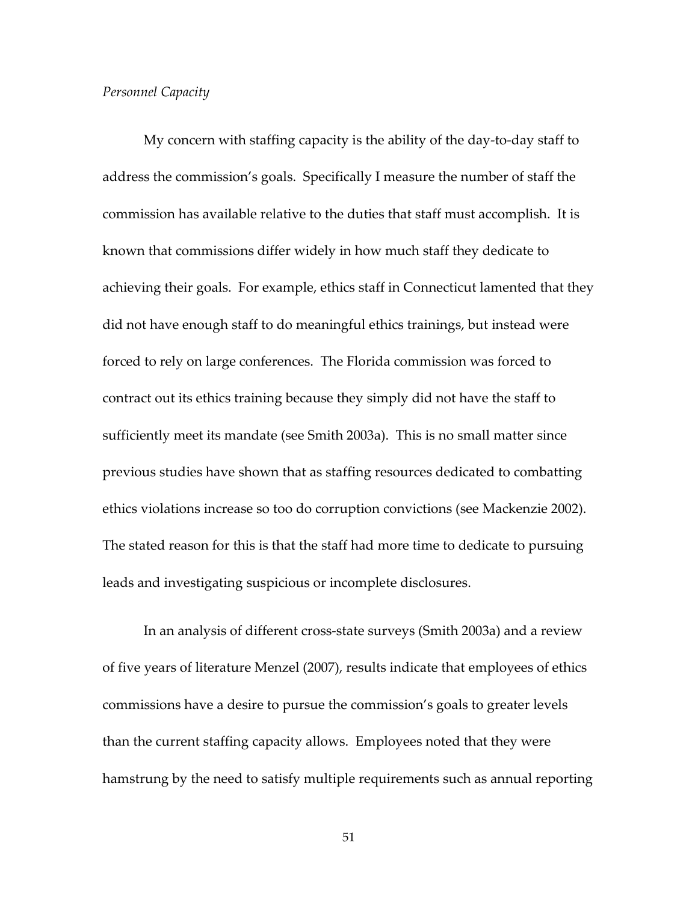#### *Personnel Capacity*

My concern with staffing capacity is the ability of the day-to-day staff to address the commission's goals. Specifically I measure the number of staff the commission has available relative to the duties that staff must accomplish. It is known that commissions differ widely in how much staff they dedicate to achieving their goals. For example, ethics staff in Connecticut lamented that they did not have enough staff to do meaningful ethics trainings, but instead were forced to rely on large conferences. The Florida commission was forced to contract out its ethics training because they simply did not have the staff to sufficiently meet its mandate (see Smith 2003a). This is no small matter since previous studies have shown that as staffing resources dedicated to combatting ethics violations increase so too do corruption convictions (see Mackenzie 2002). The stated reason for this is that the staff had more time to dedicate to pursuing leads and investigating suspicious or incomplete disclosures.

In an analysis of different cross-state surveys (Smith 2003a) and a review of five years of literature Menzel (2007), results indicate that employees of ethics commissions have a desire to pursue the commission's goals to greater levels than the current staffing capacity allows. Employees noted that they were hamstrung by the need to satisfy multiple requirements such as annual reporting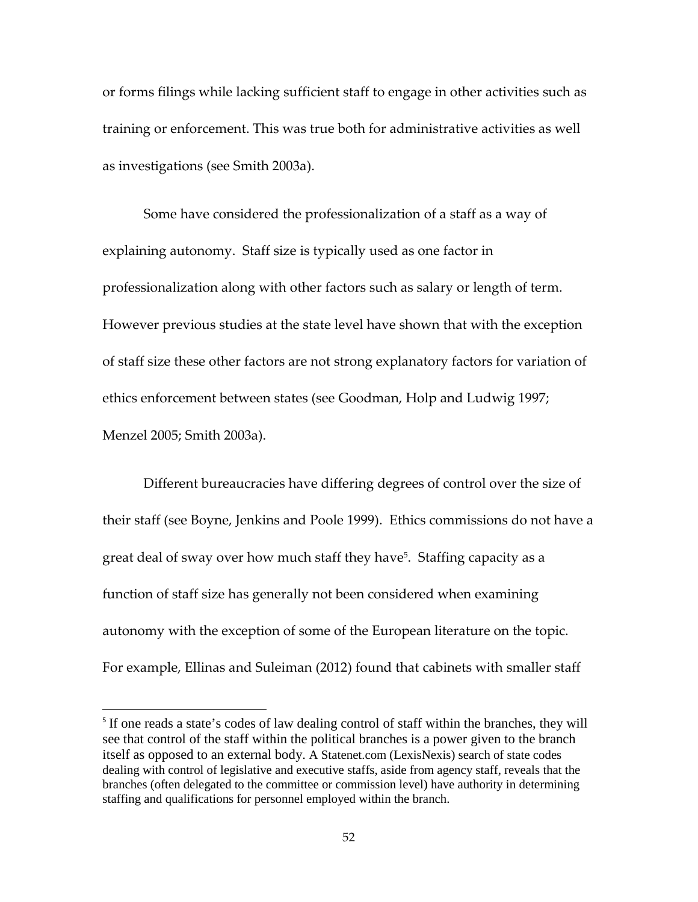or forms filings while lacking sufficient staff to engage in other activities such as training or enforcement. This was true both for administrative activities as well as investigations (see Smith 2003a).

Some have considered the professionalization of a staff as a way of explaining autonomy. Staff size is typically used as one factor in professionalization along with other factors such as salary or length of term. However previous studies at the state level have shown that with the exception of staff size these other factors are not strong explanatory factors for variation of ethics enforcement between states (see Goodman, Holp and Ludwig 1997; Menzel 2005; Smith 2003a).

Different bureaucracies have differing degrees of control over the size of their staff (see Boyne, Jenkins and Poole 1999). Ethics commissions do not have a great deal of sway over how much staff they have<sup>5</sup>. Staffing capacity as a function of staff size has generally not been considered when examining autonomy with the exception of some of the European literature on the topic. For example, Ellinas and Suleiman (2012) found that cabinets with smaller staff

l

<sup>&</sup>lt;sup>5</sup> If one reads a state's codes of law dealing control of staff within the branches, they will see that control of the staff within the political branches is a power given to the branch itself as opposed to an external body. A Statenet.com (LexisNexis) search of state codes dealing with control of legislative and executive staffs, aside from agency staff, reveals that the branches (often delegated to the committee or commission level) have authority in determining staffing and qualifications for personnel employed within the branch.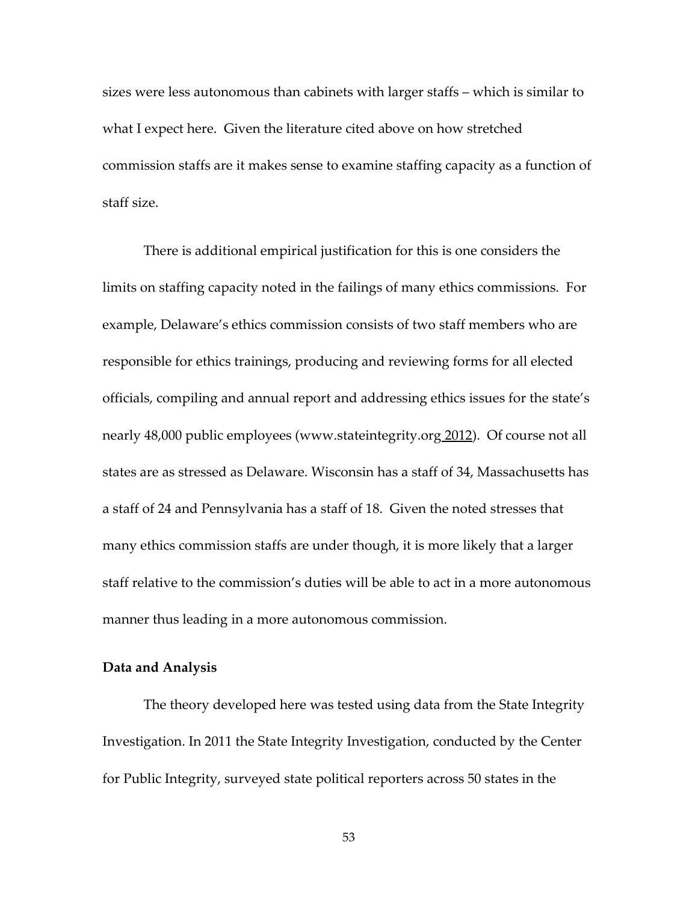sizes were less autonomous than cabinets with larger staffs – which is similar to what I expect here. Given the literature cited above on how stretched commission staffs are it makes sense to examine staffing capacity as a function of staff size.

There is additional empirical justification for this is one considers the limits on staffing capacity noted in the failings of many ethics commissions. For example, Delaware's ethics commission consists of two staff members who are responsible for ethics trainings, producing and reviewing forms for all elected officials, compiling and annual report and addressing ethics issues for the state's nearly 48,000 public employees (www.stateintegrity.org 2012). Of course not all states are as stressed as Delaware. Wisconsin has a staff of 34, Massachusetts has a staff of 24 and Pennsylvania has a staff of 18. Given the noted stresses that many ethics commission staffs are under though, it is more likely that a larger staff relative to the commission's duties will be able to act in a more autonomous manner thus leading in a more autonomous commission.

#### **Data and Analysis**

The theory developed here was tested using data from the State Integrity Investigation. In 2011 the State Integrity Investigation, conducted by the Center for Public Integrity, surveyed state political reporters across 50 states in the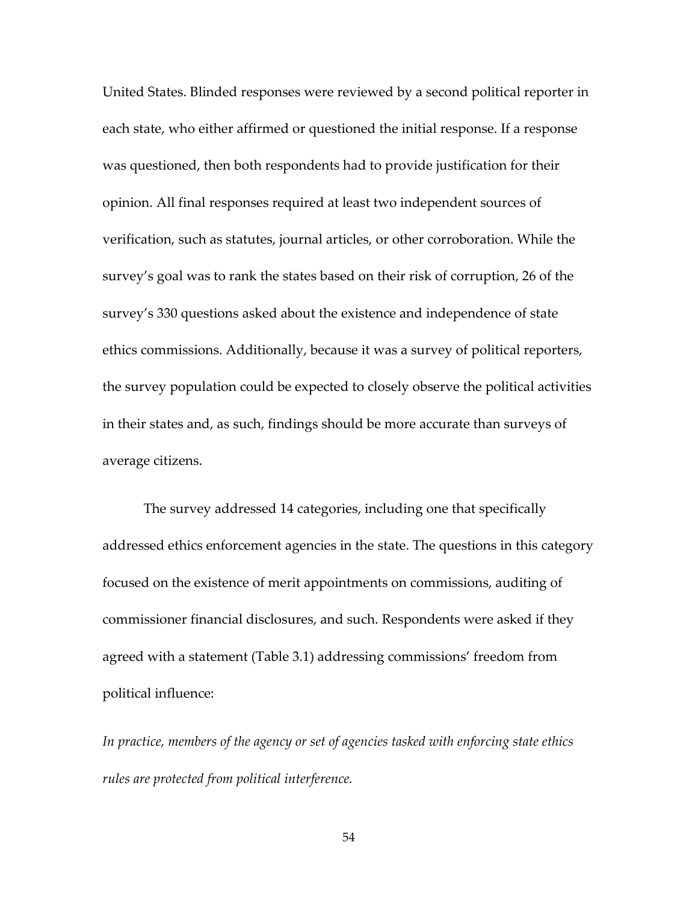United States. Blinded responses were reviewed by a second political reporter in each state, who either affirmed or questioned the initial response. If a response was questioned, then both respondents had to provide justification for their opinion. All final responses required at least two independent sources of verification, such as statutes, journal articles, or other corroboration. While the survey's goal was to rank the states based on their risk of corruption, 26 of the survey's 330 questions asked about the existence and independence of state ethics commissions. Additionally, because it was a survey of political reporters, the survey population could be expected to closely observe the political activities in their states and, as such, findings should be more accurate than surveys of average citizens.

The survey addressed 14 categories, including one that specifically addressed ethics enforcement agencies in the state. The questions in this category focused on the existence of merit appointments on commissions, auditing of commissioner financial disclosures, and such. Respondents were asked if they agreed with a statement (Table 3.1) addressing commissions' freedom from political influence:

*In practice, members of the agency or set of agencies tasked with enforcing state ethics rules are protected from political interference.*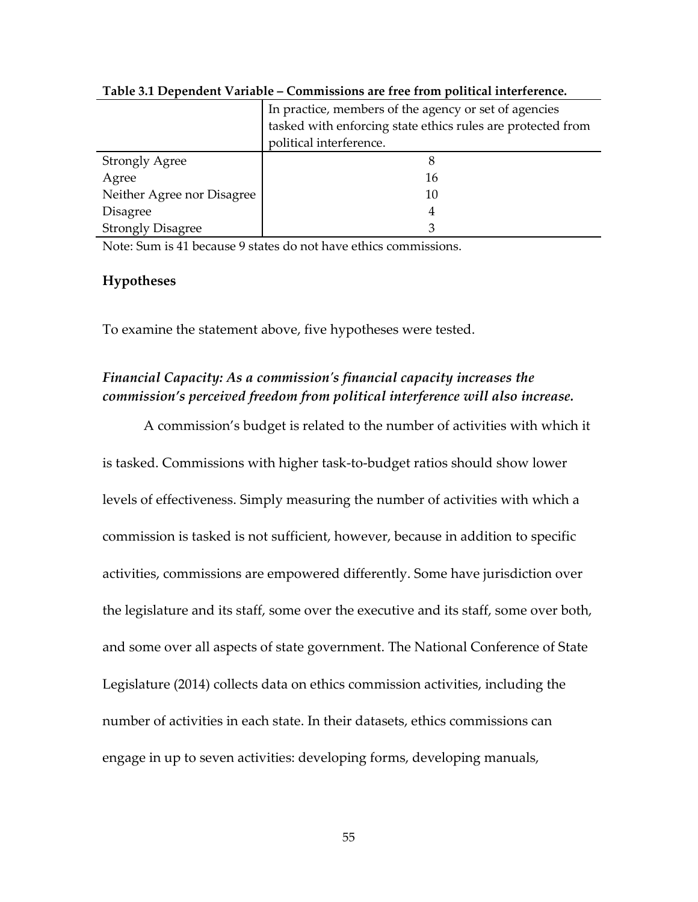|                            | In practice, members of the agency or set of agencies       |  |  |  |  |
|----------------------------|-------------------------------------------------------------|--|--|--|--|
|                            | tasked with enforcing state ethics rules are protected from |  |  |  |  |
|                            | political interference.                                     |  |  |  |  |
| <b>Strongly Agree</b>      |                                                             |  |  |  |  |
| Agree                      | 16                                                          |  |  |  |  |
| Neither Agree nor Disagree | 10                                                          |  |  |  |  |
| <b>Disagree</b>            | 4                                                           |  |  |  |  |
| <b>Strongly Disagree</b>   |                                                             |  |  |  |  |

**Table 3.1 Dependent Variable – Commissions are free from political interference.**

Note: Sum is 41 because 9 states do not have ethics commissions.

#### **Hypotheses**

To examine the statement above, five hypotheses were tested.

# *Financial Capacity: As a commission's financial capacity increases the commission's perceived freedom from political interference will also increase.*

A commission's budget is related to the number of activities with which it is tasked. Commissions with higher task-to-budget ratios should show lower levels of effectiveness. Simply measuring the number of activities with which a commission is tasked is not sufficient, however, because in addition to specific activities, commissions are empowered differently. Some have jurisdiction over the legislature and its staff, some over the executive and its staff, some over both, and some over all aspects of state government. The National Conference of State Legislature (2014) collects data on ethics commission activities, including the number of activities in each state. In their datasets, ethics commissions can engage in up to seven activities: developing forms, developing manuals,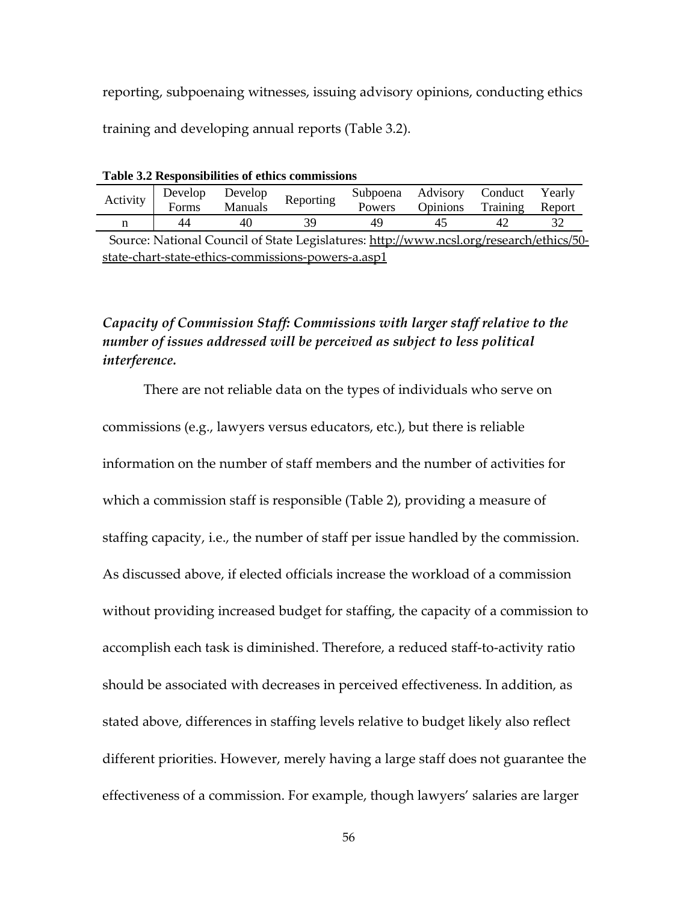reporting, subpoenaing witnesses, issuing advisory opinions, conducting ethics training and developing annual reports (Table 3.2).

| Tuble of Hesponshipmen's of centes commissions                                         |    |    |                                                               |        |                                  |    |  |  |  |  |
|----------------------------------------------------------------------------------------|----|----|---------------------------------------------------------------|--------|----------------------------------|----|--|--|--|--|
|                                                                                        |    |    | Activity Develop Develop Reporting<br>Forms Manuals Reporting |        | Subpoena Advisory Conduct Yearly |    |  |  |  |  |
|                                                                                        |    |    |                                                               | Powers | Opinions Training Report         |    |  |  |  |  |
|                                                                                        | 44 | 40 |                                                               |        |                                  | 47 |  |  |  |  |
| Source: National Council of State Legislatures: http://www.ncsl.org/research/ethics/50 |    |    |                                                               |        |                                  |    |  |  |  |  |

**Table 3.2 Responsibilities of ethics commissions**

rce: National Council of State Legislatures: <u>http://www.ncsl.org/</u> state-chart-state-ethics-commissions-powers-a.asp1

# *Capacity of Commission Staff: Commissions with larger staff relative to the number of issues addressed will be perceived as subject to less political interference.*

There are not reliable data on the types of individuals who serve on commissions (e.g., lawyers versus educators, etc.), but there is reliable information on the number of staff members and the number of activities for which a commission staff is responsible (Table 2), providing a measure of staffing capacity, i.e., the number of staff per issue handled by the commission. As discussed above, if elected officials increase the workload of a commission without providing increased budget for staffing, the capacity of a commission to accomplish each task is diminished. Therefore, a reduced staff-to-activity ratio should be associated with decreases in perceived effectiveness. In addition, as stated above, differences in staffing levels relative to budget likely also reflect different priorities. However, merely having a large staff does not guarantee the effectiveness of a commission. For example, though lawyers' salaries are larger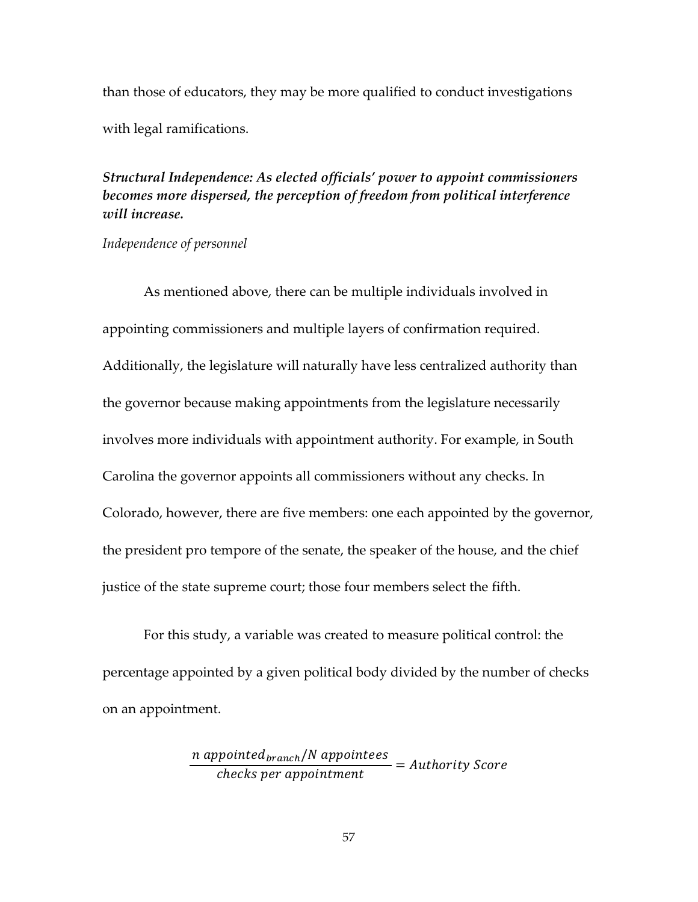than those of educators, they may be more qualified to conduct investigations with legal ramifications.

*Structural Independence: As elected officials' power to appoint commissioners becomes more dispersed, the perception of freedom from political interference will increase.* 

*Independence of personnel*

As mentioned above, there can be multiple individuals involved in appointing commissioners and multiple layers of confirmation required. Additionally, the legislature will naturally have less centralized authority than the governor because making appointments from the legislature necessarily involves more individuals with appointment authority. For example, in South Carolina the governor appoints all commissioners without any checks. In Colorado, however, there are five members: one each appointed by the governor, the president pro tempore of the senate, the speaker of the house, and the chief justice of the state supreme court; those four members select the fifth.

For this study, a variable was created to measure political control: the percentage appointed by a given political body divided by the number of checks on an appointment.

> $n$  appointed $_{branch}/N$  appointees  $\frac{P}{\text{checks per appointment}} = \text{Authority Score}$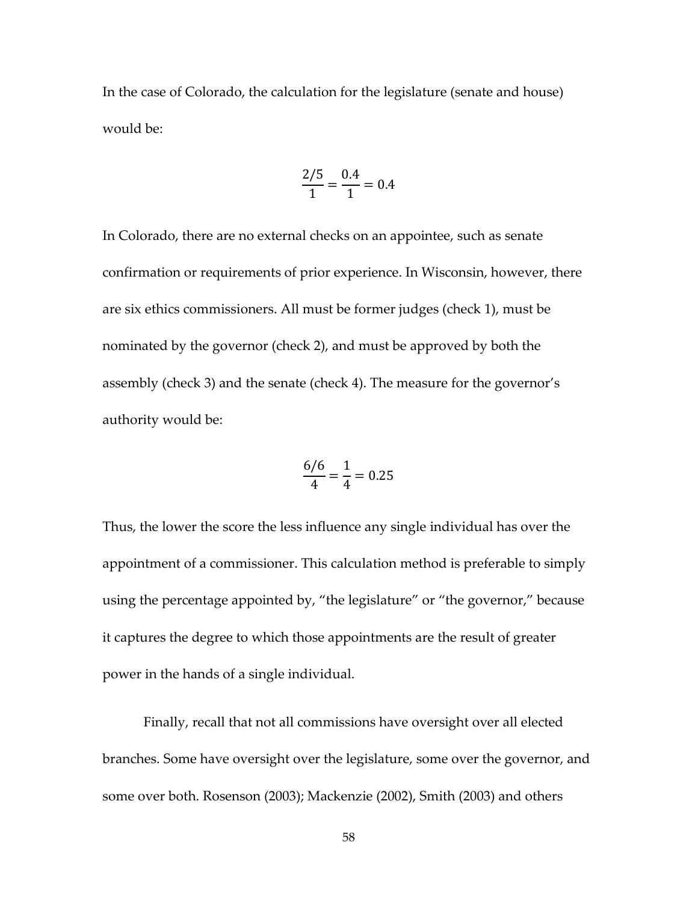In the case of Colorado, the calculation for the legislature (senate and house) would be:

$$
\frac{2/5}{1} = \frac{0.4}{1} = 0.4
$$

In Colorado, there are no external checks on an appointee, such as senate confirmation or requirements of prior experience. In Wisconsin, however, there are six ethics commissioners. All must be former judges (check 1), must be nominated by the governor (check 2), and must be approved by both the assembly (check 3) and the senate (check 4). The measure for the governor's authority would be:

$$
\frac{6/6}{4} = \frac{1}{4} = 0.25
$$

Thus, the lower the score the less influence any single individual has over the appointment of a commissioner. This calculation method is preferable to simply using the percentage appointed by, "the legislature" or "the governor," because it captures the degree to which those appointments are the result of greater power in the hands of a single individual.

Finally, recall that not all commissions have oversight over all elected branches. Some have oversight over the legislature, some over the governor, and some over both. Rosenson (2003); Mackenzie (2002), Smith (2003) and others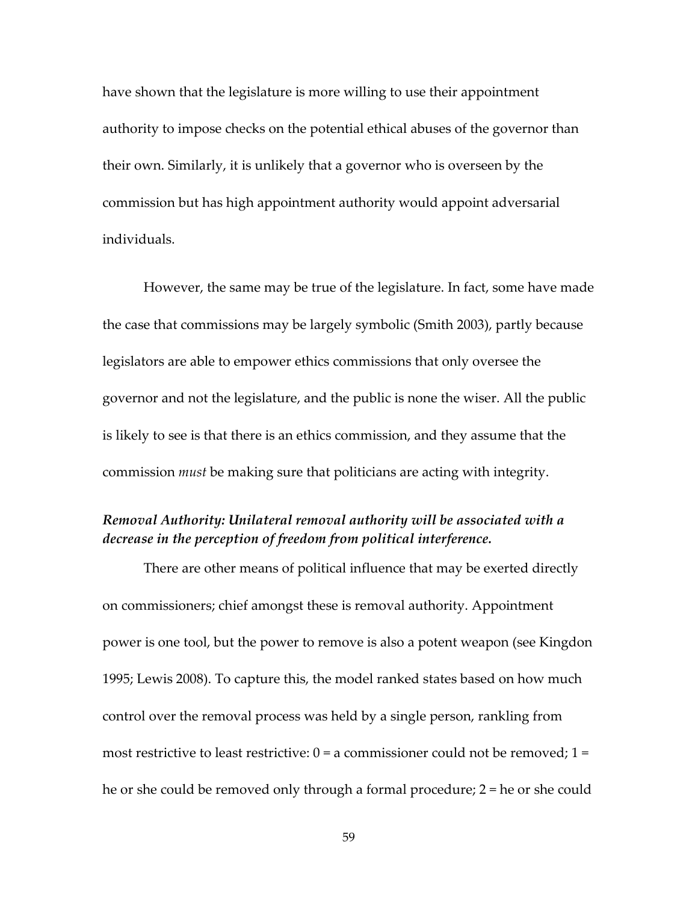have shown that the legislature is more willing to use their appointment authority to impose checks on the potential ethical abuses of the governor than their own. Similarly, it is unlikely that a governor who is overseen by the commission but has high appointment authority would appoint adversarial individuals.

However, the same may be true of the legislature. In fact, some have made the case that commissions may be largely symbolic (Smith 2003), partly because legislators are able to empower ethics commissions that only oversee the governor and not the legislature, and the public is none the wiser. All the public is likely to see is that there is an ethics commission, and they assume that the commission *must* be making sure that politicians are acting with integrity.

# *Removal Authority: Unilateral removal authority will be associated with a decrease in the perception of freedom from political interference.*

There are other means of political influence that may be exerted directly on commissioners; chief amongst these is removal authority. Appointment power is one tool, but the power to remove is also a potent weapon (see Kingdon 1995; Lewis 2008). To capture this, the model ranked states based on how much control over the removal process was held by a single person, rankling from most restrictive to least restrictive:  $0 = a$  commissioner could not be removed;  $1 =$ he or she could be removed only through a formal procedure; 2 = he or she could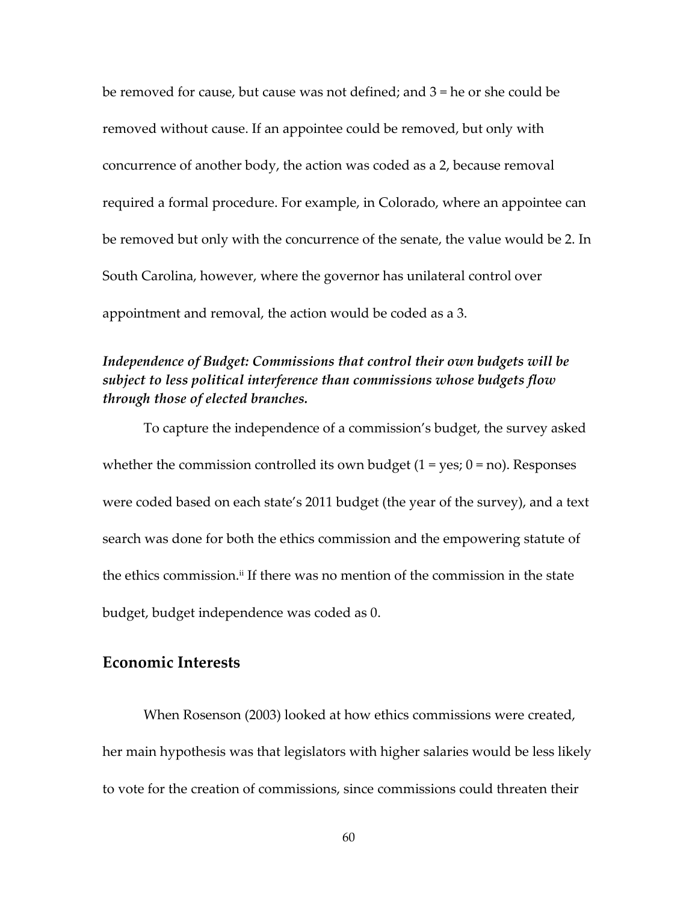be removed for cause, but cause was not defined; and 3 = he or she could be removed without cause. If an appointee could be removed, but only with concurrence of another body, the action was coded as a 2, because removal required a formal procedure. For example, in Colorado, where an appointee can be removed but only with the concurrence of the senate, the value would be 2. In South Carolina, however, where the governor has unilateral control over appointment and removal, the action would be coded as a 3.

# *Independence of Budget: Commissions that control their own budgets will be subject to less political interference than commissions whose budgets flow through those of elected branches.*

To capture the independence of a commission's budget, the survey asked whether the commission controlled its own budget  $(1 = yes; 0 = no)$ . Responses were coded based on each state's 2011 budget (the year of the survey), and a text search was done for both the ethics commission and the empowering statute of the ethics commission.<sup>ii</sup> If there was no mention of the commission in the state budget, budget independence was coded as 0.

## **Economic Interests**

When Rosenson (2003) looked at how ethics commissions were created, her main hypothesis was that legislators with higher salaries would be less likely to vote for the creation of commissions, since commissions could threaten their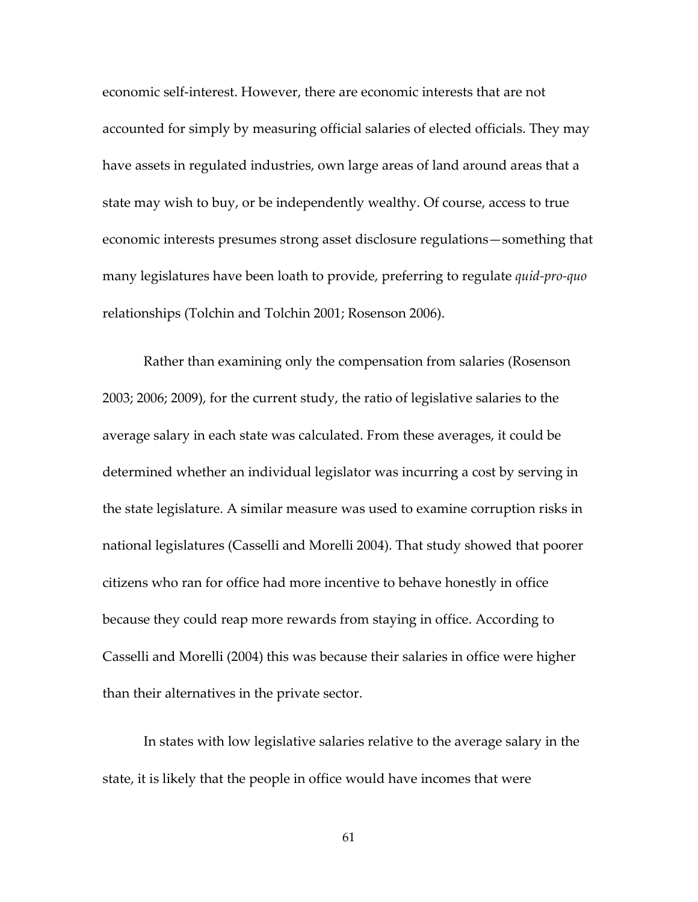economic self-interest. However, there are economic interests that are not accounted for simply by measuring official salaries of elected officials. They may have assets in regulated industries, own large areas of land around areas that a state may wish to buy, or be independently wealthy. Of course, access to true economic interests presumes strong asset disclosure regulations—something that many legislatures have been loath to provide, preferring to regulate *quid-pro-quo* relationships (Tolchin and Tolchin 2001; Rosenson 2006).

Rather than examining only the compensation from salaries (Rosenson 2003; 2006; 2009), for the current study, the ratio of legislative salaries to the average salary in each state was calculated. From these averages, it could be determined whether an individual legislator was incurring a cost by serving in the state legislature. A similar measure was used to examine corruption risks in national legislatures (Casselli and Morelli 2004). That study showed that poorer citizens who ran for office had more incentive to behave honestly in office because they could reap more rewards from staying in office. According to Casselli and Morelli (2004) this was because their salaries in office were higher than their alternatives in the private sector.

In states with low legislative salaries relative to the average salary in the state, it is likely that the people in office would have incomes that were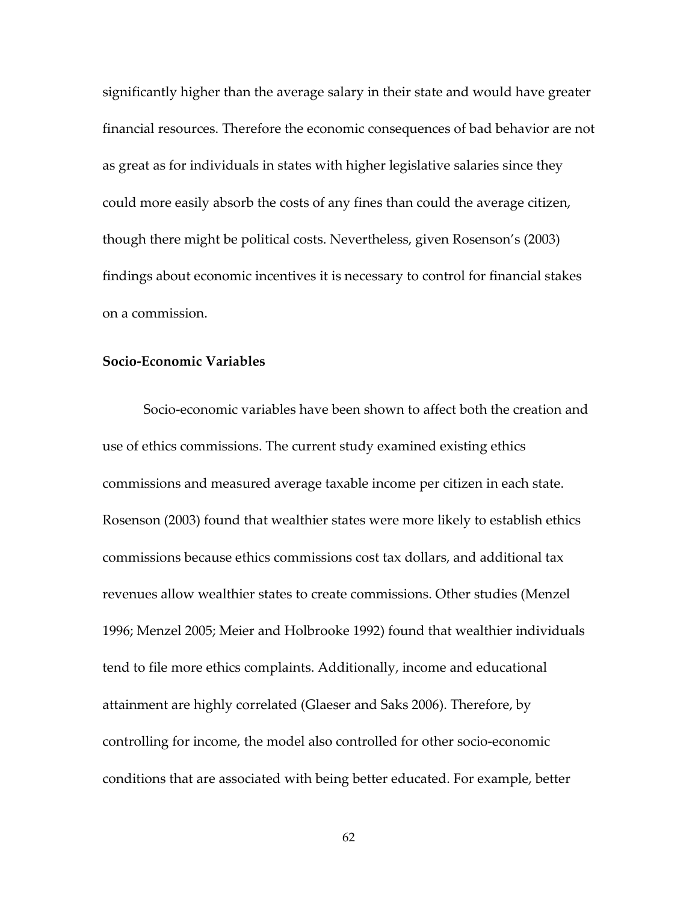significantly higher than the average salary in their state and would have greater financial resources. Therefore the economic consequences of bad behavior are not as great as for individuals in states with higher legislative salaries since they could more easily absorb the costs of any fines than could the average citizen, though there might be political costs. Nevertheless, given Rosenson's (2003) findings about economic incentives it is necessary to control for financial stakes on a commission.

### **Socio-Economic Variables**

Socio-economic variables have been shown to affect both the creation and use of ethics commissions. The current study examined existing ethics commissions and measured average taxable income per citizen in each state. Rosenson (2003) found that wealthier states were more likely to establish ethics commissions because ethics commissions cost tax dollars, and additional tax revenues allow wealthier states to create commissions. Other studies (Menzel 1996; Menzel 2005; Meier and Holbrooke 1992) found that wealthier individuals tend to file more ethics complaints. Additionally, income and educational attainment are highly correlated (Glaeser and Saks 2006). Therefore, by controlling for income, the model also controlled for other socio-economic conditions that are associated with being better educated. For example, better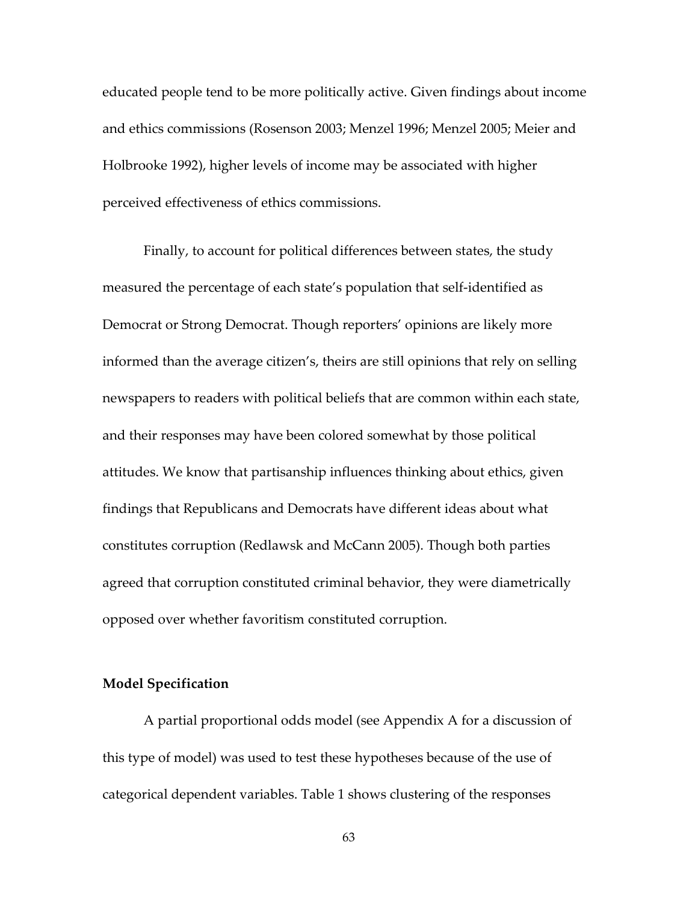educated people tend to be more politically active. Given findings about income and ethics commissions (Rosenson 2003; Menzel 1996; Menzel 2005; Meier and Holbrooke 1992), higher levels of income may be associated with higher perceived effectiveness of ethics commissions.

Finally, to account for political differences between states, the study measured the percentage of each state's population that self-identified as Democrat or Strong Democrat. Though reporters' opinions are likely more informed than the average citizen's, theirs are still opinions that rely on selling newspapers to readers with political beliefs that are common within each state, and their responses may have been colored somewhat by those political attitudes. We know that partisanship influences thinking about ethics, given findings that Republicans and Democrats have different ideas about what constitutes corruption (Redlawsk and McCann 2005). Though both parties agreed that corruption constituted criminal behavior, they were diametrically opposed over whether favoritism constituted corruption.

#### **Model Specification**

A partial proportional odds model (see Appendix A for a discussion of this type of model) was used to test these hypotheses because of the use of categorical dependent variables. Table 1 shows clustering of the responses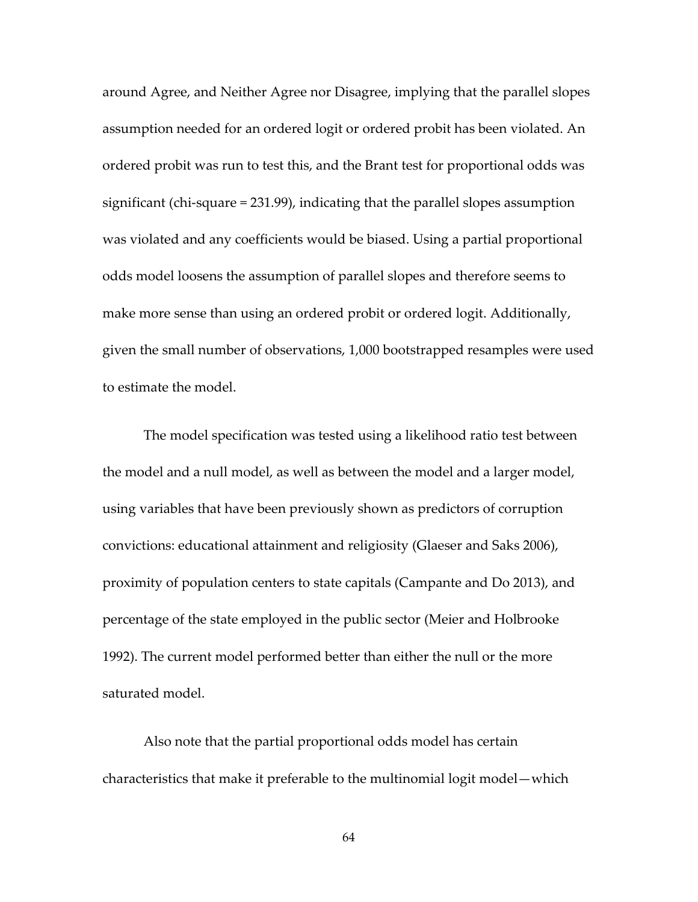around Agree, and Neither Agree nor Disagree, implying that the parallel slopes assumption needed for an ordered logit or ordered probit has been violated. An ordered probit was run to test this, and the Brant test for proportional odds was significant (chi-square = 231.99), indicating that the parallel slopes assumption was violated and any coefficients would be biased. Using a partial proportional odds model loosens the assumption of parallel slopes and therefore seems to make more sense than using an ordered probit or ordered logit. Additionally, given the small number of observations, 1,000 bootstrapped resamples were used to estimate the model.

The model specification was tested using a likelihood ratio test between the model and a null model, as well as between the model and a larger model, using variables that have been previously shown as predictors of corruption convictions: educational attainment and religiosity (Glaeser and Saks 2006), proximity of population centers to state capitals (Campante and Do 2013), and percentage of the state employed in the public sector (Meier and Holbrooke 1992). The current model performed better than either the null or the more saturated model.

Also note that the partial proportional odds model has certain characteristics that make it preferable to the multinomial logit model—which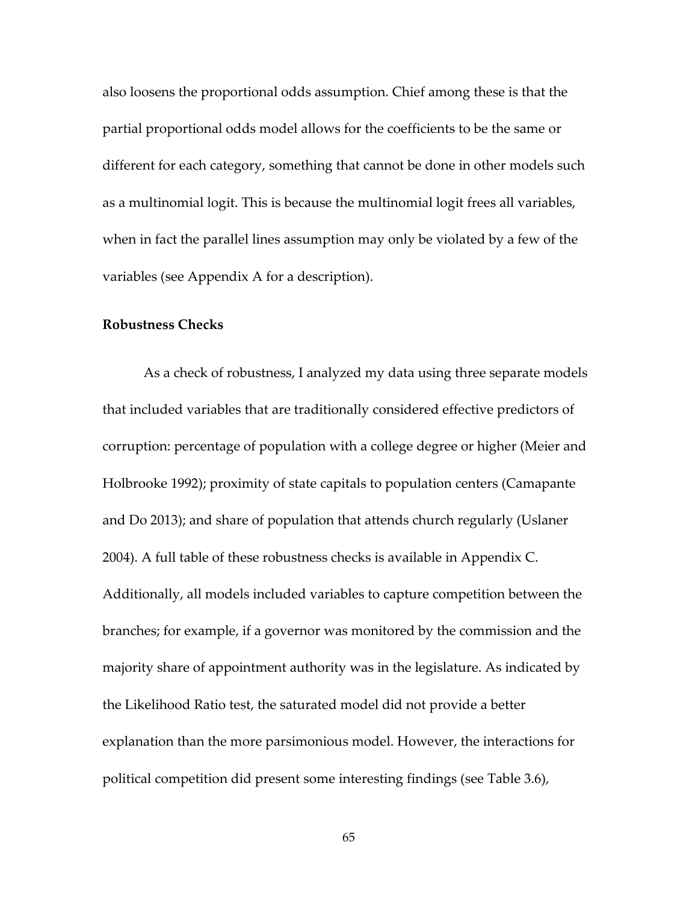also loosens the proportional odds assumption. Chief among these is that the partial proportional odds model allows for the coefficients to be the same or different for each category, something that cannot be done in other models such as a multinomial logit. This is because the multinomial logit frees all variables, when in fact the parallel lines assumption may only be violated by a few of the variables (see Appendix A for a description).

#### **Robustness Checks**

As a check of robustness, I analyzed my data using three separate models that included variables that are traditionally considered effective predictors of corruption: percentage of population with a college degree or higher (Meier and Holbrooke 1992); proximity of state capitals to population centers (Camapante and Do 2013); and share of population that attends church regularly (Uslaner 2004). A full table of these robustness checks is available in Appendix C. Additionally, all models included variables to capture competition between the branches; for example, if a governor was monitored by the commission and the majority share of appointment authority was in the legislature. As indicated by the Likelihood Ratio test, the saturated model did not provide a better explanation than the more parsimonious model. However, the interactions for political competition did present some interesting findings (see Table 3.6),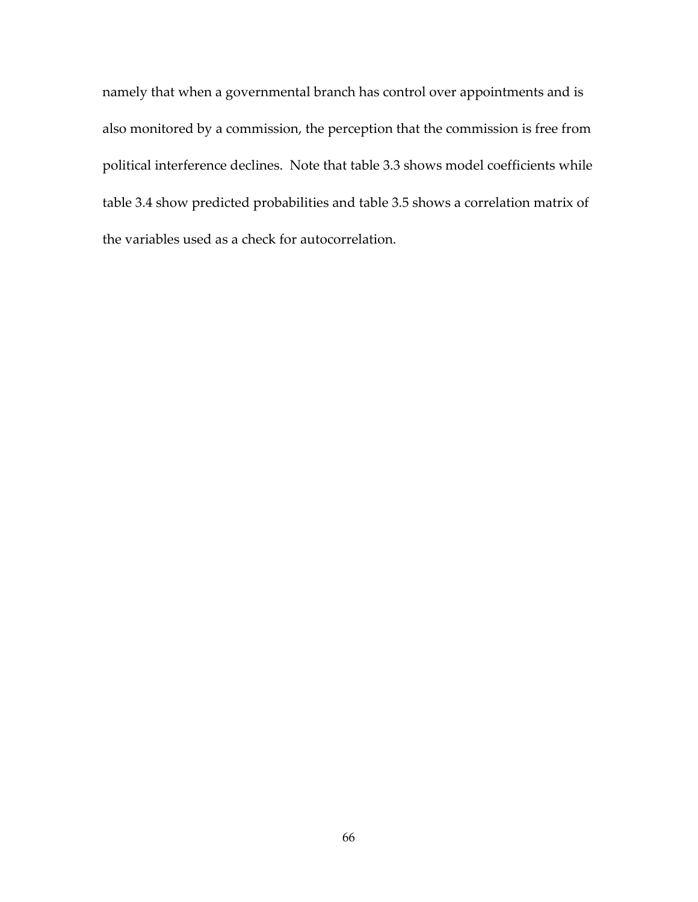namely that when a governmental branch has control over appointments and is also monitored by a commission, the perception that the commission is free from political interference declines. Note that table 3.3 shows model coefficients while table 3.4 show predicted probabilities and table 3.5 shows a correlation matrix of the variables used as a check for autocorrelation.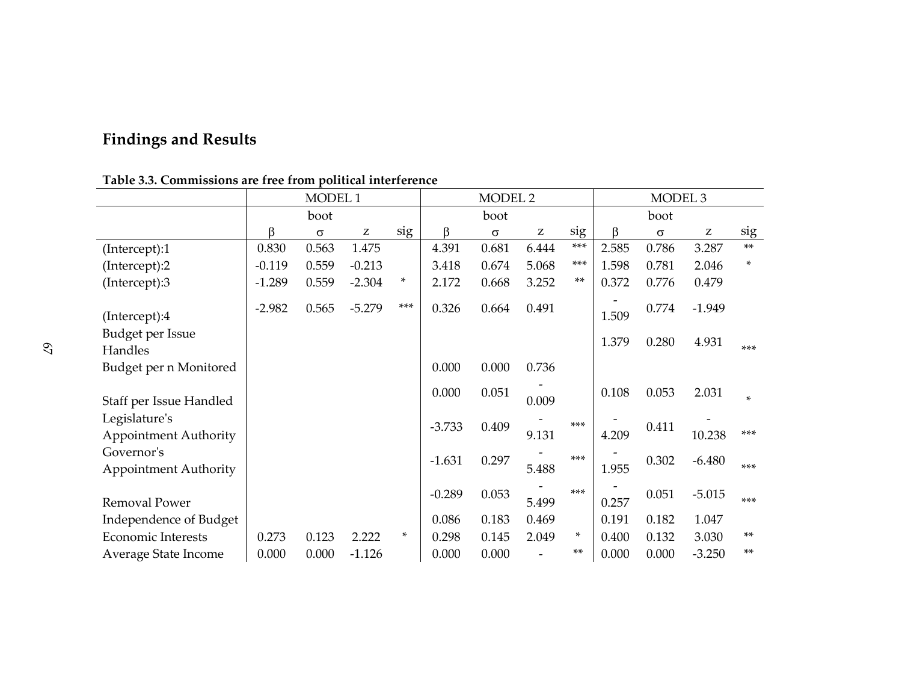# **Findings and Results**

|                                               | MODEL 1  |          |          | MODEL <sub>2</sub> |          |          | MODEL <sub>3</sub> |       |       |          |                                                       |        |
|-----------------------------------------------|----------|----------|----------|--------------------|----------|----------|--------------------|-------|-------|----------|-------------------------------------------------------|--------|
|                                               |          | boot     |          |                    |          | boot     |                    |       |       | boot     |                                                       |        |
|                                               | β        | $\sigma$ | z        | sig                | ß        | $\sigma$ | Z                  | sig   | β     | $\sigma$ | $\mathbf{Z}% ^{T}=\mathbf{Z}^{T}\times\mathbf{Z}^{T}$ | sig    |
| (Intercept):1                                 | 0.830    | 0.563    | 1.475    |                    | 4.391    | 0.681    | 6.444              | $***$ | 2.585 | 0.786    | 3.287                                                 | $***$  |
| (Intercept):2                                 | $-0.119$ | 0.559    | $-0.213$ |                    | 3.418    | 0.674    | 5.068              | ***   | 1.598 | 0.781    | 2.046                                                 | *      |
| (Intercept):3                                 | $-1.289$ | 0.559    | $-2.304$ | *                  | 2.172    | 0.668    | 3.252              | $***$ | 0.372 | 0.776    | 0.479                                                 |        |
| (Intercept):4                                 | $-2.982$ | 0.565    | $-5.279$ | $***$              | 0.326    | 0.664    | 0.491              |       | 1.509 | 0.774    | $-1.949$                                              |        |
| Budget per Issue                              |          |          |          |                    |          |          |                    |       | 1.379 | 0.280    | 4.931                                                 | $***$  |
| Handles<br>Budget per n Monitored             |          |          |          |                    | 0.000    | 0.000    | 0.736              |       |       |          |                                                       |        |
| Staff per Issue Handled                       |          |          |          |                    | 0.000    | 0.051    | 0.009              |       | 0.108 | 0.053    | 2.031                                                 | $\ast$ |
| Legislature's<br><b>Appointment Authority</b> |          |          |          |                    | $-3.733$ | 0.409    | 9.131              | $***$ | 4.209 | 0.411    | 10.238                                                | ***    |
| Governor's<br><b>Appointment Authority</b>    |          |          |          |                    | $-1.631$ | 0.297    | 5.488              | ***   | 1.955 | 0.302    | $-6.480$                                              | $***$  |
| Removal Power                                 |          |          |          |                    | $-0.289$ | 0.053    | 5.499              | $***$ | 0.257 | 0.051    | $-5.015$                                              | $***$  |
| Independence of Budget                        |          |          |          |                    | 0.086    | 0.183    | 0.469              |       | 0.191 | 0.182    | 1.047                                                 |        |
| <b>Economic Interests</b>                     | 0.273    | 0.123    | 2.222    | *                  | 0.298    | 0.145    | 2.049              | *     | 0.400 | 0.132    | 3.030                                                 | $**$   |
| Average State Income                          | 0.000    | 0.000    | $-1.126$ |                    | 0.000    | 0.000    |                    | $***$ | 0.000 | 0.000    | $-3.250$                                              | $**$   |

**Table 3.3. Commissions are free from political interference**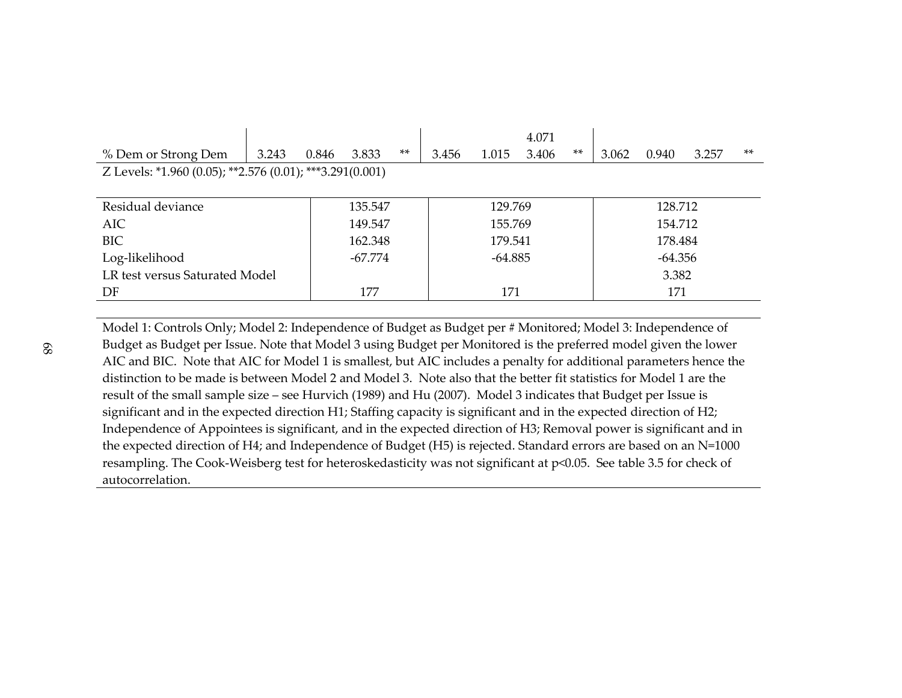|                                                          |       |       |           |       |           |         | 4.071   |           |         |       |       |       |
|----------------------------------------------------------|-------|-------|-----------|-------|-----------|---------|---------|-----------|---------|-------|-------|-------|
| % Dem or Strong Dem                                      | 3.243 | 0.846 | 3.833     | $***$ | 3.456     | 1.015   | 3.406   | $***$     | 3.062   | 0.940 | 3.257 | $***$ |
| Z Levels: *1.960 (0.05); **2.576 (0.01); ***3.291(0.001) |       |       |           |       |           |         |         |           |         |       |       |       |
|                                                          |       |       |           |       |           |         |         |           |         |       |       |       |
| Residual deviance                                        |       |       | 135.547   |       |           | 129.769 |         |           | 128.712 |       |       |       |
| <b>AIC</b>                                               |       |       | 149.547   |       | 155.769   |         |         |           | 154.712 |       |       |       |
| <b>BIC</b>                                               |       |       | 162.348   |       |           | 179.541 | 178.484 |           |         |       |       |       |
| Log-likelihood                                           |       |       | $-67.774$ |       | $-64.885$ |         |         | $-64.356$ |         |       |       |       |
| LR test versus Saturated Model                           |       |       |           |       |           |         |         |           | 3.382   |       |       |       |
| DF                                                       |       |       | 177       |       | 171       |         |         | 171       |         |       |       |       |
|                                                          |       |       |           |       |           |         |         |           |         |       |       |       |

Model 1: Controls Only; Model 2: Independence of Budget as Budget per # Monitored; Model 3: Independence of Budget as Budget per Issue. Note that Model 3 using Budget per Monitored is the preferred model given the lower AIC and BIC. Note that AIC for Model 1 is smallest, but AIC includes a penalty for additional parameters hence the distinction to be made is between Model 2 and Model 3. Note also that the better fit statistics for Model 1 are the result of the small sample size – see Hurvich (1989) and Hu (2007). Model 3 indicates that Budget per Issue is significant and in the expected direction H1; Staffing capacity is significant and in the expected direction of H2; Independence of Appointees is significant, and in the expected direction of H3; Removal power is significant and in the expected direction of H4; and Independence of Budget (H5) is rejected. Standard errors are based on an N=1000 resampling. The Cook-Weisberg test for heteroskedasticity was not significant at p<0.05. See table 3.5 for check of autocorrelation.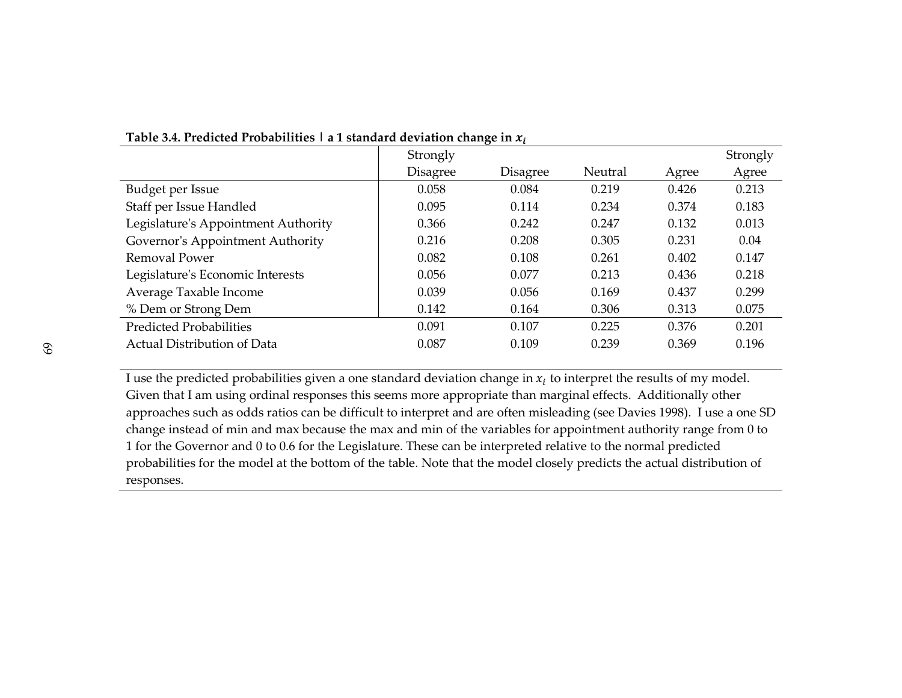|                                     | Strongly | ັ        |         |       | Strongly |
|-------------------------------------|----------|----------|---------|-------|----------|
|                                     | Disagree | Disagree | Neutral | Agree | Agree    |
| Budget per Issue                    | 0.058    | 0.084    | 0.219   | 0.426 | 0.213    |
| Staff per Issue Handled             | 0.095    | 0.114    | 0.234   | 0.374 | 0.183    |
| Legislature's Appointment Authority | 0.366    | 0.242    | 0.247   | 0.132 | 0.013    |
| Governor's Appointment Authority    | 0.216    | 0.208    | 0.305   | 0.231 | 0.04     |
| Removal Power                       | 0.082    | 0.108    | 0.261   | 0.402 | 0.147    |
| Legislature's Economic Interests    | 0.056    | 0.077    | 0.213   | 0.436 | 0.218    |
| Average Taxable Income              | 0.039    | 0.056    | 0.169   | 0.437 | 0.299    |
| % Dem or Strong Dem                 | 0.142    | 0.164    | 0.306   | 0.313 | 0.075    |
| <b>Predicted Probabilities</b>      | 0.091    | 0.107    | 0.225   | 0.376 | 0.201    |
| Actual Distribution of Data         | 0.087    | 0.109    | 0.239   | 0.369 | 0.196    |
|                                     |          |          |         |       |          |

**Table 3.4. Predicted Probabilities | a 1 standard deviation change in** &'

I use the predicted probabilities given a one standard deviation change in  $x_i$  to interpret the results of my model. Given that I am using ordinal responses this seems more appropriate than marginal effects. Additionally other approaches such as odds ratios can be difficult to interpret and are often misleading (see Davies 1998). I use a one SD change instead of min and max because the max and min of the variables for appointment authority range from 0 to 1 for the Governor and 0 to 0.6 for the Legislature. These can be interpreted relative to the normal predicted probabilities for the model at the bottom of the table. Note that the model closely predicts the actual distribution of responses.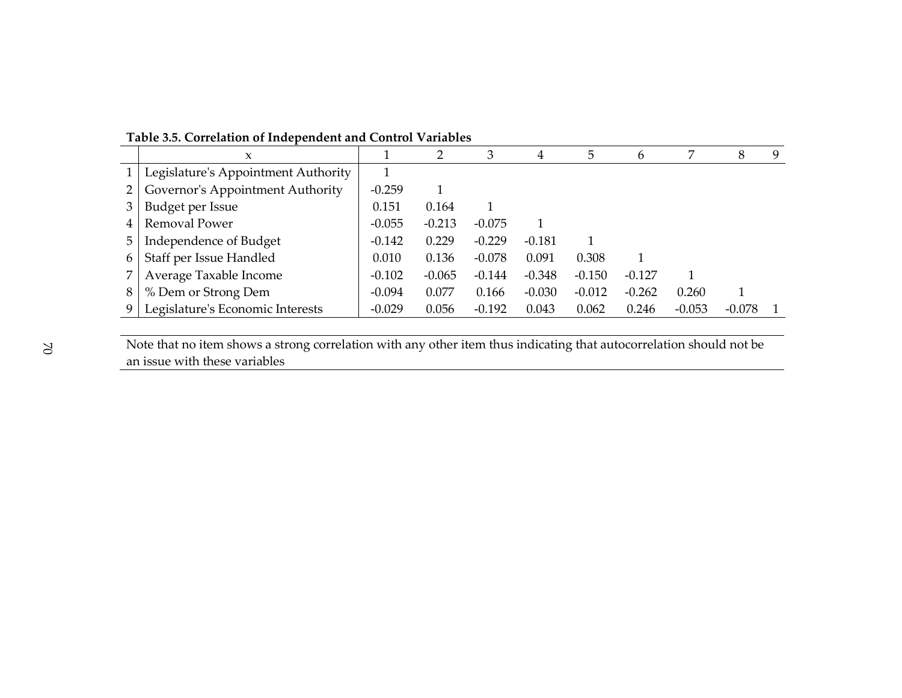|                | X                                   |          |          | 3        | 4        | 5        | 6        |          | 8        | 9 |
|----------------|-------------------------------------|----------|----------|----------|----------|----------|----------|----------|----------|---|
| 1 <sup>1</sup> | Legislature's Appointment Authority |          |          |          |          |          |          |          |          |   |
| 2 <sub>1</sub> | Governor's Appointment Authority    |          |          |          |          |          |          |          |          |   |
| 3              | Budget per Issue                    |          | 0.164    |          |          |          |          |          |          |   |
| 4              | Removal Power                       | $-0.055$ | $-0.213$ | $-0.075$ |          |          |          |          |          |   |
| 5.             | Independence of Budget              | $-0.142$ | 0.229    | $-0.229$ | $-0.181$ |          |          |          |          |   |
| 6              | Staff per Issue Handled             | 0.010    | 0.136    | $-0.078$ | 0.091    | 0.308    |          |          |          |   |
|                | Average Taxable Income              | $-0.102$ | $-0.065$ | $-0.144$ | $-0.348$ | $-0.150$ | $-0.127$ |          |          |   |
| 8              | % Dem or Strong Dem                 | $-0.094$ | 0.077    | 0.166    | $-0.030$ | $-0.012$ | $-0.262$ | 0.260    |          |   |
|                | Legislature's Economic Interests    | $-0.029$ | 0.056    | $-0.192$ | 0.043    | 0.062    | 0.246    | $-0.053$ | $-0.078$ |   |

**Table 3.5. Correlation of Independent and Control Variables** 

Note that no item shows a strong correlation with any other item thus indicating that autocorrelation should not be an issue with these variables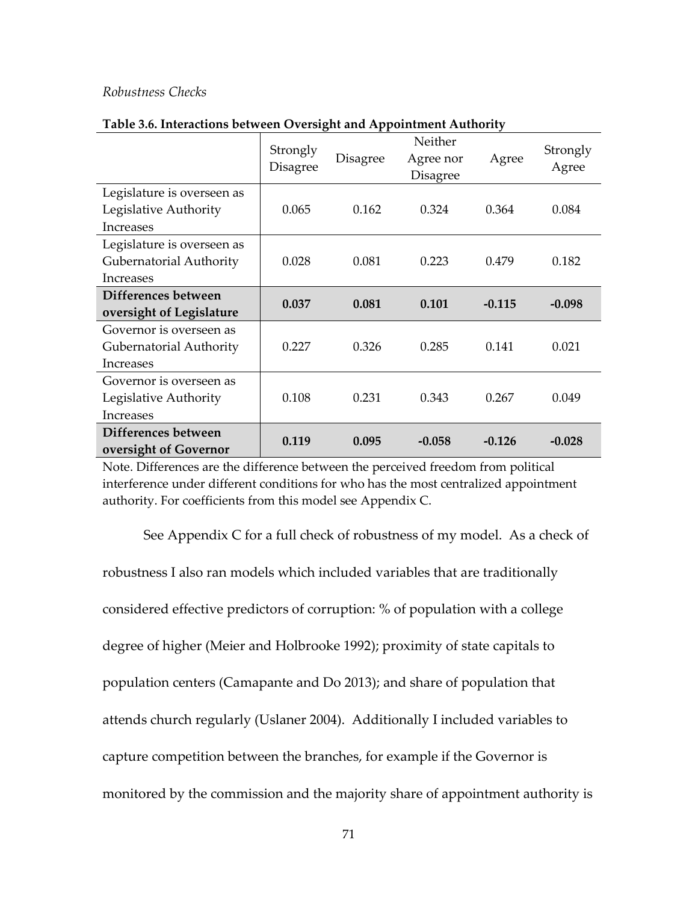#### *Robustness Checks*

|                                                     | Strongly<br><b>Disagree</b> | <b>Disagree</b> | Neither<br>Agree nor<br><b>Disagree</b> | Agree    | Strongly<br>Agree |  |
|-----------------------------------------------------|-----------------------------|-----------------|-----------------------------------------|----------|-------------------|--|
| Legislature is overseen as<br>Legislative Authority | 0.065                       | 0.162           | 0.324                                   | 0.364    | 0.084             |  |
| <b>Increases</b>                                    |                             |                 |                                         |          |                   |  |
| Legislature is overseen as                          |                             |                 |                                         |          |                   |  |
| Gubernatorial Authority                             | 0.028                       | 0.081           | 0.223                                   | 0.479    | 0.182             |  |
| <b>Increases</b>                                    |                             |                 |                                         |          |                   |  |
| Differences between                                 | 0.037                       |                 | 0.101                                   |          | $-0.098$          |  |
| oversight of Legislature                            |                             | 0.081           |                                         | $-0.115$ |                   |  |
| Governor is overseen as                             |                             |                 |                                         |          |                   |  |
| Gubernatorial Authority                             | 0.227                       | 0.326           | 0.285                                   | 0.141    | 0.021             |  |
| <b>Increases</b>                                    |                             |                 |                                         |          |                   |  |
| Governor is overseen as                             |                             |                 |                                         |          |                   |  |
| Legislative Authority                               | 0.108                       | 0.231           | 0.343                                   | 0.267    | 0.049             |  |
| <b>Increases</b>                                    |                             |                 |                                         |          |                   |  |
| Differences between                                 |                             |                 |                                         |          |                   |  |
| oversight of Governor                               | 0.119                       | 0.095           | $-0.058$                                | $-0.126$ | $-0.028$          |  |

#### **Table 3.6. Interactions between Oversight and Appointment Authority**

Note. Differences are the difference between the perceived freedom from political interference under different conditions for who has the most centralized appointment authority. For coefficients from this model see Appendix C.

 See Appendix C for a full check of robustness of my model. As a check of robustness I also ran models which included variables that are traditionally considered effective predictors of corruption: % of population with a college degree of higher (Meier and Holbrooke 1992); proximity of state capitals to population centers (Camapante and Do 2013); and share of population that attends church regularly (Uslaner 2004). Additionally I included variables to capture competition between the branches, for example if the Governor is monitored by the commission and the majority share of appointment authority is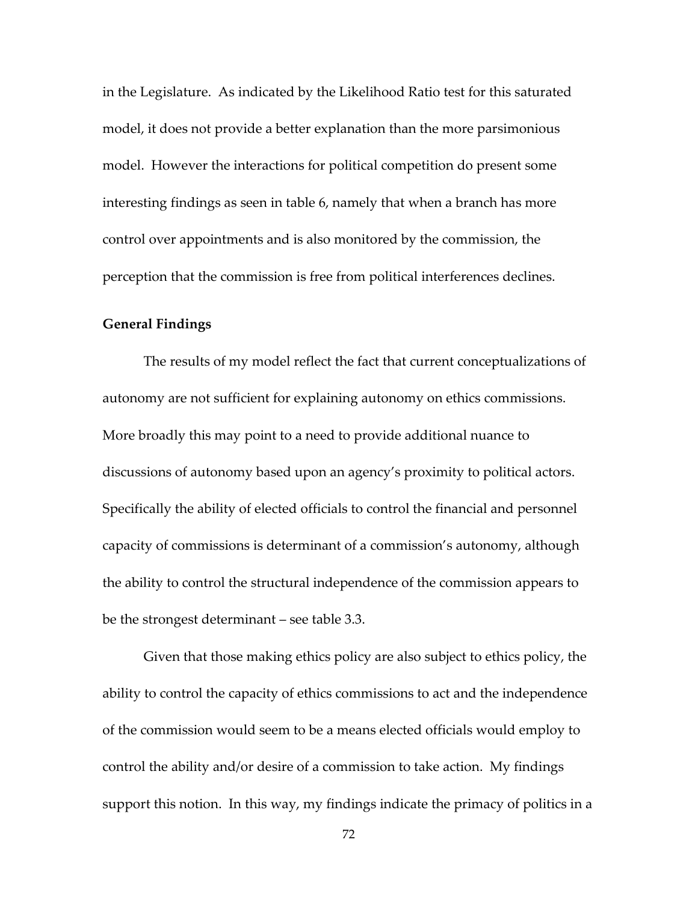in the Legislature. As indicated by the Likelihood Ratio test for this saturated model, it does not provide a better explanation than the more parsimonious model. However the interactions for political competition do present some interesting findings as seen in table 6, namely that when a branch has more control over appointments and is also monitored by the commission, the perception that the commission is free from political interferences declines.

#### **General Findings**

The results of my model reflect the fact that current conceptualizations of autonomy are not sufficient for explaining autonomy on ethics commissions. More broadly this may point to a need to provide additional nuance to discussions of autonomy based upon an agency's proximity to political actors. Specifically the ability of elected officials to control the financial and personnel capacity of commissions is determinant of a commission's autonomy, although the ability to control the structural independence of the commission appears to be the strongest determinant – see table 3.3.

Given that those making ethics policy are also subject to ethics policy, the ability to control the capacity of ethics commissions to act and the independence of the commission would seem to be a means elected officials would employ to control the ability and/or desire of a commission to take action. My findings support this notion. In this way, my findings indicate the primacy of politics in a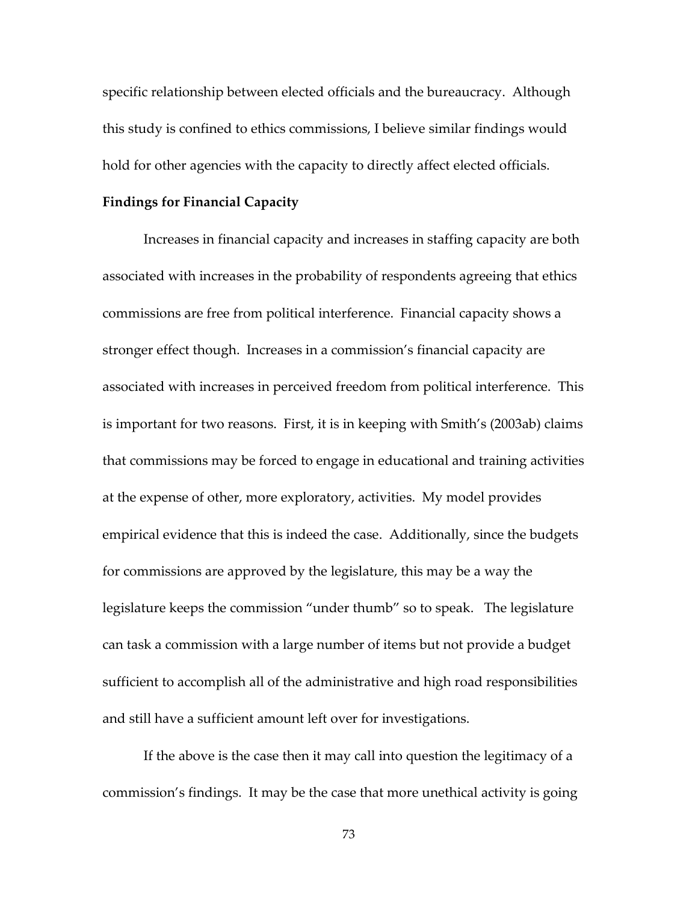specific relationship between elected officials and the bureaucracy. Although this study is confined to ethics commissions, I believe similar findings would hold for other agencies with the capacity to directly affect elected officials.

#### **Findings for Financial Capacity**

 Increases in financial capacity and increases in staffing capacity are both associated with increases in the probability of respondents agreeing that ethics commissions are free from political interference. Financial capacity shows a stronger effect though. Increases in a commission's financial capacity are associated with increases in perceived freedom from political interference. This is important for two reasons. First, it is in keeping with Smith's (2003ab) claims that commissions may be forced to engage in educational and training activities at the expense of other, more exploratory, activities. My model provides empirical evidence that this is indeed the case. Additionally, since the budgets for commissions are approved by the legislature, this may be a way the legislature keeps the commission "under thumb" so to speak. The legislature can task a commission with a large number of items but not provide a budget sufficient to accomplish all of the administrative and high road responsibilities and still have a sufficient amount left over for investigations.

 If the above is the case then it may call into question the legitimacy of a commission's findings. It may be the case that more unethical activity is going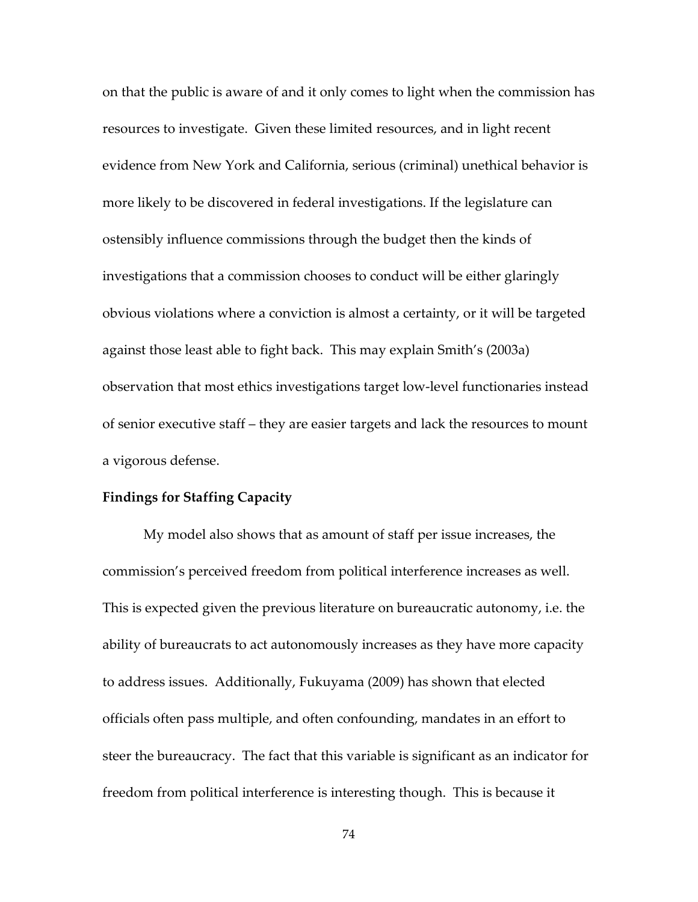on that the public is aware of and it only comes to light when the commission has resources to investigate. Given these limited resources, and in light recent evidence from New York and California, serious (criminal) unethical behavior is more likely to be discovered in federal investigations. If the legislature can ostensibly influence commissions through the budget then the kinds of investigations that a commission chooses to conduct will be either glaringly obvious violations where a conviction is almost a certainty, or it will be targeted against those least able to fight back. This may explain Smith's (2003a) observation that most ethics investigations target low-level functionaries instead of senior executive staff – they are easier targets and lack the resources to mount a vigorous defense.

#### **Findings for Staffing Capacity**

My model also shows that as amount of staff per issue increases, the commission's perceived freedom from political interference increases as well. This is expected given the previous literature on bureaucratic autonomy, i.e. the ability of bureaucrats to act autonomously increases as they have more capacity to address issues. Additionally, Fukuyama (2009) has shown that elected officials often pass multiple, and often confounding, mandates in an effort to steer the bureaucracy. The fact that this variable is significant as an indicator for freedom from political interference is interesting though. This is because it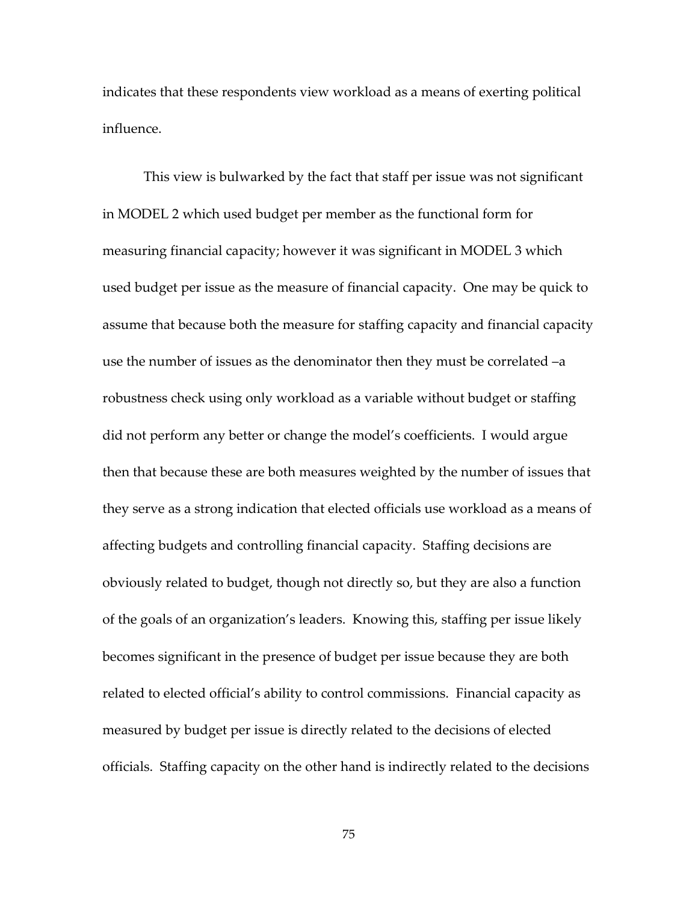indicates that these respondents view workload as a means of exerting political influence.

This view is bulwarked by the fact that staff per issue was not significant in MODEL 2 which used budget per member as the functional form for measuring financial capacity; however it was significant in MODEL 3 which used budget per issue as the measure of financial capacity. One may be quick to assume that because both the measure for staffing capacity and financial capacity use the number of issues as the denominator then they must be correlated –a robustness check using only workload as a variable without budget or staffing did not perform any better or change the model's coefficients. I would argue then that because these are both measures weighted by the number of issues that they serve as a strong indication that elected officials use workload as a means of affecting budgets and controlling financial capacity. Staffing decisions are obviously related to budget, though not directly so, but they are also a function of the goals of an organization's leaders. Knowing this, staffing per issue likely becomes significant in the presence of budget per issue because they are both related to elected official's ability to control commissions. Financial capacity as measured by budget per issue is directly related to the decisions of elected officials. Staffing capacity on the other hand is indirectly related to the decisions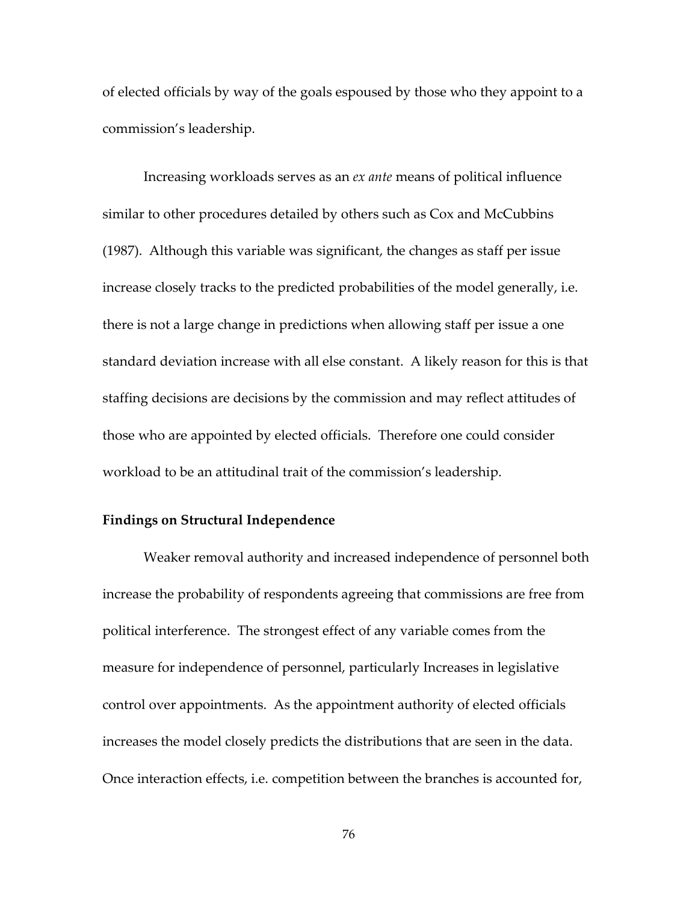of elected officials by way of the goals espoused by those who they appoint to a commission's leadership.

Increasing workloads serves as an *ex ante* means of political influence similar to other procedures detailed by others such as Cox and McCubbins (1987). Although this variable was significant, the changes as staff per issue increase closely tracks to the predicted probabilities of the model generally, i.e. there is not a large change in predictions when allowing staff per issue a one standard deviation increase with all else constant. A likely reason for this is that staffing decisions are decisions by the commission and may reflect attitudes of those who are appointed by elected officials. Therefore one could consider workload to be an attitudinal trait of the commission's leadership.

#### **Findings on Structural Independence**

Weaker removal authority and increased independence of personnel both increase the probability of respondents agreeing that commissions are free from political interference. The strongest effect of any variable comes from the measure for independence of personnel, particularly Increases in legislative control over appointments.As the appointment authority of elected officials increases the model closely predicts the distributions that are seen in the data. Once interaction effects, i.e. competition between the branches is accounted for,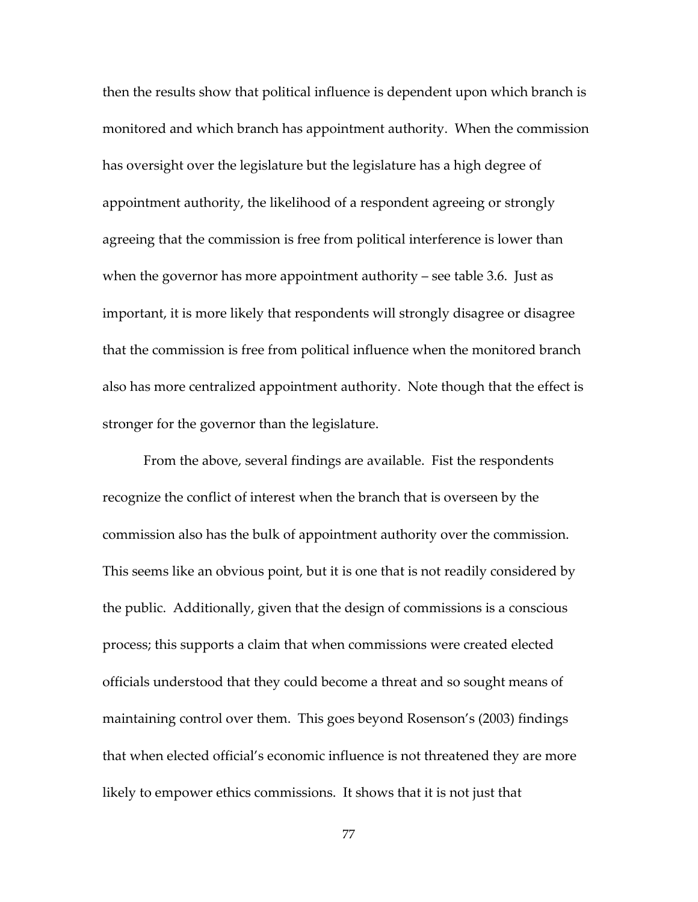then the results show that political influence is dependent upon which branch is monitored and which branch has appointment authority. When the commission has oversight over the legislature but the legislature has a high degree of appointment authority, the likelihood of a respondent agreeing or strongly agreeing that the commission is free from political interference is lower than when the governor has more appointment authority – see table 3.6. Just as important, it is more likely that respondents will strongly disagree or disagree that the commission is free from political influence when the monitored branch also has more centralized appointment authority. Note though that the effect is stronger for the governor than the legislature.

 From the above, several findings are available. Fist the respondents recognize the conflict of interest when the branch that is overseen by the commission also has the bulk of appointment authority over the commission. This seems like an obvious point, but it is one that is not readily considered by the public. Additionally, given that the design of commissions is a conscious process; this supports a claim that when commissions were created elected officials understood that they could become a threat and so sought means of maintaining control over them. This goes beyond Rosenson's (2003) findings that when elected official's economic influence is not threatened they are more likely to empower ethics commissions. It shows that it is not just that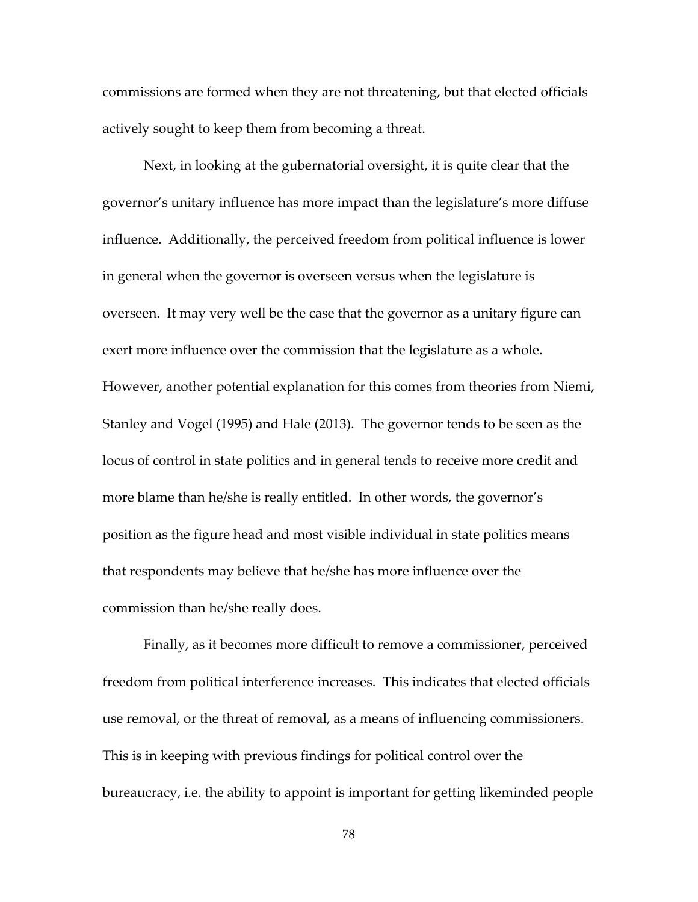commissions are formed when they are not threatening, but that elected officials actively sought to keep them from becoming a threat.

 Next, in looking at the gubernatorial oversight, it is quite clear that the governor's unitary influence has more impact than the legislature's more diffuse influence. Additionally, the perceived freedom from political influence is lower in general when the governor is overseen versus when the legislature is overseen. It may very well be the case that the governor as a unitary figure can exert more influence over the commission that the legislature as a whole. However, another potential explanation for this comes from theories from Niemi, Stanley and Vogel (1995) and Hale (2013). The governor tends to be seen as the locus of control in state politics and in general tends to receive more credit and more blame than he/she is really entitled. In other words, the governor's position as the figure head and most visible individual in state politics means that respondents may believe that he/she has more influence over the commission than he/she really does.

 Finally, as it becomes more difficult to remove a commissioner, perceived freedom from political interference increases. This indicates that elected officials use removal, or the threat of removal, as a means of influencing commissioners. This is in keeping with previous findings for political control over the bureaucracy, i.e. the ability to appoint is important for getting likeminded people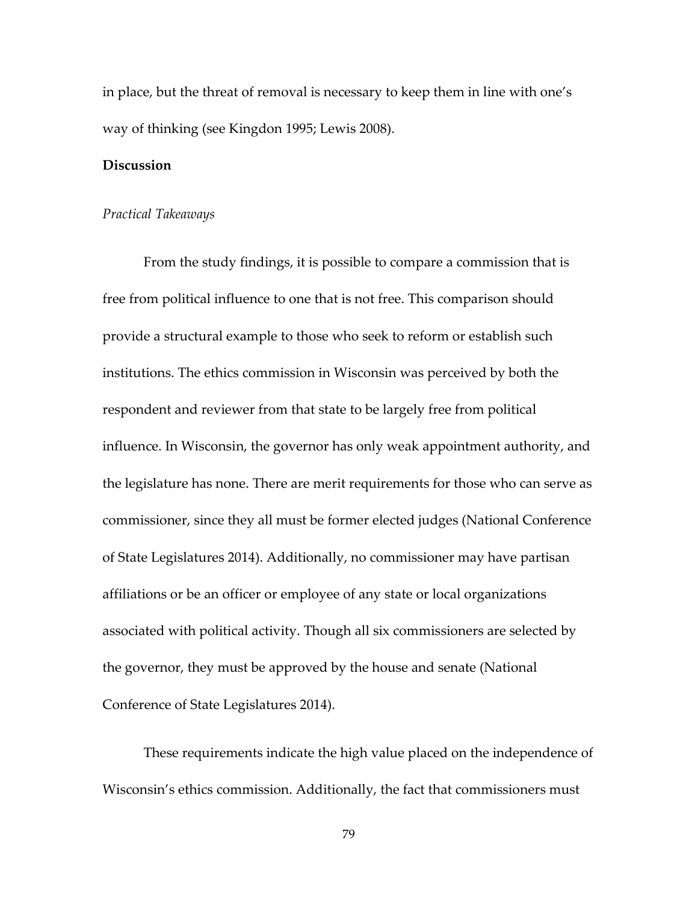in place, but the threat of removal is necessary to keep them in line with one's way of thinking (see Kingdon 1995; Lewis 2008).

#### **Discussion**

#### *Practical Takeaways*

From the study findings, it is possible to compare a commission that is free from political influence to one that is not free. This comparison should provide a structural example to those who seek to reform or establish such institutions. The ethics commission in Wisconsin was perceived by both the respondent and reviewer from that state to be largely free from political influence. In Wisconsin, the governor has only weak appointment authority, and the legislature has none. There are merit requirements for those who can serve as commissioner, since they all must be former elected judges (National Conference of State Legislatures 2014). Additionally, no commissioner may have partisan affiliations or be an officer or employee of any state or local organizations associated with political activity. Though all six commissioners are selected by the governor, they must be approved by the house and senate (National Conference of State Legislatures 2014).

These requirements indicate the high value placed on the independence of Wisconsin's ethics commission. Additionally, the fact that commissioners must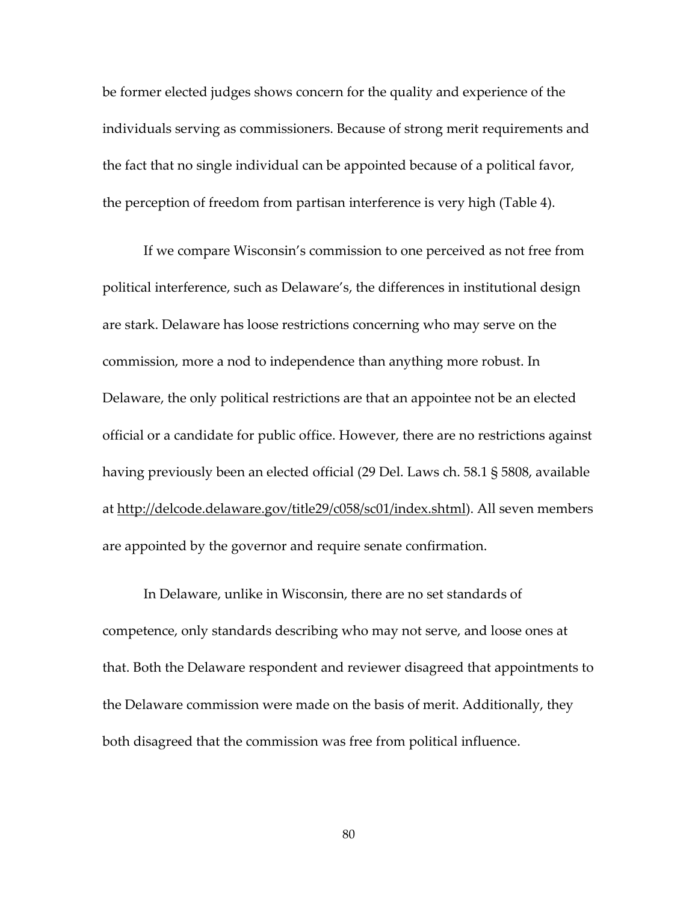be former elected judges shows concern for the quality and experience of the individuals serving as commissioners. Because of strong merit requirements and the fact that no single individual can be appointed because of a political favor, the perception of freedom from partisan interference is very high (Table 4).

If we compare Wisconsin's commission to one perceived as not free from political interference, such as Delaware's, the differences in institutional design are stark. Delaware has loose restrictions concerning who may serve on the commission, more a nod to independence than anything more robust. In Delaware, the only political restrictions are that an appointee not be an elected official or a candidate for public office. However, there are no restrictions against having previously been an elected official (29 Del. Laws ch. 58.1 § 5808, available at http://delcode.delaware.gov/title29/c058/sc01/index.shtml). All seven members are appointed by the governor and require senate confirmation.

In Delaware, unlike in Wisconsin, there are no set standards of competence, only standards describing who may not serve, and loose ones at that. Both the Delaware respondent and reviewer disagreed that appointments to the Delaware commission were made on the basis of merit. Additionally, they both disagreed that the commission was free from political influence.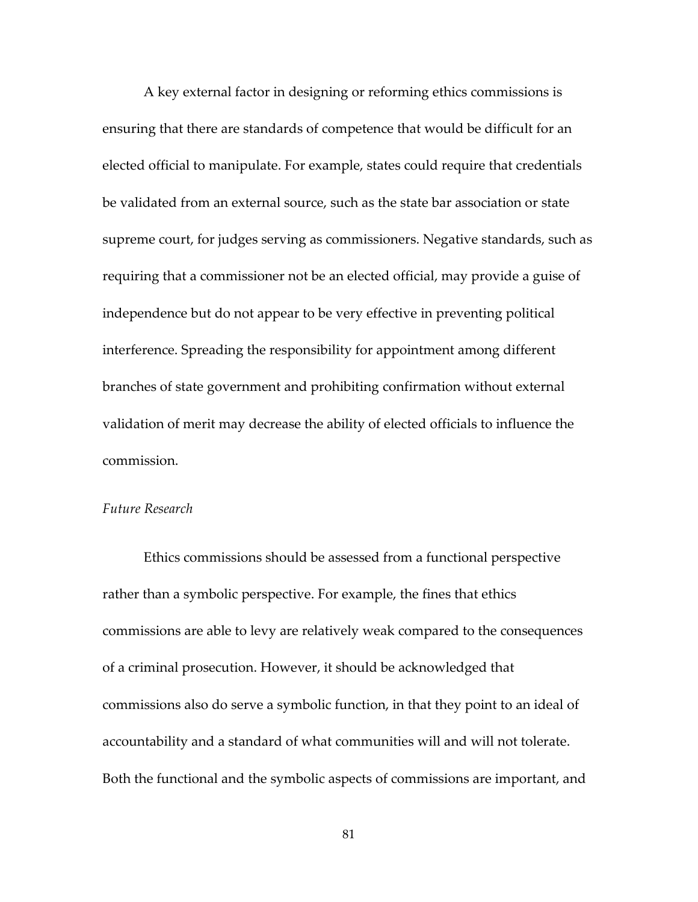A key external factor in designing or reforming ethics commissions is ensuring that there are standards of competence that would be difficult for an elected official to manipulate. For example, states could require that credentials be validated from an external source, such as the state bar association or state supreme court, for judges serving as commissioners. Negative standards, such as requiring that a commissioner not be an elected official, may provide a guise of independence but do not appear to be very effective in preventing political interference. Spreading the responsibility for appointment among different branches of state government and prohibiting confirmation without external validation of merit may decrease the ability of elected officials to influence the commission.

#### *Future Research*

Ethics commissions should be assessed from a functional perspective rather than a symbolic perspective. For example, the fines that ethics commissions are able to levy are relatively weak compared to the consequences of a criminal prosecution. However, it should be acknowledged that commissions also do serve a symbolic function, in that they point to an ideal of accountability and a standard of what communities will and will not tolerate. Both the functional and the symbolic aspects of commissions are important, and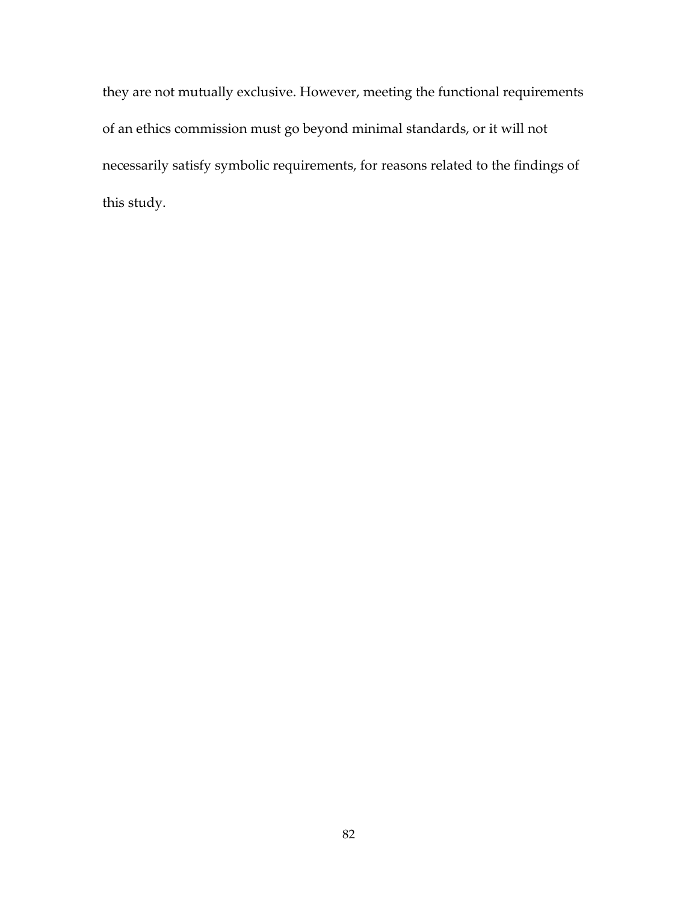they are not mutually exclusive. However, meeting the functional requirements of an ethics commission must go beyond minimal standards, or it will not necessarily satisfy symbolic requirements, for reasons related to the findings of this study.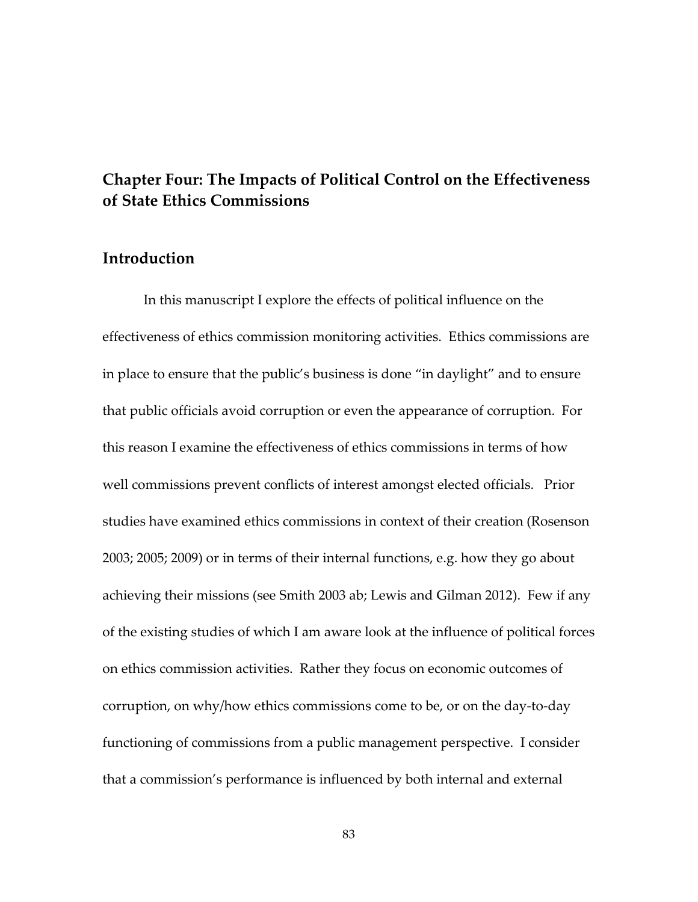## **Chapter Four: The Impacts of Political Control on the Effectiveness of State Ethics Commissions**

## **Introduction**

In this manuscript I explore the effects of political influence on the effectiveness of ethics commission monitoring activities. Ethics commissions are in place to ensure that the public's business is done "in daylight" and to ensure that public officials avoid corruption or even the appearance of corruption. For this reason I examine the effectiveness of ethics commissions in terms of how well commissions prevent conflicts of interest amongst elected officials. Prior studies have examined ethics commissions in context of their creation (Rosenson 2003; 2005; 2009) or in terms of their internal functions, e.g. how they go about achieving their missions (see Smith 2003 ab; Lewis and Gilman 2012). Few if any of the existing studies of which I am aware look at the influence of political forces on ethics commission activities. Rather they focus on economic outcomes of corruption, on why/how ethics commissions come to be, or on the day-to-day functioning of commissions from a public management perspective. I consider that a commission's performance is influenced by both internal and external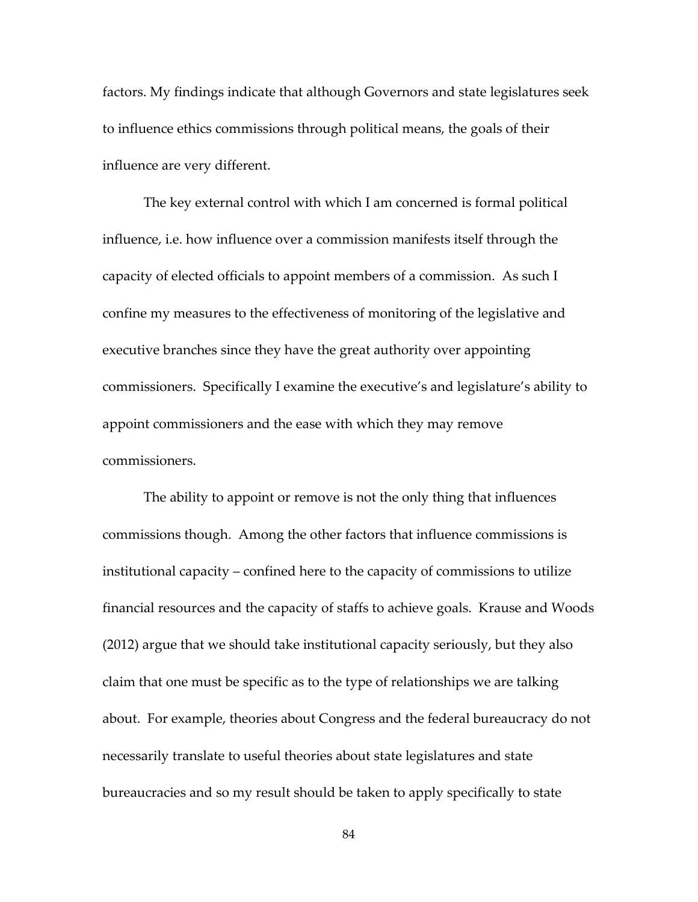factors. My findings indicate that although Governors and state legislatures seek to influence ethics commissions through political means, the goals of their influence are very different.

The key external control with which I am concerned is formal political influence, i.e. how influence over a commission manifests itself through the capacity of elected officials to appoint members of a commission. As such I confine my measures to the effectiveness of monitoring of the legislative and executive branches since they have the great authority over appointing commissioners. Specifically I examine the executive's and legislature's ability to appoint commissioners and the ease with which they may remove commissioners.

The ability to appoint or remove is not the only thing that influences commissions though. Among the other factors that influence commissions is institutional capacity – confined here to the capacity of commissions to utilize financial resources and the capacity of staffs to achieve goals. Krause and Woods (2012) argue that we should take institutional capacity seriously, but they also claim that one must be specific as to the type of relationships we are talking about. For example, theories about Congress and the federal bureaucracy do not necessarily translate to useful theories about state legislatures and state bureaucracies and so my result should be taken to apply specifically to state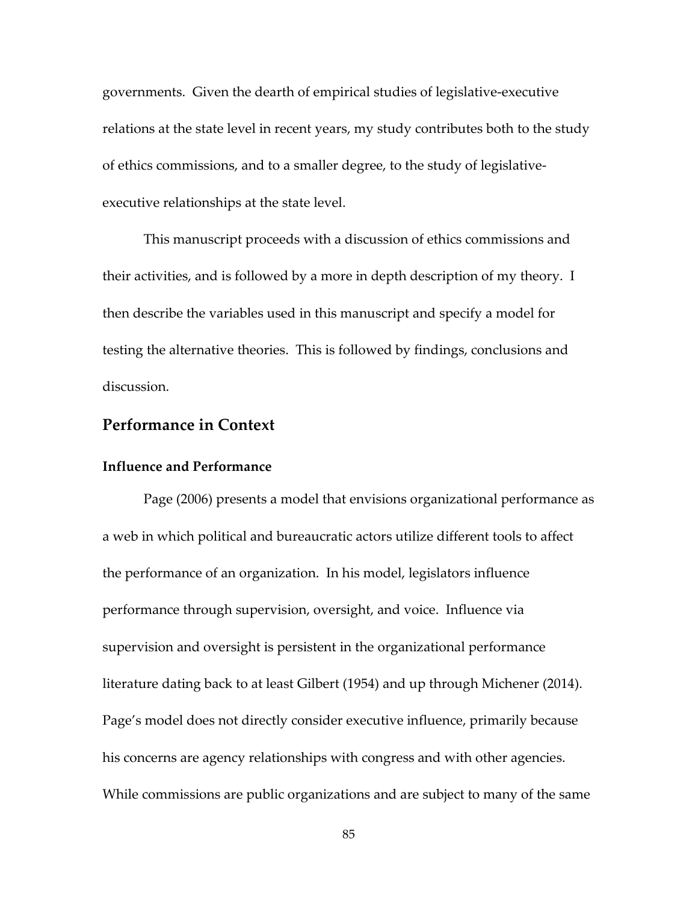governments. Given the dearth of empirical studies of legislative-executive relations at the state level in recent years, my study contributes both to the study of ethics commissions, and to a smaller degree, to the study of legislativeexecutive relationships at the state level.

This manuscript proceeds with a discussion of ethics commissions and their activities, and is followed by a more in depth description of my theory. I then describe the variables used in this manuscript and specify a model for testing the alternative theories. This is followed by findings, conclusions and discussion.

### **Performance in Context**

#### **Influence and Performance**

Page (2006) presents a model that envisions organizational performance as a web in which political and bureaucratic actors utilize different tools to affect the performance of an organization. In his model, legislators influence performance through supervision, oversight, and voice. Influence via supervision and oversight is persistent in the organizational performance literature dating back to at least Gilbert (1954) and up through Michener (2014). Page's model does not directly consider executive influence, primarily because his concerns are agency relationships with congress and with other agencies. While commissions are public organizations and are subject to many of the same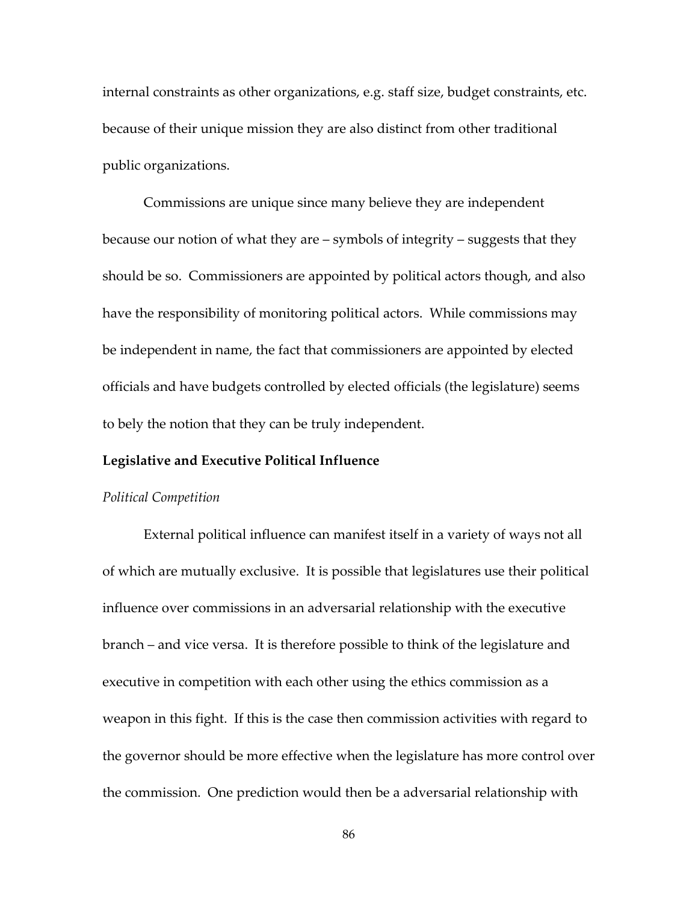internal constraints as other organizations, e.g. staff size, budget constraints, etc. because of their unique mission they are also distinct from other traditional public organizations.

Commissions are unique since many believe they are independent because our notion of what they are – symbols of integrity – suggests that they should be so. Commissioners are appointed by political actors though, and also have the responsibility of monitoring political actors. While commissions may be independent in name, the fact that commissioners are appointed by elected officials and have budgets controlled by elected officials (the legislature) seems to bely the notion that they can be truly independent.

#### **Legislative and Executive Political Influence**

#### *Political Competition*

External political influence can manifest itself in a variety of ways not all of which are mutually exclusive. It is possible that legislatures use their political influence over commissions in an adversarial relationship with the executive branch – and vice versa. It is therefore possible to think of the legislature and executive in competition with each other using the ethics commission as a weapon in this fight. If this is the case then commission activities with regard to the governor should be more effective when the legislature has more control over the commission. One prediction would then be a adversarial relationship with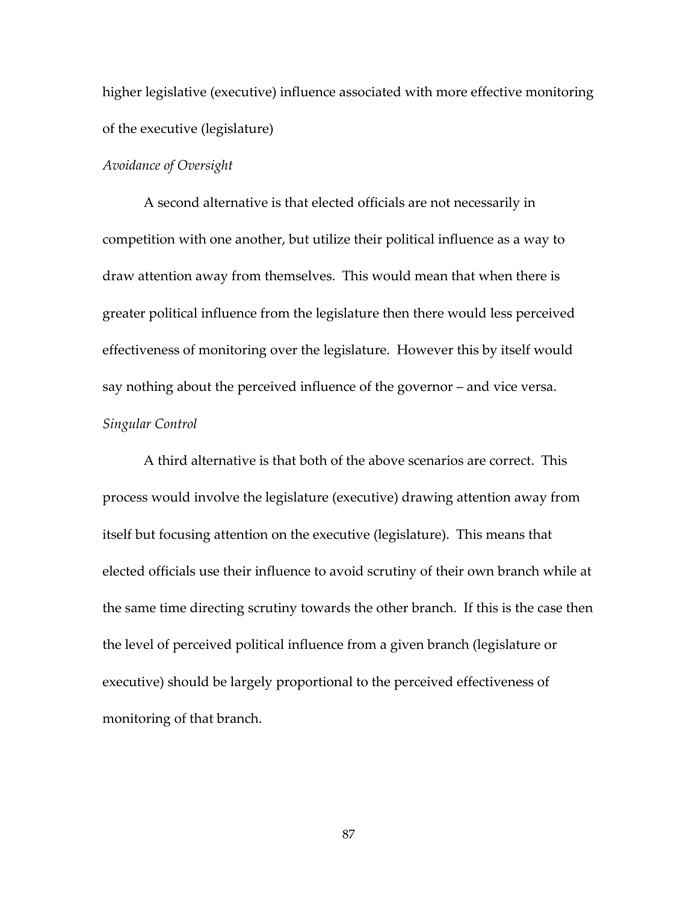higher legislative (executive) influence associated with more effective monitoring of the executive (legislature)

#### *Avoidance of Oversight*

A second alternative is that elected officials are not necessarily in competition with one another, but utilize their political influence as a way to draw attention away from themselves. This would mean that when there is greater political influence from the legislature then there would less perceived effectiveness of monitoring over the legislature. However this by itself would say nothing about the perceived influence of the governor – and vice versa. *Singular Control* 

A third alternative is that both of the above scenarios are correct. This process would involve the legislature (executive) drawing attention away from itself but focusing attention on the executive (legislature). This means that elected officials use their influence to avoid scrutiny of their own branch while at the same time directing scrutiny towards the other branch. If this is the case then the level of perceived political influence from a given branch (legislature or executive) should be largely proportional to the perceived effectiveness of monitoring of that branch.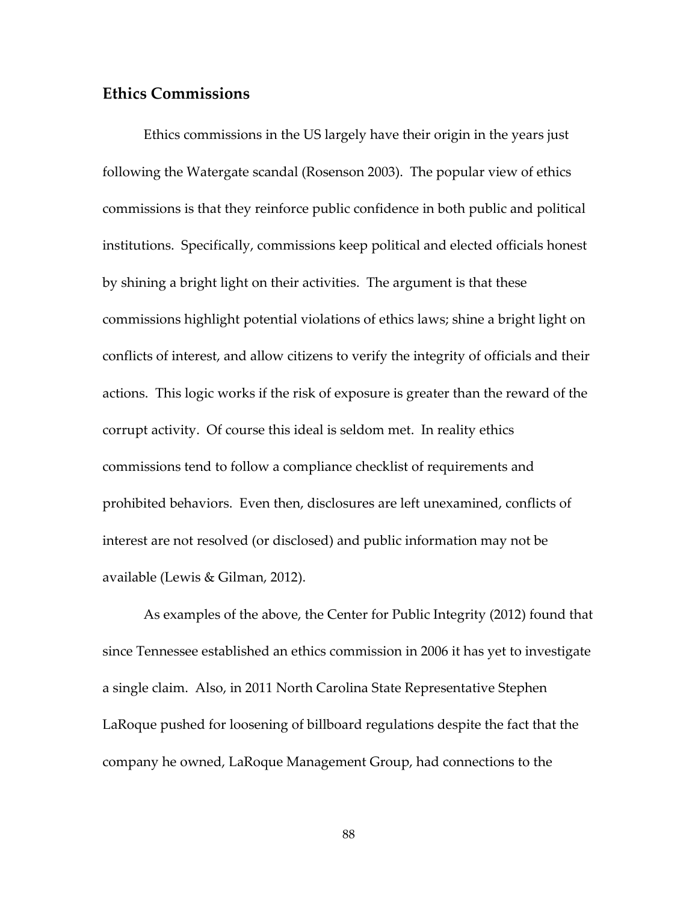### **Ethics Commissions**

Ethics commissions in the US largely have their origin in the years just following the Watergate scandal (Rosenson 2003). The popular view of ethics commissions is that they reinforce public confidence in both public and political institutions. Specifically, commissions keep political and elected officials honest by shining a bright light on their activities. The argument is that these commissions highlight potential violations of ethics laws; shine a bright light on conflicts of interest, and allow citizens to verify the integrity of officials and their actions. This logic works if the risk of exposure is greater than the reward of the corrupt activity. Of course this ideal is seldom met. In reality ethics commissions tend to follow a compliance checklist of requirements and prohibited behaviors. Even then, disclosures are left unexamined, conflicts of interest are not resolved (or disclosed) and public information may not be available (Lewis & Gilman, 2012).

As examples of the above, the Center for Public Integrity (2012) found that since Tennessee established an ethics commission in 2006 it has yet to investigate a single claim. Also, in 2011 North Carolina State Representative Stephen LaRoque pushed for loosening of billboard regulations despite the fact that the company he owned, LaRoque Management Group, had connections to the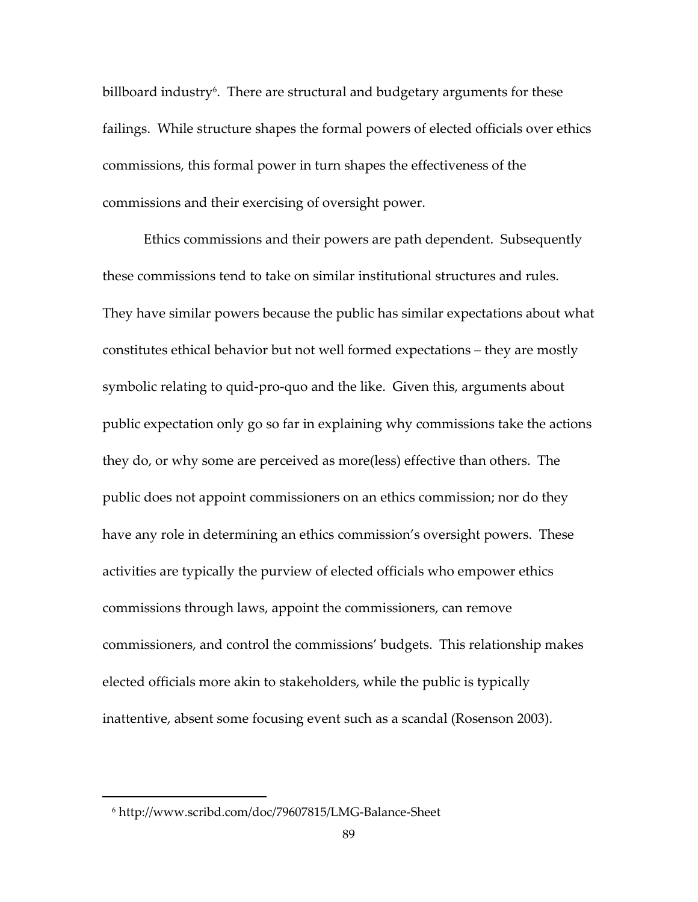billboard industry $\mathfrak{b}.$  There are structural and budgetary arguments for these failings. While structure shapes the formal powers of elected officials over ethics commissions, this formal power in turn shapes the effectiveness of the commissions and their exercising of oversight power.

Ethics commissions and their powers are path dependent. Subsequently these commissions tend to take on similar institutional structures and rules. They have similar powers because the public has similar expectations about what constitutes ethical behavior but not well formed expectations – they are mostly symbolic relating to quid-pro-quo and the like. Given this, arguments about public expectation only go so far in explaining why commissions take the actions they do, or why some are perceived as more(less) effective than others. The public does not appoint commissioners on an ethics commission; nor do they have any role in determining an ethics commission's oversight powers. These activities are typically the purview of elected officials who empower ethics commissions through laws, appoint the commissioners, can remove commissioners, and control the commissions' budgets. This relationship makes elected officials more akin to stakeholders, while the public is typically inattentive, absent some focusing event such as a scandal (Rosenson 2003).

l

<sup>6</sup> http://www.scribd.com/doc/79607815/LMG-Balance-Sheet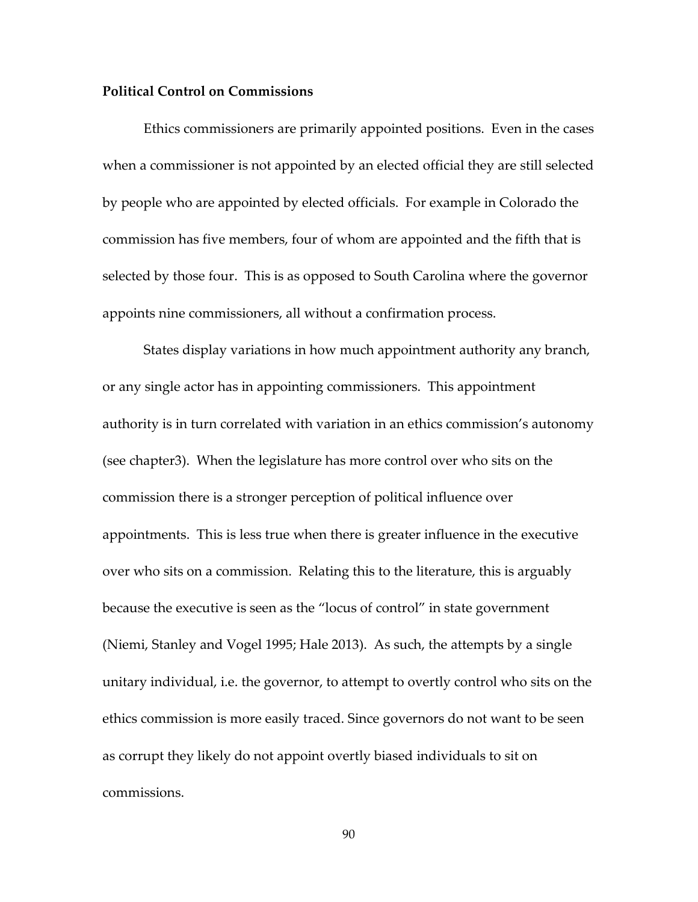#### **Political Control on Commissions**

Ethics commissioners are primarily appointed positions. Even in the cases when a commissioner is not appointed by an elected official they are still selected by people who are appointed by elected officials. For example in Colorado the commission has five members, four of whom are appointed and the fifth that is selected by those four. This is as opposed to South Carolina where the governor appoints nine commissioners, all without a confirmation process.

States display variations in how much appointment authority any branch, or any single actor has in appointing commissioners. This appointment authority is in turn correlated with variation in an ethics commission's autonomy (see chapter3). When the legislature has more control over who sits on the commission there is a stronger perception of political influence over appointments. This is less true when there is greater influence in the executive over who sits on a commission. Relating this to the literature, this is arguably because the executive is seen as the "locus of control" in state government (Niemi, Stanley and Vogel 1995; Hale 2013). As such, the attempts by a single unitary individual, i.e. the governor, to attempt to overtly control who sits on the ethics commission is more easily traced. Since governors do not want to be seen as corrupt they likely do not appoint overtly biased individuals to sit on commissions.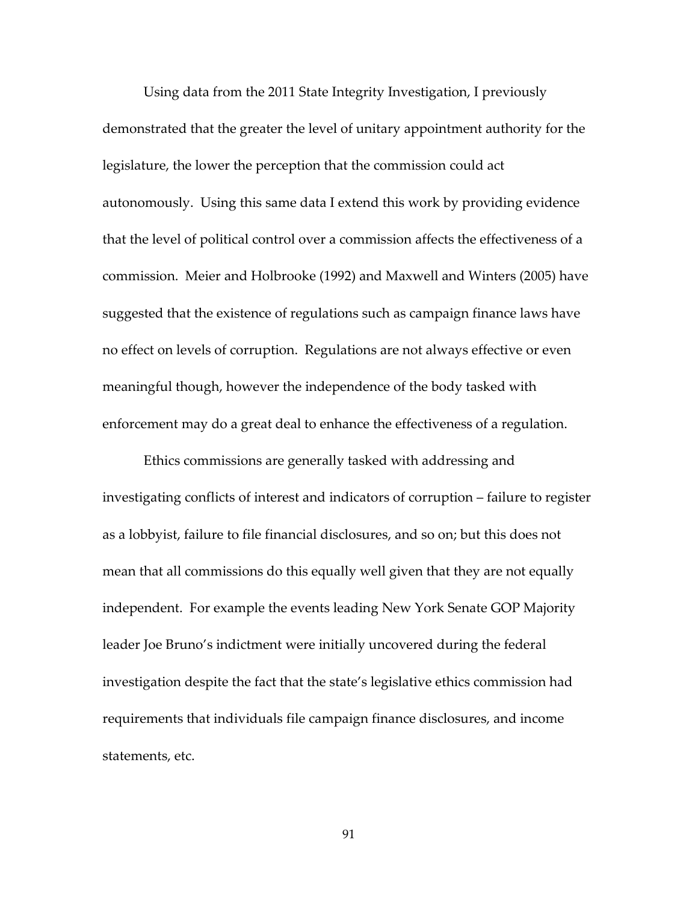Using data from the 2011 State Integrity Investigation, I previously demonstrated that the greater the level of unitary appointment authority for the legislature, the lower the perception that the commission could act autonomously. Using this same data I extend this work by providing evidence that the level of political control over a commission affects the effectiveness of a commission. Meier and Holbrooke (1992) and Maxwell and Winters (2005) have suggested that the existence of regulations such as campaign finance laws have no effect on levels of corruption. Regulations are not always effective or even meaningful though, however the independence of the body tasked with enforcement may do a great deal to enhance the effectiveness of a regulation.

Ethics commissions are generally tasked with addressing and investigating conflicts of interest and indicators of corruption – failure to register as a lobbyist, failure to file financial disclosures, and so on; but this does not mean that all commissions do this equally well given that they are not equally independent. For example the events leading New York Senate GOP Majority leader Joe Bruno's indictment were initially uncovered during the federal investigation despite the fact that the state's legislative ethics commission had requirements that individuals file campaign finance disclosures, and income statements, etc.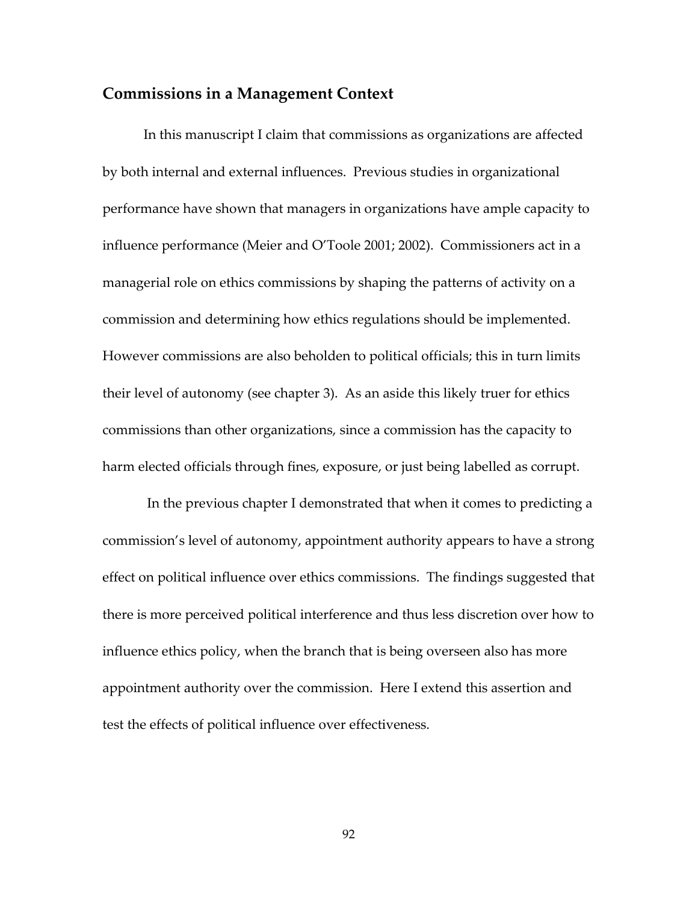### **Commissions in a Management Context**

In this manuscript I claim that commissions as organizations are affected by both internal and external influences. Previous studies in organizational performance have shown that managers in organizations have ample capacity to influence performance (Meier and O'Toole 2001; 2002). Commissioners act in a managerial role on ethics commissions by shaping the patterns of activity on a commission and determining how ethics regulations should be implemented. However commissions are also beholden to political officials; this in turn limits their level of autonomy (see chapter 3). As an aside this likely truer for ethics commissions than other organizations, since a commission has the capacity to harm elected officials through fines, exposure, or just being labelled as corrupt.

 In the previous chapter I demonstrated that when it comes to predicting a commission's level of autonomy, appointment authority appears to have a strong effect on political influence over ethics commissions. The findings suggested that there is more perceived political interference and thus less discretion over how to influence ethics policy, when the branch that is being overseen also has more appointment authority over the commission. Here I extend this assertion and test the effects of political influence over effectiveness.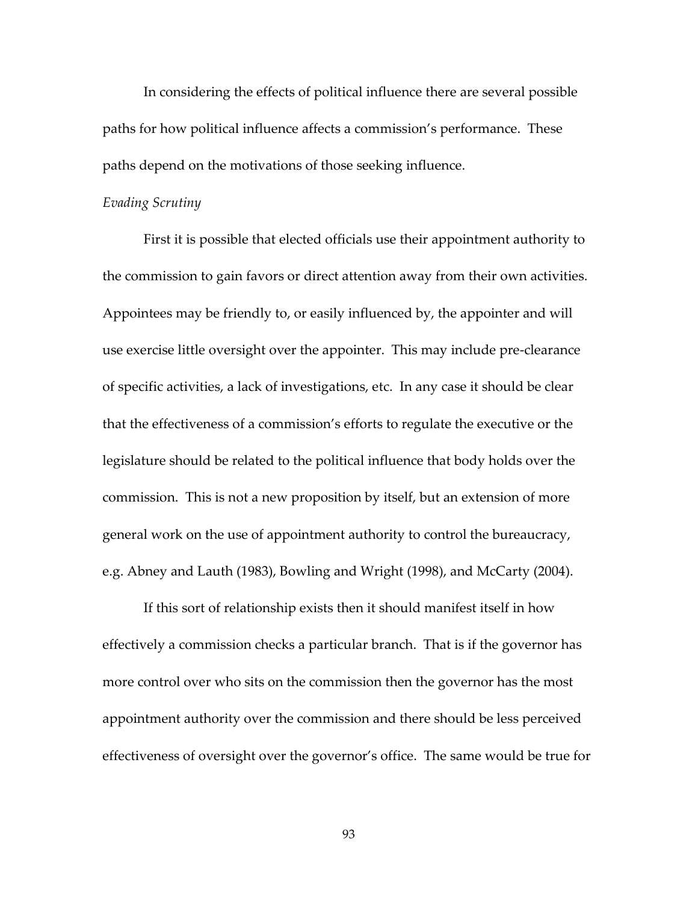In considering the effects of political influence there are several possible paths for how political influence affects a commission's performance. These paths depend on the motivations of those seeking influence.

#### *Evading Scrutiny*

First it is possible that elected officials use their appointment authority to the commission to gain favors or direct attention away from their own activities. Appointees may be friendly to, or easily influenced by, the appointer and will use exercise little oversight over the appointer. This may include pre-clearance of specific activities, a lack of investigations, etc. In any case it should be clear that the effectiveness of a commission's efforts to regulate the executive or the legislature should be related to the political influence that body holds over the commission. This is not a new proposition by itself, but an extension of more general work on the use of appointment authority to control the bureaucracy, e.g. Abney and Lauth (1983), Bowling and Wright (1998), and McCarty (2004).

If this sort of relationship exists then it should manifest itself in how effectively a commission checks a particular branch. That is if the governor has more control over who sits on the commission then the governor has the most appointment authority over the commission and there should be less perceived effectiveness of oversight over the governor's office. The same would be true for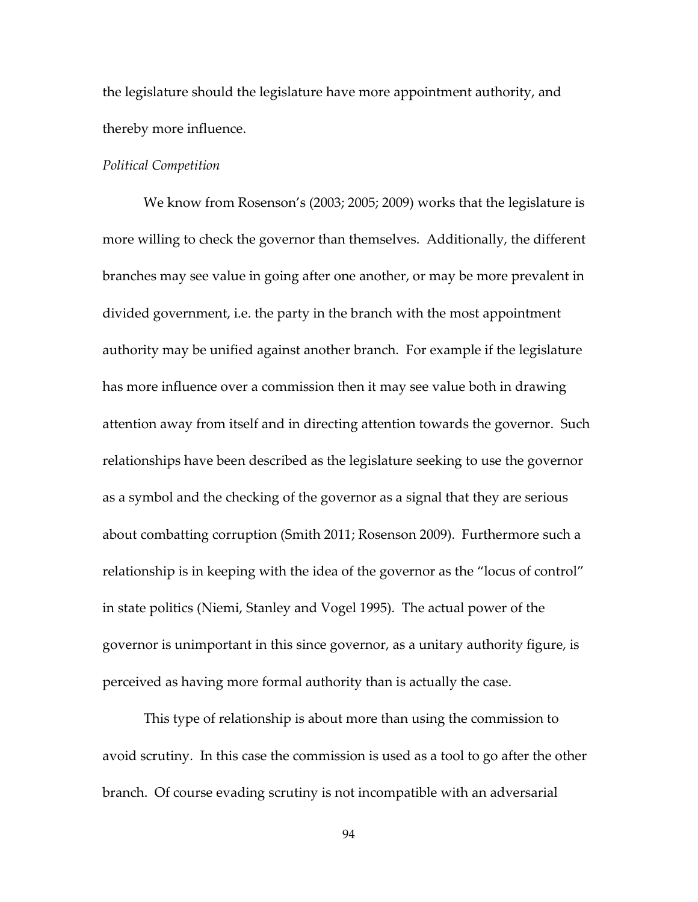the legislature should the legislature have more appointment authority, and thereby more influence.

#### *Political Competition*

We know from Rosenson's (2003; 2005; 2009) works that the legislature is more willing to check the governor than themselves. Additionally, the different branches may see value in going after one another, or may be more prevalent in divided government, i.e. the party in the branch with the most appointment authority may be unified against another branch. For example if the legislature has more influence over a commission then it may see value both in drawing attention away from itself and in directing attention towards the governor. Such relationships have been described as the legislature seeking to use the governor as a symbol and the checking of the governor as a signal that they are serious about combatting corruption (Smith 2011; Rosenson 2009). Furthermore such a relationship is in keeping with the idea of the governor as the "locus of control" in state politics (Niemi, Stanley and Vogel 1995). The actual power of the governor is unimportant in this since governor, as a unitary authority figure, is perceived as having more formal authority than is actually the case.

This type of relationship is about more than using the commission to avoid scrutiny. In this case the commission is used as a tool to go after the other branch. Of course evading scrutiny is not incompatible with an adversarial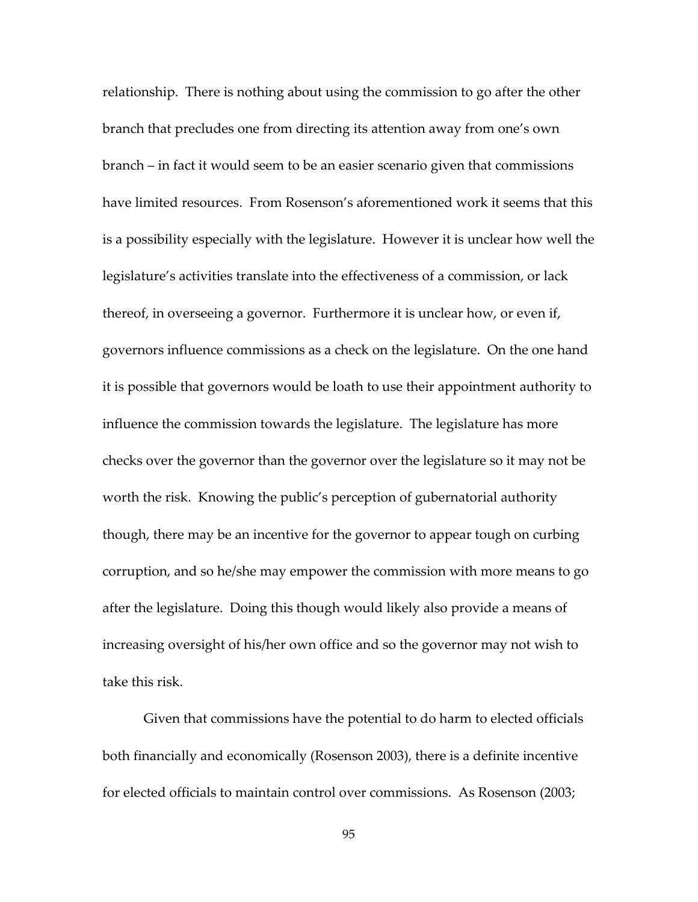relationship. There is nothing about using the commission to go after the other branch that precludes one from directing its attention away from one's own branch – in fact it would seem to be an easier scenario given that commissions have limited resources. From Rosenson's aforementioned work it seems that this is a possibility especially with the legislature. However it is unclear how well the legislature's activities translate into the effectiveness of a commission, or lack thereof, in overseeing a governor. Furthermore it is unclear how, or even if, governors influence commissions as a check on the legislature. On the one hand it is possible that governors would be loath to use their appointment authority to influence the commission towards the legislature. The legislature has more checks over the governor than the governor over the legislature so it may not be worth the risk. Knowing the public's perception of gubernatorial authority though, there may be an incentive for the governor to appear tough on curbing corruption, and so he/she may empower the commission with more means to go after the legislature. Doing this though would likely also provide a means of increasing oversight of his/her own office and so the governor may not wish to take this risk.

Given that commissions have the potential to do harm to elected officials both financially and economically (Rosenson 2003), there is a definite incentive for elected officials to maintain control over commissions. As Rosenson (2003;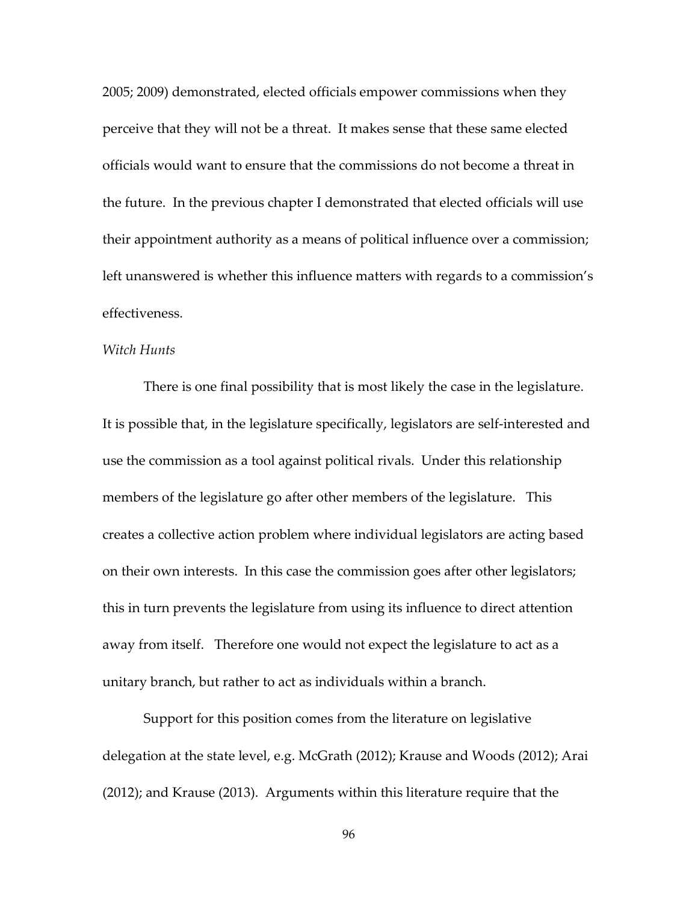2005; 2009) demonstrated, elected officials empower commissions when they perceive that they will not be a threat. It makes sense that these same elected officials would want to ensure that the commissions do not become a threat in the future. In the previous chapter I demonstrated that elected officials will use their appointment authority as a means of political influence over a commission; left unanswered is whether this influence matters with regards to a commission's effectiveness.

#### *Witch Hunts*

There is one final possibility that is most likely the case in the legislature. It is possible that, in the legislature specifically, legislators are self-interested and use the commission as a tool against political rivals. Under this relationship members of the legislature go after other members of the legislature. This creates a collective action problem where individual legislators are acting based on their own interests. In this case the commission goes after other legislators; this in turn prevents the legislature from using its influence to direct attention away from itself. Therefore one would not expect the legislature to act as a unitary branch, but rather to act as individuals within a branch.

Support for this position comes from the literature on legislative delegation at the state level, e.g. McGrath (2012); Krause and Woods (2012); Arai (2012); and Krause (2013). Arguments within this literature require that the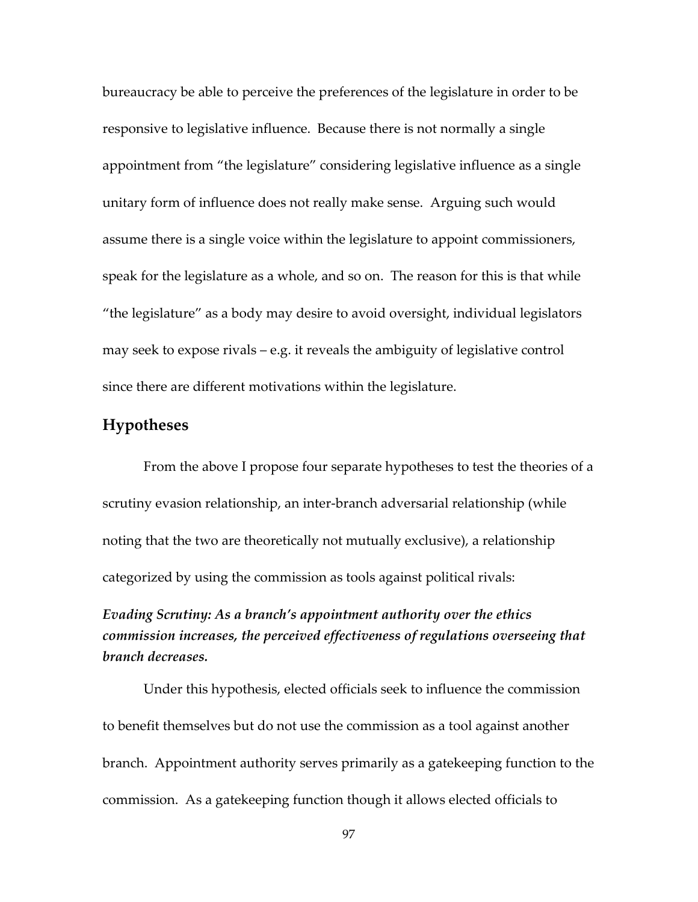bureaucracy be able to perceive the preferences of the legislature in order to be responsive to legislative influence. Because there is not normally a single appointment from "the legislature" considering legislative influence as a single unitary form of influence does not really make sense. Arguing such would assume there is a single voice within the legislature to appoint commissioners, speak for the legislature as a whole, and so on. The reason for this is that while "the legislature" as a body may desire to avoid oversight, individual legislators may seek to expose rivals – e.g. it reveals the ambiguity of legislative control since there are different motivations within the legislature.

### **Hypotheses**

From the above I propose four separate hypotheses to test the theories of a scrutiny evasion relationship, an inter-branch adversarial relationship (while noting that the two are theoretically not mutually exclusive), a relationship categorized by using the commission as tools against political rivals:

## *Evading Scrutiny: As a branch's appointment authority over the ethics commission increases, the perceived effectiveness of regulations overseeing that branch decreases.*

 Under this hypothesis, elected officials seek to influence the commission to benefit themselves but do not use the commission as a tool against another branch. Appointment authority serves primarily as a gatekeeping function to the commission. As a gatekeeping function though it allows elected officials to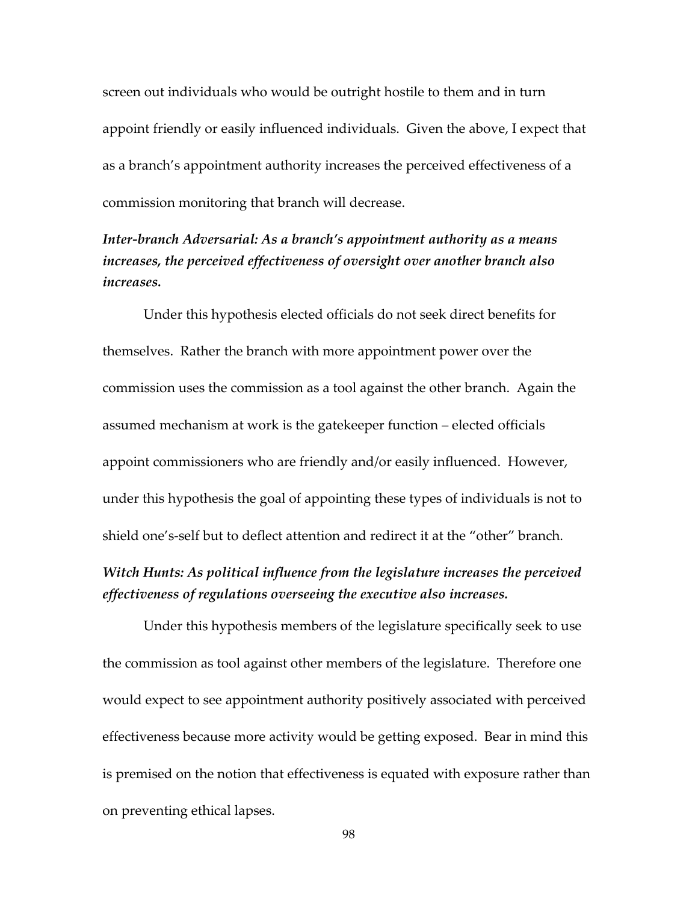screen out individuals who would be outright hostile to them and in turn appoint friendly or easily influenced individuals. Given the above, I expect that as a branch's appointment authority increases the perceived effectiveness of a commission monitoring that branch will decrease.

## *Inter-branch Adversarial: As a branch's appointment authority as a means increases, the perceived effectiveness of oversight over another branch also increases.*

 Under this hypothesis elected officials do not seek direct benefits for themselves. Rather the branch with more appointment power over the commission uses the commission as a tool against the other branch. Again the assumed mechanism at work is the gatekeeper function – elected officials appoint commissioners who are friendly and/or easily influenced. However, under this hypothesis the goal of appointing these types of individuals is not to shield one's-self but to deflect attention and redirect it at the "other" branch.

## *Witch Hunts: As political influence from the legislature increases the perceived effectiveness of regulations overseeing the executive also increases.*

 Under this hypothesis members of the legislature specifically seek to use the commission as tool against other members of the legislature. Therefore one would expect to see appointment authority positively associated with perceived effectiveness because more activity would be getting exposed. Bear in mind this is premised on the notion that effectiveness is equated with exposure rather than on preventing ethical lapses.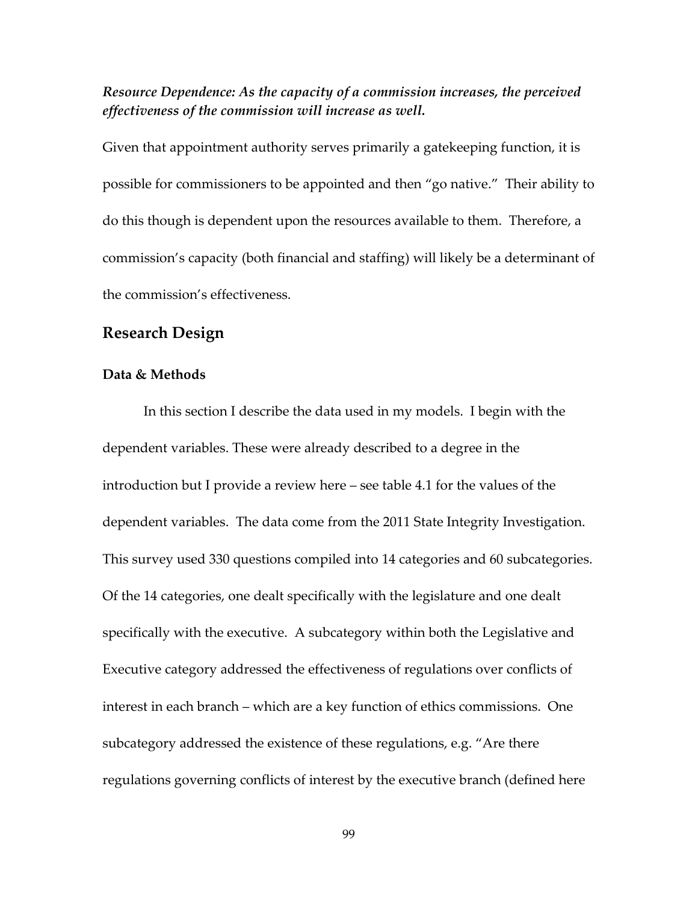# *Resource Dependence: As the capacity of a commission increases, the perceived effectiveness of the commission will increase as well.*

Given that appointment authority serves primarily a gatekeeping function, it is possible for commissioners to be appointed and then "go native." Their ability to do this though is dependent upon the resources available to them. Therefore, a commission's capacity (both financial and staffing) will likely be a determinant of the commission's effectiveness.

### **Research Design**

### **Data & Methods**

 In this section I describe the data used in my models. I begin with the dependent variables. These were already described to a degree in the introduction but I provide a review here – see table 4.1 for the values of the dependent variables. The data come from the 2011 State Integrity Investigation. This survey used 330 questions compiled into 14 categories and 60 subcategories. Of the 14 categories, one dealt specifically with the legislature and one dealt specifically with the executive. A subcategory within both the Legislative and Executive category addressed the effectiveness of regulations over conflicts of interest in each branch – which are a key function of ethics commissions. One subcategory addressed the existence of these regulations, e.g. "Are there regulations governing conflicts of interest by the executive branch (defined here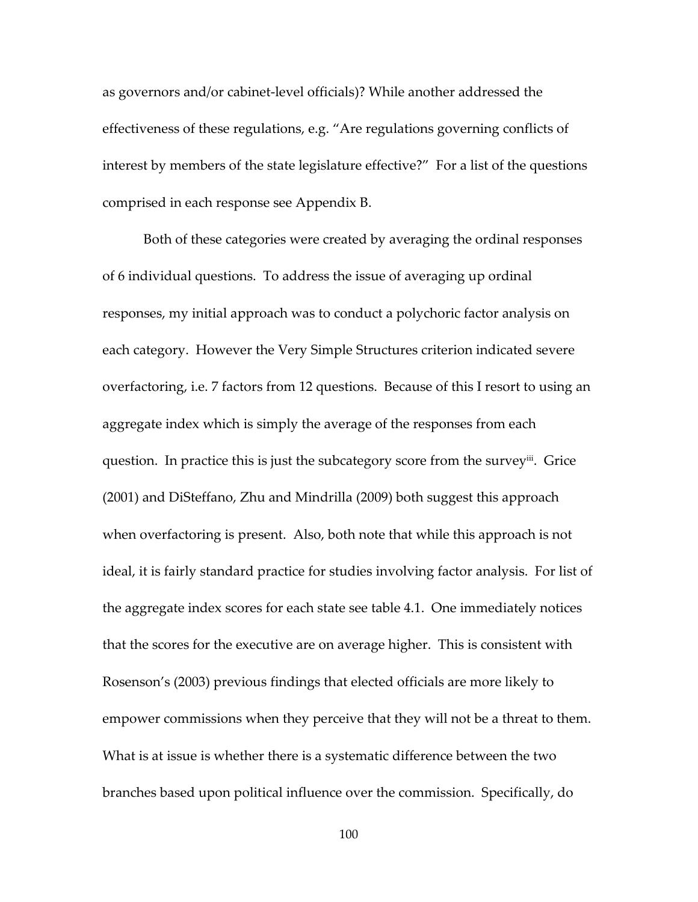as governors and/or cabinet-level officials)? While another addressed the effectiveness of these regulations, e.g. "Are regulations governing conflicts of interest by members of the state legislature effective?" For a list of the questions comprised in each response see Appendix B.

 Both of these categories were created by averaging the ordinal responses of 6 individual questions. To address the issue of averaging up ordinal responses, my initial approach was to conduct a polychoric factor analysis on each category. However the Very Simple Structures criterion indicated severe overfactoring, i.e. 7 factors from 12 questions. Because of this I resort to using an aggregate index which is simply the average of the responses from each question. In practice this is just the subcategory score from the survey<sup>iii</sup>. Grice (2001) and DiSteffano, Zhu and Mindrilla (2009) both suggest this approach when overfactoring is present. Also, both note that while this approach is not ideal, it is fairly standard practice for studies involving factor analysis. For list of the aggregate index scores for each state see table 4.1. One immediately notices that the scores for the executive are on average higher. This is consistent with Rosenson's (2003) previous findings that elected officials are more likely to empower commissions when they perceive that they will not be a threat to them. What is at issue is whether there is a systematic difference between the two branches based upon political influence over the commission. Specifically, do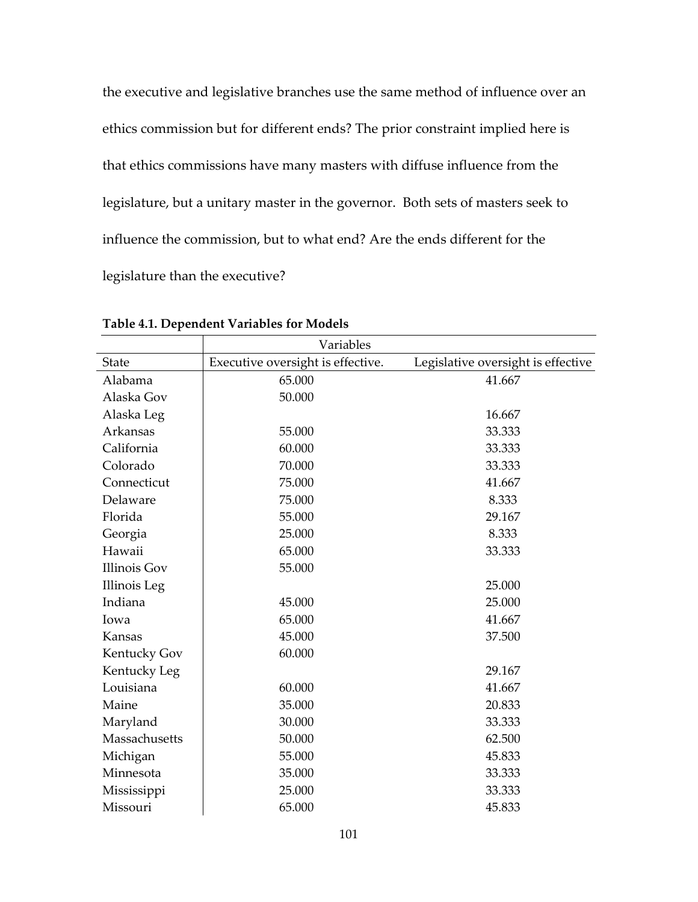the executive and legislative branches use the same method of influence over an ethics commission but for different ends? The prior constraint implied here is that ethics commissions have many masters with diffuse influence from the legislature, but a unitary master in the governor. Both sets of masters seek to influence the commission, but to what end? Are the ends different for the legislature than the executive?

|                     | Variables                         |                                    |
|---------------------|-----------------------------------|------------------------------------|
| <b>State</b>        | Executive oversight is effective. | Legislative oversight is effective |
| Alabama             | 65.000                            | 41.667                             |
| Alaska Gov          | 50.000                            |                                    |
| Alaska Leg          |                                   | 16.667                             |
| Arkansas            | 55.000                            | 33.333                             |
| California          | 60.000                            | 33.333                             |
| Colorado            | 70.000                            | 33.333                             |
| Connecticut         | 75.000                            | 41.667                             |
| Delaware            | 75.000                            | 8.333                              |
| Florida             | 55.000                            | 29.167                             |
| Georgia             | 25.000                            | 8.333                              |
| Hawaii              | 65.000                            | 33.333                             |
| <b>Illinois Gov</b> | 55.000                            |                                    |
| Illinois Leg        |                                   | 25.000                             |
| Indiana             | 45.000                            | 25.000                             |
| Iowa                | 65.000                            | 41.667                             |
| Kansas              | 45.000                            | 37.500                             |
| Kentucky Gov        | 60.000                            |                                    |
| Kentucky Leg        |                                   | 29.167                             |
| Louisiana           | 60.000                            | 41.667                             |
| Maine               | 35.000                            | 20.833                             |
| Maryland            | 30.000                            | 33.333                             |
| Massachusetts       | 50.000                            | 62.500                             |
| Michigan            | 55.000                            | 45.833                             |
| Minnesota           | 35.000                            | 33.333                             |
| Mississippi         | 25.000                            | 33.333                             |
| Missouri            | 65.000                            | 45.833                             |

**Table 4.1. Dependent Variables for Models**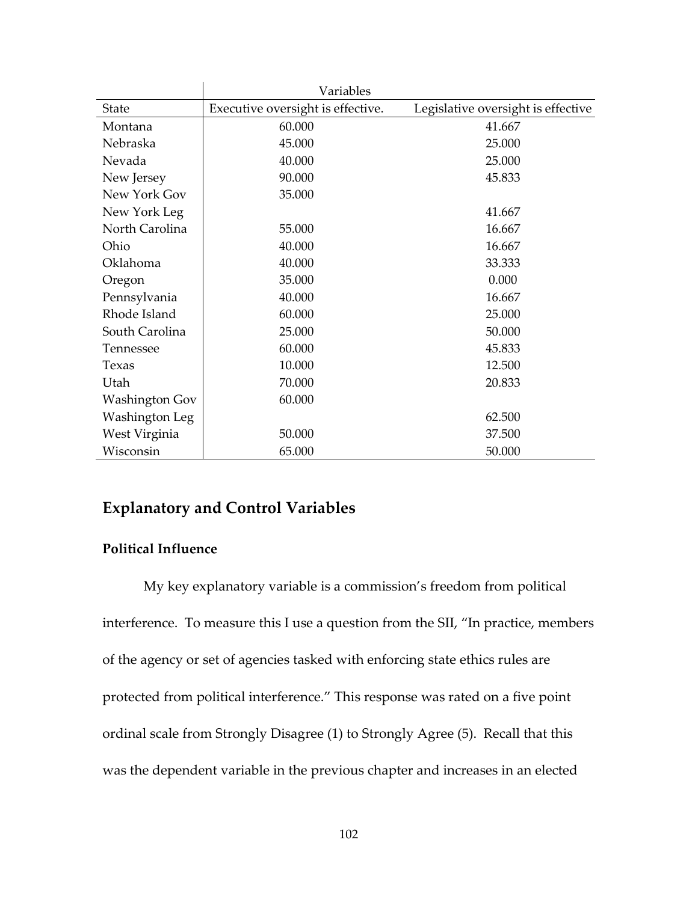|                       | Variables                         |                                    |
|-----------------------|-----------------------------------|------------------------------------|
| <b>State</b>          | Executive oversight is effective. | Legislative oversight is effective |
| Montana               | 60.000                            | 41.667                             |
| Nebraska              | 45.000                            | 25.000                             |
| Nevada                | 40.000                            | 25.000                             |
| New Jersey            | 90.000                            | 45.833                             |
| New York Gov          | 35.000                            |                                    |
| New York Leg          |                                   | 41.667                             |
| North Carolina        | 55.000                            | 16.667                             |
| Ohio                  | 40.000                            | 16.667                             |
| Oklahoma              | 40.000                            | 33.333                             |
| Oregon                | 35.000                            | 0.000                              |
| Pennsylvania          | 40.000                            | 16.667                             |
| Rhode Island          | 60.000                            | 25.000                             |
| South Carolina        | 25.000                            | 50.000                             |
| Tennessee             | 60.000                            | 45.833                             |
| Texas                 | 10.000                            | 12.500                             |
| Utah                  | 70.000                            | 20.833                             |
| <b>Washington Gov</b> | 60.000                            |                                    |
| Washington Leg        |                                   | 62.500                             |
| West Virginia         | 50.000                            | 37.500                             |
| Wisconsin             | 65.000                            | 50.000                             |

# **Explanatory and Control Variables**

### **Political Influence**

My key explanatory variable is a commission's freedom from political interference. To measure this I use a question from the SII, "In practice, members of the agency or set of agencies tasked with enforcing state ethics rules are protected from political interference." This response was rated on a five point ordinal scale from Strongly Disagree (1) to Strongly Agree (5). Recall that this was the dependent variable in the previous chapter and increases in an elected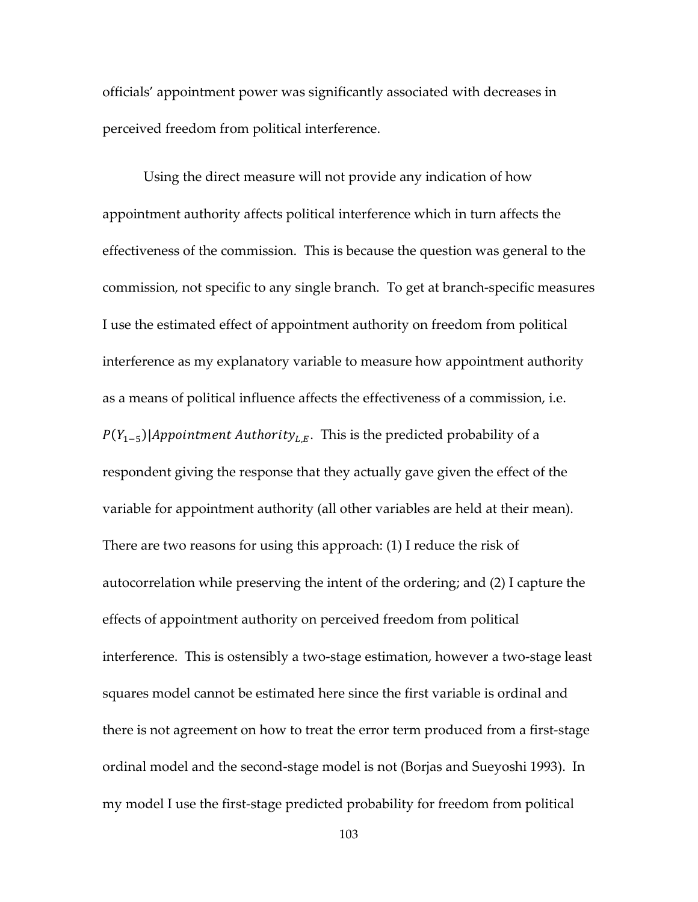officials' appointment power was significantly associated with decreases in perceived freedom from political interference.

Using the direct measure will not provide any indication of how appointment authority affects political interference which in turn affects the effectiveness of the commission. This is because the question was general to the commission, not specific to any single branch. To get at branch-specific measures I use the estimated effect of appointment authority on freedom from political interference as my explanatory variable to measure how appointment authority as a means of political influence affects the effectiveness of a commission, i.e.  $P(Y_{1-5})$ |Appointment Authority<sub>L,E</sub>. This is the predicted probability of a respondent giving the response that they actually gave given the effect of the variable for appointment authority (all other variables are held at their mean). There are two reasons for using this approach: (1) I reduce the risk of autocorrelation while preserving the intent of the ordering; and (2) I capture the effects of appointment authority on perceived freedom from political interference. This is ostensibly a two-stage estimation, however a two-stage least squares model cannot be estimated here since the first variable is ordinal and there is not agreement on how to treat the error term produced from a first-stage ordinal model and the second-stage model is not (Borjas and Sueyoshi 1993). In my model I use the first-stage predicted probability for freedom from political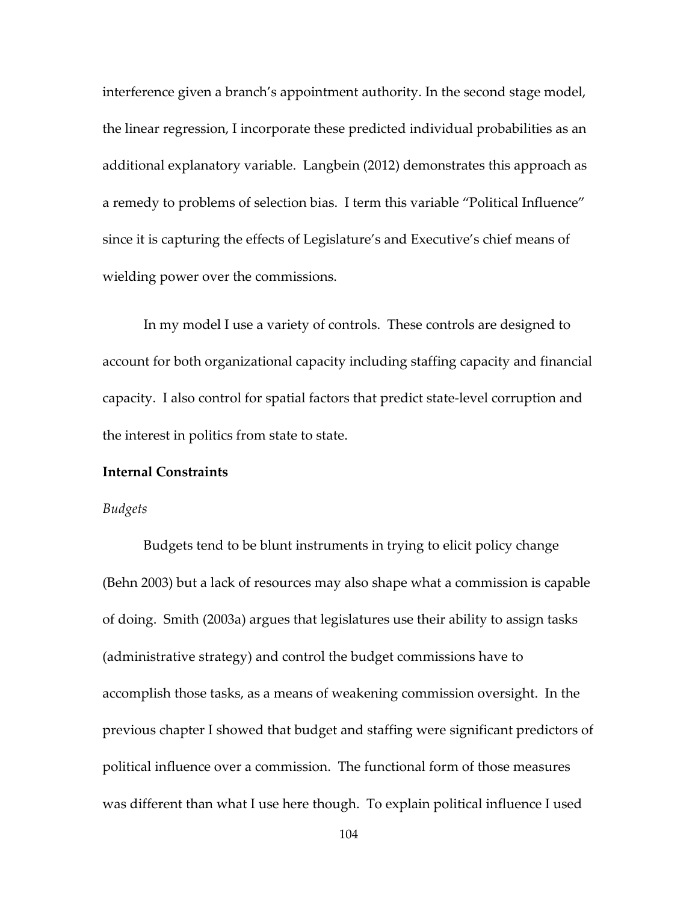interference given a branch's appointment authority. In the second stage model, the linear regression, I incorporate these predicted individual probabilities as an additional explanatory variable. Langbein (2012) demonstrates this approach as a remedy to problems of selection bias. I term this variable "Political Influence" since it is capturing the effects of Legislature's and Executive's chief means of wielding power over the commissions.

In my model I use a variety of controls. These controls are designed to account for both organizational capacity including staffing capacity and financial capacity. I also control for spatial factors that predict state-level corruption and the interest in politics from state to state.

#### **Internal Constraints**

#### *Budgets*

Budgets tend to be blunt instruments in trying to elicit policy change (Behn 2003) but a lack of resources may also shape what a commission is capable of doing. Smith (2003a) argues that legislatures use their ability to assign tasks (administrative strategy) and control the budget commissions have to accomplish those tasks, as a means of weakening commission oversight. In the previous chapter I showed that budget and staffing were significant predictors of political influence over a commission. The functional form of those measures was different than what I use here though. To explain political influence I used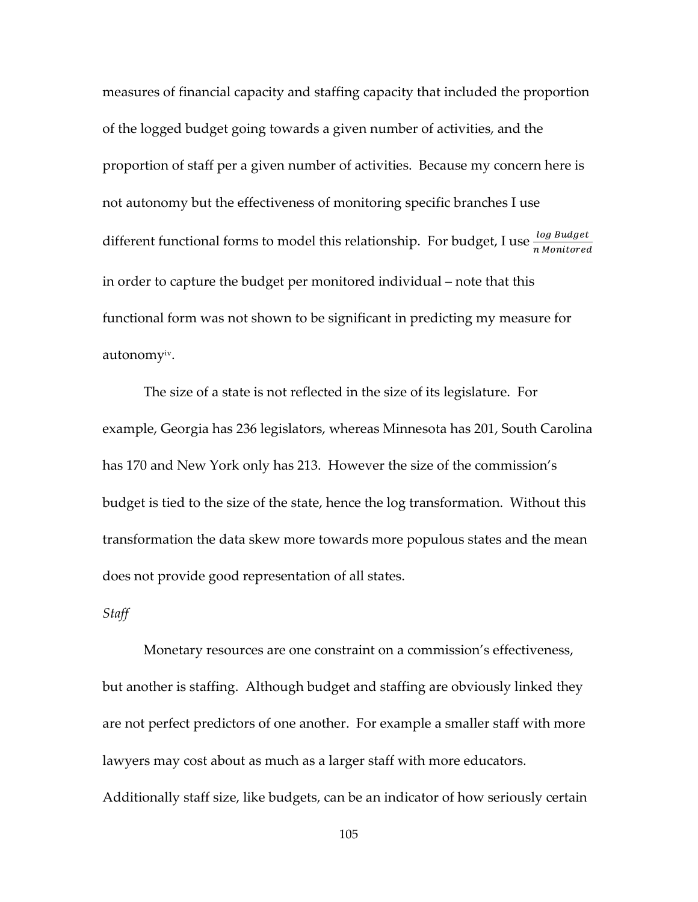measures of financial capacity and staffing capacity that included the proportion of the logged budget going towards a given number of activities, and the proportion of staff per a given number of activities. Because my concern here is not autonomy but the effectiveness of monitoring specific branches I use different functional forms to model this relationship. For budget, I use  $\frac{\log Budget}{n\text{ Monitored}}$ in order to capture the budget per monitored individual – note that this functional form was not shown to be significant in predicting my measure for autonomy<sup>iv</sup>.

The size of a state is not reflected in the size of its legislature. For example, Georgia has 236 legislators, whereas Minnesota has 201, South Carolina has 170 and New York only has 213. However the size of the commission's budget is tied to the size of the state, hence the log transformation. Without this transformation the data skew more towards more populous states and the mean does not provide good representation of all states.

### *Staff*

Monetary resources are one constraint on a commission's effectiveness, but another is staffing. Although budget and staffing are obviously linked they are not perfect predictors of one another. For example a smaller staff with more lawyers may cost about as much as a larger staff with more educators. Additionally staff size, like budgets, can be an indicator of how seriously certain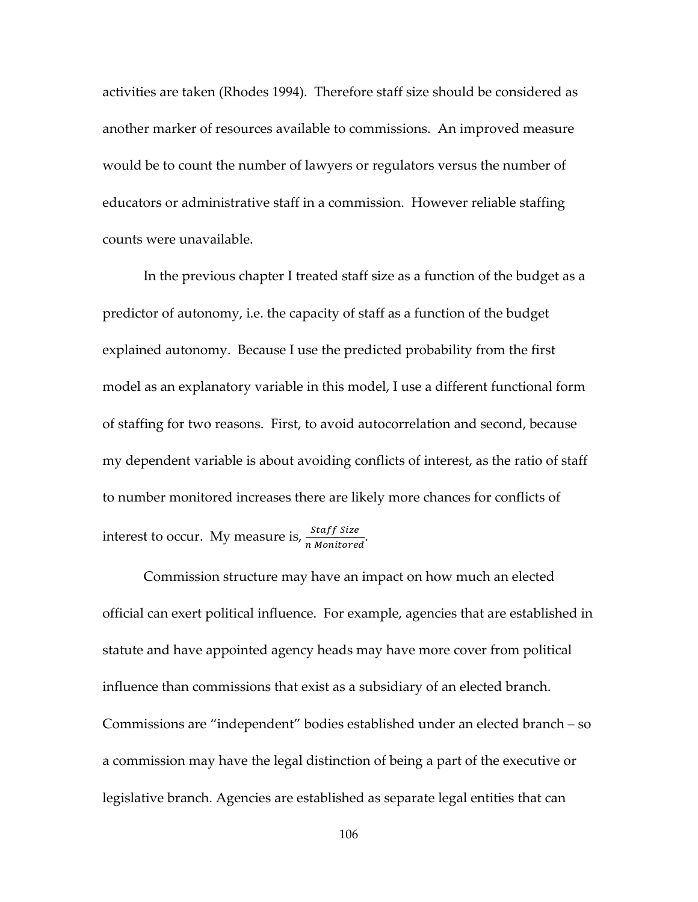activities are taken (Rhodes 1994). Therefore staff size should be considered as another marker of resources available to commissions. An improved measure would be to count the number of lawyers or regulators versus the number of educators or administrative staff in a commission. However reliable staffing counts were unavailable.

In the previous chapter I treated staff size as a function of the budget as a predictor of autonomy, i.e. the capacity of staff as a function of the budget explained autonomy. Because I use the predicted probability from the first model as an explanatory variable in this model, I use a different functional form of staffing for two reasons. First, to avoid autocorrelation and second, because my dependent variable is about avoiding conflicts of interest, as the ratio of staff to number monitored increases there are likely more chances for conflicts of interest to occur. My measure is,  $\frac{Staff Size}{n$  $\frac{5(a)}{n$  Monitored<sup>-</sup>

Commission structure may have an impact on how much an elected official can exert political influence. For example, agencies that are established in statute and have appointed agency heads may have more cover from political influence than commissions that exist as a subsidiary of an elected branch. Commissions are "independent" bodies established under an elected branch – so a commission may have the legal distinction of being a part of the executive or legislative branch. Agencies are established as separate legal entities that can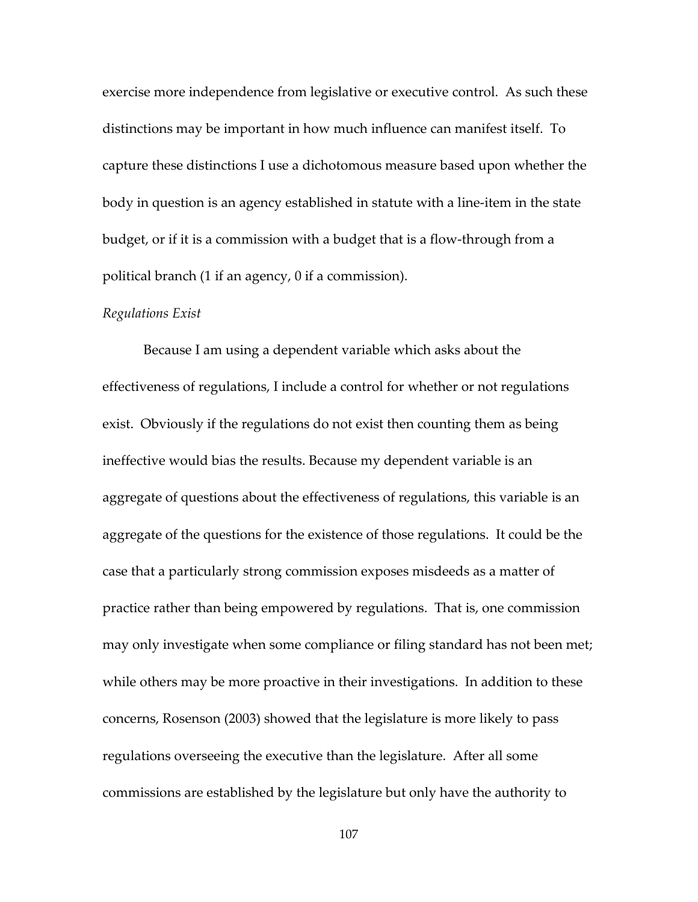exercise more independence from legislative or executive control. As such these distinctions may be important in how much influence can manifest itself. To capture these distinctions I use a dichotomous measure based upon whether the body in question is an agency established in statute with a line-item in the state budget, or if it is a commission with a budget that is a flow-through from a political branch (1 if an agency, 0 if a commission).

### *Regulations Exist*

Because I am using a dependent variable which asks about the effectiveness of regulations, I include a control for whether or not regulations exist. Obviously if the regulations do not exist then counting them as being ineffective would bias the results. Because my dependent variable is an aggregate of questions about the effectiveness of regulations, this variable is an aggregate of the questions for the existence of those regulations. It could be the case that a particularly strong commission exposes misdeeds as a matter of practice rather than being empowered by regulations. That is, one commission may only investigate when some compliance or filing standard has not been met; while others may be more proactive in their investigations. In addition to these concerns, Rosenson (2003) showed that the legislature is more likely to pass regulations overseeing the executive than the legislature. After all some commissions are established by the legislature but only have the authority to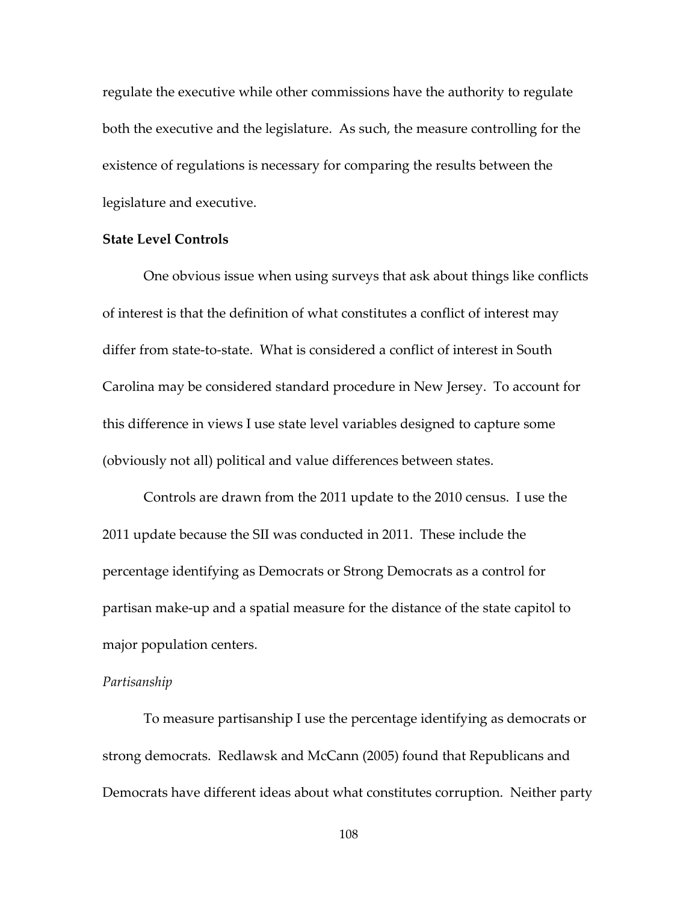regulate the executive while other commissions have the authority to regulate both the executive and the legislature. As such, the measure controlling for the existence of regulations is necessary for comparing the results between the legislature and executive.

#### **State Level Controls**

One obvious issue when using surveys that ask about things like conflicts of interest is that the definition of what constitutes a conflict of interest may differ from state-to-state. What is considered a conflict of interest in South Carolina may be considered standard procedure in New Jersey. To account for this difference in views I use state level variables designed to capture some (obviously not all) political and value differences between states.

Controls are drawn from the 2011 update to the 2010 census. I use the 2011 update because the SII was conducted in 2011. These include the percentage identifying as Democrats or Strong Democrats as a control for partisan make-up and a spatial measure for the distance of the state capitol to major population centers.

#### *Partisanship*

To measure partisanship I use the percentage identifying as democrats or strong democrats. Redlawsk and McCann (2005) found that Republicans and Democrats have different ideas about what constitutes corruption. Neither party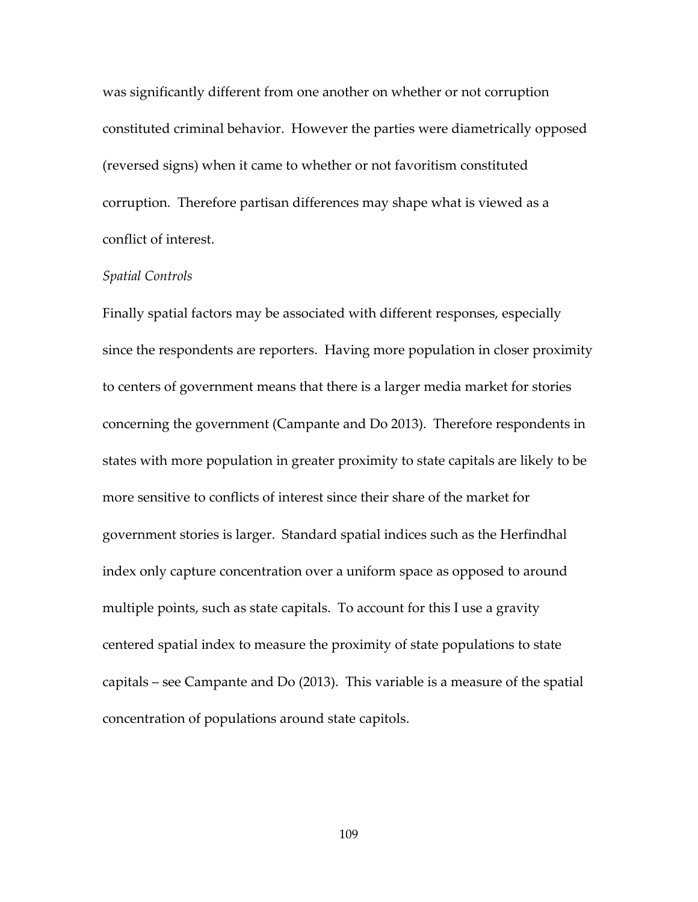was significantly different from one another on whether or not corruption constituted criminal behavior. However the parties were diametrically opposed (reversed signs) when it came to whether or not favoritism constituted corruption. Therefore partisan differences may shape what is viewed as a conflict of interest.

#### *Spatial Controls*

Finally spatial factors may be associated with different responses, especially since the respondents are reporters. Having more population in closer proximity to centers of government means that there is a larger media market for stories concerning the government (Campante and Do 2013). Therefore respondents in states with more population in greater proximity to state capitals are likely to be more sensitive to conflicts of interest since their share of the market for government stories is larger. Standard spatial indices such as the Herfindhal index only capture concentration over a uniform space as opposed to around multiple points, such as state capitals. To account for this I use a gravity centered spatial index to measure the proximity of state populations to state capitals – see Campante and Do (2013). This variable is a measure of the spatial concentration of populations around state capitols.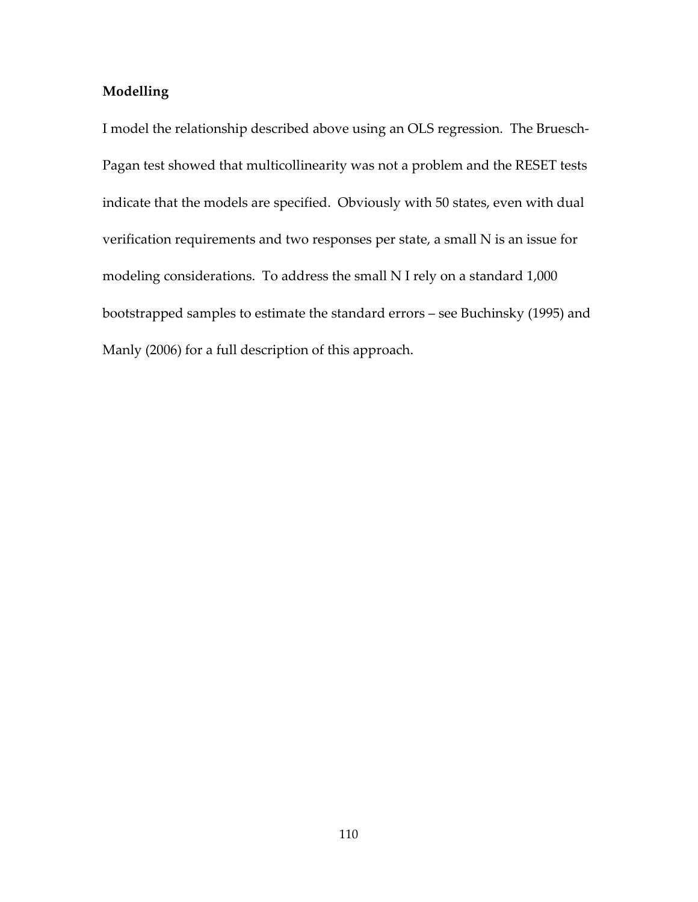# **Modelling**

I model the relationship described above using an OLS regression. The Bruesch-Pagan test showed that multicollinearity was not a problem and the RESET tests indicate that the models are specified. Obviously with 50 states, even with dual verification requirements and two responses per state, a small N is an issue for modeling considerations. To address the small N I rely on a standard 1,000 bootstrapped samples to estimate the standard errors – see Buchinsky (1995) and Manly (2006) for a full description of this approach.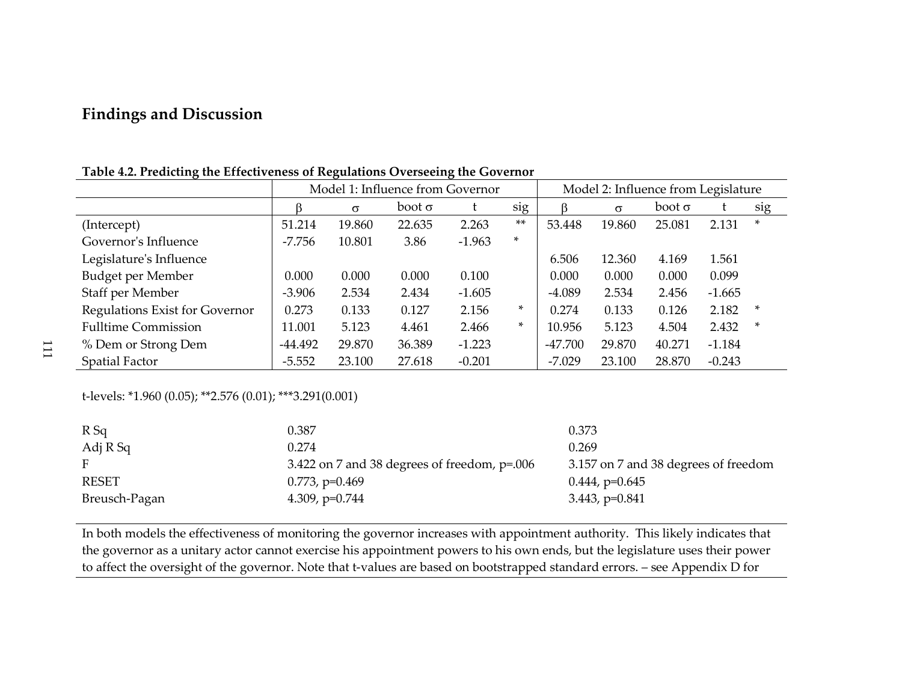# **Findings and Discussion**

| ັ                                     |           |                                  |                                     |          |        |           |          |               |          |     |
|---------------------------------------|-----------|----------------------------------|-------------------------------------|----------|--------|-----------|----------|---------------|----------|-----|
|                                       |           | Model 1: Influence from Governor | Model 2: Influence from Legislature |          |        |           |          |               |          |     |
|                                       |           | $\sigma$                         | $boot \sigma$                       |          | sig    |           | $\sigma$ | $boot \sigma$ |          | sig |
| (Intercept)                           | 51.214    | 19.860                           | 22.635                              | 2.263    | $***$  | 53.448    | 19.860   | 25.081        | 2.131    | *   |
| Governor's Influence                  | $-7.756$  | 10.801                           | 3.86                                | $-1.963$ | $\ast$ |           |          |               |          |     |
| Legislature's Influence               |           |                                  |                                     |          |        | 6.506     | 12.360   | 4.169         | 1.561    |     |
| Budget per Member                     | 0.000     | 0.000                            | 0.000                               | 0.100    |        | 0.000     | 0.000    | 0.000         | 0.099    |     |
| Staff per Member                      | $-3.906$  | 2.534                            | 2.434                               | $-1.605$ |        | $-4.089$  | 2.534    | 2.456         | $-1.665$ |     |
| <b>Regulations Exist for Governor</b> | 0.273     | 0.133                            | 0.127                               | 2.156    | $\ast$ | 0.274     | 0.133    | 0.126         | 2.182    | ∗   |
| <b>Fulltime Commission</b>            | 11.001    | 5.123                            | 4.461                               | 2.466    | *      | 10.956    | 5.123    | 4.504         | 2.432    | ∗   |
| % Dem or Strong Dem                   | $-44.492$ | 29.870                           | 36.389                              | $-1.223$ |        | $-47.700$ | 29.870   | 40.271        | $-1.184$ |     |
| <b>Spatial Factor</b>                 | $-5.552$  | 23.100                           | 27.618                              | $-0.201$ |        | $-7.029$  | 23.100   | 28.870        | $-0.243$ |     |

**Table 4.2. Predicting the Effectiveness of Regulations Overseeing the Governor** 

t-levels: \*1.960 (0.05); \*\*2.576 (0.01); \*\*\*3.291(0.001)

| $R$ Sq        | 0.387                                          | 0.373                                |
|---------------|------------------------------------------------|--------------------------------------|
| Adj R Sq      | 0.274                                          | 0.269                                |
|               | 3.422 on 7 and 38 degrees of freedom, $p=.006$ | 3.157 on 7 and 38 degrees of freedom |
| <b>RESET</b>  | $0.773$ , p= $0.469$                           | $0.444$ , p= $0.645$                 |
| Breusch-Pagan | 4.309, $p=0.744$                               | $3.443, p=0.841$                     |

In both models the effectiveness of monitoring the governor increases with appointment authority. This likely indicates that the governor as a unitary actor cannot exercise his appointment powers to his own ends, but the legislature uses their power to affect the oversight of the governor. Note that t-values are based on bootstrapped standard errors. – see Appendix D for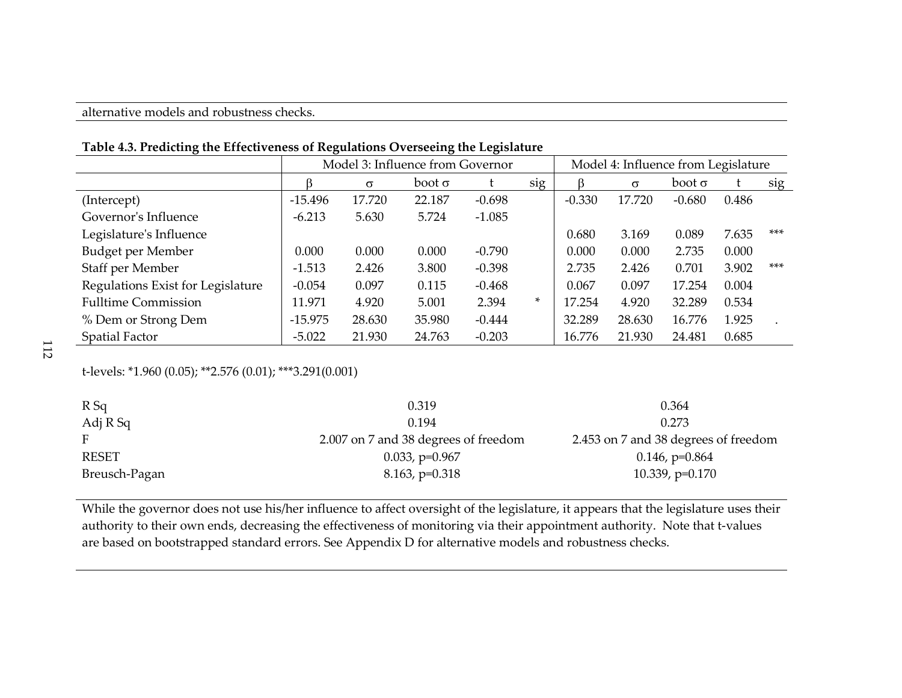|                                   | Model 3: Influence from Governor |          |               |          |     | Model 4: Influence from Legislature |          |               |       |       |
|-----------------------------------|----------------------------------|----------|---------------|----------|-----|-------------------------------------|----------|---------------|-------|-------|
|                                   |                                  | $\sigma$ | $boot \sigma$ |          | sig |                                     | $\sigma$ | $boot \sigma$ |       | sig   |
| (Intercept)                       | $-15.496$                        | 17.720   | 22.187        | $-0.698$ |     | $-0.330$                            | 17.720   | $-0.680$      | 0.486 |       |
| Governor's Influence              | $-6.213$                         | 5.630    | 5.724         | $-1.085$ |     |                                     |          |               |       |       |
| Legislature's Influence           |                                  |          |               |          |     | 0.680                               | 3.169    | 0.089         | 7.635 | $***$ |
| Budget per Member                 | 0.000                            | 0.000    | 0.000         | $-0.790$ |     | 0.000                               | 0.000    | 2.735         | 0.000 |       |
| Staff per Member                  | $-1.513$                         | 2.426    | 3.800         | $-0.398$ |     | 2.735                               | 2.426    | 0.701         | 3.902 | $***$ |
| Regulations Exist for Legislature | $-0.054$                         | 0.097    | 0.115         | $-0.468$ |     | 0.067                               | 0.097    | 17.254        | 0.004 |       |
| <b>Fulltime Commission</b>        | 11.971                           | 4.920    | 5.001         | 2.394    | *   | 17.254                              | 4.920    | 32.289        | 0.534 |       |
| % Dem or Strong Dem               | $-15.975$                        | 28.630   | 35.980        | $-0.444$ |     | 32.289                              | 28.630   | 16.776        | 1.925 |       |
| Spatial Factor                    | $-5.022$                         | 21.930   | 24.763        | $-0.203$ |     | 16.776                              | 21.930   | 24.481        | 0.685 |       |

**Table 4.3. Predicting the Effectiveness of Regulations Overseeing the Legislature** 

t-levels: \*1.960 (0.05); \*\*2.576 (0.01); \*\*\*3.291(0.001)

| $R$ Sq        | 0.319                                | 0.364                                |
|---------------|--------------------------------------|--------------------------------------|
| Adj R Sq      | 0.194                                | 0.273                                |
|               | 2.007 on 7 and 38 degrees of freedom | 2.453 on 7 and 38 degrees of freedom |
| RESET         | $0.033$ , p= $0.967$                 | $0.146$ , p= $0.864$                 |
| Breusch-Pagan | $8.163$ , $p=0.318$                  | 10.339, $p=0.170$                    |

While the governor does not use his/her influence to affect oversight of the legislature, it appears that the legislature uses their authority to their own ends, decreasing the effectiveness of monitoring via their appointment authority. Note that t-values are based on bootstrapped standard errors. See Appendix D for alternative models and robustness checks.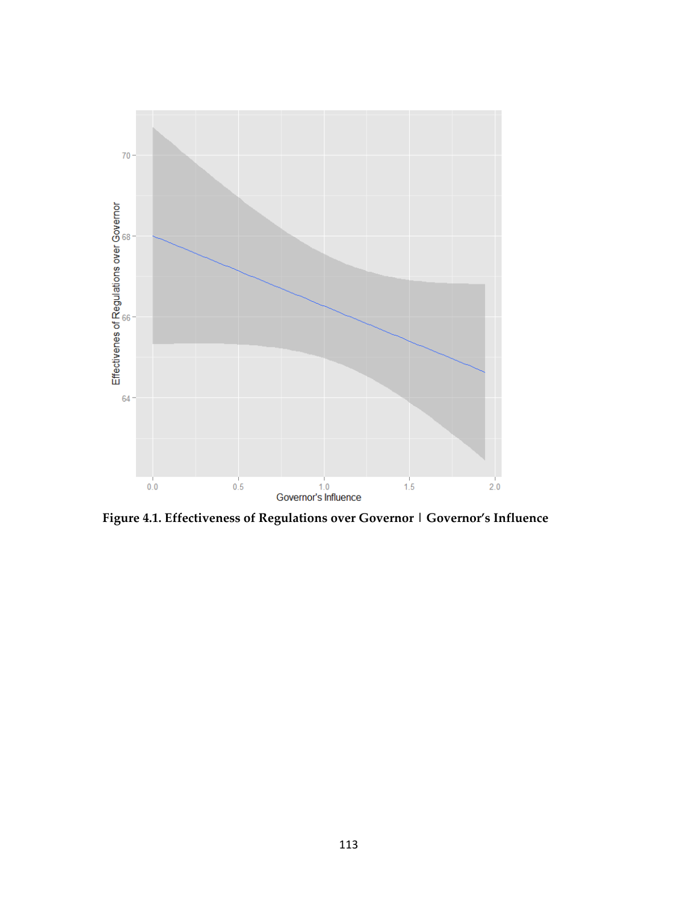

**Figure 4.1. Effectiveness of Regulations over Governor | Governor's Influence**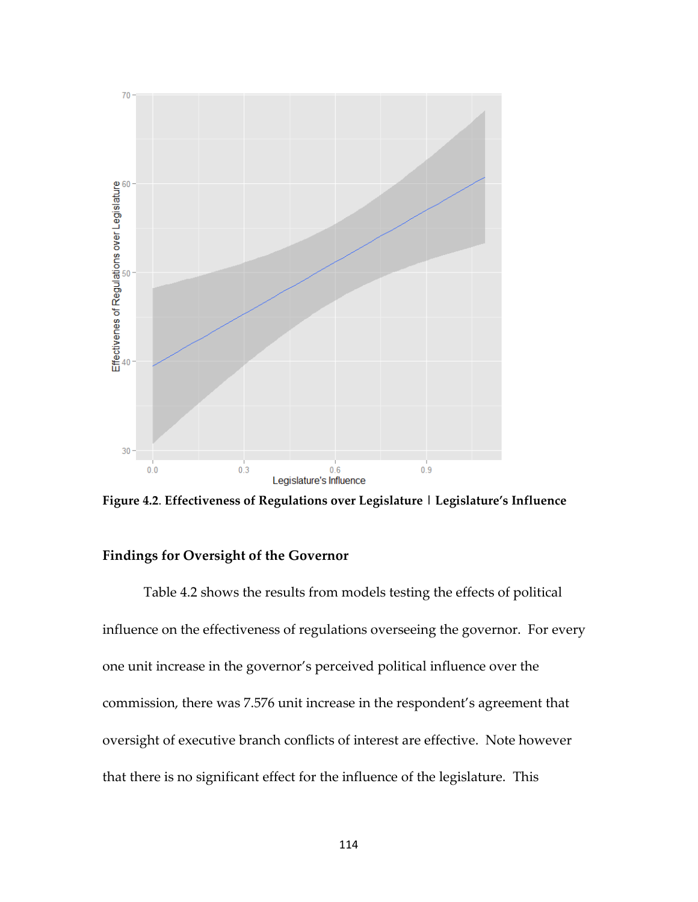

**Figure 4.2**. **Effectiveness of Regulations over Legislature | Legislature's Influence**

### **Findings for Oversight of the Governor**

 Table 4.2 shows the results from models testing the effects of political influence on the effectiveness of regulations overseeing the governor. For every one unit increase in the governor's perceived political influence over the commission, there was 7.576 unit increase in the respondent's agreement that oversight of executive branch conflicts of interest are effective. Note however that there is no significant effect for the influence of the legislature. This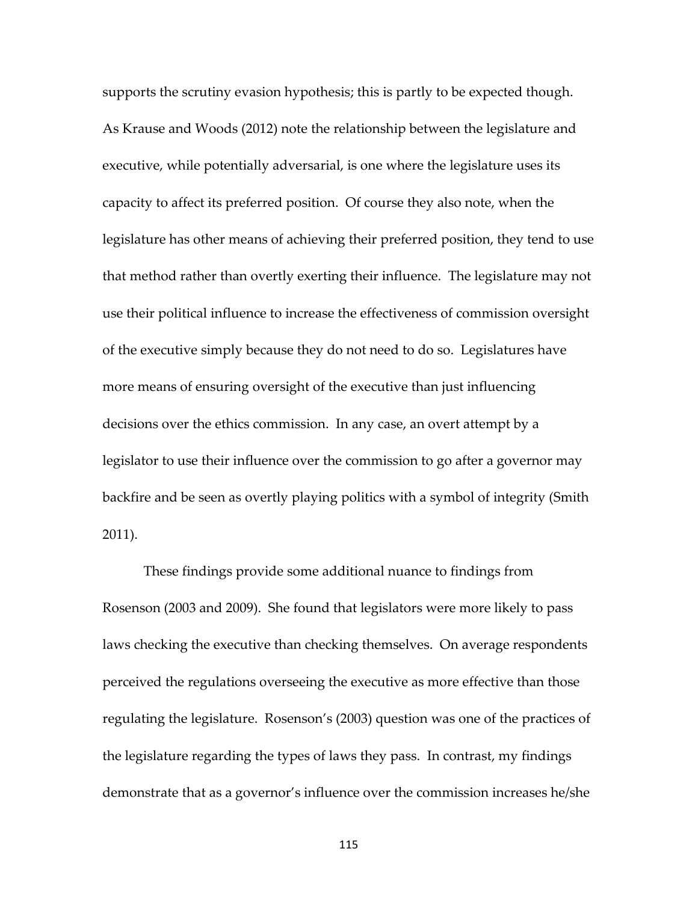supports the scrutiny evasion hypothesis; this is partly to be expected though. As Krause and Woods (2012) note the relationship between the legislature and executive, while potentially adversarial, is one where the legislature uses its capacity to affect its preferred position. Of course they also note, when the legislature has other means of achieving their preferred position, they tend to use that method rather than overtly exerting their influence. The legislature may not use their political influence to increase the effectiveness of commission oversight of the executive simply because they do not need to do so. Legislatures have more means of ensuring oversight of the executive than just influencing decisions over the ethics commission. In any case, an overt attempt by a legislator to use their influence over the commission to go after a governor may backfire and be seen as overtly playing politics with a symbol of integrity (Smith 2011).

 These findings provide some additional nuance to findings from Rosenson (2003 and 2009). She found that legislators were more likely to pass laws checking the executive than checking themselves. On average respondents perceived the regulations overseeing the executive as more effective than those regulating the legislature. Rosenson's (2003) question was one of the practices of the legislature regarding the types of laws they pass. In contrast, my findings demonstrate that as a governor's influence over the commission increases he/she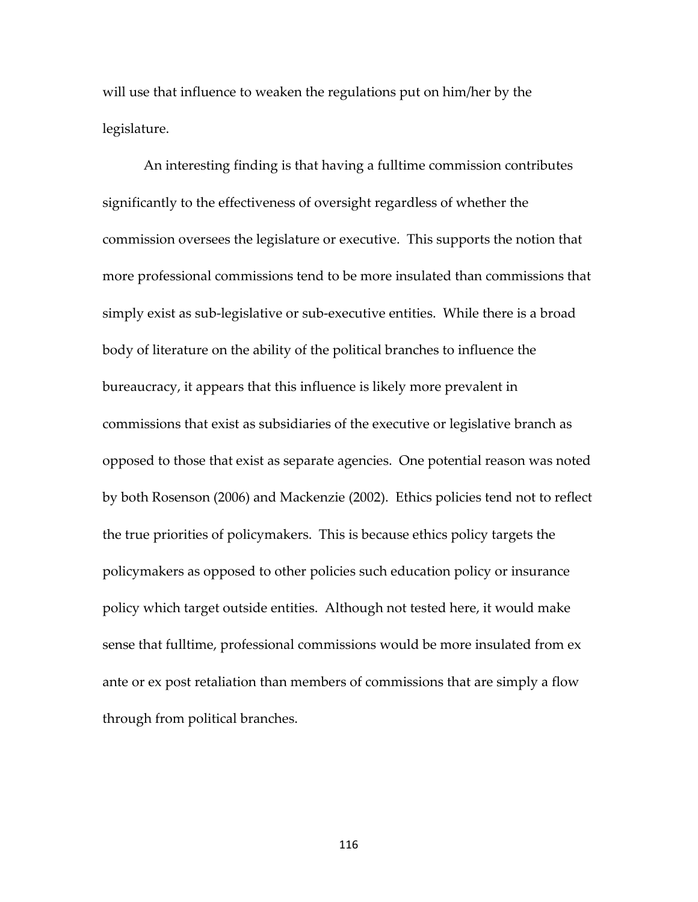will use that influence to weaken the regulations put on him/her by the legislature.

 An interesting finding is that having a fulltime commission contributes significantly to the effectiveness of oversight regardless of whether the commission oversees the legislature or executive. This supports the notion that more professional commissions tend to be more insulated than commissions that simply exist as sub-legislative or sub-executive entities. While there is a broad body of literature on the ability of the political branches to influence the bureaucracy, it appears that this influence is likely more prevalent in commissions that exist as subsidiaries of the executive or legislative branch as opposed to those that exist as separate agencies. One potential reason was noted by both Rosenson (2006) and Mackenzie (2002). Ethics policies tend not to reflect the true priorities of policymakers. This is because ethics policy targets the policymakers as opposed to other policies such education policy or insurance policy which target outside entities. Although not tested here, it would make sense that fulltime, professional commissions would be more insulated from ex ante or ex post retaliation than members of commissions that are simply a flow through from political branches.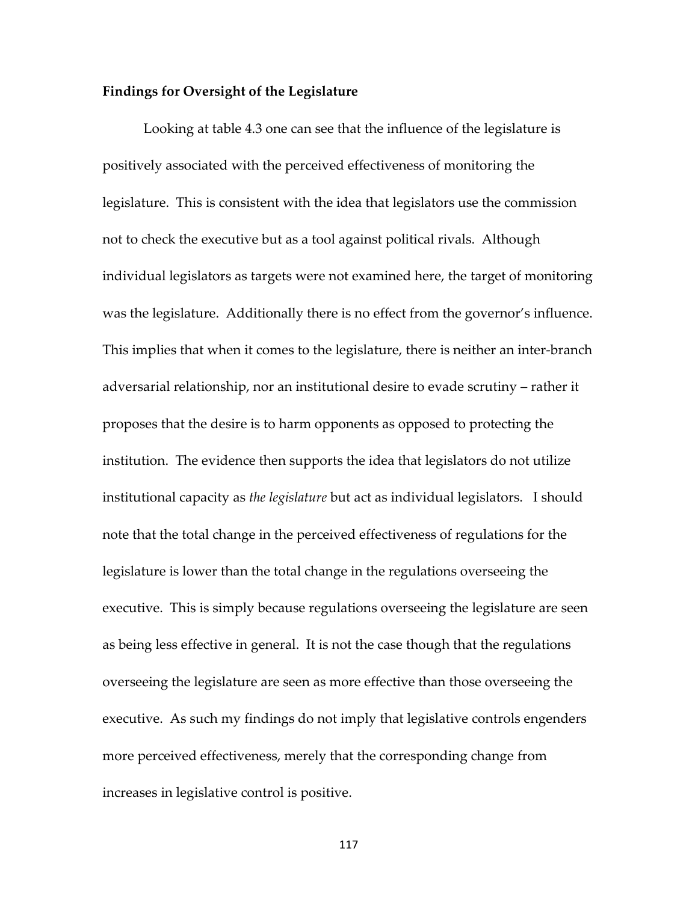### **Findings for Oversight of the Legislature**

Looking at table 4.3 one can see that the influence of the legislature is positively associated with the perceived effectiveness of monitoring the legislature. This is consistent with the idea that legislators use the commission not to check the executive but as a tool against political rivals. Although individual legislators as targets were not examined here, the target of monitoring was the legislature. Additionally there is no effect from the governor's influence. This implies that when it comes to the legislature, there is neither an inter-branch adversarial relationship, nor an institutional desire to evade scrutiny – rather it proposes that the desire is to harm opponents as opposed to protecting the institution. The evidence then supports the idea that legislators do not utilize institutional capacity as *the legislature* but act as individual legislators. I should note that the total change in the perceived effectiveness of regulations for the legislature is lower than the total change in the regulations overseeing the executive. This is simply because regulations overseeing the legislature are seen as being less effective in general. It is not the case though that the regulations overseeing the legislature are seen as more effective than those overseeing the executive. As such my findings do not imply that legislative controls engenders more perceived effectiveness, merely that the corresponding change from increases in legislative control is positive.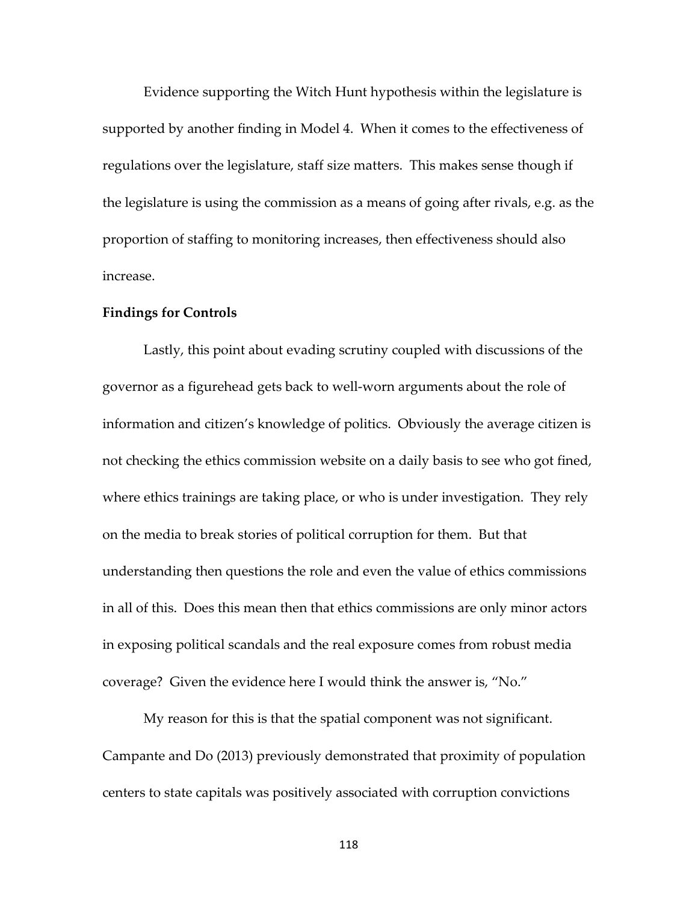Evidence supporting the Witch Hunt hypothesis within the legislature is supported by another finding in Model 4. When it comes to the effectiveness of regulations over the legislature, staff size matters. This makes sense though if the legislature is using the commission as a means of going after rivals, e.g. as the proportion of staffing to monitoring increases, then effectiveness should also increase.

#### **Findings for Controls**

Lastly, this point about evading scrutiny coupled with discussions of the governor as a figurehead gets back to well-worn arguments about the role of information and citizen's knowledge of politics. Obviously the average citizen is not checking the ethics commission website on a daily basis to see who got fined, where ethics trainings are taking place, or who is under investigation. They rely on the media to break stories of political corruption for them. But that understanding then questions the role and even the value of ethics commissions in all of this. Does this mean then that ethics commissions are only minor actors in exposing political scandals and the real exposure comes from robust media coverage? Given the evidence here I would think the answer is, "No."

My reason for this is that the spatial component was not significant. Campante and Do (2013) previously demonstrated that proximity of population centers to state capitals was positively associated with corruption convictions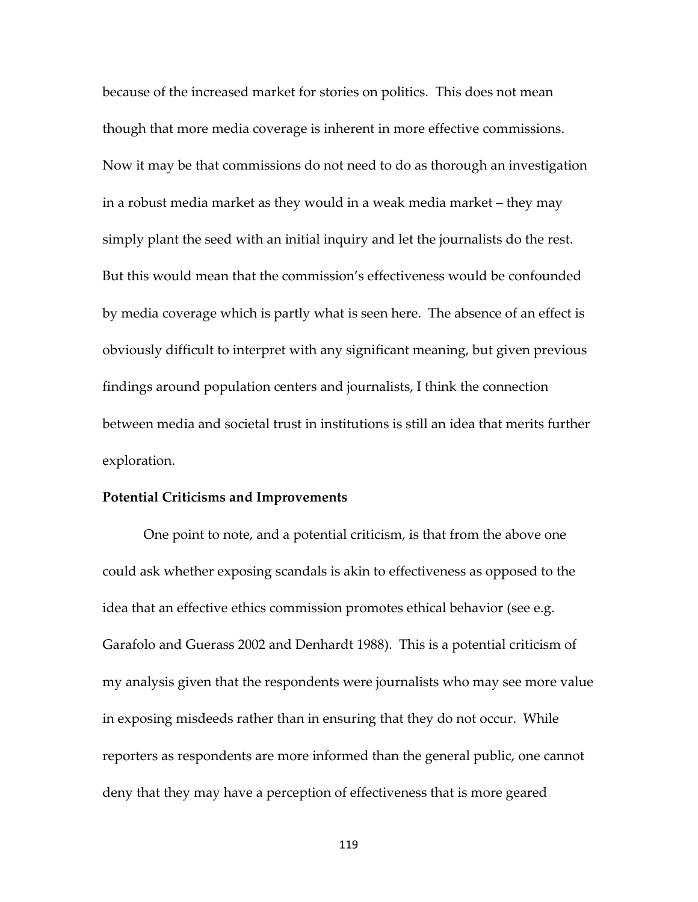because of the increased market for stories on politics. This does not mean though that more media coverage is inherent in more effective commissions. Now it may be that commissions do not need to do as thorough an investigation in a robust media market as they would in a weak media market – they may simply plant the seed with an initial inquiry and let the journalists do the rest. But this would mean that the commission's effectiveness would be confounded by media coverage which is partly what is seen here. The absence of an effect is obviously difficult to interpret with any significant meaning, but given previous findings around population centers and journalists, I think the connection between media and societal trust in institutions is still an idea that merits further exploration.

#### **Potential Criticisms and Improvements**

One point to note, and a potential criticism, is that from the above one could ask whether exposing scandals is akin to effectiveness as opposed to the idea that an effective ethics commission promotes ethical behavior (see e.g. Garafolo and Guerass 2002 and Denhardt 1988). This is a potential criticism of my analysis given that the respondents were journalists who may see more value in exposing misdeeds rather than in ensuring that they do not occur. While reporters as respondents are more informed than the general public, one cannot deny that they may have a perception of effectiveness that is more geared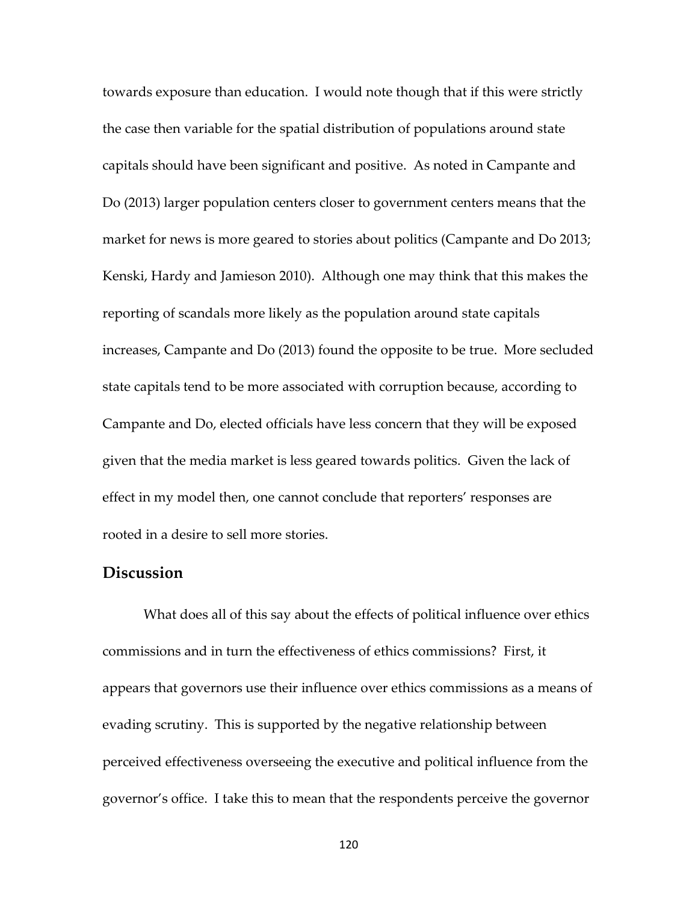towards exposure than education. I would note though that if this were strictly the case then variable for the spatial distribution of populations around state capitals should have been significant and positive. As noted in Campante and Do (2013) larger population centers closer to government centers means that the market for news is more geared to stories about politics (Campante and Do 2013; Kenski, Hardy and Jamieson 2010). Although one may think that this makes the reporting of scandals more likely as the population around state capitals increases, Campante and Do (2013) found the opposite to be true. More secluded state capitals tend to be more associated with corruption because, according to Campante and Do, elected officials have less concern that they will be exposed given that the media market is less geared towards politics. Given the lack of effect in my model then, one cannot conclude that reporters' responses are rooted in a desire to sell more stories.

### **Discussion**

What does all of this say about the effects of political influence over ethics commissions and in turn the effectiveness of ethics commissions? First, it appears that governors use their influence over ethics commissions as a means of evading scrutiny. This is supported by the negative relationship between perceived effectiveness overseeing the executive and political influence from the governor's office. I take this to mean that the respondents perceive the governor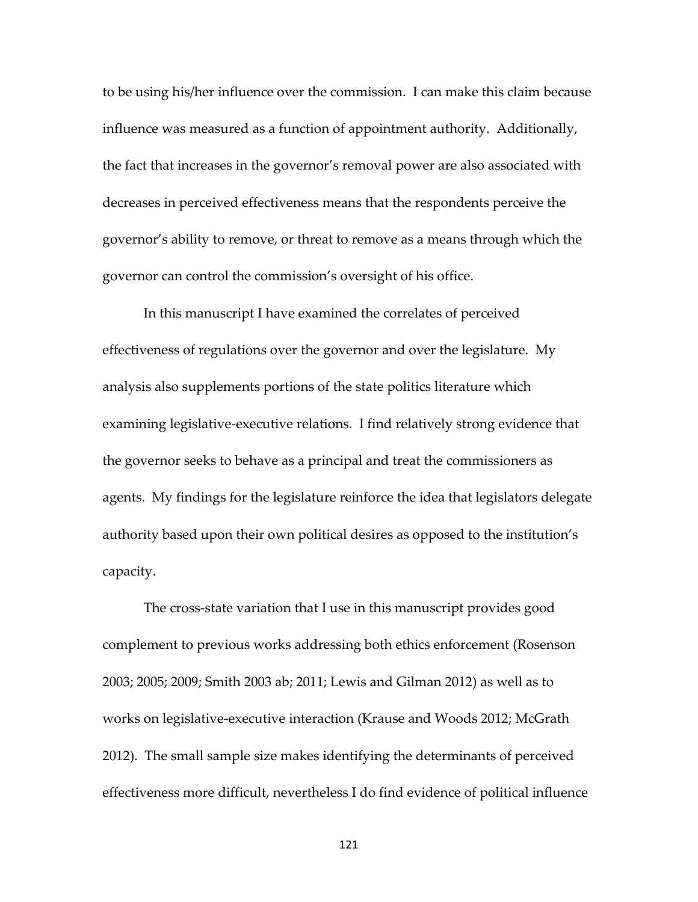to be using his/her influence over the commission. I can make this claim because influence was measured as a function of appointment authority. Additionally, the fact that increases in the governor's removal power are also associated with decreases in perceived effectiveness means that the respondents perceive the governor's ability to remove, or threat to remove as a means through which the governor can control the commission's oversight of his office.

In this manuscript I have examined the correlates of perceived effectiveness of regulations over the governor and over the legislature. My analysis also supplements portions of the state politics literature which examining legislative-executive relations. I find relatively strong evidence that the governor seeks to behave as a principal and treat the commissioners as agents. My findings for the legislature reinforce the idea that legislators delegate authority based upon their own political desires as opposed to the institution's capacity.

The cross-state variation that I use in this manuscript provides good complement to previous works addressing both ethics enforcement (Rosenson 2003; 2005; 2009; Smith 2003 ab; 2011; Lewis and Gilman 2012) as well as to works on legislative-executive interaction (Krause and Woods 2012; McGrath 2012). The small sample size makes identifying the determinants of perceived effectiveness more difficult, nevertheless I do find evidence of political influence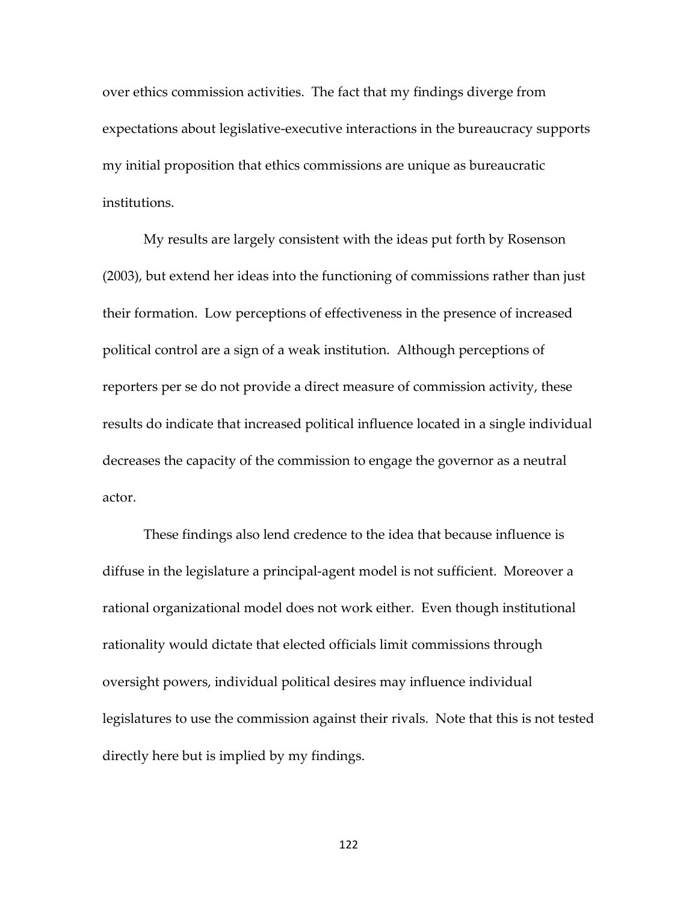over ethics commission activities. The fact that my findings diverge from expectations about legislative-executive interactions in the bureaucracy supports my initial proposition that ethics commissions are unique as bureaucratic institutions.

My results are largely consistent with the ideas put forth by Rosenson (2003), but extend her ideas into the functioning of commissions rather than just their formation. Low perceptions of effectiveness in the presence of increased political control are a sign of a weak institution. Although perceptions of reporters per se do not provide a direct measure of commission activity, these results do indicate that increased political influence located in a single individual decreases the capacity of the commission to engage the governor as a neutral actor.

These findings also lend credence to the idea that because influence is diffuse in the legislature a principal-agent model is not sufficient. Moreover a rational organizational model does not work either. Even though institutional rationality would dictate that elected officials limit commissions through oversight powers, individual political desires may influence individual legislatures to use the commission against their rivals. Note that this is not tested directly here but is implied by my findings.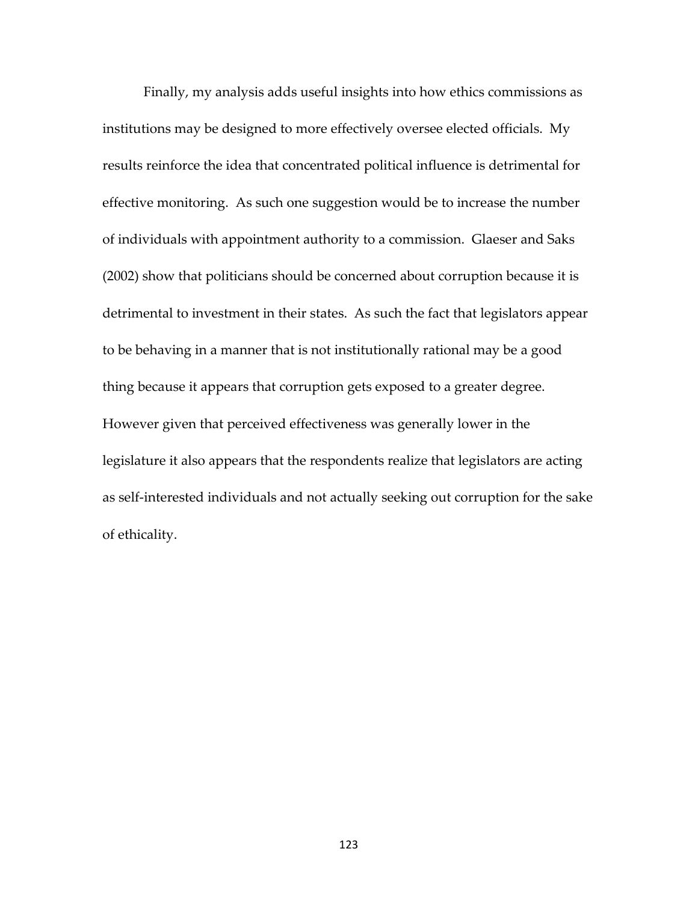Finally, my analysis adds useful insights into how ethics commissions as institutions may be designed to more effectively oversee elected officials. My results reinforce the idea that concentrated political influence is detrimental for effective monitoring. As such one suggestion would be to increase the number of individuals with appointment authority to a commission. Glaeser and Saks (2002) show that politicians should be concerned about corruption because it is detrimental to investment in their states. As such the fact that legislators appear to be behaving in a manner that is not institutionally rational may be a good thing because it appears that corruption gets exposed to a greater degree. However given that perceived effectiveness was generally lower in the legislature it also appears that the respondents realize that legislators are acting as self-interested individuals and not actually seeking out corruption for the sake of ethicality.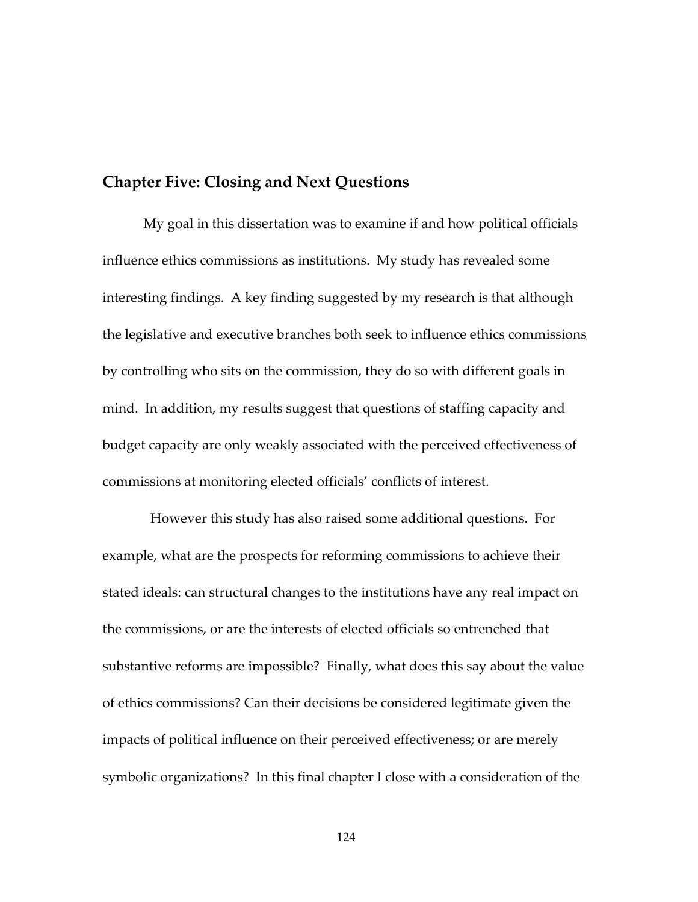# **Chapter Five: Closing and Next Questions**

My goal in this dissertation was to examine if and how political officials influence ethics commissions as institutions. My study has revealed some interesting findings. A key finding suggested by my research is that although the legislative and executive branches both seek to influence ethics commissions by controlling who sits on the commission, they do so with different goals in mind. In addition, my results suggest that questions of staffing capacity and budget capacity are only weakly associated with the perceived effectiveness of commissions at monitoring elected officials' conflicts of interest.

 However this study has also raised some additional questions. For example, what are the prospects for reforming commissions to achieve their stated ideals: can structural changes to the institutions have any real impact on the commissions, or are the interests of elected officials so entrenched that substantive reforms are impossible? Finally, what does this say about the value of ethics commissions? Can their decisions be considered legitimate given the impacts of political influence on their perceived effectiveness; or are merely symbolic organizations? In this final chapter I close with a consideration of the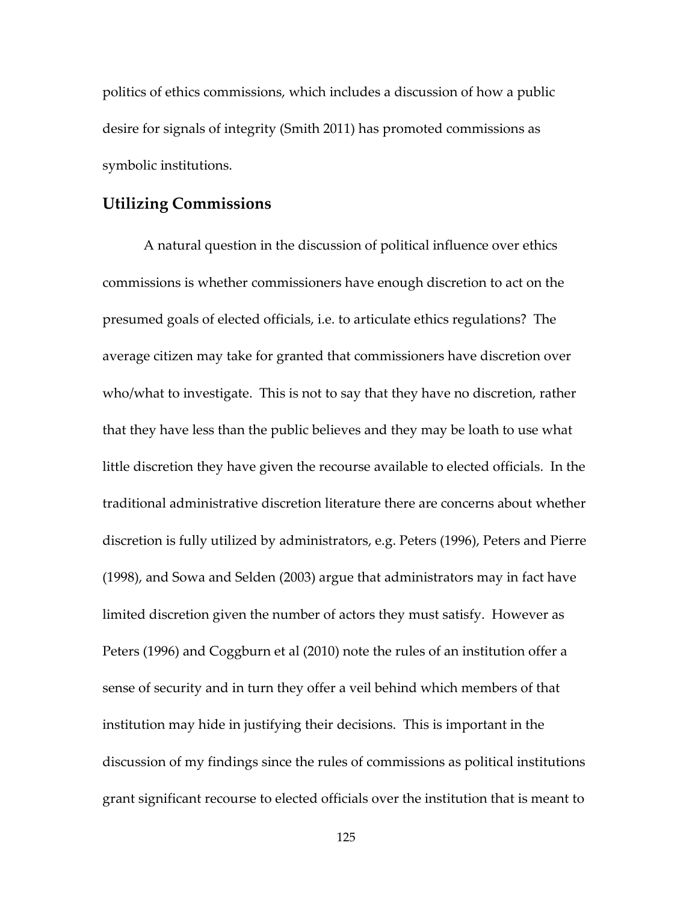politics of ethics commissions, which includes a discussion of how a public desire for signals of integrity (Smith 2011) has promoted commissions as symbolic institutions.

### **Utilizing Commissions**

A natural question in the discussion of political influence over ethics commissions is whether commissioners have enough discretion to act on the presumed goals of elected officials, i.e. to articulate ethics regulations? The average citizen may take for granted that commissioners have discretion over who/what to investigate. This is not to say that they have no discretion, rather that they have less than the public believes and they may be loath to use what little discretion they have given the recourse available to elected officials. In the traditional administrative discretion literature there are concerns about whether discretion is fully utilized by administrators, e.g. Peters (1996), Peters and Pierre (1998), and Sowa and Selden (2003) argue that administrators may in fact have limited discretion given the number of actors they must satisfy. However as Peters (1996) and Coggburn et al (2010) note the rules of an institution offer a sense of security and in turn they offer a veil behind which members of that institution may hide in justifying their decisions. This is important in the discussion of my findings since the rules of commissions as political institutions grant significant recourse to elected officials over the institution that is meant to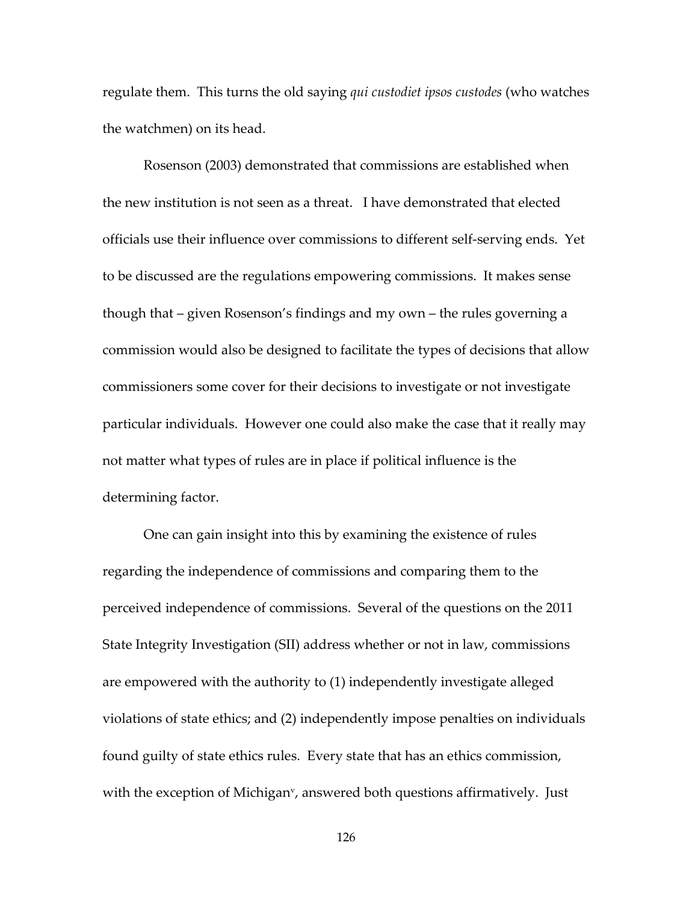regulate them. This turns the old saying *qui custodiet ipsos custodes* (who watches the watchmen) on its head.

Rosenson (2003) demonstrated that commissions are established when the new institution is not seen as a threat. I have demonstrated that elected officials use their influence over commissions to different self-serving ends. Yet to be discussed are the regulations empowering commissions. It makes sense though that – given Rosenson's findings and my own – the rules governing a commission would also be designed to facilitate the types of decisions that allow commissioners some cover for their decisions to investigate or not investigate particular individuals. However one could also make the case that it really may not matter what types of rules are in place if political influence is the determining factor.

One can gain insight into this by examining the existence of rules regarding the independence of commissions and comparing them to the perceived independence of commissions. Several of the questions on the 2011 State Integrity Investigation (SII) address whether or not in law, commissions are empowered with the authority to (1) independently investigate alleged violations of state ethics; and (2) independently impose penalties on individuals found guilty of state ethics rules. Every state that has an ethics commission, with the exception of Michigan<sup>v</sup>, answered both questions affirmatively. Just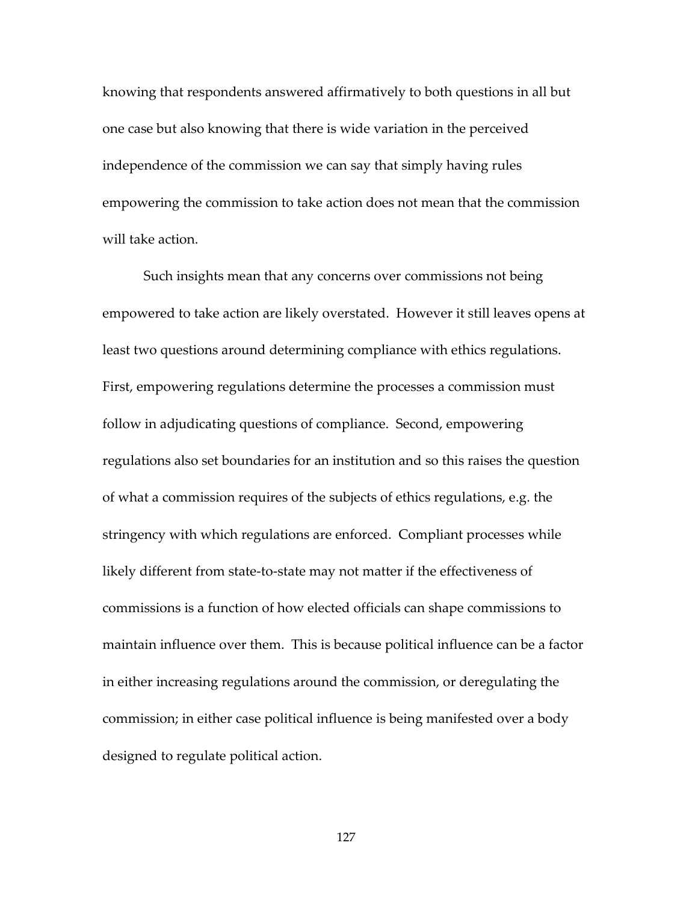knowing that respondents answered affirmatively to both questions in all but one case but also knowing that there is wide variation in the perceived independence of the commission we can say that simply having rules empowering the commission to take action does not mean that the commission will take action.

Such insights mean that any concerns over commissions not being empowered to take action are likely overstated. However it still leaves opens at least two questions around determining compliance with ethics regulations. First, empowering regulations determine the processes a commission must follow in adjudicating questions of compliance. Second, empowering regulations also set boundaries for an institution and so this raises the question of what a commission requires of the subjects of ethics regulations, e.g. the stringency with which regulations are enforced. Compliant processes while likely different from state-to-state may not matter if the effectiveness of commissions is a function of how elected officials can shape commissions to maintain influence over them. This is because political influence can be a factor in either increasing regulations around the commission, or deregulating the commission; in either case political influence is being manifested over a body designed to regulate political action.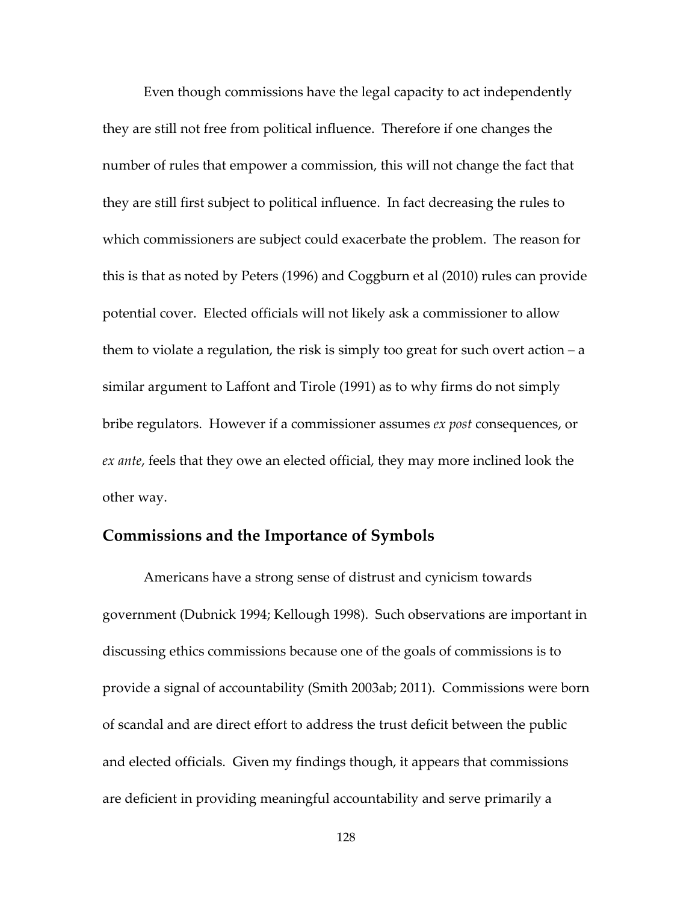Even though commissions have the legal capacity to act independently they are still not free from political influence. Therefore if one changes the number of rules that empower a commission, this will not change the fact that they are still first subject to political influence. In fact decreasing the rules to which commissioners are subject could exacerbate the problem. The reason for this is that as noted by Peters (1996) and Coggburn et al (2010) rules can provide potential cover. Elected officials will not likely ask a commissioner to allow them to violate a regulation, the risk is simply too great for such overt action – a similar argument to Laffont and Tirole (1991) as to why firms do not simply bribe regulators. However if a commissioner assumes *ex post* consequences, or *ex ante*, feels that they owe an elected official, they may more inclined look the other way.

## **Commissions and the Importance of Symbols**

Americans have a strong sense of distrust and cynicism towards government (Dubnick 1994; Kellough 1998). Such observations are important in discussing ethics commissions because one of the goals of commissions is to provide a signal of accountability (Smith 2003ab; 2011). Commissions were born of scandal and are direct effort to address the trust deficit between the public and elected officials. Given my findings though, it appears that commissions are deficient in providing meaningful accountability and serve primarily a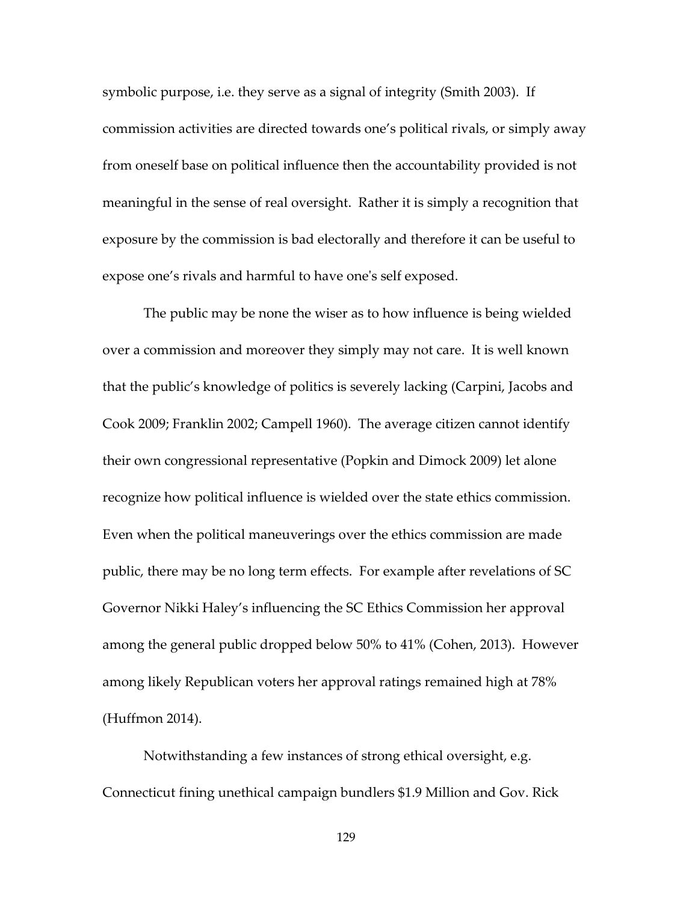symbolic purpose, i.e. they serve as a signal of integrity (Smith 2003). If commission activities are directed towards one's political rivals, or simply away from oneself base on political influence then the accountability provided is not meaningful in the sense of real oversight. Rather it is simply a recognition that exposure by the commission is bad electorally and therefore it can be useful to expose one's rivals and harmful to have one's self exposed.

The public may be none the wiser as to how influence is being wielded over a commission and moreover they simply may not care. It is well known that the public's knowledge of politics is severely lacking (Carpini, Jacobs and Cook 2009; Franklin 2002; Campell 1960). The average citizen cannot identify their own congressional representative (Popkin and Dimock 2009) let alone recognize how political influence is wielded over the state ethics commission. Even when the political maneuverings over the ethics commission are made public, there may be no long term effects. For example after revelations of SC Governor Nikki Haley's influencing the SC Ethics Commission her approval among the general public dropped below 50% to 41% (Cohen, 2013). However among likely Republican voters her approval ratings remained high at 78% (Huffmon 2014).

Notwithstanding a few instances of strong ethical oversight, e.g. Connecticut fining unethical campaign bundlers \$1.9 Million and Gov. Rick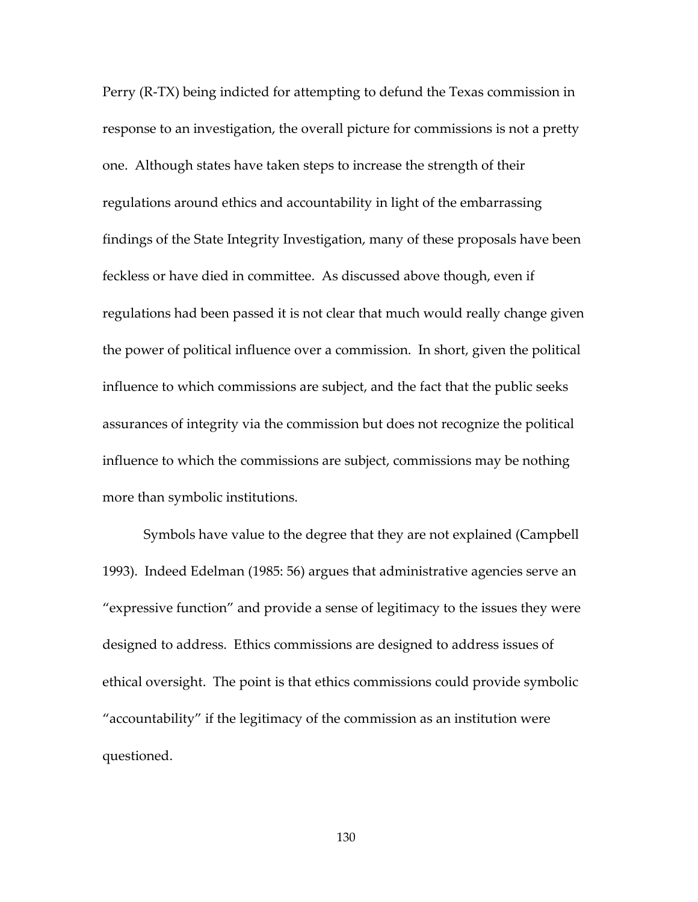Perry (R-TX) being indicted for attempting to defund the Texas commission in response to an investigation, the overall picture for commissions is not a pretty one. Although states have taken steps to increase the strength of their regulations around ethics and accountability in light of the embarrassing findings of the State Integrity Investigation, many of these proposals have been feckless or have died in committee. As discussed above though, even if regulations had been passed it is not clear that much would really change given the power of political influence over a commission. In short, given the political influence to which commissions are subject, and the fact that the public seeks assurances of integrity via the commission but does not recognize the political influence to which the commissions are subject, commissions may be nothing more than symbolic institutions.

Symbols have value to the degree that they are not explained (Campbell 1993). Indeed Edelman (1985: 56) argues that administrative agencies serve an "expressive function" and provide a sense of legitimacy to the issues they were designed to address. Ethics commissions are designed to address issues of ethical oversight. The point is that ethics commissions could provide symbolic "accountability" if the legitimacy of the commission as an institution were questioned.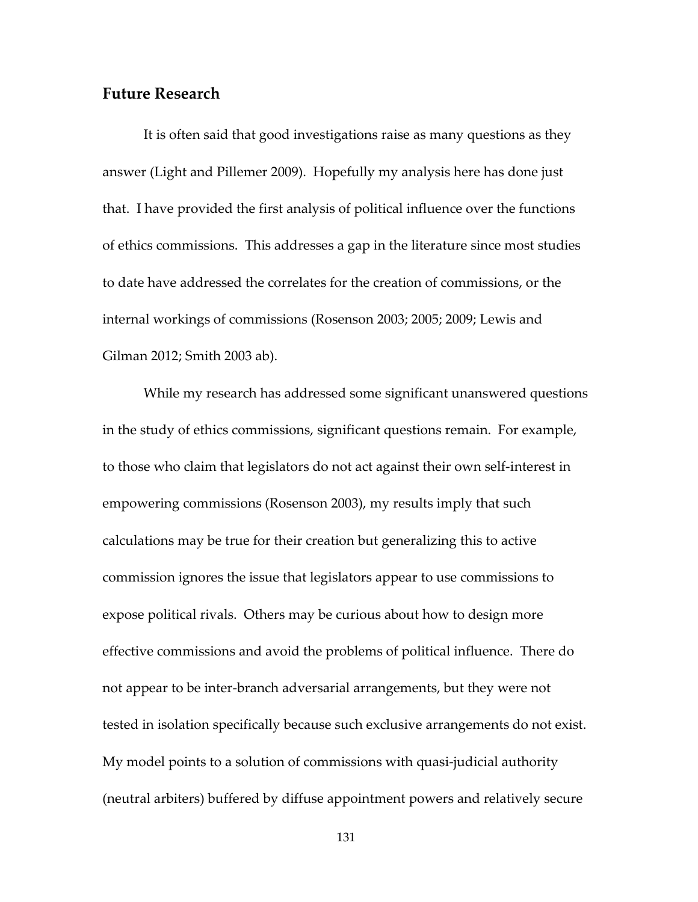# **Future Research**

It is often said that good investigations raise as many questions as they answer (Light and Pillemer 2009). Hopefully my analysis here has done just that. I have provided the first analysis of political influence over the functions of ethics commissions. This addresses a gap in the literature since most studies to date have addressed the correlates for the creation of commissions, or the internal workings of commissions (Rosenson 2003; 2005; 2009; Lewis and Gilman 2012; Smith 2003 ab).

While my research has addressed some significant unanswered questions in the study of ethics commissions, significant questions remain. For example, to those who claim that legislators do not act against their own self-interest in empowering commissions (Rosenson 2003), my results imply that such calculations may be true for their creation but generalizing this to active commission ignores the issue that legislators appear to use commissions to expose political rivals. Others may be curious about how to design more effective commissions and avoid the problems of political influence. There do not appear to be inter-branch adversarial arrangements, but they were not tested in isolation specifically because such exclusive arrangements do not exist. My model points to a solution of commissions with quasi-judicial authority (neutral arbiters) buffered by diffuse appointment powers and relatively secure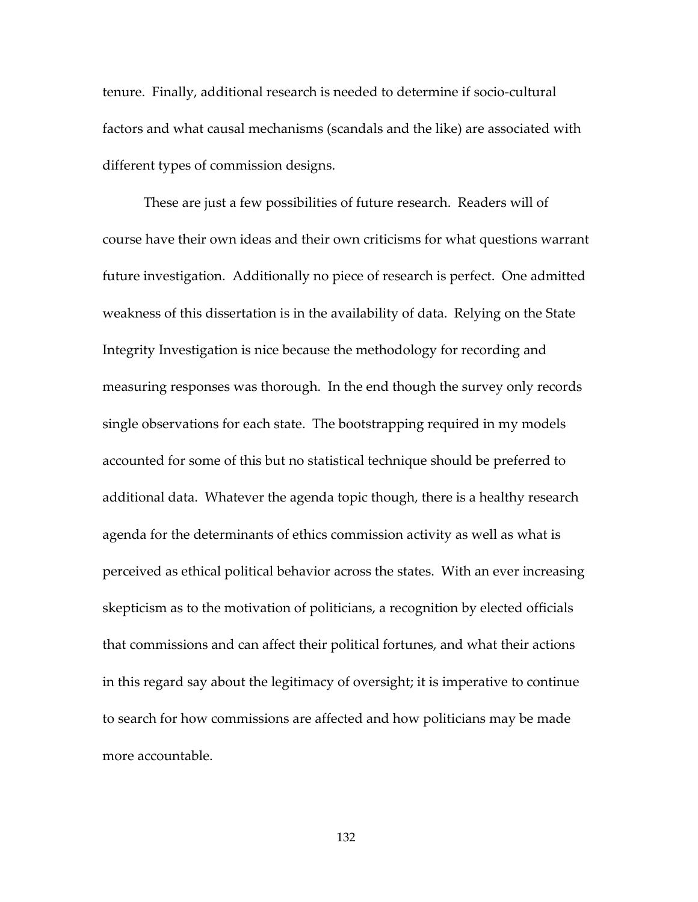tenure. Finally, additional research is needed to determine if socio-cultural factors and what causal mechanisms (scandals and the like) are associated with different types of commission designs.

These are just a few possibilities of future research. Readers will of course have their own ideas and their own criticisms for what questions warrant future investigation. Additionally no piece of research is perfect. One admitted weakness of this dissertation is in the availability of data. Relying on the State Integrity Investigation is nice because the methodology for recording and measuring responses was thorough. In the end though the survey only records single observations for each state. The bootstrapping required in my models accounted for some of this but no statistical technique should be preferred to additional data. Whatever the agenda topic though, there is a healthy research agenda for the determinants of ethics commission activity as well as what is perceived as ethical political behavior across the states. With an ever increasing skepticism as to the motivation of politicians, a recognition by elected officials that commissions and can affect their political fortunes, and what their actions in this regard say about the legitimacy of oversight; it is imperative to continue to search for how commissions are affected and how politicians may be made more accountable.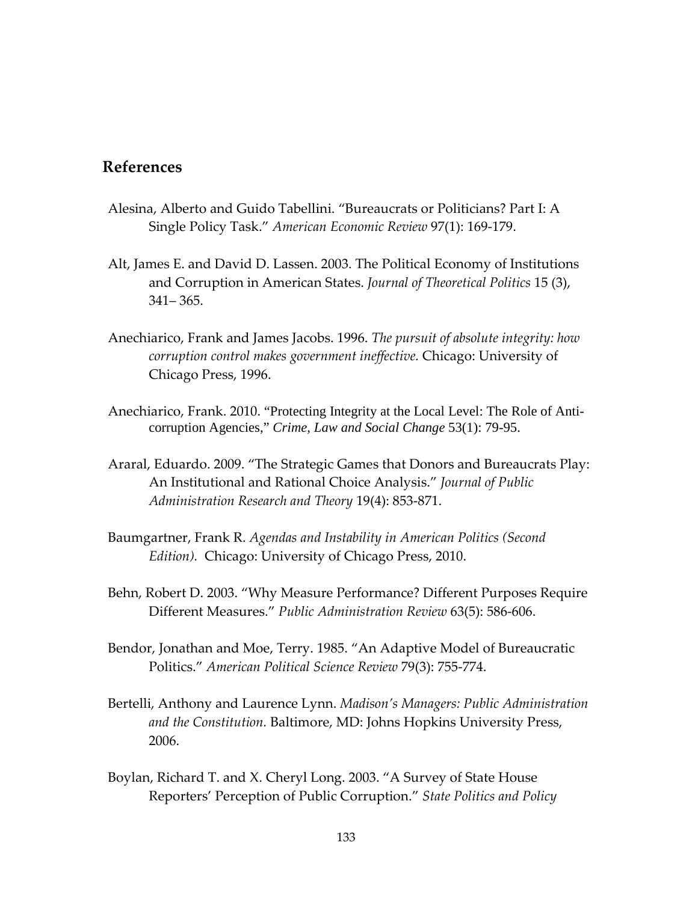# **References**

- Alesina, Alberto and Guido Tabellini. "Bureaucrats or Politicians? Part I: A Single Policy Task." *American Economic Review* 97(1): 169-179.
- Alt, James E. and David D. Lassen. 2003. The Political Economy of Institutions and Corruption in American States. *Journal of Theoretical Politics* 15 (3), 341– 365.
- Anechiarico, Frank and James Jacobs. 1996. *The pursuit of absolute integrity: how corruption control makes government ineffective.* Chicago: University of Chicago Press, 1996.
- Anechiarico, Frank. 2010. "Protecting Integrity at the Local Level: The Role of Anticorruption Agencies," *Crime, Law and Social Change* 53(1): 79-95.
- Araral, Eduardo. 2009. "The Strategic Games that Donors and Bureaucrats Play: An Institutional and Rational Choice Analysis." *Journal of Public Administration Research and Theory* 19(4): 853-871.
- Baumgartner, Frank R. *Agendas and Instability in American Politics (Second Edition).* Chicago: University of Chicago Press, 2010.
- Behn, Robert D. 2003. "Why Measure Performance? Different Purposes Require Different Measures." *Public Administration Review* 63(5): 586-606.
- Bendor, Jonathan and Moe, Terry. 1985. "An Adaptive Model of Bureaucratic Politics." *American Political Science Review* 79(3): 755-774.
- Bertelli, Anthony and Laurence Lynn. *Madison's Managers: Public Administration and the Constitution.* Baltimore, MD: Johns Hopkins University Press, 2006.
- Boylan, Richard T. and X. Cheryl Long. 2003. "A Survey of State House Reporters' Perception of Public Corruption." *State Politics and Policy*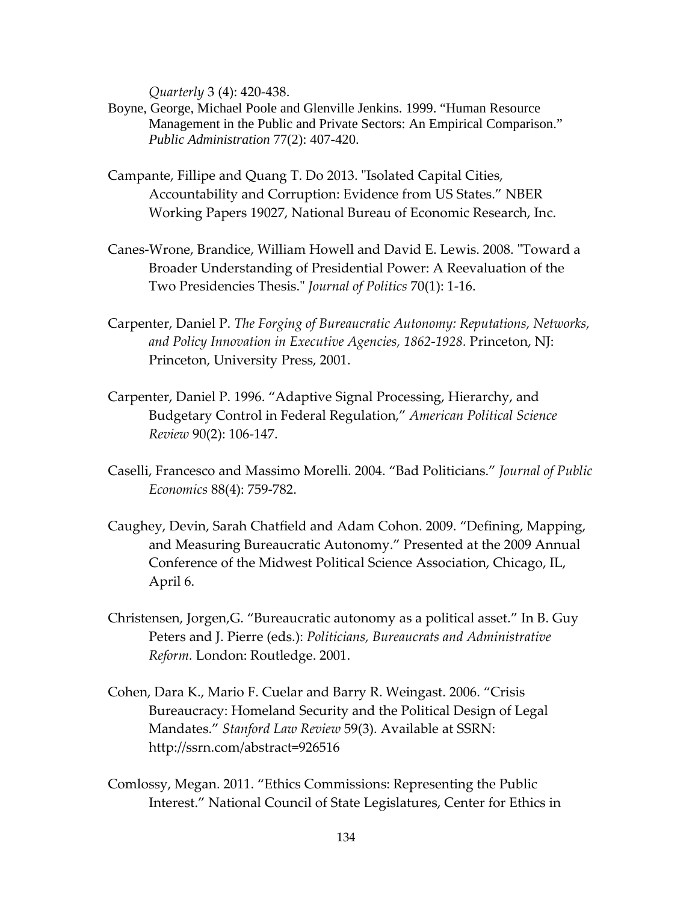*Quarterly* 3 (4): 420-438.

- Boyne, George, Michael Poole and Glenville Jenkins. 1999. "Human Resource Management in the Public and Private Sectors: An Empirical Comparison." *Public Administration* 77(2): 407-420.
- Campante, Fillipe and Quang T. Do 2013. "Isolated Capital Cities, Accountability and Corruption: Evidence from US States." NBER Working Papers 19027, National Bureau of Economic Research, Inc.
- Canes-Wrone, Brandice, William Howell and David E. Lewis. 2008. "Toward a Broader Understanding of Presidential Power: A Reevaluation of the Two Presidencies Thesis." *Journal of Politics* 70(1): 1-16.
- Carpenter, Daniel P. *The Forging of Bureaucratic Autonomy: Reputations, Networks, and Policy Innovation in Executive Agencies, 1862-1928.* Princeton, NJ: Princeton, University Press, 2001.
- Carpenter, Daniel P. 1996. "Adaptive Signal Processing, Hierarchy, and Budgetary Control in Federal Regulation," *American Political Science Review* 90(2): 106-147.
- Caselli, Francesco and Massimo Morelli. 2004. "Bad Politicians." *Journal of Public Economics* 88(4): 759-782.
- Caughey, Devin, Sarah Chatfield and Adam Cohon. 2009. "Defining, Mapping, and Measuring Bureaucratic Autonomy." Presented at the 2009 Annual Conference of the Midwest Political Science Association, Chicago, IL, April 6.
- Christensen, Jorgen,G. "Bureaucratic autonomy as a political asset." In B. Guy Peters and J. Pierre (eds.): *Politicians, Bureaucrats and Administrative Reform.* London: Routledge. 2001.
- Cohen, Dara K., Mario F. Cuelar and Barry R. Weingast. 2006. "Crisis Bureaucracy: Homeland Security and the Political Design of Legal Mandates." *Stanford Law Review* 59(3). Available at SSRN: http://ssrn.com/abstract=926516
- Comlossy, Megan. 2011. "Ethics Commissions: Representing the Public Interest." National Council of State Legislatures, Center for Ethics in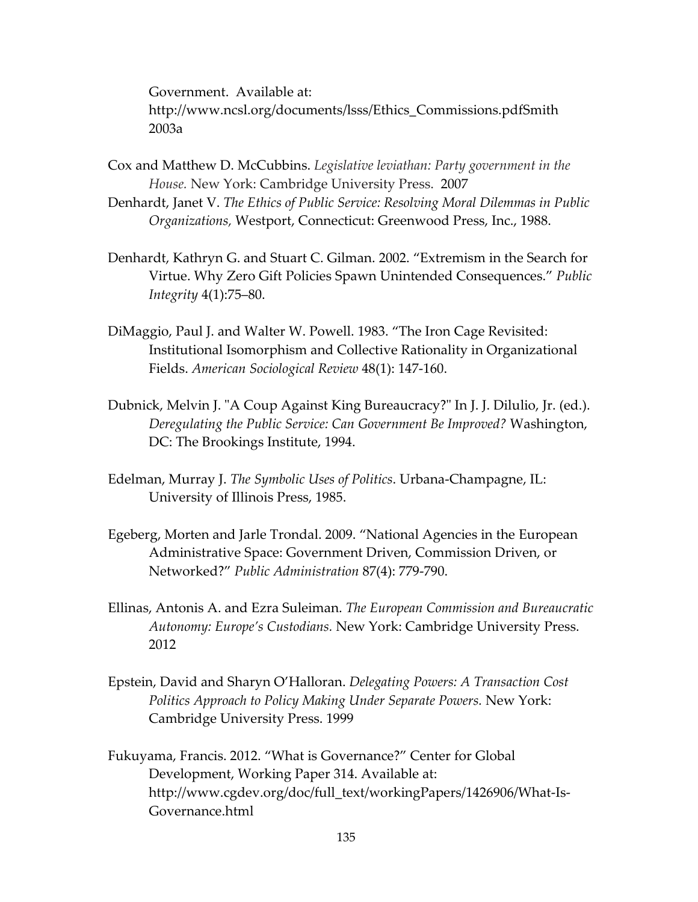Government. Available at: http://www.ncsl.org/documents/lsss/Ethics\_Commissions.pdfSmith 2003a

- Cox and Matthew D. McCubbins. *Legislative leviathan: Party government in the House.* New York: Cambridge University Press. 2007
- Denhardt, Janet V. *The Ethics of Public Service: Resolving Moral Dilemmas in Public Organizations,* Westport, Connecticut: Greenwood Press, Inc., 1988.
- Denhardt, Kathryn G. and Stuart C. Gilman. 2002. "Extremism in the Search for Virtue. Why Zero Gift Policies Spawn Unintended Consequences." *Public Integrity* 4(1):75–80.
- DiMaggio, Paul J. and Walter W. Powell. 1983. "The Iron Cage Revisited: Institutional Isomorphism and Collective Rationality in Organizational Fields. *American Sociological Review* 48(1): 147-160.
- Dubnick, Melvin J. "A Coup Against King Bureaucracy?" In J. J. Dilulio, Jr. (ed.). *Deregulating the Public Service: Can Government Be Improved?* Washington, DC: The Brookings Institute, 1994.
- Edelman, Murray J. *The Symbolic Uses of Politics*. Urbana-Champagne, IL: University of Illinois Press, 1985.
- Egeberg, Morten and Jarle Trondal. 2009. "National Agencies in the European Administrative Space: Government Driven, Commission Driven, or Networked?" *Public Administration* 87(4): 779-790.
- Ellinas, Antonis A. and Ezra Suleiman. *The European Commission and Bureaucratic Autonomy: Europe's Custodians.* New York: Cambridge University Press. 2012
- Epstein, David and Sharyn O'Halloran. *Delegating Powers: A Transaction Cost Politics Approach to Policy Making Under Separate Powers.* New York: Cambridge University Press. 1999
- Fukuyama, Francis. 2012. "What is Governance?" Center for Global Development, Working Paper 314. Available at: http://www.cgdev.org/doc/full\_text/workingPapers/1426906/What-Is-Governance.html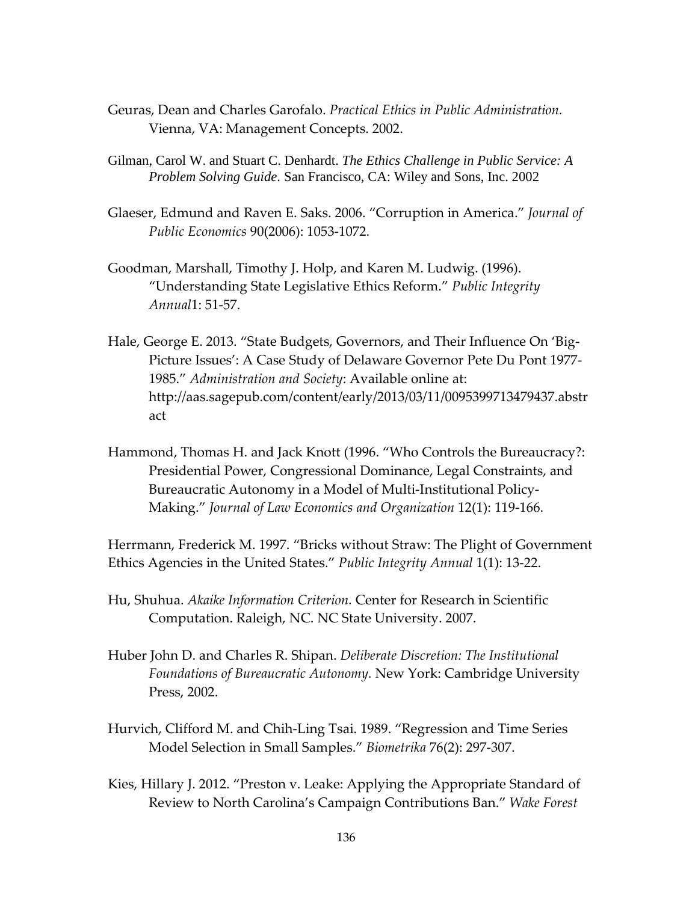- Geuras, Dean and Charles Garofalo. *Practical Ethics in Public Administration.* Vienna, VA: Management Concepts. 2002.
- Gilman, Carol W. and Stuart C. Denhardt. *The Ethics Challenge in Public Service: A Problem Solving Guide*. San Francisco, CA: Wiley and Sons, Inc. 2002
- Glaeser, Edmund and Raven E. Saks. 2006. "Corruption in America." *Journal of Public Economics* 90(2006): 1053-1072.
- Goodman, Marshall, Timothy J. Holp, and Karen M. Ludwig. (1996). "Understanding State Legislative Ethics Reform." *Public Integrity Annual*1: 51-57.
- Hale, George E. 2013. "State Budgets, Governors, and Their Influence On 'Big-Picture Issues': A Case Study of Delaware Governor Pete Du Pont 1977- 1985." *Administration and Society*: Available online at: http://aas.sagepub.com/content/early/2013/03/11/0095399713479437.abstr act
- Hammond, Thomas H. and Jack Knott (1996. "Who Controls the Bureaucracy?: Presidential Power, Congressional Dominance, Legal Constraints, and Bureaucratic Autonomy in a Model of Multi-Institutional Policy-Making." *Journal of Law Economics and Organization* 12(1): 119-166.

Herrmann, Frederick M. 1997. "Bricks without Straw: The Plight of Government Ethics Agencies in the United States." *Public Integrity Annual* 1(1): 13-22.

- Hu, Shuhua. *Akaike Information Criterion.* Center for Research in Scientific Computation. Raleigh, NC. NC State University. 2007.
- Huber John D. and Charles R. Shipan. *Deliberate Discretion: The Institutional Foundations of Bureaucratic Autonomy.* New York: Cambridge University Press, 2002.
- Hurvich, Clifford M. and Chih-Ling Tsai. 1989. "Regression and Time Series Model Selection in Small Samples." *Biometrika* 76(2): 297-307.
- Kies, Hillary J. 2012. "Preston v. Leake: Applying the Appropriate Standard of Review to North Carolina's Campaign Contributions Ban." *Wake Forest*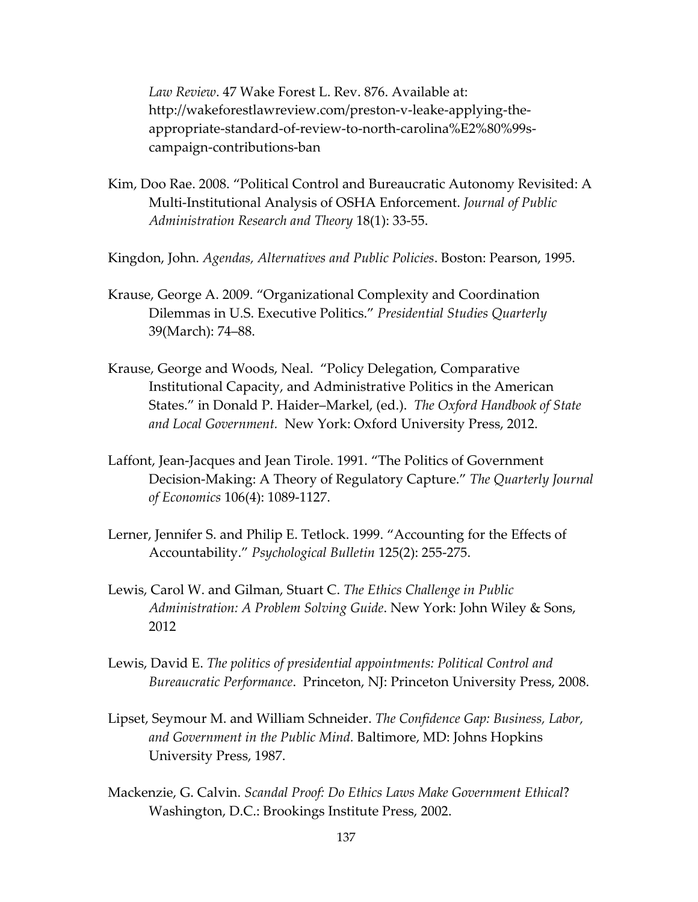*Law Review*. 47 Wake Forest L. Rev. 876. Available at: http://wakeforestlawreview.com/preston-v-leake-applying-theappropriate-standard-of-review-to-north-carolina%E2%80%99scampaign-contributions-ban

- Kim, Doo Rae. 2008. "Political Control and Bureaucratic Autonomy Revisited: A Multi-Institutional Analysis of OSHA Enforcement. *Journal of Public Administration Research and Theory* 18(1): 33-55.
- Kingdon, John. *Agendas, Alternatives and Public Policies*. Boston: Pearson, 1995.
- Krause, George A. 2009. "Organizational Complexity and Coordination Dilemmas in U.S. Executive Politics." *Presidential Studies Quarterly* 39(March): 74–88.
- Krause, George and Woods, Neal. "Policy Delegation, Comparative Institutional Capacity, and Administrative Politics in the American States." in Donald P. Haider–Markel, (ed.). *The Oxford Handbook of State and Local Government.* New York: Oxford University Press, 2012.
- Laffont, Jean-Jacques and Jean Tirole. 1991. "The Politics of Government Decision-Making: A Theory of Regulatory Capture." *The Quarterly Journal of Economics* 106(4): 1089-1127.
- Lerner, Jennifer S. and Philip E. Tetlock. 1999. "Accounting for the Effects of Accountability." *Psychological Bulletin* 125(2): 255-275.
- Lewis, Carol W. and Gilman, Stuart C. *The Ethics Challenge in Public Administration: A Problem Solving Guide*. New York: John Wiley & Sons, 2012
- Lewis, David E. *The politics of presidential appointments: Political Control and Bureaucratic Performance*. Princeton, NJ: Princeton University Press, 2008.
- Lipset, Seymour M. and William Schneider. *The Confidence Gap: Business, Labor, and Government in the Public Mind.* Baltimore, MD: Johns Hopkins University Press, 1987.
- Mackenzie, G. Calvin. *Scandal Proof: Do Ethics Laws Make Government Ethical*? Washington, D.C.: Brookings Institute Press, 2002.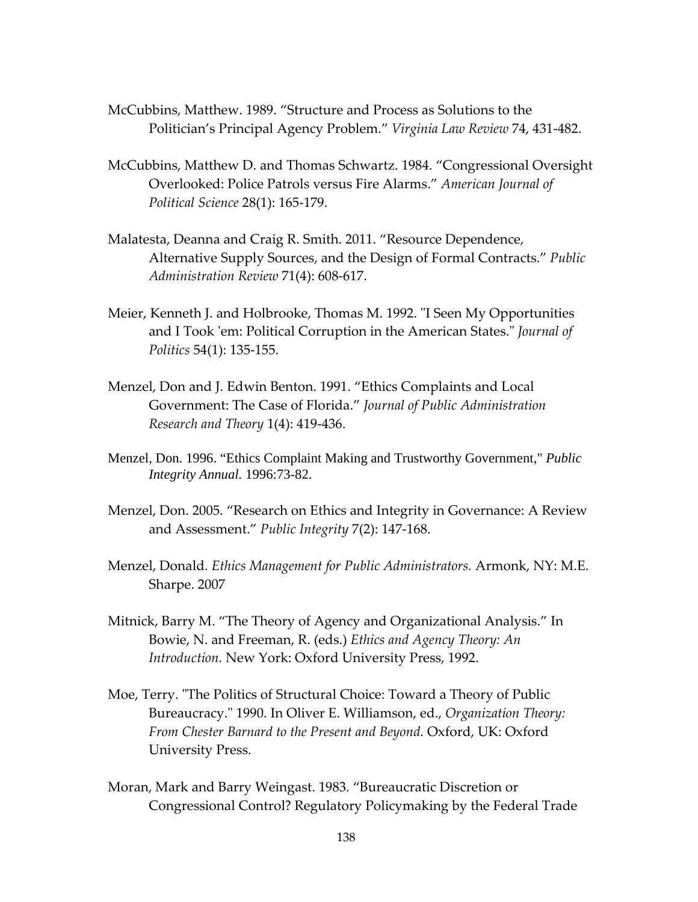- McCubbins, Matthew. 1989. "Structure and Process as Solutions to the Politician's Principal Agency Problem." *Virginia Law Review* 74, 431-482.
- McCubbins, Matthew D. and Thomas Schwartz. 1984. "Congressional Oversight Overlooked: Police Patrols versus Fire Alarms." *American Journal of Political Science* 28(1): 165-179.
- Malatesta, Deanna and Craig R. Smith. 2011. "Resource Dependence, Alternative Supply Sources, and the Design of Formal Contracts." *Public Administration Review* 71(4): 608-617.
- Meier, Kenneth J. and Holbrooke, Thomas M. 1992. "I Seen My Opportunities and I Took 'em: Political Corruption in the American States." *Journal of Politics* 54(1): 135-155.
- Menzel, Don and J. Edwin Benton. 1991. "Ethics Complaints and Local Government: The Case of Florida." *Journal of Public Administration Research and Theory* 1(4): 419-436.
- Menzel, Don. 1996. "Ethics Complaint Making and Trustworthy Government," *Public Integrity Annual.* 1996:73-82.
- Menzel, Don. 2005. "Research on Ethics and Integrity in Governance: A Review and Assessment." *Public Integrity* 7(2): 147-168.
- Menzel, Donald. *Ethics Management for Public Administrators.* Armonk, NY: M.E. Sharpe. 2007
- Mitnick, Barry M. "The Theory of Agency and Organizational Analysis." In Bowie, N. and Freeman, R. (eds.) *Ethics and Agency Theory: An Introduction.* New York: Oxford University Press, 1992.
- Moe, Terry. "The Politics of Structural Choice: Toward a Theory of Public Bureaucracy." 1990. In Oliver E. Williamson, ed., *Organization Theory: From Chester Barnard to the Present and Beyond.* Oxford, UK: Oxford University Press.
- Moran, Mark and Barry Weingast. 1983. "Bureaucratic Discretion or Congressional Control? Regulatory Policymaking by the Federal Trade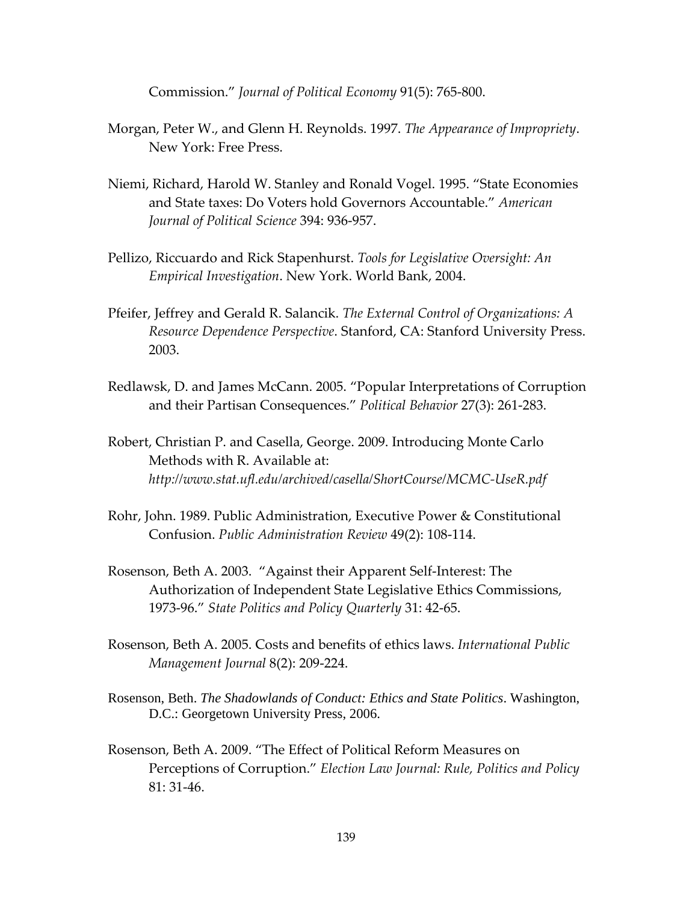Commission." *Journal of Political Economy* 91(5): 765-800.

- Morgan, Peter W., and Glenn H. Reynolds. 1997. *The Appearance of Impropriety*. New York: Free Press.
- Niemi, Richard, Harold W. Stanley and Ronald Vogel. 1995. "State Economies and State taxes: Do Voters hold Governors Accountable." *American Journal of Political Science* 394: 936-957.
- Pellizo, Riccuardo and Rick Stapenhurst. *Tools for Legislative Oversight: An Empirical Investigation*. New York. World Bank, 2004.
- Pfeifer, Jeffrey and Gerald R. Salancik. *The External Control of Organizations: A Resource Dependence Perspective*. Stanford, CA: Stanford University Press. 2003.
- Redlawsk, D. and James McCann. 2005. "Popular Interpretations of Corruption and their Partisan Consequences." *Political Behavior* 27(3): 261-283.
- Robert, Christian P. and Casella, George. 2009. Introducing Monte Carlo Methods with R. Available at: *http://www.stat.ufl.edu/archived/casella/ShortCourse/MCMC-UseR.pdf*
- Rohr, John. 1989. Public Administration, Executive Power & Constitutional Confusion. *Public Administration Review* 49(2): 108-114.
- Rosenson, Beth A. 2003. "Against their Apparent Self-Interest: The Authorization of Independent State Legislative Ethics Commissions, 1973-96." *State Politics and Policy Quarterly* 31: 42-65.
- Rosenson, Beth A. 2005. Costs and benefits of ethics laws. *International Public Management Journal* 8(2): 209-224.
- Rosenson, Beth. *The Shadowlands of Conduct: Ethics and State Politics*. Washington, D.C.: Georgetown University Press, 2006.
- Rosenson, Beth A. 2009. "The Effect of Political Reform Measures on Perceptions of Corruption." *Election Law Journal: Rule, Politics and Policy* 81: 31-46.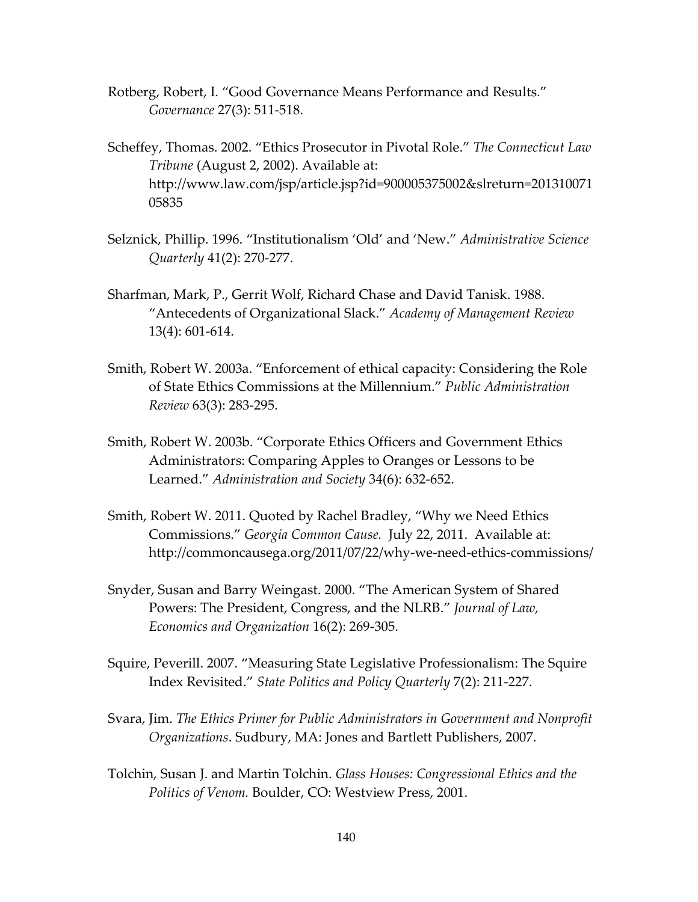- Rotberg, Robert, I. "Good Governance Means Performance and Results." *Governance* 27(3): 511-518.
- Scheffey, Thomas. 2002. "Ethics Prosecutor in Pivotal Role." *The Connecticut Law Tribune* (August 2, 2002). Available at: http://www.law.com/jsp/article.jsp?id=900005375002&slreturn=201310071 05835
- Selznick, Phillip. 1996. "Institutionalism 'Old' and 'New." *Administrative Science Quarterly* 41(2): 270-277.
- Sharfman, Mark, P., Gerrit Wolf, Richard Chase and David Tanisk. 1988. "Antecedents of Organizational Slack." *Academy of Management Review* 13(4): 601-614.
- Smith, Robert W. 2003a. "Enforcement of ethical capacity: Considering the Role of State Ethics Commissions at the Millennium." *Public Administration Review* 63(3): 283-295.
- Smith, Robert W. 2003b. "Corporate Ethics Officers and Government Ethics Administrators: Comparing Apples to Oranges or Lessons to be Learned." *Administration and Society* 34(6): 632-652.
- Smith, Robert W. 2011. Quoted by Rachel Bradley, "Why we Need Ethics Commissions." *Georgia Common Cause.* July 22, 2011. Available at: http://commoncausega.org/2011/07/22/why-we-need-ethics-commissions/
- Snyder, Susan and Barry Weingast. 2000. "The American System of Shared Powers: The President, Congress, and the NLRB." *Journal of Law, Economics and Organization* 16(2): 269-305.
- Squire, Peverill. 2007. "Measuring State Legislative Professionalism: The Squire Index Revisited." *State Politics and Policy Quarterly* 7(2): 211-227.
- Svara, Jim. *The Ethics Primer for Public Administrators in Government and Nonprofit Organizations*. Sudbury, MA: Jones and Bartlett Publishers, 2007.
- Tolchin, Susan J. and Martin Tolchin. *Glass Houses: Congressional Ethics and the Politics of Venom.* Boulder, CO: Westview Press, 2001.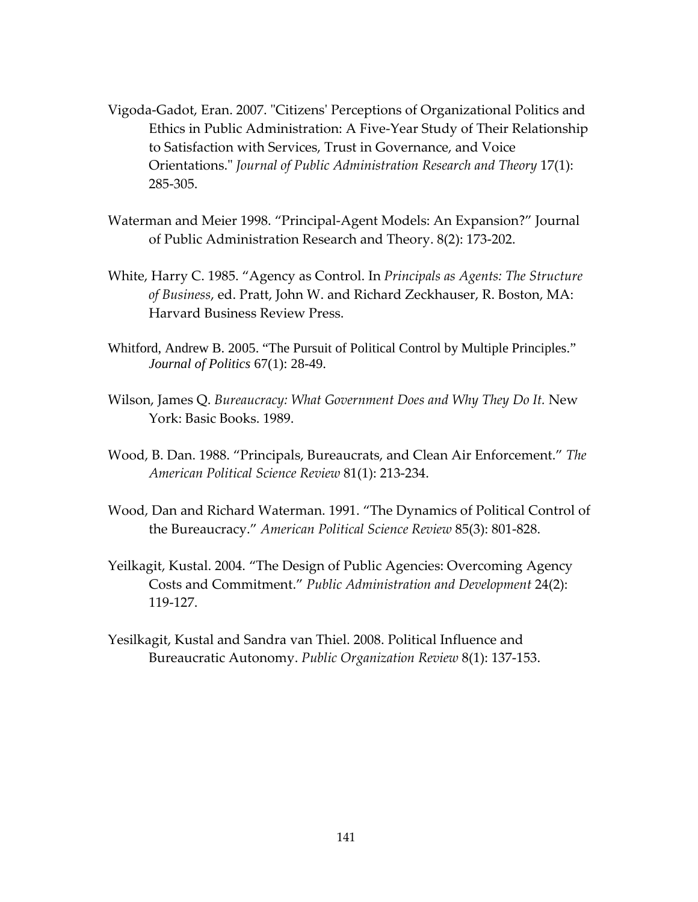- Vigoda-Gadot, Eran. 2007. "Citizens' Perceptions of Organizational Politics and Ethics in Public Administration: A Five-Year Study of Their Relationship to Satisfaction with Services, Trust in Governance, and Voice Orientations." *Journal of Public Administration Research and Theory* 17(1): 285-305.
- Waterman and Meier 1998. "Principal-Agent Models: An Expansion?" Journal of Public Administration Research and Theory. 8(2): 173-202.
- White, Harry C. 1985. "Agency as Control. In *Principals as Agents: The Structure of Business*, ed. Pratt, John W. and Richard Zeckhauser, R. Boston, MA: Harvard Business Review Press.
- Whitford, Andrew B. 2005. "The Pursuit of Political Control by Multiple Principles." *Journal of Politics* 67(1): 28-49.
- Wilson, James Q. *Bureaucracy: What Government Does and Why They Do It.* New York: Basic Books. 1989.
- Wood, B. Dan. 1988. "Principals, Bureaucrats, and Clean Air Enforcement." *The American Political Science Review* 81(1): 213-234.
- Wood, Dan and Richard Waterman. 1991. "The Dynamics of Political Control of the Bureaucracy." *American Political Science Review* 85(3): 801-828.
- Yeilkagit, Kustal. 2004. "The Design of Public Agencies: Overcoming Agency Costs and Commitment." *Public Administration and Development* 24(2): 119-127.
- Yesilkagit, Kustal and Sandra van Thiel. 2008. Political Influence and Bureaucratic Autonomy. *Public Organization Review* 8(1): 137-153.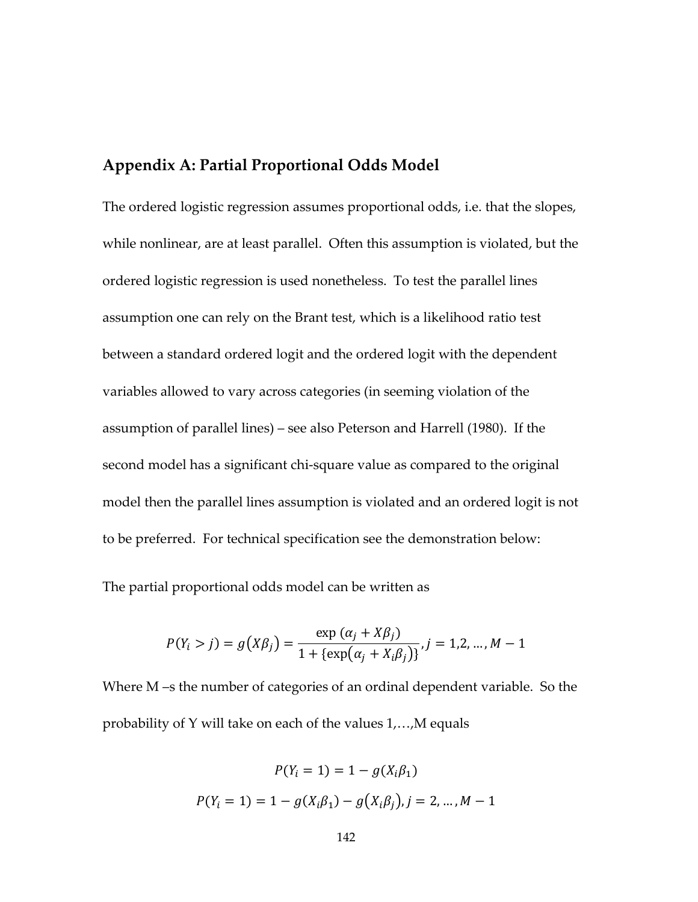## **Appendix A: Partial Proportional Odds Model**

The ordered logistic regression assumes proportional odds, i.e. that the slopes, while nonlinear, are at least parallel. Often this assumption is violated, but the ordered logistic regression is used nonetheless. To test the parallel lines assumption one can rely on the Brant test, which is a likelihood ratio test between a standard ordered logit and the ordered logit with the dependent variables allowed to vary across categories (in seeming violation of the assumption of parallel lines) – see also Peterson and Harrell (1980). If the second model has a significant chi-square value as compared to the original model then the parallel lines assumption is violated and an ordered logit is not to be preferred. For technical specification see the demonstration below:

The partial proportional odds model can be written as

$$
P(Y_i > j) = g(X\beta_j) = \frac{\exp(\alpha_j + X\beta_j)}{1 + \{\exp(\alpha_j + X_i\beta_j)\}}, j = 1, 2, ..., M - 1
$$

Where M –s the number of categories of an ordinal dependent variable. So the probability of Y will take on each of the values 1,…,M equals

$$
P(Y_i = 1) = 1 - g(X_i \beta_1)
$$
  

$$
P(Y_i = 1) = 1 - g(X_i \beta_1) - g(X_i \beta_j), j = 2, ..., M - 1
$$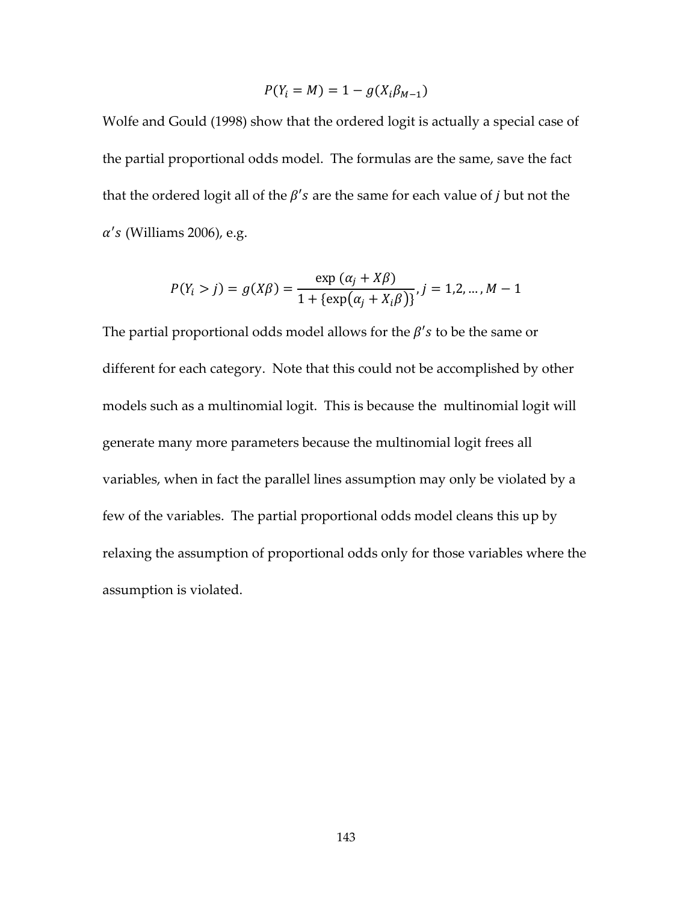$$
P(Y_i = M) = 1 - g(X_i \beta_{M-1})
$$

Wolfe and Gould (1998) show that the ordered logit is actually a special case of the partial proportional odds model. The formulas are the same, save the fact that the ordered logit all of the  $\beta$ 's are the same for each value of *j* but not the  $\alpha$ 's (Williams 2006), e.g.

$$
P(Y_i > j) = g(X\beta) = \frac{\exp(\alpha_j + X\beta)}{1 + {\exp(\alpha_j + X_i\beta)}} , j = 1, 2, ..., M - 1
$$

The partial proportional odds model allows for the  $\beta$ 's to be the same or different for each category. Note that this could not be accomplished by other models such as a multinomial logit. This is because the multinomial logit will generate many more parameters because the multinomial logit frees all variables, when in fact the parallel lines assumption may only be violated by a few of the variables. The partial proportional odds model cleans this up by relaxing the assumption of proportional odds only for those variables where the assumption is violated.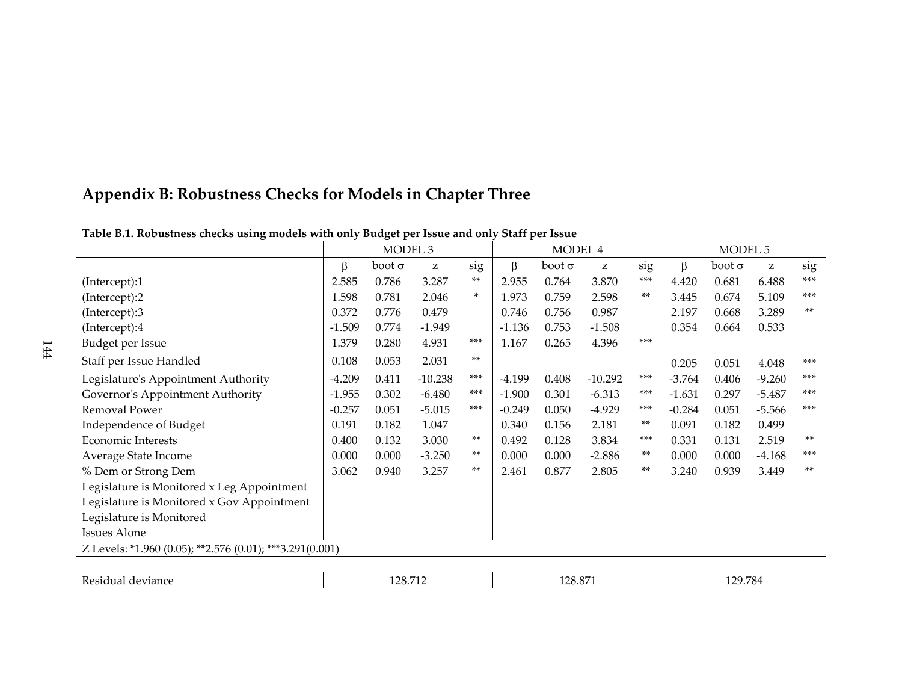# **Appendix B: Robustness Checks for Models in Chapter Three**

| Table D.I. Kobustitess checks using models with only budget per issue and only start per issue | MODEL <sub>3</sub> |               |           | MODEL 4 |          |               | MODEL 5   |       |          |               |          |       |
|------------------------------------------------------------------------------------------------|--------------------|---------------|-----------|---------|----------|---------------|-----------|-------|----------|---------------|----------|-------|
|                                                                                                | ß                  | $boot \sigma$ | z         | sig     | β        | $boot \sigma$ | Z         | sig   | ß        | $boot \sigma$ | Z        | sig   |
| (Intercept):1                                                                                  | 2.585              | 0.786         | 3.287     | $***$   | 2.955    | 0.764         | 3.870     | $***$ | 4.420    | 0.681         | 6.488    | $***$ |
| (Intercept):2                                                                                  | 1.598              | 0.781         | 2.046     | ×.      | 1.973    | 0.759         | 2.598     | $***$ | 3.445    | 0.674         | 5.109    | $***$ |
| (Intercept):3                                                                                  | 0.372              | 0.776         | 0.479     |         | 0.746    | 0.756         | 0.987     |       | 2.197    | 0.668         | 3.289    | $***$ |
| (Intercept):4                                                                                  | $-1.509$           | 0.774         | $-1.949$  |         | $-1.136$ | 0.753         | $-1.508$  |       | 0.354    | 0.664         | 0.533    |       |
| Budget per Issue                                                                               | 1.379              | 0.280         | 4.931     | $***$   | 1.167    | 0.265         | 4.396     | $***$ |          |               |          |       |
| Staff per Issue Handled                                                                        | 0.108              | 0.053         | 2.031     | $***$   |          |               |           |       | 0.205    | 0.051         | 4.048    | $***$ |
| Legislature's Appointment Authority                                                            | $-4.209$           | 0.411         | $-10.238$ | $***$   | $-4.199$ | 0.408         | $-10.292$ | ***   | $-3.764$ | 0.406         | $-9.260$ | $***$ |
| Governor's Appointment Authority                                                               | $-1.955$           | 0.302         | $-6.480$  | $***$   | $-1.900$ | 0.301         | $-6.313$  | $***$ | $-1.631$ | 0.297         | $-5.487$ | $***$ |
| Removal Power                                                                                  | $-0.257$           | 0.051         | $-5.015$  | $***$   | $-0.249$ | 0.050         | $-4.929$  | $***$ | $-0.284$ | 0.051         | $-5.566$ | $***$ |
| Independence of Budget                                                                         | 0.191              | 0.182         | 1.047     |         | 0.340    | 0.156         | 2.181     | $***$ | 0.091    | 0.182         | 0.499    |       |
| <b>Economic Interests</b>                                                                      | 0.400              | 0.132         | 3.030     | $***$   | 0.492    | 0.128         | 3.834     | $***$ | 0.331    | 0.131         | 2.519    | $***$ |
| Average State Income                                                                           | 0.000              | 0.000         | $-3.250$  | $***$   | 0.000    | 0.000         | $-2.886$  | $***$ | 0.000    | 0.000         | $-4.168$ | $***$ |
| % Dem or Strong Dem                                                                            | 3.062              | 0.940         | 3.257     | $***$   | 2.461    | 0.877         | 2.805     | $***$ | 3.240    | 0.939         | 3.449    | $***$ |
| Legislature is Monitored x Leg Appointment                                                     |                    |               |           |         |          |               |           |       |          |               |          |       |
| Legislature is Monitored x Gov Appointment                                                     |                    |               |           |         |          |               |           |       |          |               |          |       |
| Legislature is Monitored                                                                       |                    |               |           |         |          |               |           |       |          |               |          |       |
| <b>Issues Alone</b>                                                                            |                    |               |           |         |          |               |           |       |          |               |          |       |
| Z Levels: *1.960 (0.05); **2.576 (0.01); ***3.291(0.001)                                       |                    |               |           |         |          |               |           |       |          |               |          |       |
|                                                                                                |                    |               |           |         |          |               |           |       |          |               |          |       |

## **Table B.1. Robustness checks using models with only Budget per Issue and only Staff per Issue**

Residual deviance 128.712 128.712 128.871 129.784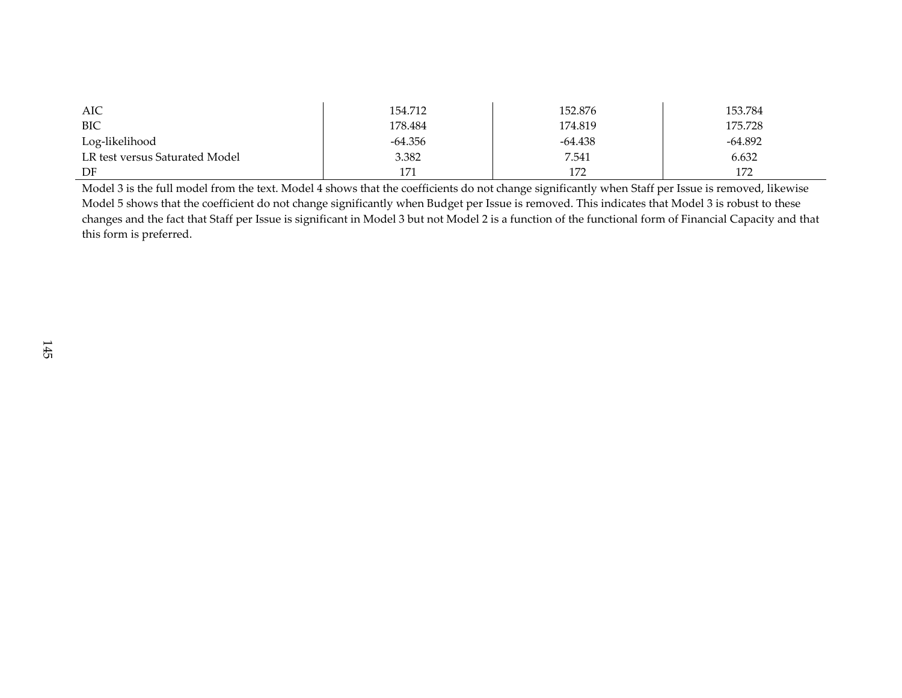| AIC                            | 154.712 | 152.876   | 153.784   |
|--------------------------------|---------|-----------|-----------|
| <b>BIC</b>                     | 178.484 | 174.819   | 175.728   |
| Log-likelihood                 | -64.356 | $-64.438$ | $-64.892$ |
| LR test versus Saturated Model | 3.382   | 7.541     | 6.632     |
| DF                             | 171     | 172       | 172       |

Model 3 is the full model from the text. Model 4 shows that the coefficients do not change significantly when Staff per Issue is removed, likewise Model 5 shows that the coefficient do not change significantly when Budget per Issue is removed. This indicates that Model 3 is robust to these changes and the fact that Staff per Issue is significant in Model 3 but not Model 2 is a function of the functional form of Financial Capacity and that this form is preferred.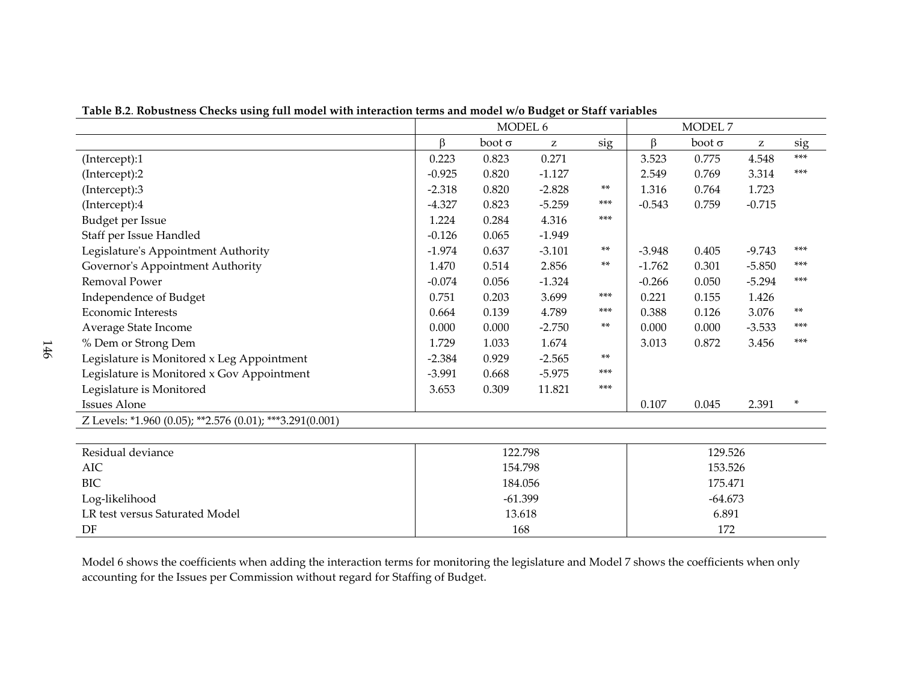|                                                          |          |               | MODEL 6      |           | MODEL 7   |               |          |        |
|----------------------------------------------------------|----------|---------------|--------------|-----------|-----------|---------------|----------|--------|
|                                                          | β        | $boot \sigma$ | $\mathbf{z}$ | sig       | ß         | $boot \sigma$ | z        | sig    |
| (Intercept):1                                            | 0.223    | 0.823         | 0.271        |           | 3.523     | 0.775         | 4.548    | $***$  |
| (Intercept):2                                            | $-0.925$ | 0.820         | $-1.127$     |           | 2.549     | 0.769         | 3.314    | $***$  |
| (Intercept):3                                            | $-2.318$ | 0.820         | $-2.828$     | $***$     | 1.316     | 0.764         | 1.723    |        |
| (Intercept):4                                            | $-4.327$ | 0.823         | $-5.259$     | $***$     | $-0.543$  | 0.759         | $-0.715$ |        |
| Budget per Issue                                         | 1.224    | 0.284         | 4.316        | $***$     |           |               |          |        |
| Staff per Issue Handled                                  | $-0.126$ | 0.065         | $-1.949$     |           |           |               |          |        |
| Legislature's Appointment Authority                      | $-1.974$ | 0.637         | $-3.101$     | $***$     | $-3.948$  | 0.405         | $-9.743$ | $***$  |
| Governor's Appointment Authority                         | 1.470    | 0.514         | 2.856        | $***$     | $-1.762$  | 0.301         | $-5.850$ | $***$  |
| Removal Power                                            | $-0.074$ | 0.056         | $-1.324$     |           | $-0.266$  | 0.050         | $-5.294$ | $***$  |
| Independence of Budget                                   | 0.751    | 0.203         | 3.699        | $***$     | 0.221     | 0.155         | 1.426    |        |
| <b>Economic Interests</b>                                | 0.664    | 0.139         | 4.789        | $***$     | 0.388     | 0.126         | 3.076    | **     |
| Average State Income                                     | 0.000    | 0.000         | $-2.750$     | $***$     | 0.000     | 0.000         | $-3.533$ | $***$  |
| % Dem or Strong Dem                                      | 1.729    | 1.033         | 1.674        |           | 3.013     | 0.872         | 3.456    | $***$  |
| Legislature is Monitored x Leg Appointment               | $-2.384$ | 0.929         | $-2.565$     | $***$     |           |               |          |        |
| Legislature is Monitored x Gov Appointment               | $-3.991$ | 0.668         | $-5.975$     | $***$     |           |               |          |        |
| Legislature is Monitored                                 | 3.653    | 0.309         | 11.821       | $* * * *$ |           |               |          |        |
| <b>Issues Alone</b>                                      |          |               |              |           | 0.107     | 0.045         | 2.391    | $\ast$ |
| Z Levels: *1.960 (0.05); **2.576 (0.01); ***3.291(0.001) |          |               |              |           |           |               |          |        |
|                                                          |          |               |              |           |           |               |          |        |
| Residual deviance                                        |          | 122.798       |              |           |           | 129.526       |          |        |
| <b>AIC</b>                                               | 154.798  |               |              |           | 153.526   |               |          |        |
| BIC                                                      |          | 184.056       |              |           |           | 175.471       |          |        |
| Log-likelihood                                           |          | $-61.399$     |              |           | $-64.673$ |               |          |        |
| LR test versus Saturated Model                           |          | 13.618        |              |           |           | 6.891         |          |        |
| DF                                                       |          | 168           |              |           |           | 172           |          |        |

**Table B.2**. **Robustness Checks using full model with interaction terms and model w/o Budget or Staff variables**

Model 6 shows the coefficients when adding the interaction terms for monitoring the legislature and Model 7 shows the coefficients when only accounting for the Issues per Commission without regard for Staffing of Budget.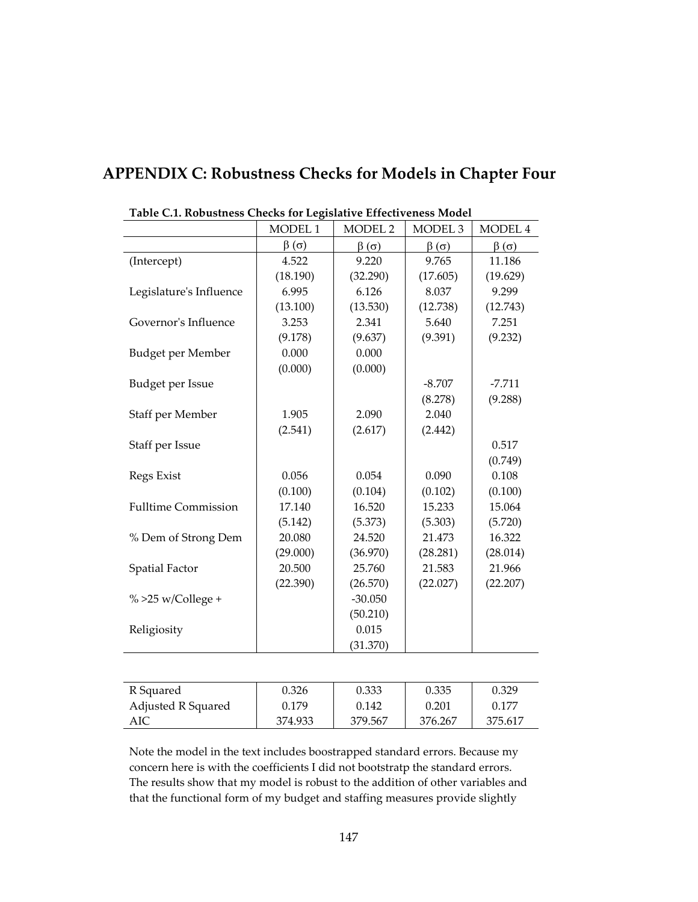| Table C.1. Robustness Checks for Legislative Effectiveness Model |                 |                 |                    |                 |  |  |  |  |
|------------------------------------------------------------------|-----------------|-----------------|--------------------|-----------------|--|--|--|--|
|                                                                  | MODEL 1         | <b>MODEL 2</b>  | MODEL <sub>3</sub> | MODEL 4         |  |  |  |  |
|                                                                  | $\beta(\sigma)$ | $\beta(\sigma)$ | $\beta(\sigma)$    | $\beta(\sigma)$ |  |  |  |  |
| (Intercept)                                                      | 4.522           | 9.220           | 9.765              | 11.186          |  |  |  |  |
|                                                                  | (18.190)        | (32.290)        | (17.605)           | (19.629)        |  |  |  |  |
| Legislature's Influence                                          | 6.995           | 6.126           | 8.037              | 9.299           |  |  |  |  |
|                                                                  | (13.100)        | (13.530)        | (12.738)           | (12.743)        |  |  |  |  |
| Governor's Influence                                             | 3.253           | 2.341           | 5.640              | 7.251           |  |  |  |  |
|                                                                  | (9.178)         | (9.637)         | (9.391)            | (9.232)         |  |  |  |  |
| Budget per Member                                                | 0.000           | 0.000           |                    |                 |  |  |  |  |
|                                                                  | (0.000)         | (0.000)         |                    |                 |  |  |  |  |
| Budget per Issue                                                 |                 |                 | $-8.707$           | $-7.711$        |  |  |  |  |
|                                                                  |                 |                 | (8.278)            | (9.288)         |  |  |  |  |
| Staff per Member                                                 | 1.905           | 2.090           | 2.040              |                 |  |  |  |  |
|                                                                  | (2.541)         | (2.617)         | (2.442)            |                 |  |  |  |  |
| Staff per Issue                                                  |                 |                 |                    | 0.517           |  |  |  |  |
|                                                                  |                 |                 |                    | (0.749)         |  |  |  |  |
| Regs Exist                                                       | 0.056           | 0.054           | 0.090              | 0.108           |  |  |  |  |
|                                                                  | (0.100)         | (0.104)         | (0.102)            | (0.100)         |  |  |  |  |
| <b>Fulltime Commission</b>                                       | 17.140          | 16.520          | 15.233             | 15.064          |  |  |  |  |
|                                                                  | (5.142)         | (5.373)         | (5.303)            | (5.720)         |  |  |  |  |
| % Dem of Strong Dem                                              | 20.080          | 24.520          | 21.473             | 16.322          |  |  |  |  |
|                                                                  | (29.000)        | (36.970)        | (28.281)           | (28.014)        |  |  |  |  |
| <b>Spatial Factor</b>                                            | 20.500          | 25.760          | 21.583             | 21.966          |  |  |  |  |
|                                                                  | (22.390)        | (26.570)        | (22.027)           | (22.207)        |  |  |  |  |
| $\%$ >25 w/College +                                             |                 | $-30.050$       |                    |                 |  |  |  |  |
|                                                                  |                 | (50.210)        |                    |                 |  |  |  |  |
| Religiosity                                                      |                 | 0.015           |                    |                 |  |  |  |  |
|                                                                  |                 | (31.370)        |                    |                 |  |  |  |  |
|                                                                  |                 |                 |                    |                 |  |  |  |  |

# **APPENDIX C: Robustness Checks for Models in Chapter Four**

| R Squared          | 0.326   | 0.333   | 0.335   | 0.329   |
|--------------------|---------|---------|---------|---------|
| Adjusted R Squared | 0.179   | 0.142   | 0.201   | 0.177   |
| AIC                | 374.933 | 379.567 | 376.267 | 375.617 |

Note the model in the text includes boostrapped standard errors. Because my concern here is with the coefficients I did not bootstratp the standard errors. The results show that my model is robust to the addition of other variables and that the functional form of my budget and staffing measures provide slightly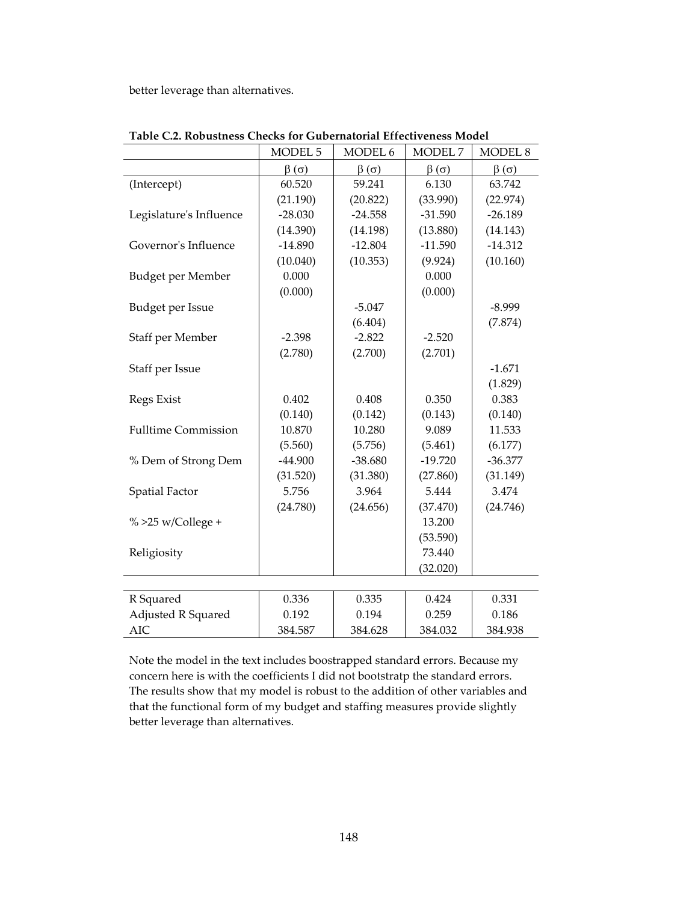better leverage than alternatives.

|                            | MODEL <sub>5</sub> | MODEL 6         | MODEL <sub>7</sub> | <b>MODEL 8</b>  |
|----------------------------|--------------------|-----------------|--------------------|-----------------|
|                            | $\beta(\sigma)$    | $\beta(\sigma)$ | $\beta(\sigma)$    | $\beta(\sigma)$ |
| (Intercept)                | 60.520             | 59.241          | 6.130              | 63.742          |
|                            | (21.190)           | (20.822)        | (33.990)           | (22.974)        |
| Legislature's Influence    | $-28.030$          | $-24.558$       | $-31.590$          | $-26.189$       |
|                            | (14.390)           | (14.198)        | (13.880)           | (14.143)        |
| Governor's Influence       | $-14.890$          | $-12.804$       | $-11.590$          | $-14.312$       |
|                            | (10.040)           | (10.353)        | (9.924)            | (10.160)        |
| Budget per Member          | 0.000              |                 | 0.000              |                 |
|                            | (0.000)            |                 | (0.000)            |                 |
| Budget per Issue           |                    | $-5.047$        |                    | $-8.999$        |
|                            |                    | (6.404)         |                    | (7.874)         |
| Staff per Member           | $-2.398$           | $-2.822$        | $-2.520$           |                 |
|                            | (2.780)            | (2.700)         | (2.701)            |                 |
| Staff per Issue            |                    |                 |                    | $-1.671$        |
|                            |                    |                 |                    | (1.829)         |
| Regs Exist                 | 0.402              | 0.408           | 0.350              | 0.383           |
|                            | (0.140)            | (0.142)         | (0.143)            | (0.140)         |
| <b>Fulltime Commission</b> | 10.870             | 10.280          | 9.089              | 11.533          |
|                            | (5.560)            | (5.756)         | (5.461)            | (6.177)         |
| % Dem of Strong Dem        | $-44.900$          | $-38.680$       | $-19.720$          | $-36.377$       |
|                            | (31.520)           | (31.380)        | (27.860)           | (31.149)        |
| <b>Spatial Factor</b>      | 5.756              | 3.964           | 5.444              | 3.474           |
|                            | (24.780)           | (24.656)        | (37.470)           | (24.746)        |
| $\%$ >25 w/College +       |                    |                 | 13.200             |                 |
|                            |                    |                 | (53.590)           |                 |
| Religiosity                |                    |                 | 73.440             |                 |
|                            |                    |                 | (32.020)           |                 |
|                            |                    |                 |                    |                 |
| R Squared                  | 0.336              | 0.335           | 0.424              | 0.331           |
| Adjusted R Squared         | 0.192              | 0.194           | 0.259              | 0.186           |
| <b>AIC</b>                 | 384.587            | 384.628         | 384.032            | 384.938         |

**Table C.2. Robustness Checks for Gubernatorial Effectiveness Model** 

Note the model in the text includes boostrapped standard errors. Because my concern here is with the coefficients I did not bootstratp the standard errors. The results show that my model is robust to the addition of other variables and that the functional form of my budget and staffing measures provide slightly better leverage than alternatives.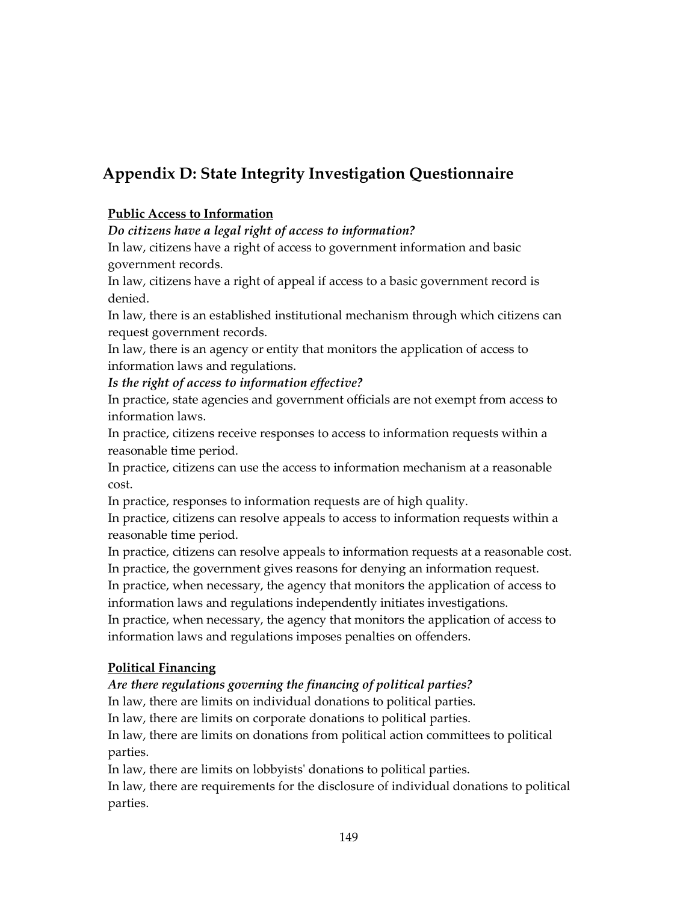# **Appendix D: State Integrity Investigation Questionnaire**

## **Public Access to Information**

## *Do citizens have a legal right of access to information?*

In law, citizens have a right of access to government information and basic government records.

In law, citizens have a right of appeal if access to a basic government record is denied.

In law, there is an established institutional mechanism through which citizens can request government records.

In law, there is an agency or entity that monitors the application of access to information laws and regulations.

*Is the right of access to information effective?* 

In practice, state agencies and government officials are not exempt from access to information laws.

In practice, citizens receive responses to access to information requests within a reasonable time period.

In practice, citizens can use the access to information mechanism at a reasonable cost.

In practice, responses to information requests are of high quality.

In practice, citizens can resolve appeals to access to information requests within a reasonable time period.

In practice, citizens can resolve appeals to information requests at a reasonable cost.

In practice, the government gives reasons for denying an information request.

In practice, when necessary, the agency that monitors the application of access to information laws and regulations independently initiates investigations.

In practice, when necessary, the agency that monitors the application of access to information laws and regulations imposes penalties on offenders.

#### **Political Financing**

# *Are there regulations governing the financing of political parties?*

In law, there are limits on individual donations to political parties.

In law, there are limits on corporate donations to political parties.

In law, there are limits on donations from political action committees to political parties.

In law, there are limits on lobbyists' donations to political parties.

In law, there are requirements for the disclosure of individual donations to political parties.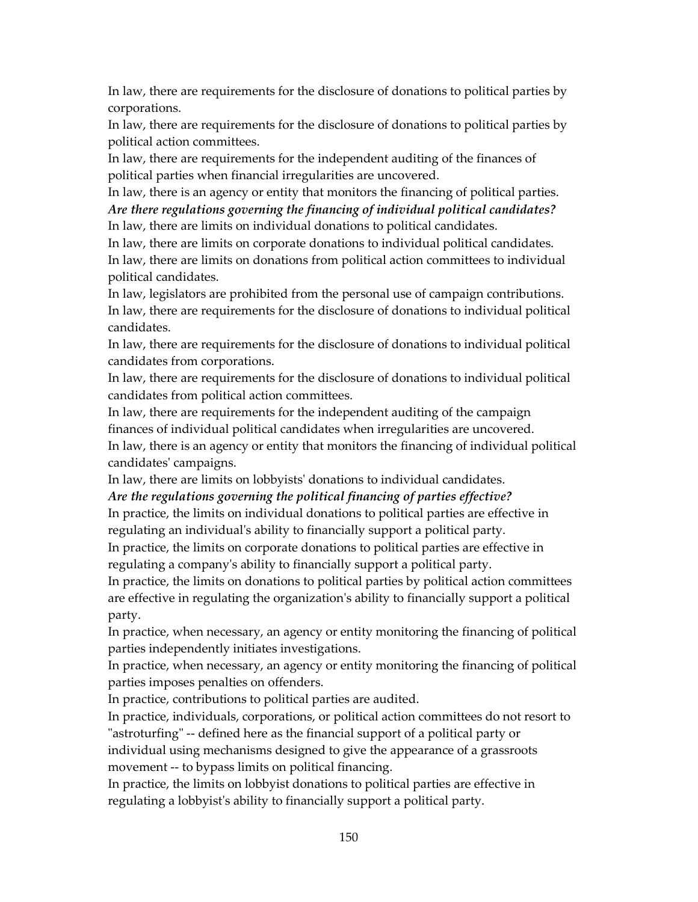In law, there are requirements for the disclosure of donations to political parties by corporations.

In law, there are requirements for the disclosure of donations to political parties by political action committees.

In law, there are requirements for the independent auditing of the finances of political parties when financial irregularities are uncovered.

In law, there is an agency or entity that monitors the financing of political parties. *Are there regulations governing the financing of individual political candidates?*  In law, there are limits on individual donations to political candidates.

In law, there are limits on corporate donations to individual political candidates.

In law, there are limits on donations from political action committees to individual political candidates.

In law, legislators are prohibited from the personal use of campaign contributions. In law, there are requirements for the disclosure of donations to individual political candidates.

In law, there are requirements for the disclosure of donations to individual political candidates from corporations.

In law, there are requirements for the disclosure of donations to individual political candidates from political action committees.

In law, there are requirements for the independent auditing of the campaign

finances of individual political candidates when irregularities are uncovered.

In law, there is an agency or entity that monitors the financing of individual political candidates' campaigns.

In law, there are limits on lobbyists' donations to individual candidates.

#### *Are the regulations governing the political financing of parties effective?*

In practice, the limits on individual donations to political parties are effective in regulating an individual's ability to financially support a political party.

In practice, the limits on corporate donations to political parties are effective in regulating a company's ability to financially support a political party.

In practice, the limits on donations to political parties by political action committees are effective in regulating the organization's ability to financially support a political party.

In practice, when necessary, an agency or entity monitoring the financing of political parties independently initiates investigations.

In practice, when necessary, an agency or entity monitoring the financing of political parties imposes penalties on offenders.

In practice, contributions to political parties are audited.

In practice, individuals, corporations, or political action committees do not resort to "astroturfing" -- defined here as the financial support of a political party or

individual using mechanisms designed to give the appearance of a grassroots movement -- to bypass limits on political financing.

In practice, the limits on lobbyist donations to political parties are effective in regulating a lobbyist's ability to financially support a political party.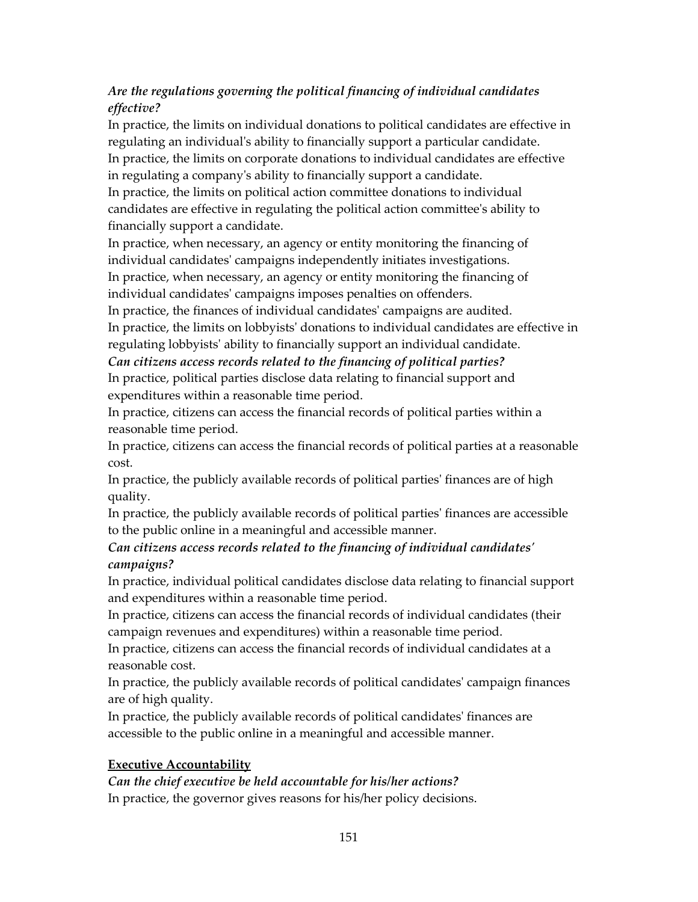# *Are the regulations governing the political financing of individual candidates effective?*

In practice, the limits on individual donations to political candidates are effective in regulating an individual's ability to financially support a particular candidate. In practice, the limits on corporate donations to individual candidates are effective in regulating a company's ability to financially support a candidate.

In practice, the limits on political action committee donations to individual candidates are effective in regulating the political action committee's ability to financially support a candidate.

In practice, when necessary, an agency or entity monitoring the financing of individual candidates' campaigns independently initiates investigations. In practice, when necessary, an agency or entity monitoring the financing of individual candidates' campaigns imposes penalties on offenders.

In practice, the finances of individual candidates' campaigns are audited.

In practice, the limits on lobbyists' donations to individual candidates are effective in regulating lobbyists' ability to financially support an individual candidate.

*Can citizens access records related to the financing of political parties?* 

In practice, political parties disclose data relating to financial support and expenditures within a reasonable time period.

In practice, citizens can access the financial records of political parties within a reasonable time period.

In practice, citizens can access the financial records of political parties at a reasonable cost.

In practice, the publicly available records of political parties' finances are of high quality.

In practice, the publicly available records of political parties' finances are accessible to the public online in a meaningful and accessible manner.

# *Can citizens access records related to the financing of individual candidates' campaigns?*

In practice, individual political candidates disclose data relating to financial support and expenditures within a reasonable time period.

In practice, citizens can access the financial records of individual candidates (their campaign revenues and expenditures) within a reasonable time period.

In practice, citizens can access the financial records of individual candidates at a reasonable cost.

In practice, the publicly available records of political candidates' campaign finances are of high quality.

In practice, the publicly available records of political candidates' finances are accessible to the public online in a meaningful and accessible manner.

# **Executive Accountability**

# *Can the chief executive be held accountable for his/her actions?*

In practice, the governor gives reasons for his/her policy decisions.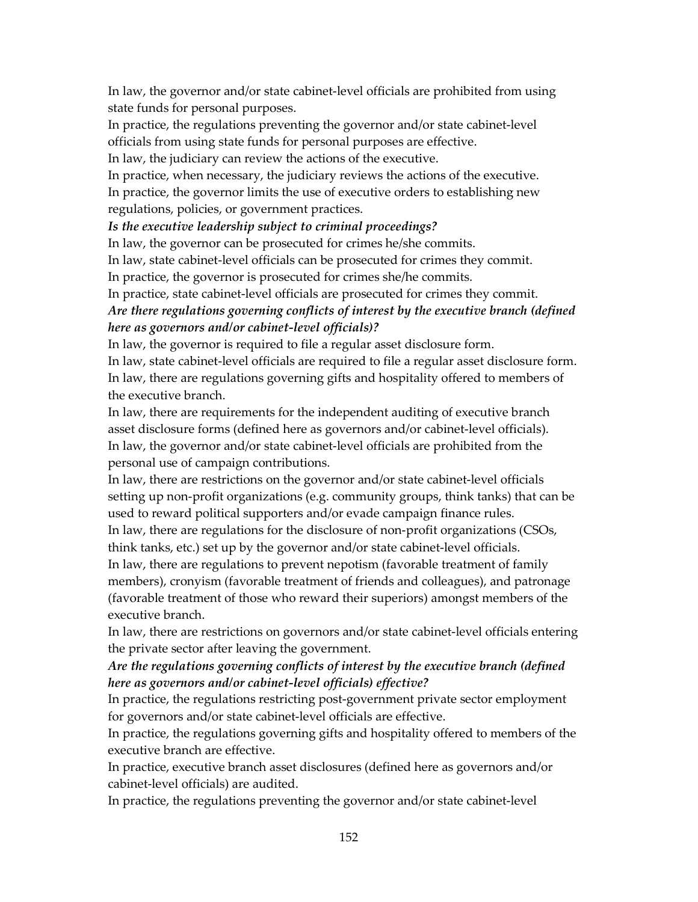In law, the governor and/or state cabinet-level officials are prohibited from using state funds for personal purposes.

In practice, the regulations preventing the governor and/or state cabinet-level officials from using state funds for personal purposes are effective.

In law, the judiciary can review the actions of the executive.

In practice, when necessary, the judiciary reviews the actions of the executive.

In practice, the governor limits the use of executive orders to establishing new regulations, policies, or government practices.

*Is the executive leadership subject to criminal proceedings?* 

In law, the governor can be prosecuted for crimes he/she commits.

In law, state cabinet-level officials can be prosecuted for crimes they commit.

In practice, the governor is prosecuted for crimes she/he commits.

In practice, state cabinet-level officials are prosecuted for crimes they commit.

# *Are there regulations governing conflicts of interest by the executive branch (defined here as governors and/or cabinet-level officials)?*

In law, the governor is required to file a regular asset disclosure form.

In law, state cabinet-level officials are required to file a regular asset disclosure form. In law, there are regulations governing gifts and hospitality offered to members of the executive branch.

In law, there are requirements for the independent auditing of executive branch asset disclosure forms (defined here as governors and/or cabinet-level officials). In law, the governor and/or state cabinet-level officials are prohibited from the personal use of campaign contributions.

In law, there are restrictions on the governor and/or state cabinet-level officials setting up non-profit organizations (e.g. community groups, think tanks) that can be used to reward political supporters and/or evade campaign finance rules.

In law, there are regulations for the disclosure of non-profit organizations (CSOs, think tanks, etc.) set up by the governor and/or state cabinet-level officials.

In law, there are regulations to prevent nepotism (favorable treatment of family members), cronyism (favorable treatment of friends and colleagues), and patronage (favorable treatment of those who reward their superiors) amongst members of the executive branch.

In law, there are restrictions on governors and/or state cabinet-level officials entering the private sector after leaving the government.

## *Are the regulations governing conflicts of interest by the executive branch (defined here as governors and/or cabinet-level officials) effective?*

In practice, the regulations restricting post-government private sector employment for governors and/or state cabinet-level officials are effective.

In practice, the regulations governing gifts and hospitality offered to members of the executive branch are effective.

In practice, executive branch asset disclosures (defined here as governors and/or cabinet-level officials) are audited.

In practice, the regulations preventing the governor and/or state cabinet-level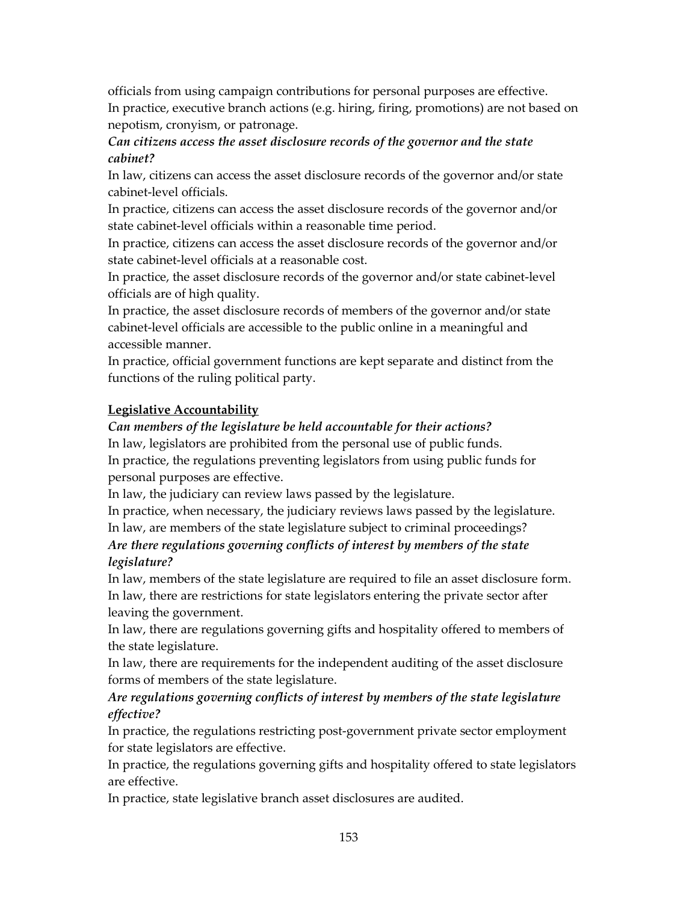officials from using campaign contributions for personal purposes are effective. In practice, executive branch actions (e.g. hiring, firing, promotions) are not based on nepotism, cronyism, or patronage.

## *Can citizens access the asset disclosure records of the governor and the state cabinet?*

In law, citizens can access the asset disclosure records of the governor and/or state cabinet-level officials.

In practice, citizens can access the asset disclosure records of the governor and/or state cabinet-level officials within a reasonable time period.

In practice, citizens can access the asset disclosure records of the governor and/or state cabinet-level officials at a reasonable cost.

In practice, the asset disclosure records of the governor and/or state cabinet-level officials are of high quality.

In practice, the asset disclosure records of members of the governor and/or state cabinet-level officials are accessible to the public online in a meaningful and accessible manner.

In practice, official government functions are kept separate and distinct from the functions of the ruling political party.

# **Legislative Accountability**

## *Can members of the legislature be held accountable for their actions?*

In law, legislators are prohibited from the personal use of public funds. In practice, the regulations preventing legislators from using public funds for personal purposes are effective.

In law, the judiciary can review laws passed by the legislature.

In practice, when necessary, the judiciary reviews laws passed by the legislature.

In law, are members of the state legislature subject to criminal proceedings? *Are there regulations governing conflicts of interest by members of the state legislature?* 

# In law, members of the state legislature are required to file an asset disclosure form. In law, there are restrictions for state legislators entering the private sector after leaving the government.

In law, there are regulations governing gifts and hospitality offered to members of the state legislature.

In law, there are requirements for the independent auditing of the asset disclosure forms of members of the state legislature.

## *Are regulations governing conflicts of interest by members of the state legislature effective?*

In practice, the regulations restricting post-government private sector employment for state legislators are effective.

In practice, the regulations governing gifts and hospitality offered to state legislators are effective.

In practice, state legislative branch asset disclosures are audited.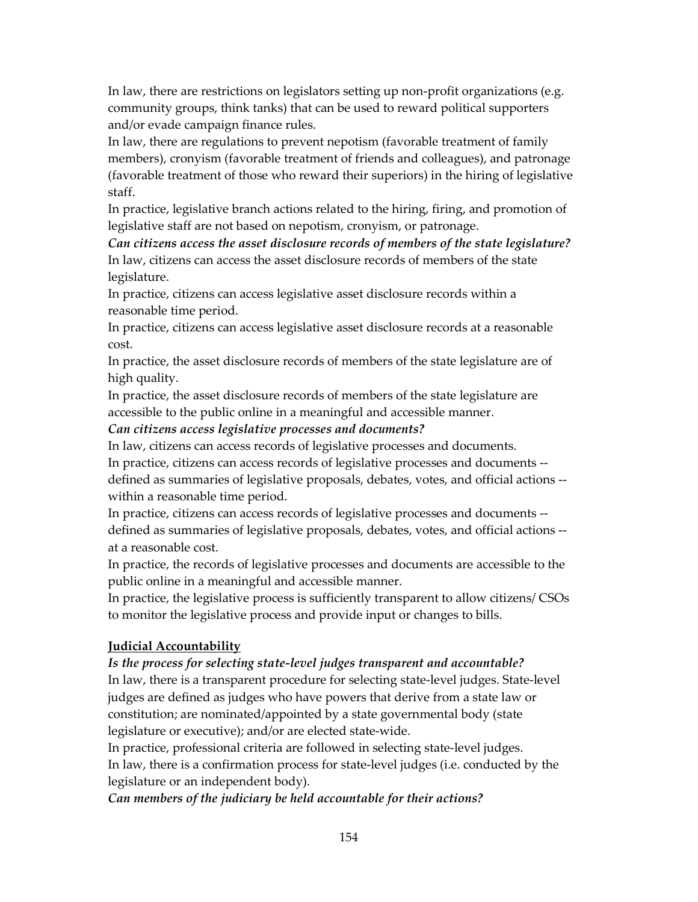In law, there are restrictions on legislators setting up non-profit organizations (e.g. community groups, think tanks) that can be used to reward political supporters and/or evade campaign finance rules.

In law, there are regulations to prevent nepotism (favorable treatment of family members), cronyism (favorable treatment of friends and colleagues), and patronage (favorable treatment of those who reward their superiors) in the hiring of legislative staff.

In practice, legislative branch actions related to the hiring, firing, and promotion of legislative staff are not based on nepotism, cronyism, or patronage.

*Can citizens access the asset disclosure records of members of the state legislature?*  In law, citizens can access the asset disclosure records of members of the state legislature.

In practice, citizens can access legislative asset disclosure records within a reasonable time period.

In practice, citizens can access legislative asset disclosure records at a reasonable cost.

In practice, the asset disclosure records of members of the state legislature are of high quality.

In practice, the asset disclosure records of members of the state legislature are accessible to the public online in a meaningful and accessible manner.

*Can citizens access legislative processes and documents?* 

In law, citizens can access records of legislative processes and documents.

In practice, citizens can access records of legislative processes and documents - defined as summaries of legislative proposals, debates, votes, and official actions - within a reasonable time period.

In practice, citizens can access records of legislative processes and documents - defined as summaries of legislative proposals, debates, votes, and official actions - at a reasonable cost.

In practice, the records of legislative processes and documents are accessible to the public online in a meaningful and accessible manner.

In practice, the legislative process is sufficiently transparent to allow citizens/ CSOs to monitor the legislative process and provide input or changes to bills.

# **Judicial Accountability**

# *Is the process for selecting state-level judges transparent and accountable?*

In law, there is a transparent procedure for selecting state-level judges. State-level judges are defined as judges who have powers that derive from a state law or constitution; are nominated/appointed by a state governmental body (state legislature or executive); and/or are elected state-wide.

In practice, professional criteria are followed in selecting state-level judges. In law, there is a confirmation process for state-level judges (i.e. conducted by the legislature or an independent body).

*Can members of the judiciary be held accountable for their actions?*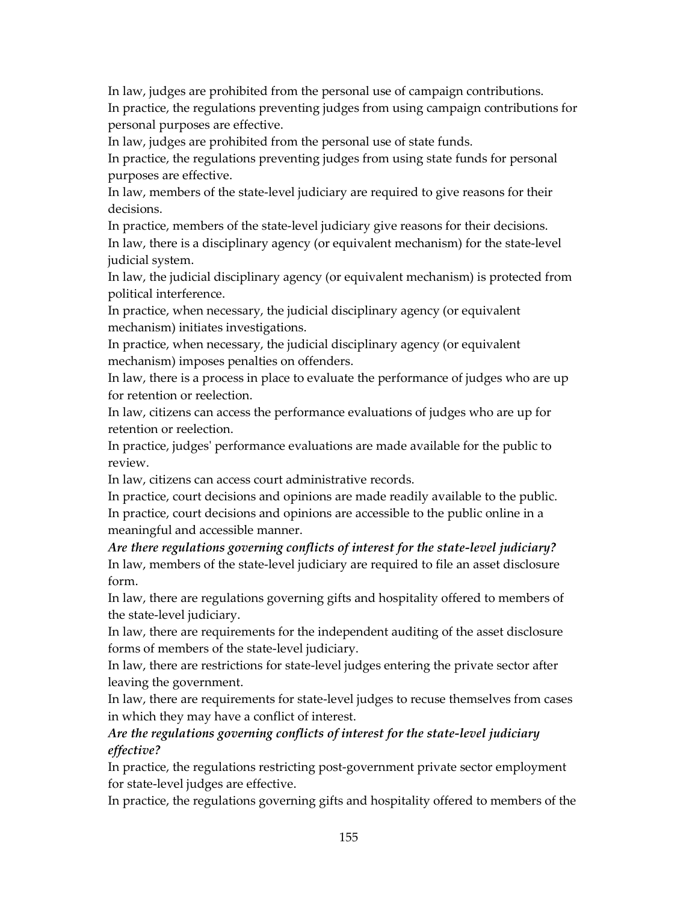In law, judges are prohibited from the personal use of campaign contributions.

In practice, the regulations preventing judges from using campaign contributions for personal purposes are effective.

In law, judges are prohibited from the personal use of state funds.

In practice, the regulations preventing judges from using state funds for personal purposes are effective.

In law, members of the state-level judiciary are required to give reasons for their decisions.

In practice, members of the state-level judiciary give reasons for their decisions.

In law, there is a disciplinary agency (or equivalent mechanism) for the state-level judicial system.

In law, the judicial disciplinary agency (or equivalent mechanism) is protected from political interference.

In practice, when necessary, the judicial disciplinary agency (or equivalent mechanism) initiates investigations.

In practice, when necessary, the judicial disciplinary agency (or equivalent mechanism) imposes penalties on offenders.

In law, there is a process in place to evaluate the performance of judges who are up for retention or reelection.

In law, citizens can access the performance evaluations of judges who are up for retention or reelection.

In practice, judges' performance evaluations are made available for the public to review.

In law, citizens can access court administrative records.

In practice, court decisions and opinions are made readily available to the public. In practice, court decisions and opinions are accessible to the public online in a meaningful and accessible manner.

*Are there regulations governing conflicts of interest for the state-level judiciary?*  In law, members of the state-level judiciary are required to file an asset disclosure form.

In law, there are regulations governing gifts and hospitality offered to members of the state-level judiciary.

In law, there are requirements for the independent auditing of the asset disclosure forms of members of the state-level judiciary.

In law, there are restrictions for state-level judges entering the private sector after leaving the government.

In law, there are requirements for state-level judges to recuse themselves from cases in which they may have a conflict of interest.

## *Are the regulations governing conflicts of interest for the state-level judiciary effective?*

In practice, the regulations restricting post-government private sector employment for state-level judges are effective.

In practice, the regulations governing gifts and hospitality offered to members of the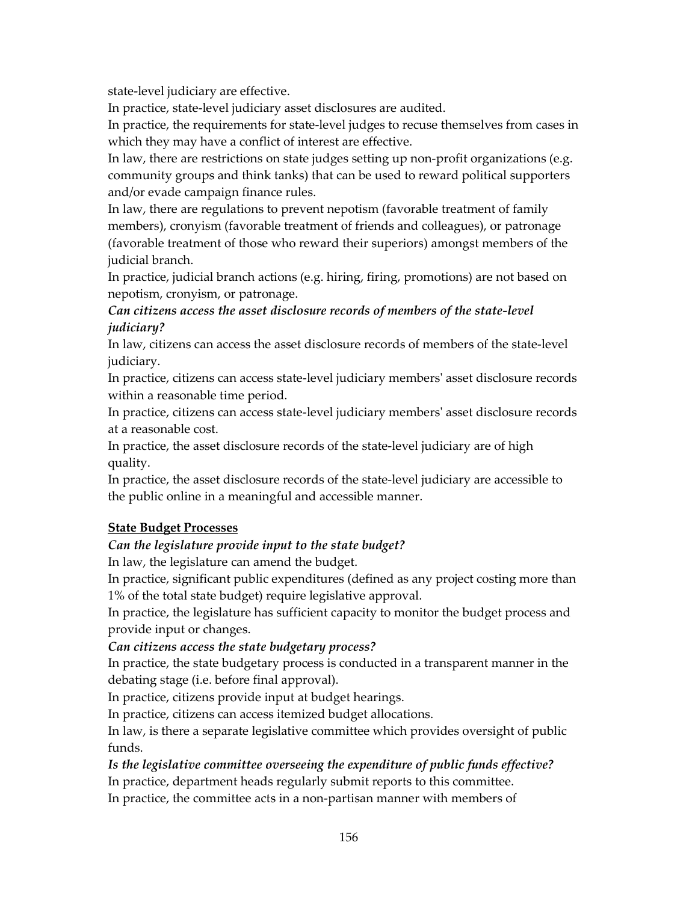state-level judiciary are effective.

In practice, state-level judiciary asset disclosures are audited.

In practice, the requirements for state-level judges to recuse themselves from cases in which they may have a conflict of interest are effective.

In law, there are restrictions on state judges setting up non-profit organizations (e.g. community groups and think tanks) that can be used to reward political supporters and/or evade campaign finance rules.

In law, there are regulations to prevent nepotism (favorable treatment of family members), cronyism (favorable treatment of friends and colleagues), or patronage (favorable treatment of those who reward their superiors) amongst members of the judicial branch.

In practice, judicial branch actions (e.g. hiring, firing, promotions) are not based on nepotism, cronyism, or patronage.

*Can citizens access the asset disclosure records of members of the state-level judiciary?* 

In law, citizens can access the asset disclosure records of members of the state-level judiciary.

In practice, citizens can access state-level judiciary members' asset disclosure records within a reasonable time period.

In practice, citizens can access state-level judiciary members' asset disclosure records at a reasonable cost.

In practice, the asset disclosure records of the state-level judiciary are of high quality.

In practice, the asset disclosure records of the state-level judiciary are accessible to the public online in a meaningful and accessible manner.

# **State Budget Processes**

#### *Can the legislature provide input to the state budget?*

In law, the legislature can amend the budget.

In practice, significant public expenditures (defined as any project costing more than 1% of the total state budget) require legislative approval.

In practice, the legislature has sufficient capacity to monitor the budget process and provide input or changes.

#### *Can citizens access the state budgetary process?*

In practice, the state budgetary process is conducted in a transparent manner in the debating stage (i.e. before final approval).

In practice, citizens provide input at budget hearings.

In practice, citizens can access itemized budget allocations.

In law, is there a separate legislative committee which provides oversight of public funds.

# *Is the legislative committee overseeing the expenditure of public funds effective?*

In practice, department heads regularly submit reports to this committee.

In practice, the committee acts in a non-partisan manner with members of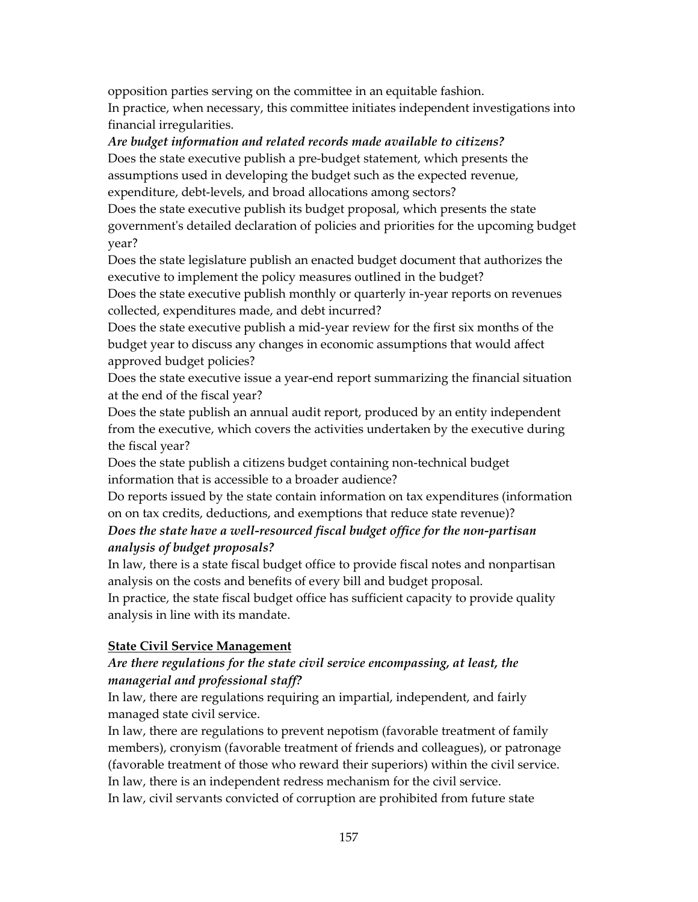opposition parties serving on the committee in an equitable fashion. In practice, when necessary, this committee initiates independent investigations into financial irregularities.

#### *Are budget information and related records made available to citizens?*

Does the state executive publish a pre-budget statement, which presents the assumptions used in developing the budget such as the expected revenue, expenditure, debt-levels, and broad allocations among sectors?

Does the state executive publish its budget proposal, which presents the state government's detailed declaration of policies and priorities for the upcoming budget year?

Does the state legislature publish an enacted budget document that authorizes the executive to implement the policy measures outlined in the budget?

Does the state executive publish monthly or quarterly in-year reports on revenues collected, expenditures made, and debt incurred?

Does the state executive publish a mid-year review for the first six months of the budget year to discuss any changes in economic assumptions that would affect approved budget policies?

Does the state executive issue a year-end report summarizing the financial situation at the end of the fiscal year?

Does the state publish an annual audit report, produced by an entity independent from the executive, which covers the activities undertaken by the executive during the fiscal year?

Does the state publish a citizens budget containing non-technical budget information that is accessible to a broader audience?

Do reports issued by the state contain information on tax expenditures (information on on tax credits, deductions, and exemptions that reduce state revenue)?

## *Does the state have a well-resourced fiscal budget office for the non-partisan analysis of budget proposals?*

In law, there is a state fiscal budget office to provide fiscal notes and nonpartisan analysis on the costs and benefits of every bill and budget proposal.

In practice, the state fiscal budget office has sufficient capacity to provide quality analysis in line with its mandate.

#### **State Civil Service Management**

#### *Are there regulations for the state civil service encompassing, at least, the managerial and professional staff?*

In law, there are regulations requiring an impartial, independent, and fairly managed state civil service.

In law, there are regulations to prevent nepotism (favorable treatment of family members), cronyism (favorable treatment of friends and colleagues), or patronage (favorable treatment of those who reward their superiors) within the civil service. In law, there is an independent redress mechanism for the civil service. In law, civil servants convicted of corruption are prohibited from future state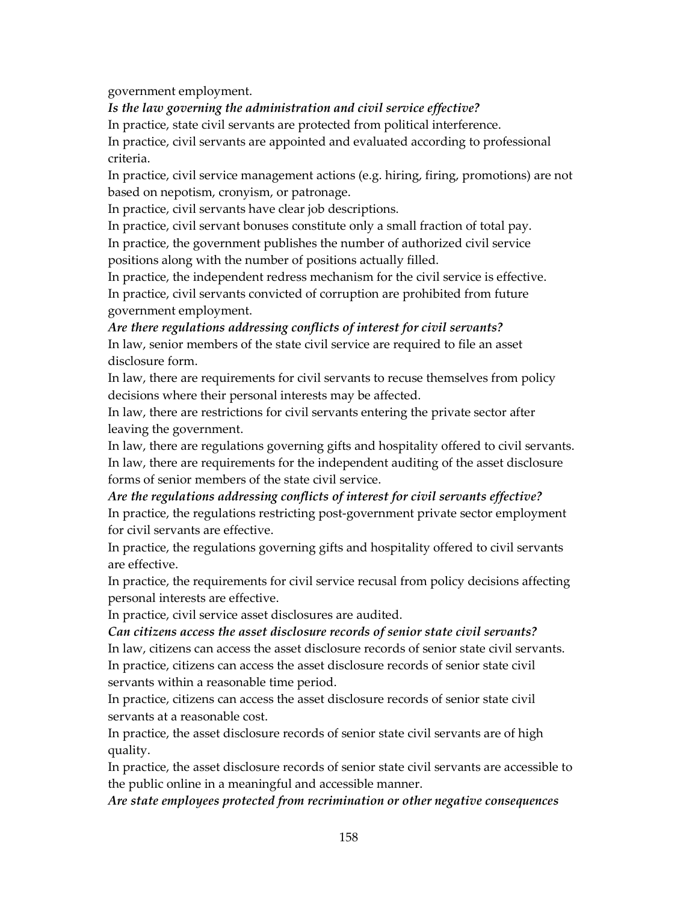government employment.

*Is the law governing the administration and civil service effective?* 

In practice, state civil servants are protected from political interference.

In practice, civil servants are appointed and evaluated according to professional criteria.

In practice, civil service management actions (e.g. hiring, firing, promotions) are not based on nepotism, cronyism, or patronage.

In practice, civil servants have clear job descriptions.

In practice, civil servant bonuses constitute only a small fraction of total pay. In practice, the government publishes the number of authorized civil service

positions along with the number of positions actually filled.

In practice, the independent redress mechanism for the civil service is effective.

In practice, civil servants convicted of corruption are prohibited from future government employment.

## *Are there regulations addressing conflicts of interest for civil servants?*

In law, senior members of the state civil service are required to file an asset disclosure form.

In law, there are requirements for civil servants to recuse themselves from policy decisions where their personal interests may be affected.

In law, there are restrictions for civil servants entering the private sector after leaving the government.

In law, there are regulations governing gifts and hospitality offered to civil servants. In law, there are requirements for the independent auditing of the asset disclosure forms of senior members of the state civil service.

# *Are the regulations addressing conflicts of interest for civil servants effective?*

In practice, the regulations restricting post-government private sector employment for civil servants are effective.

In practice, the regulations governing gifts and hospitality offered to civil servants are effective.

In practice, the requirements for civil service recusal from policy decisions affecting personal interests are effective.

In practice, civil service asset disclosures are audited.

*Can citizens access the asset disclosure records of senior state civil servants?*  In law, citizens can access the asset disclosure records of senior state civil servants. In practice, citizens can access the asset disclosure records of senior state civil servants within a reasonable time period.

In practice, citizens can access the asset disclosure records of senior state civil servants at a reasonable cost.

In practice, the asset disclosure records of senior state civil servants are of high quality.

In practice, the asset disclosure records of senior state civil servants are accessible to the public online in a meaningful and accessible manner.

*Are state employees protected from recrimination or other negative consequences*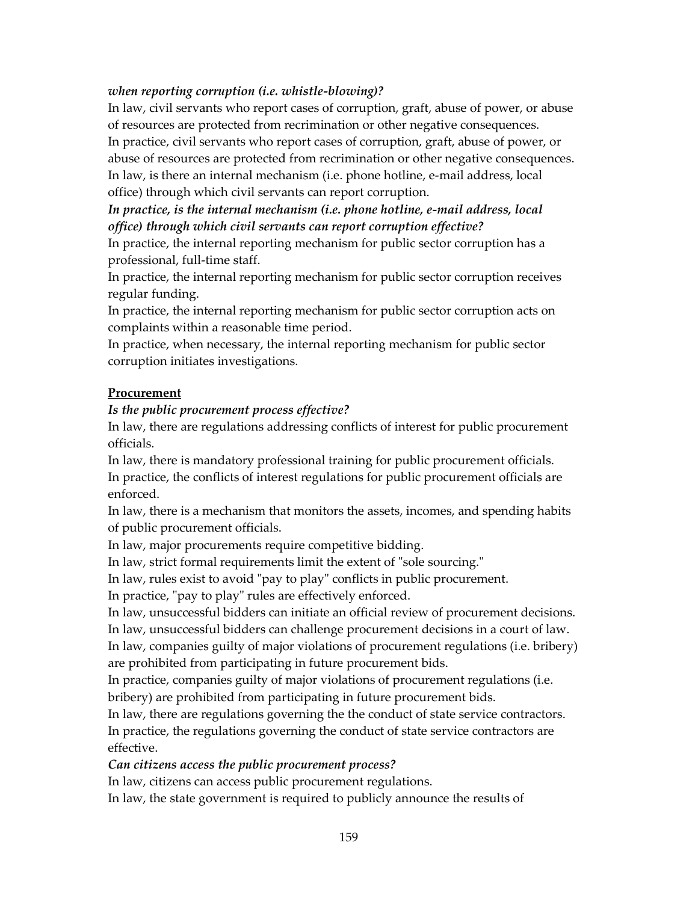#### *when reporting corruption (i.e. whistle-blowing)?*

In law, civil servants who report cases of corruption, graft, abuse of power, or abuse of resources are protected from recrimination or other negative consequences. In practice, civil servants who report cases of corruption, graft, abuse of power, or abuse of resources are protected from recrimination or other negative consequences. In law, is there an internal mechanism (i.e. phone hotline, e-mail address, local office) through which civil servants can report corruption.

*In practice, is the internal mechanism (i.e. phone hotline, e-mail address, local office) through which civil servants can report corruption effective?* 

In practice, the internal reporting mechanism for public sector corruption has a professional, full-time staff.

In practice, the internal reporting mechanism for public sector corruption receives regular funding.

In practice, the internal reporting mechanism for public sector corruption acts on complaints within a reasonable time period.

In practice, when necessary, the internal reporting mechanism for public sector corruption initiates investigations.

#### **Procurement**

#### *Is the public procurement process effective?*

In law, there are regulations addressing conflicts of interest for public procurement officials.

In law, there is mandatory professional training for public procurement officials. In practice, the conflicts of interest regulations for public procurement officials are enforced.

In law, there is a mechanism that monitors the assets, incomes, and spending habits of public procurement officials.

In law, major procurements require competitive bidding.

In law, strict formal requirements limit the extent of "sole sourcing."

In law, rules exist to avoid "pay to play" conflicts in public procurement.

In practice, "pay to play" rules are effectively enforced.

In law, unsuccessful bidders can initiate an official review of procurement decisions.

In law, unsuccessful bidders can challenge procurement decisions in a court of law.

In law, companies guilty of major violations of procurement regulations (i.e. bribery) are prohibited from participating in future procurement bids.

In practice, companies guilty of major violations of procurement regulations (i.e. bribery) are prohibited from participating in future procurement bids.

In law, there are regulations governing the the conduct of state service contractors. In practice, the regulations governing the conduct of state service contractors are effective.

#### *Can citizens access the public procurement process?*

In law, citizens can access public procurement regulations.

In law, the state government is required to publicly announce the results of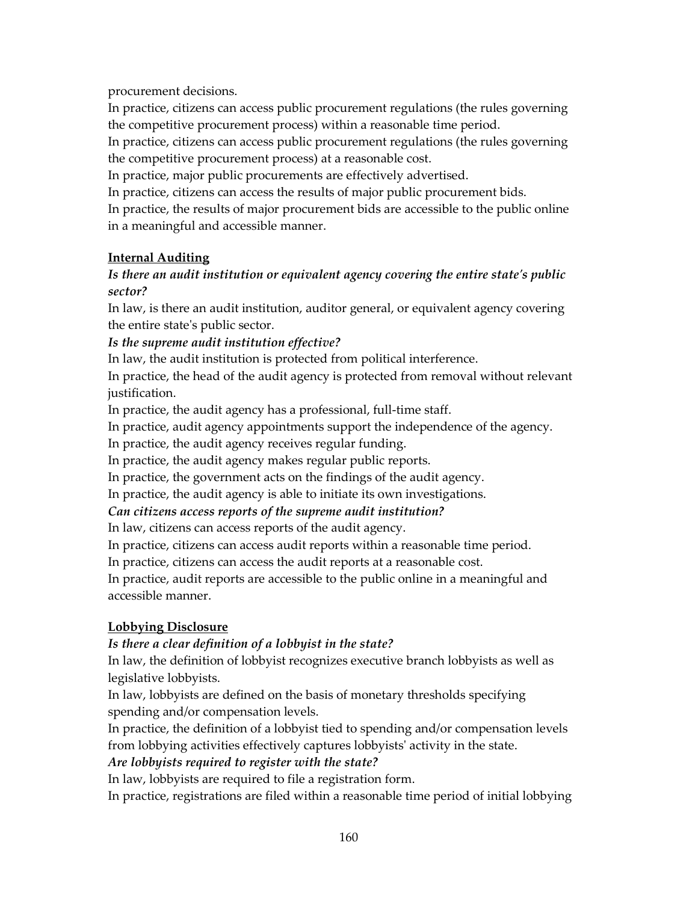procurement decisions.

In practice, citizens can access public procurement regulations (the rules governing the competitive procurement process) within a reasonable time period.

In practice, citizens can access public procurement regulations (the rules governing the competitive procurement process) at a reasonable cost.

In practice, major public procurements are effectively advertised.

In practice, citizens can access the results of major public procurement bids.

In practice, the results of major procurement bids are accessible to the public online in a meaningful and accessible manner.

#### **Internal Auditing**

## *Is there an audit institution or equivalent agency covering the entire state's public sector?*

In law, is there an audit institution, auditor general, or equivalent agency covering the entire state's public sector.

*Is the supreme audit institution effective?* 

In law, the audit institution is protected from political interference.

In practice, the head of the audit agency is protected from removal without relevant justification.

In practice, the audit agency has a professional, full-time staff.

In practice, audit agency appointments support the independence of the agency.

In practice, the audit agency receives regular funding.

In practice, the audit agency makes regular public reports.

In practice, the government acts on the findings of the audit agency.

In practice, the audit agency is able to initiate its own investigations.

#### *Can citizens access reports of the supreme audit institution?*

In law, citizens can access reports of the audit agency.

In practice, citizens can access audit reports within a reasonable time period.

In practice, citizens can access the audit reports at a reasonable cost.

In practice, audit reports are accessible to the public online in a meaningful and accessible manner.

#### **Lobbying Disclosure**

#### *Is there a clear definition of a lobbyist in the state?*

In law, the definition of lobbyist recognizes executive branch lobbyists as well as legislative lobbyists.

In law, lobbyists are defined on the basis of monetary thresholds specifying spending and/or compensation levels.

In practice, the definition of a lobbyist tied to spending and/or compensation levels from lobbying activities effectively captures lobbyists' activity in the state.

#### *Are lobbyists required to register with the state?*

In law, lobbyists are required to file a registration form.

In practice, registrations are filed within a reasonable time period of initial lobbying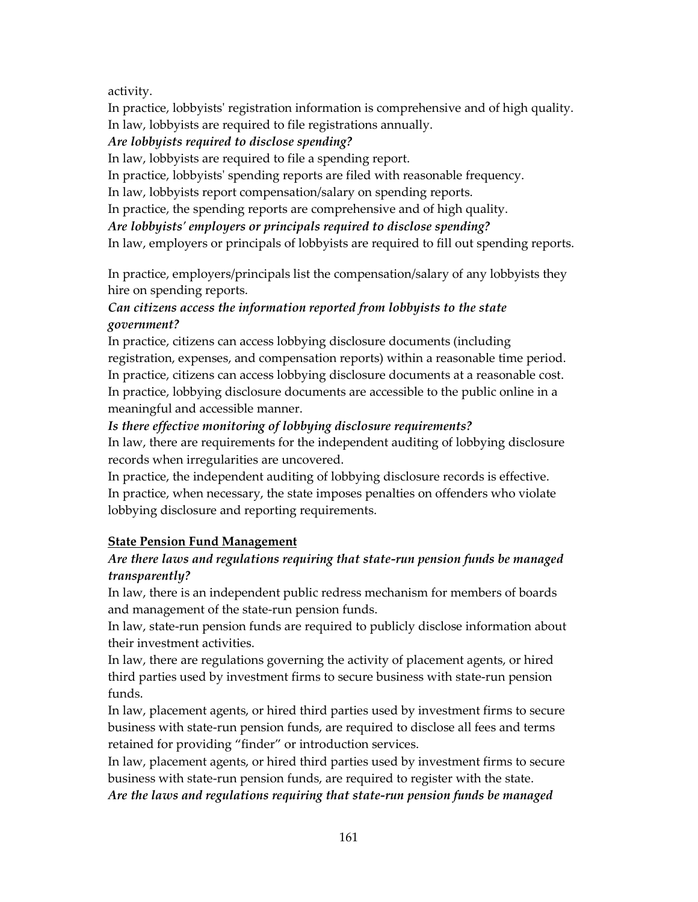## activity.

In practice, lobbyists' registration information is comprehensive and of high quality. In law, lobbyists are required to file registrations annually.

## *Are lobbyists required to disclose spending?*

In law, lobbyists are required to file a spending report.

In practice, lobbyists' spending reports are filed with reasonable frequency.

In law, lobbyists report compensation/salary on spending reports.

In practice, the spending reports are comprehensive and of high quality.

*Are lobbyists' employers or principals required to disclose spending?* 

In law, employers or principals of lobbyists are required to fill out spending reports.

In practice, employers/principals list the compensation/salary of any lobbyists they hire on spending reports.

# *Can citizens access the information reported from lobbyists to the state government?*

In practice, citizens can access lobbying disclosure documents (including registration, expenses, and compensation reports) within a reasonable time period. In practice, citizens can access lobbying disclosure documents at a reasonable cost. In practice, lobbying disclosure documents are accessible to the public online in a meaningful and accessible manner.

# *Is there effective monitoring of lobbying disclosure requirements?*

In law, there are requirements for the independent auditing of lobbying disclosure records when irregularities are uncovered.

In practice, the independent auditing of lobbying disclosure records is effective. In practice, when necessary, the state imposes penalties on offenders who violate lobbying disclosure and reporting requirements.

# **State Pension Fund Management**

# *Are there laws and regulations requiring that state-run pension funds be managed transparently?*

In law, there is an independent public redress mechanism for members of boards and management of the state-run pension funds.

In law, state-run pension funds are required to publicly disclose information about their investment activities.

In law, there are regulations governing the activity of placement agents, or hired third parties used by investment firms to secure business with state-run pension funds.

In law, placement agents, or hired third parties used by investment firms to secure business with state-run pension funds, are required to disclose all fees and terms retained for providing "finder" or introduction services.

In law, placement agents, or hired third parties used by investment firms to secure business with state-run pension funds, are required to register with the state.

*Are the laws and regulations requiring that state-run pension funds be managed*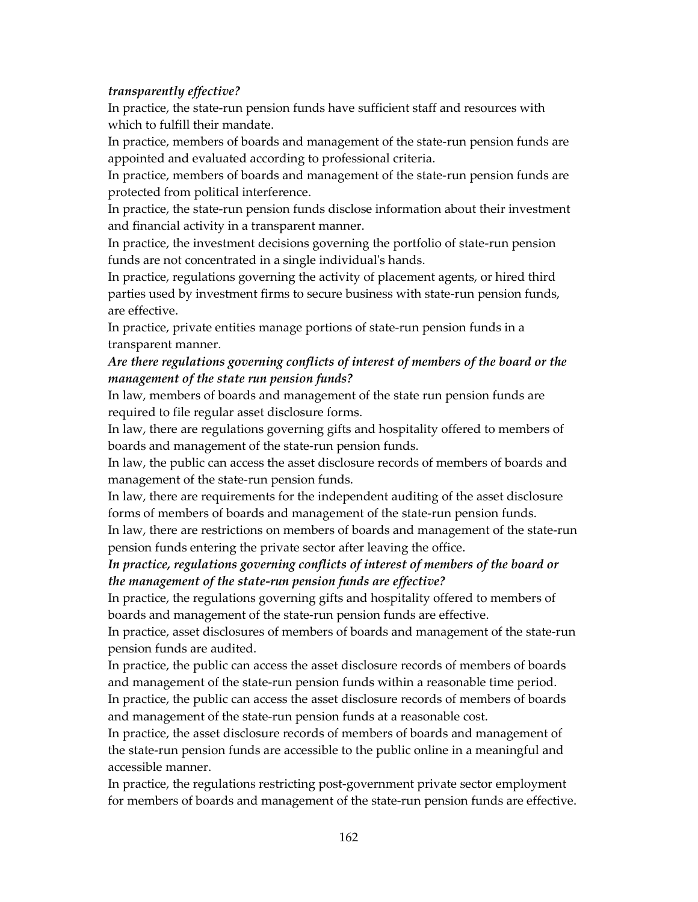#### *transparently effective?*

In practice, the state-run pension funds have sufficient staff and resources with which to fulfill their mandate.

In practice, members of boards and management of the state-run pension funds are appointed and evaluated according to professional criteria.

In practice, members of boards and management of the state-run pension funds are protected from political interference.

In practice, the state-run pension funds disclose information about their investment and financial activity in a transparent manner.

In practice, the investment decisions governing the portfolio of state-run pension funds are not concentrated in a single individual's hands.

In practice, regulations governing the activity of placement agents, or hired third parties used by investment firms to secure business with state-run pension funds, are effective.

In practice, private entities manage portions of state-run pension funds in a transparent manner.

## *Are there regulations governing conflicts of interest of members of the board or the management of the state run pension funds?*

In law, members of boards and management of the state run pension funds are required to file regular asset disclosure forms.

In law, there are regulations governing gifts and hospitality offered to members of boards and management of the state-run pension funds.

In law, the public can access the asset disclosure records of members of boards and management of the state-run pension funds.

In law, there are requirements for the independent auditing of the asset disclosure forms of members of boards and management of the state-run pension funds.

In law, there are restrictions on members of boards and management of the state-run pension funds entering the private sector after leaving the office.

#### *In practice, regulations governing conflicts of interest of members of the board or the management of the state-run pension funds are effective?*

In practice, the regulations governing gifts and hospitality offered to members of boards and management of the state-run pension funds are effective.

In practice, asset disclosures of members of boards and management of the state-run pension funds are audited.

In practice, the public can access the asset disclosure records of members of boards and management of the state-run pension funds within a reasonable time period.

In practice, the public can access the asset disclosure records of members of boards and management of the state-run pension funds at a reasonable cost.

In practice, the asset disclosure records of members of boards and management of the state-run pension funds are accessible to the public online in a meaningful and accessible manner.

In practice, the regulations restricting post-government private sector employment for members of boards and management of the state-run pension funds are effective.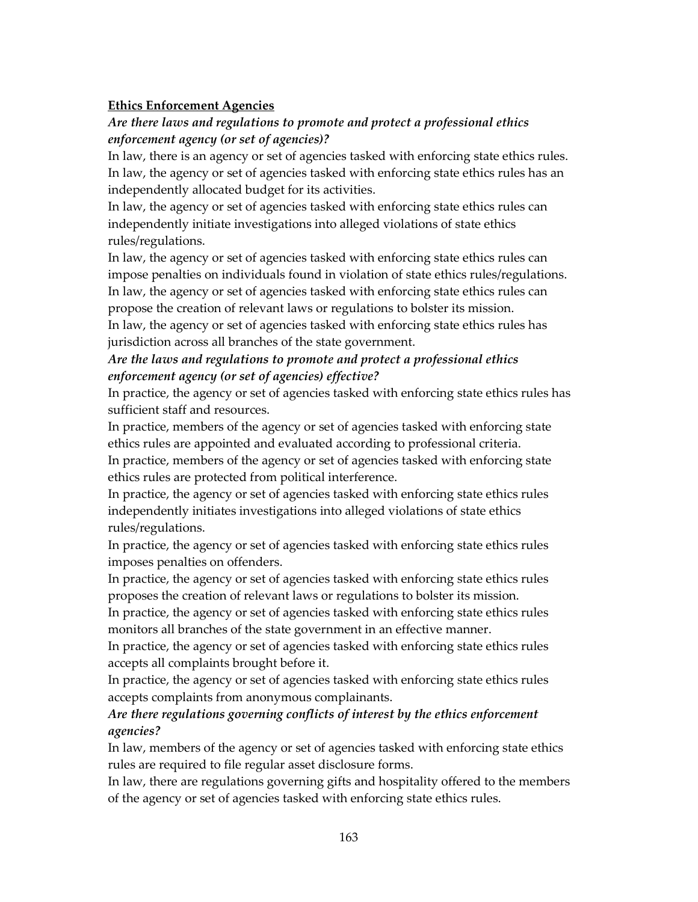#### **Ethics Enforcement Agencies**

## *Are there laws and regulations to promote and protect a professional ethics enforcement agency (or set of agencies)?*

In law, there is an agency or set of agencies tasked with enforcing state ethics rules. In law, the agency or set of agencies tasked with enforcing state ethics rules has an independently allocated budget for its activities.

In law, the agency or set of agencies tasked with enforcing state ethics rules can independently initiate investigations into alleged violations of state ethics rules/regulations.

In law, the agency or set of agencies tasked with enforcing state ethics rules can impose penalties on individuals found in violation of state ethics rules/regulations. In law, the agency or set of agencies tasked with enforcing state ethics rules can

propose the creation of relevant laws or regulations to bolster its mission. In law, the agency or set of agencies tasked with enforcing state ethics rules has jurisdiction across all branches of the state government.

# *Are the laws and regulations to promote and protect a professional ethics enforcement agency (or set of agencies) effective?*

In practice, the agency or set of agencies tasked with enforcing state ethics rules has sufficient staff and resources.

In practice, members of the agency or set of agencies tasked with enforcing state ethics rules are appointed and evaluated according to professional criteria.

In practice, members of the agency or set of agencies tasked with enforcing state ethics rules are protected from political interference.

In practice, the agency or set of agencies tasked with enforcing state ethics rules independently initiates investigations into alleged violations of state ethics rules/regulations.

In practice, the agency or set of agencies tasked with enforcing state ethics rules imposes penalties on offenders.

In practice, the agency or set of agencies tasked with enforcing state ethics rules proposes the creation of relevant laws or regulations to bolster its mission.

In practice, the agency or set of agencies tasked with enforcing state ethics rules monitors all branches of the state government in an effective manner.

In practice, the agency or set of agencies tasked with enforcing state ethics rules accepts all complaints brought before it.

In practice, the agency or set of agencies tasked with enforcing state ethics rules accepts complaints from anonymous complainants.

## *Are there regulations governing conflicts of interest by the ethics enforcement agencies?*

In law, members of the agency or set of agencies tasked with enforcing state ethics rules are required to file regular asset disclosure forms.

In law, there are regulations governing gifts and hospitality offered to the members of the agency or set of agencies tasked with enforcing state ethics rules.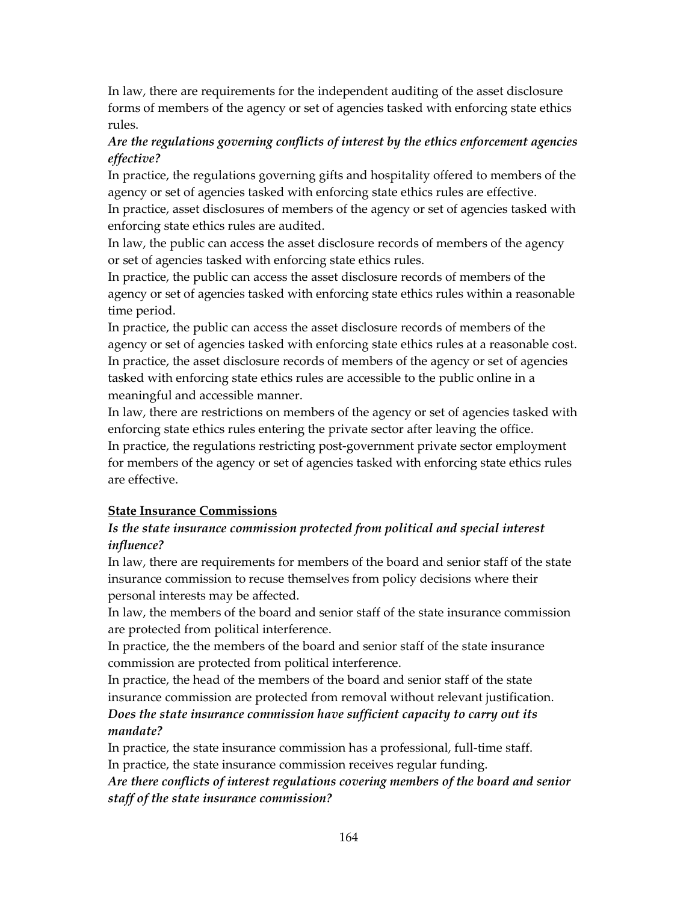In law, there are requirements for the independent auditing of the asset disclosure forms of members of the agency or set of agencies tasked with enforcing state ethics rules.

## *Are the regulations governing conflicts of interest by the ethics enforcement agencies effective?*

In practice, the regulations governing gifts and hospitality offered to members of the agency or set of agencies tasked with enforcing state ethics rules are effective.

In practice, asset disclosures of members of the agency or set of agencies tasked with enforcing state ethics rules are audited.

In law, the public can access the asset disclosure records of members of the agency or set of agencies tasked with enforcing state ethics rules.

In practice, the public can access the asset disclosure records of members of the agency or set of agencies tasked with enforcing state ethics rules within a reasonable time period.

In practice, the public can access the asset disclosure records of members of the agency or set of agencies tasked with enforcing state ethics rules at a reasonable cost. In practice, the asset disclosure records of members of the agency or set of agencies tasked with enforcing state ethics rules are accessible to the public online in a meaningful and accessible manner.

In law, there are restrictions on members of the agency or set of agencies tasked with enforcing state ethics rules entering the private sector after leaving the office. In practice, the regulations restricting post-government private sector employment for members of the agency or set of agencies tasked with enforcing state ethics rules are effective.

#### **State Insurance Commissions**

## *Is the state insurance commission protected from political and special interest influence?*

In law, there are requirements for members of the board and senior staff of the state insurance commission to recuse themselves from policy decisions where their personal interests may be affected.

In law, the members of the board and senior staff of the state insurance commission are protected from political interference.

In practice, the the members of the board and senior staff of the state insurance commission are protected from political interference.

In practice, the head of the members of the board and senior staff of the state insurance commission are protected from removal without relevant justification. *Does the state insurance commission have sufficient capacity to carry out its mandate?* 

In practice, the state insurance commission has a professional, full-time staff. In practice, the state insurance commission receives regular funding.

*Are there conflicts of interest regulations covering members of the board and senior staff of the state insurance commission?*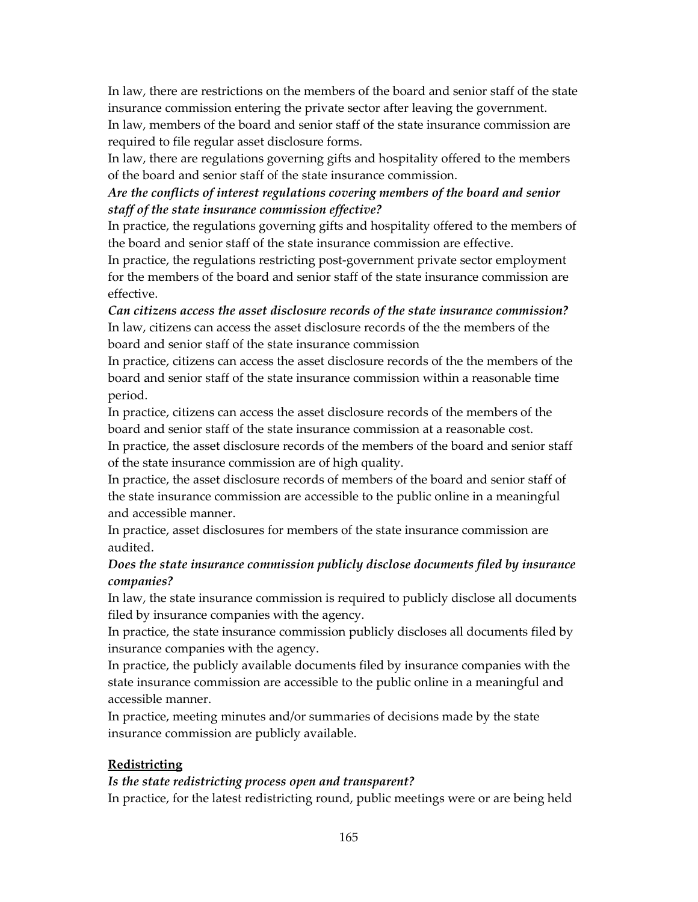In law, there are restrictions on the members of the board and senior staff of the state insurance commission entering the private sector after leaving the government.

In law, members of the board and senior staff of the state insurance commission are required to file regular asset disclosure forms.

In law, there are regulations governing gifts and hospitality offered to the members of the board and senior staff of the state insurance commission.

## *Are the conflicts of interest regulations covering members of the board and senior staff of the state insurance commission effective?*

In practice, the regulations governing gifts and hospitality offered to the members of the board and senior staff of the state insurance commission are effective.

In practice, the regulations restricting post-government private sector employment for the members of the board and senior staff of the state insurance commission are effective.

*Can citizens access the asset disclosure records of the state insurance commission?*  In law, citizens can access the asset disclosure records of the the members of the board and senior staff of the state insurance commission

In practice, citizens can access the asset disclosure records of the the members of the board and senior staff of the state insurance commission within a reasonable time period.

In practice, citizens can access the asset disclosure records of the members of the board and senior staff of the state insurance commission at a reasonable cost.

In practice, the asset disclosure records of the members of the board and senior staff of the state insurance commission are of high quality.

In practice, the asset disclosure records of members of the board and senior staff of the state insurance commission are accessible to the public online in a meaningful and accessible manner.

In practice, asset disclosures for members of the state insurance commission are audited.

# *Does the state insurance commission publicly disclose documents filed by insurance companies?*

In law, the state insurance commission is required to publicly disclose all documents filed by insurance companies with the agency.

In practice, the state insurance commission publicly discloses all documents filed by insurance companies with the agency.

In practice, the publicly available documents filed by insurance companies with the state insurance commission are accessible to the public online in a meaningful and accessible manner.

In practice, meeting minutes and/or summaries of decisions made by the state insurance commission are publicly available.

# **Redistricting**

#### *Is the state redistricting process open and transparent?*

In practice, for the latest redistricting round, public meetings were or are being held